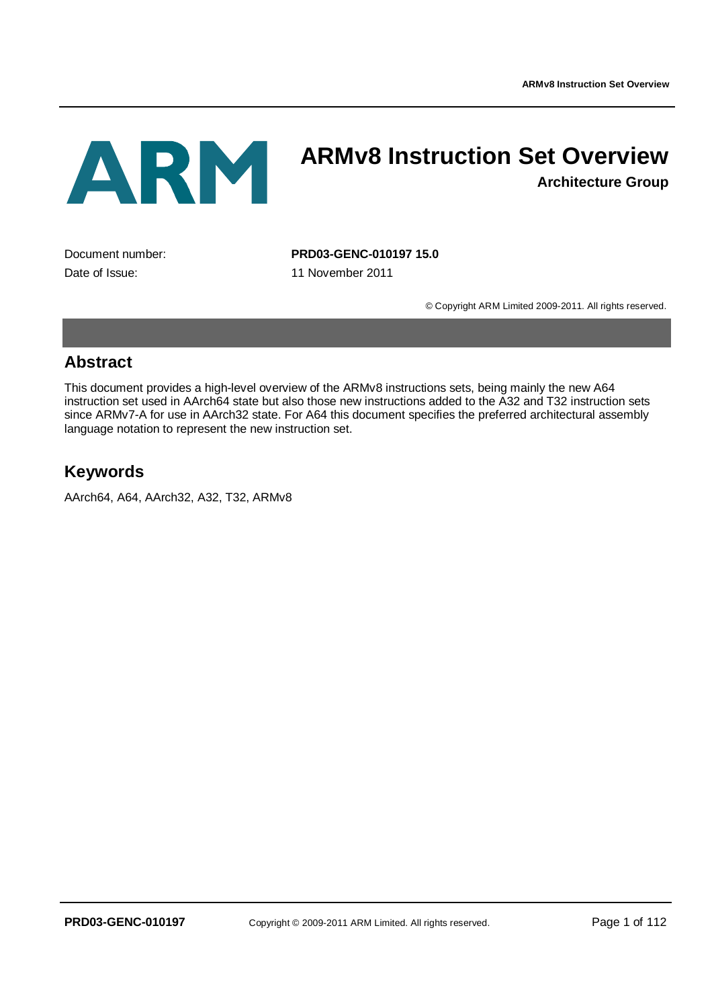ARM

# **ARMv8 Instruction Set Overview**

**Architecture Group**

Date of Issue: 11 November 2011

Document number: **PRD03-GENC-010197 15.0**

© Copyright ARM Limited 2009-2011. All rights reserved.

### **Abstract**

This document provides a high-level overview of the ARMv8 instructions sets, being mainly the new A64 instruction set used in AArch64 state but also those new instructions added to the A32 and T32 instruction sets since ARMv7-A for use in AArch32 state. For A64 this document specifies the preferred architectural assembly language notation to represent the new instruction set.

## **Keywords**

AArch64, A64, AArch32, A32, T32, ARMv8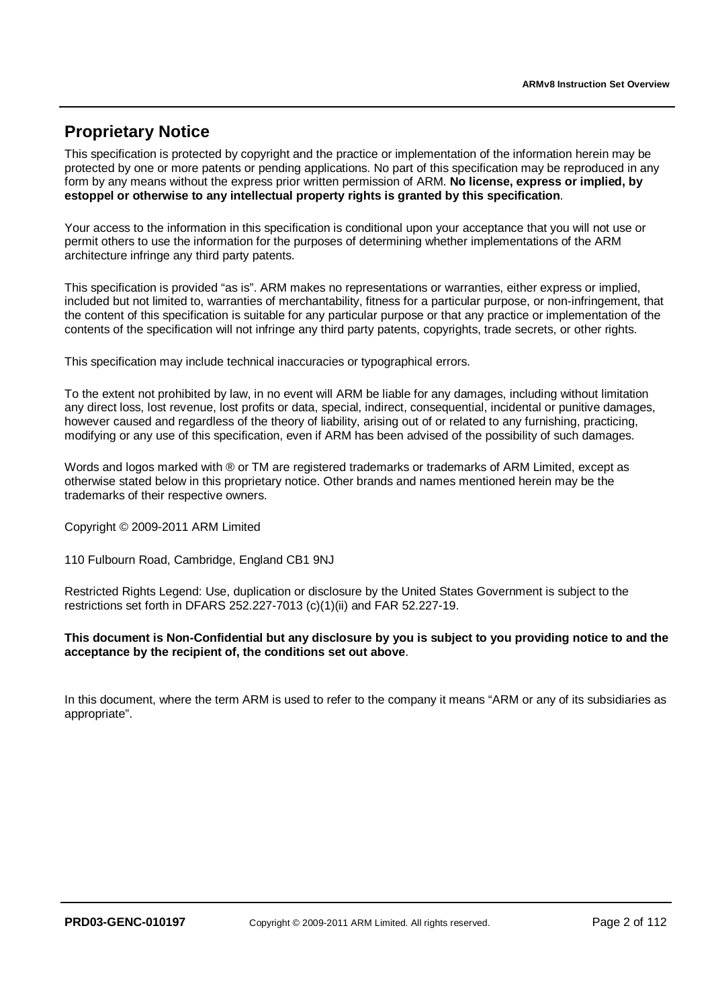# **Proprietary Notice**

This specification is protected by copyright and the practice or implementation of the information herein may be protected by one or more patents or pending applications. No part of this specification may be reproduced in any form by any means without the express prior written permission of ARM. **No license, express or implied, by estoppel or otherwise to any intellectual property rights is granted by this specification**.

Your access to the information in this specification is conditional upon your acceptance that you will not use or permit others to use the information for the purposes of determining whether implementations of the ARM architecture infringe any third party patents.

This specification is provided "as is". ARM makes no representations or warranties, either express or implied, included but not limited to, warranties of merchantability, fitness for a particular purpose, or non-infringement, that the content of this specification is suitable for any particular purpose or that any practice or implementation of the contents of the specification will not infringe any third party patents, copyrights, trade secrets, or other rights.

This specification may include technical inaccuracies or typographical errors.

To the extent not prohibited by law, in no event will ARM be liable for any damages, including without limitation any direct loss, lost revenue, lost profits or data, special, indirect, consequential, incidental or punitive damages, however caused and regardless of the theory of liability, arising out of or related to any furnishing, practicing, modifying or any use of this specification, even if ARM has been advised of the possibility of such damages.

Words and logos marked with ® or TM are registered trademarks or trademarks of ARM Limited, except as otherwise stated below in this proprietary notice. Other brands and names mentioned herein may be the trademarks of their respective owners.

Copyright © 2009-2011 ARM Limited

110 Fulbourn Road, Cambridge, England CB1 9NJ

Restricted Rights Legend: Use, duplication or disclosure by the United States Government is subject to the restrictions set forth in DFARS 252.227-7013 (c)(1)(ii) and FAR 52.227-19.

#### **This document is Non-Confidential but any disclosure by you is subject to you providing notice to and the acceptance by the recipient of, the conditions set out above**.

In this document, where the term ARM is used to refer to the company it means "ARM or any of its subsidiaries as appropriate".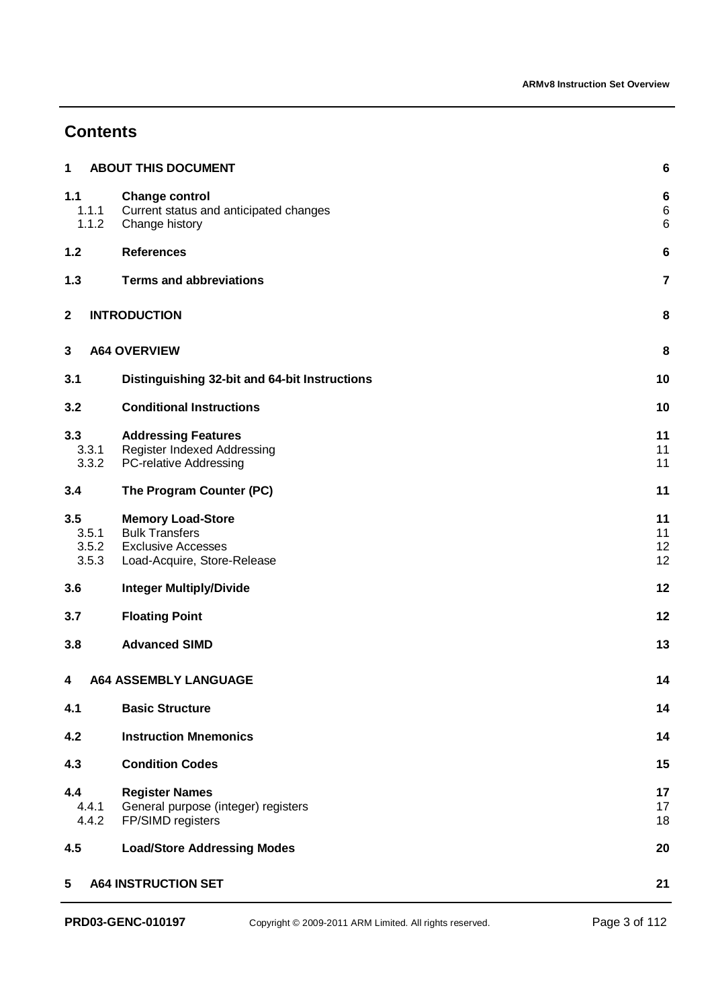# **Contents**

| 1           |                         | <b>ABOUT THIS DOCUMENT</b>                                                                                    | 6                    |
|-------------|-------------------------|---------------------------------------------------------------------------------------------------------------|----------------------|
| 1.1         | 1.1.1<br>1.1.2          | <b>Change control</b><br>Current status and anticipated changes<br>Change history                             | 6<br>6<br>6          |
| 1.2         |                         | <b>References</b>                                                                                             | 6                    |
| 1.3         |                         | <b>Terms and abbreviations</b>                                                                                | 7                    |
| $\mathbf 2$ |                         | <b>INTRODUCTION</b>                                                                                           | 8                    |
| $\mathbf 3$ |                         | <b>A64 OVERVIEW</b>                                                                                           | 8                    |
| 3.1         |                         | Distinguishing 32-bit and 64-bit Instructions                                                                 | 10                   |
| 3.2         |                         | <b>Conditional Instructions</b>                                                                               | 10                   |
| 3.3         | 3.3.1<br>3.3.2          | <b>Addressing Features</b><br>Register Indexed Addressing<br>PC-relative Addressing                           | 11<br>11<br>11       |
| 3.4         |                         | The Program Counter (PC)                                                                                      | 11                   |
| 3.5         | 3.5.1<br>3.5.2<br>3.5.3 | <b>Memory Load-Store</b><br><b>Bulk Transfers</b><br><b>Exclusive Accesses</b><br>Load-Acquire, Store-Release | 11<br>11<br>12<br>12 |
| 3.6         |                         | <b>Integer Multiply/Divide</b>                                                                                | 12                   |
| 3.7         |                         | <b>Floating Point</b>                                                                                         | 12                   |
| 3.8         |                         | <b>Advanced SIMD</b>                                                                                          | 13                   |
| 4           |                         | <b>A64 ASSEMBLY LANGUAGE</b>                                                                                  | 14                   |
| 4.1         |                         | <b>Basic Structure</b>                                                                                        | 14                   |
| 4.2         |                         | <b>Instruction Mnemonics</b>                                                                                  | 14                   |
| 4.3         |                         | <b>Condition Codes</b>                                                                                        | 15                   |
| 4.4         | 4.4.1<br>4.4.2          | <b>Register Names</b><br>General purpose (integer) registers<br>FP/SIMD registers                             | 17<br>17<br>18       |
| 4.5         |                         | <b>Load/Store Addressing Modes</b>                                                                            | 20                   |
| 5           |                         | <b>A64 INSTRUCTION SET</b>                                                                                    | 21                   |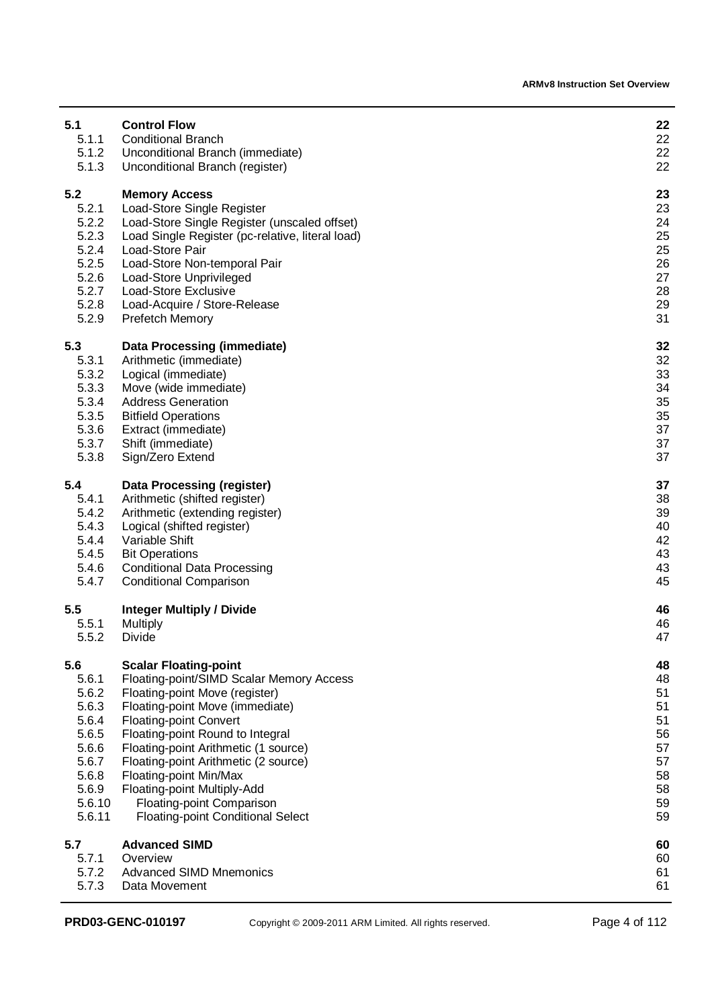| 5.1    | <b>Control Flow</b>                              | 22 |
|--------|--------------------------------------------------|----|
| 5.1.1  | <b>Conditional Branch</b>                        | 22 |
| 5.1.2  | Unconditional Branch (immediate)                 | 22 |
| 5.1.3  | Unconditional Branch (register)                  | 22 |
| 5.2    | <b>Memory Access</b>                             | 23 |
| 5.2.1  | Load-Store Single Register                       | 23 |
| 5.2.2  | Load-Store Single Register (unscaled offset)     | 24 |
| 5.2.3  | Load Single Register (pc-relative, literal load) | 25 |
| 5.2.4  | Load-Store Pair                                  | 25 |
| 5.2.5  | Load-Store Non-temporal Pair                     | 26 |
| 5.2.6  | Load-Store Unprivileged                          | 27 |
| 5.2.7  | Load-Store Exclusive                             | 28 |
| 5.2.8  | Load-Acquire / Store-Release                     | 29 |
| 5.2.9  | <b>Prefetch Memory</b>                           | 31 |
| 5.3    | <b>Data Processing (immediate)</b>               | 32 |
| 5.3.1  | Arithmetic (immediate)                           | 32 |
| 5.3.2  | Logical (immediate)                              | 33 |
| 5.3.3  | Move (wide immediate)                            | 34 |
| 5.3.4  | <b>Address Generation</b>                        | 35 |
| 5.3.5  | <b>Bitfield Operations</b>                       | 35 |
| 5.3.6  | Extract (immediate)                              | 37 |
| 5.3.7  | Shift (immediate)                                | 37 |
| 5.3.8  | Sign/Zero Extend                                 | 37 |
| 5.4    | <b>Data Processing (register)</b>                | 37 |
| 5.4.1  | Arithmetic (shifted register)                    | 38 |
| 5.4.2  | Arithmetic (extending register)                  | 39 |
| 5.4.3  | Logical (shifted register)                       | 40 |
| 5.4.4  | Variable Shift                                   | 42 |
| 5.4.5  | <b>Bit Operations</b>                            | 43 |
| 5.4.6  | <b>Conditional Data Processing</b>               | 43 |
| 5.4.7  | <b>Conditional Comparison</b>                    | 45 |
| 5.5    | <b>Integer Multiply / Divide</b>                 | 46 |
| 5.5.1  | Multiply                                         | 46 |
| 5.5.2  | <b>Divide</b>                                    | 47 |
| 5.6    | <b>Scalar Floating-point</b>                     | 48 |
| 5.6.1  | Floating-point/SIMD Scalar Memory Access         | 48 |
| 5.6.2  | Floating-point Move (register)                   | 51 |
| 5.6.3  | Floating-point Move (immediate)                  | 51 |
| 5.6.4  | <b>Floating-point Convert</b>                    | 51 |
| 5.6.5  | Floating-point Round to Integral                 | 56 |
| 5.6.6  | Floating-point Arithmetic (1 source)             | 57 |
| 5.6.7  | Floating-point Arithmetic (2 source)             | 57 |
| 5.6.8  | Floating-point Min/Max                           | 58 |
| 5.6.9  | Floating-point Multiply-Add                      | 58 |
| 5.6.10 | Floating-point Comparison                        | 59 |
| 5.6.11 | <b>Floating-point Conditional Select</b>         | 59 |
| 5.7    | <b>Advanced SIMD</b>                             | 60 |
| 5.7.1  | Overview                                         | 60 |
| 5.7.2  | <b>Advanced SIMD Mnemonics</b>                   | 61 |
| 5.7.3  | Data Movement                                    | 61 |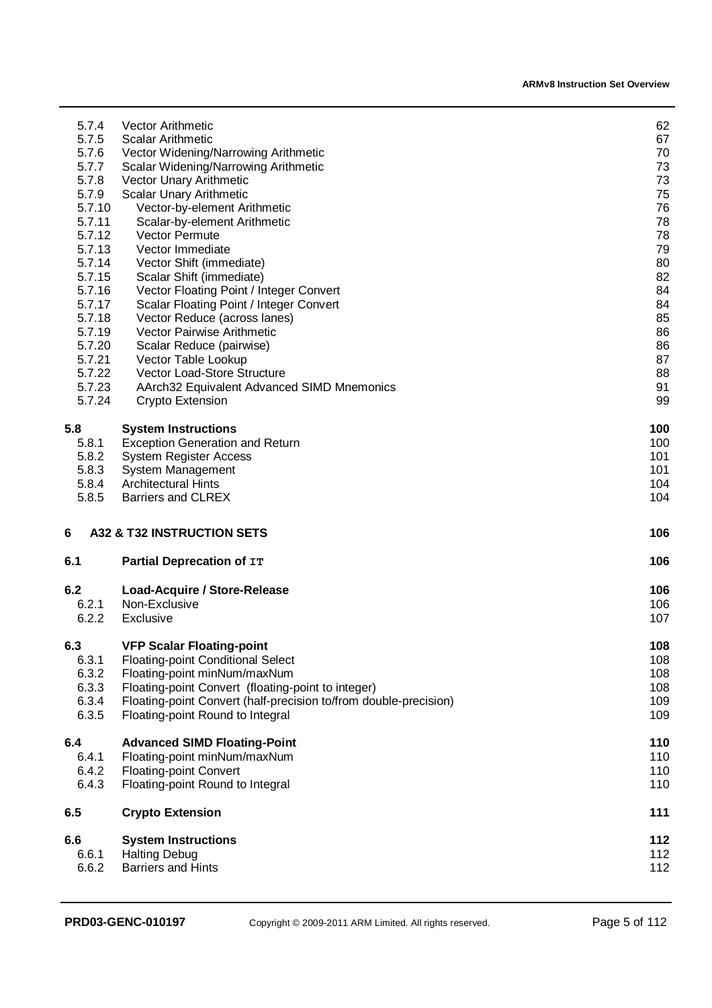| 5.7.4  | <b>Vector Arithmetic</b>                                         | 62  |
|--------|------------------------------------------------------------------|-----|
| 5.7.5  | <b>Scalar Arithmetic</b>                                         | 67  |
| 5.7.6  | Vector Widening/Narrowing Arithmetic                             | 70  |
| 5.7.7  | <b>Scalar Widening/Narrowing Arithmetic</b>                      | 73  |
| 5.7.8  | Vector Unary Arithmetic                                          | 73  |
| 5.7.9  | Scalar Unary Arithmetic                                          | 75  |
| 5.7.10 | Vector-by-element Arithmetic                                     | 76  |
| 5.7.11 | Scalar-by-element Arithmetic                                     | 78  |
| 5.7.12 | Vector Permute                                                   | 78  |
| 5.7.13 | Vector Immediate                                                 | 79  |
| 5.7.14 | Vector Shift (immediate)                                         | 80  |
| 5.7.15 | Scalar Shift (immediate)                                         | 82  |
| 5.7.16 | Vector Floating Point / Integer Convert                          | 84  |
| 5.7.17 | Scalar Floating Point / Integer Convert                          | 84  |
| 5.7.18 | Vector Reduce (across lanes)                                     | 85  |
| 5.7.19 | <b>Vector Pairwise Arithmetic</b>                                | 86  |
| 5.7.20 | Scalar Reduce (pairwise)                                         | 86  |
| 5.7.21 | Vector Table Lookup                                              | 87  |
| 5.7.22 | Vector Load-Store Structure                                      | 88  |
| 5.7.23 | AArch32 Equivalent Advanced SIMD Mnemonics                       | 91  |
| 5.7.24 | Crypto Extension                                                 | 99  |
| 5.8    | <b>System Instructions</b>                                       | 100 |
| 5.8.1  | <b>Exception Generation and Return</b>                           | 100 |
| 5.8.2  | <b>System Register Access</b>                                    | 101 |
| 5.8.3  | System Management                                                | 101 |
| 5.8.4  | <b>Architectural Hints</b>                                       | 104 |
| 5.8.5  | <b>Barriers and CLREX</b>                                        | 104 |
| 6      | A32 & T32 INSTRUCTION SETS                                       | 106 |
| 6.1    | Partial Deprecation of IT                                        | 106 |
| 6.2    | Load-Acquire / Store-Release                                     | 106 |
| 6.2.1  | Non-Exclusive                                                    | 106 |
| 6.2.2  | Exclusive                                                        | 107 |
| 6.3    | <b>VFP Scalar Floating-point</b>                                 | 108 |
| 6.3.1  | <b>Floating-point Conditional Select</b>                         | 108 |
| 6.3.2  | Floating-point minNum/maxNum                                     | 108 |
| 6.3.3  | Floating-point Convert (floating-point to integer)               | 108 |
| 6.3.4  | Floating-point Convert (half-precision to/from double-precision) | 109 |
| 6.3.5  | Floating-point Round to Integral                                 | 109 |
| 6.4    | <b>Advanced SIMD Floating-Point</b>                              | 110 |
| 6.4.1  | Floating-point minNum/maxNum                                     | 110 |
| 6.4.2  | <b>Floating-point Convert</b>                                    | 110 |
| 6.4.3  | Floating-point Round to Integral                                 | 110 |
| 6.5    | <b>Crypto Extension</b>                                          | 111 |
| 6.6    | <b>System Instructions</b>                                       | 112 |
| 6.6.1  | <b>Halting Debug</b>                                             | 112 |
| 6.6.2  | <b>Barriers and Hints</b>                                        | 112 |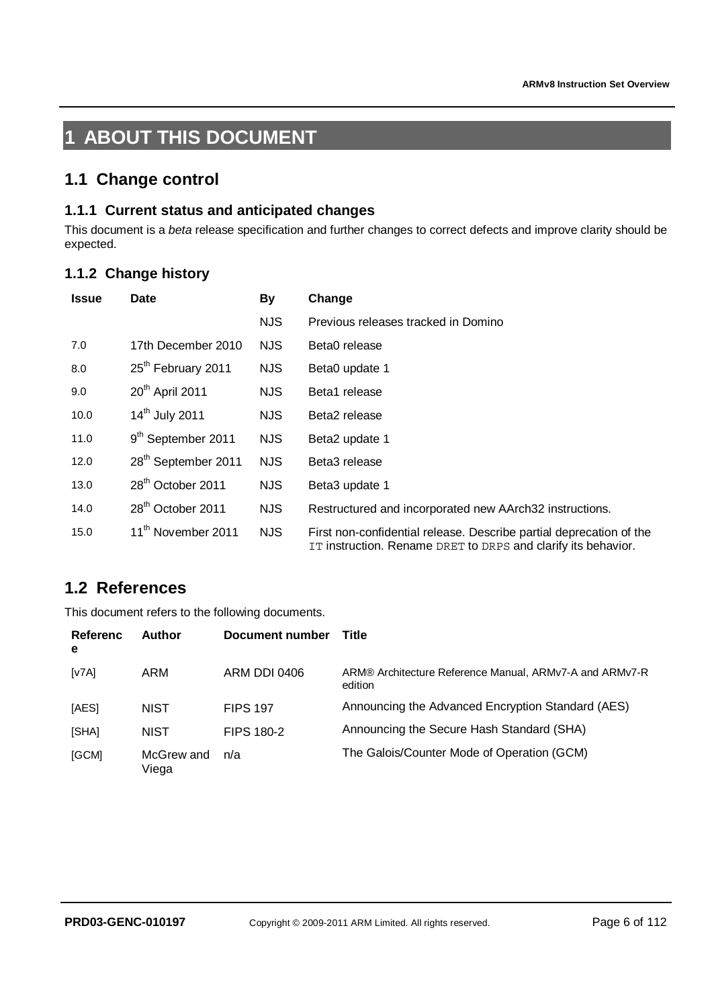# **1 ABOUT THIS DOCUMENT**

### **1.1 Change control**

### **1.1.1 Current status and anticipated changes**

This document is a *beta* release specification and further changes to correct defects and improve clarity should be expected.

### **1.1.2 Change history**

| <b>Issue</b> | Date                            | By         | Change                                                                                                                               |
|--------------|---------------------------------|------------|--------------------------------------------------------------------------------------------------------------------------------------|
|              |                                 | <b>NJS</b> | Previous releases tracked in Domino                                                                                                  |
| 7.0          | 17th December 2010              | NJS.       | Beta0 release                                                                                                                        |
| 8.0          | 25 <sup>th</sup> February 2011  | <b>NJS</b> | Beta0 update 1                                                                                                                       |
| 9.0          | 20 <sup>th</sup> April 2011     | <b>NJS</b> | Beta1 release                                                                                                                        |
| 10.0         | 14 <sup>th</sup> July 2011      | NJS.       | Beta2 release                                                                                                                        |
| 11.0         | 9 <sup>th</sup> September 2011  | <b>NJS</b> | Beta2 update 1                                                                                                                       |
| 12.0         | 28 <sup>th</sup> September 2011 | <b>NJS</b> | Beta3 release                                                                                                                        |
| 13.0         | 28 <sup>th</sup> October 2011   | NJS.       | Beta3 update 1                                                                                                                       |
| 14.0         | 28 <sup>th</sup> October 2011   | <b>NJS</b> | Restructured and incorporated new AArch32 instructions.                                                                              |
| 15.0         | 11 <sup>th</sup> November 2011  | <b>NJS</b> | First non-confidential release. Describe partial deprecation of the<br>IT instruction. Rename DRET to DRPS and clarify its behavior. |

# **1.2 References**

This document refers to the following documents.

| Referenc<br>e | Author              | Document number   | Title                                                              |
|---------------|---------------------|-------------------|--------------------------------------------------------------------|
| [v7A]         | ARM                 | ARM DDI 0406      | ARM® Architecture Reference Manual, ARMv7-A and ARMv7-R<br>edition |
| [AES]         | <b>NIST</b>         | <b>FIPS 197</b>   | Announcing the Advanced Encryption Standard (AES)                  |
| [SHA]         | <b>NIST</b>         | <b>FIPS 180-2</b> | Announcing the Secure Hash Standard (SHA)                          |
| [GCM]         | McGrew and<br>Viega | n/a               | The Galois/Counter Mode of Operation (GCM)                         |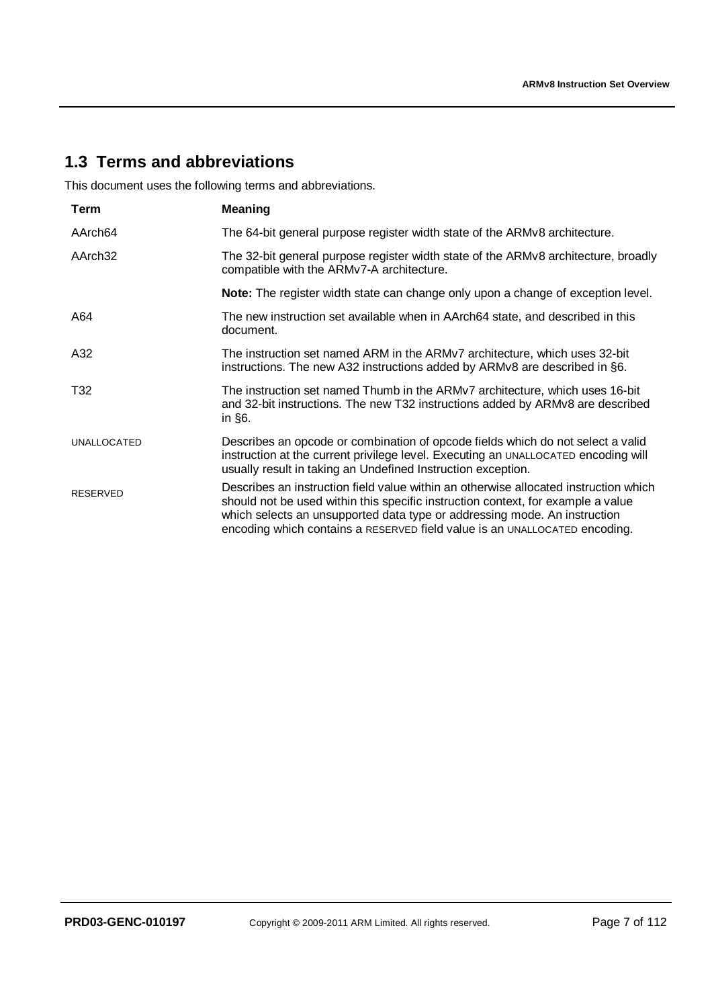# **1.3 Terms and abbreviations**

This document uses the following terms and abbreviations.

| Term                | <b>Meaning</b>                                                                                                                                                                                                                                                                                                                      |
|---------------------|-------------------------------------------------------------------------------------------------------------------------------------------------------------------------------------------------------------------------------------------------------------------------------------------------------------------------------------|
| AArch64             | The 64-bit general purpose register width state of the ARMv8 architecture.                                                                                                                                                                                                                                                          |
| AArch <sub>32</sub> | The 32-bit general purpose register width state of the ARMv8 architecture, broadly<br>compatible with the ARMv7-A architecture.                                                                                                                                                                                                     |
|                     | Note: The register width state can change only upon a change of exception level.                                                                                                                                                                                                                                                    |
| A64                 | The new instruction set available when in AArch64 state, and described in this<br>document.                                                                                                                                                                                                                                         |
| A32                 | The instruction set named ARM in the ARMv7 architecture, which uses 32-bit<br>instructions. The new A32 instructions added by ARMv8 are described in §6.                                                                                                                                                                            |
| T32                 | The instruction set named Thumb in the ARMv7 architecture, which uses 16-bit<br>and 32-bit instructions. The new T32 instructions added by ARMv8 are described<br>in $§6$ .                                                                                                                                                         |
| <b>UNALLOCATED</b>  | Describes an opcode or combination of opcode fields which do not select a valid<br>instruction at the current privilege level. Executing an UNALLOCATED encoding will<br>usually result in taking an Undefined Instruction exception.                                                                                               |
| <b>RESERVED</b>     | Describes an instruction field value within an otherwise allocated instruction which<br>should not be used within this specific instruction context, for example a value<br>which selects an unsupported data type or addressing mode. An instruction<br>encoding which contains a RESERVED field value is an UNALLOCATED encoding. |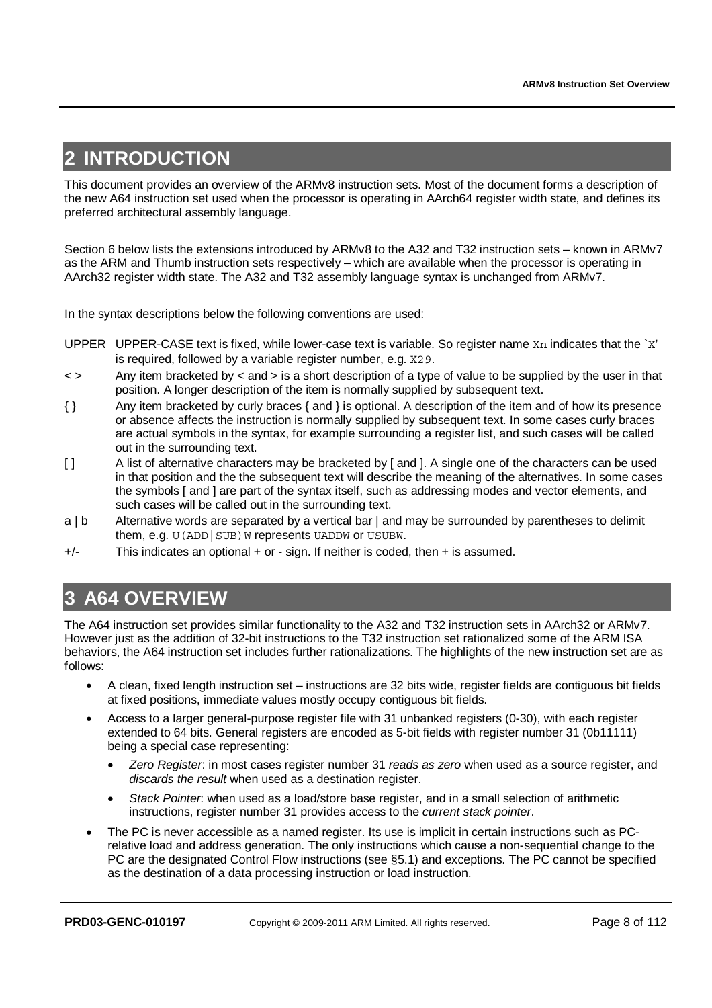# **2 INTRODUCTION**

This document provides an overview of the ARMv8 instruction sets. Most of the document forms a description of the new A64 instruction set used when the processor is operating in AArch64 register width state, and defines its preferred architectural assembly language.

Section 6 below lists the extensions introduced by ARMv8 to the A32 and T32 instruction sets – known in ARMv7 as the ARM and Thumb instruction sets respectively – which are available when the processor is operating in AArch32 register width state. The A32 and T32 assembly language syntax is unchanged from ARMv7.

In the syntax descriptions below the following conventions are used:

- UPPER UPPER-CASE text is fixed, while lower-case text is variable. So register name Xn indicates that the `X' is required, followed by a variable register number, e.g. X29.
- < > Any item bracketed by < and > is a short description of a type of value to be supplied by the user in that position. A longer description of the item is normally supplied by subsequent text.
- { } Any item bracketed by curly braces { and } is optional. A description of the item and of how its presence or absence affects the instruction is normally supplied by subsequent text. In some cases curly braces are actual symbols in the syntax, for example surrounding a register list, and such cases will be called out in the surrounding text.
- [ ] A list of alternative characters may be bracketed by [ and ]. A single one of the characters can be used in that position and the the subsequent text will describe the meaning of the alternatives. In some cases the symbols [ and ] are part of the syntax itself, such as addressing modes and vector elements, and such cases will be called out in the surrounding text.
- a | b Alternative words are separated by a vertical bar | and may be surrounded by parentheses to delimit them, e.g. U (ADD | SUB) W represents UADDW or USUBW.
- +/- This indicates an optional + or sign. If neither is coded, then + is assumed.

# **3 A64 OVERVIEW**

The A64 instruction set provides similar functionality to the A32 and T32 instruction sets in AArch32 or ARMv7. However just as the addition of 32-bit instructions to the T32 instruction set rationalized some of the ARM ISA behaviors, the A64 instruction set includes further rationalizations. The highlights of the new instruction set are as follows:

- A clean, fixed length instruction set instructions are 32 bits wide, register fields are contiguous bit fields at fixed positions, immediate values mostly occupy contiguous bit fields.
- Access to a larger general-purpose register file with 31 unbanked registers (0-30), with each register extended to 64 bits. General registers are encoded as 5-bit fields with register number 31 (0b11111) being a special case representing:
	- *Zero Register*: in most cases register number 31 *reads as zero* when used as a source register, and *discards the result* when used as a destination register.
	- *Stack Pointer*: when used as a load/store base register, and in a small selection of arithmetic instructions, register number 31 provides access to the *current stack pointer*.
- The PC is never accessible as a named register. Its use is implicit in certain instructions such as PCrelative load and address generation. The only instructions which cause a non-sequential change to the PC are the designated Control Flow instructions (see §5.1) and exceptions. The PC cannot be specified as the destination of a data processing instruction or load instruction.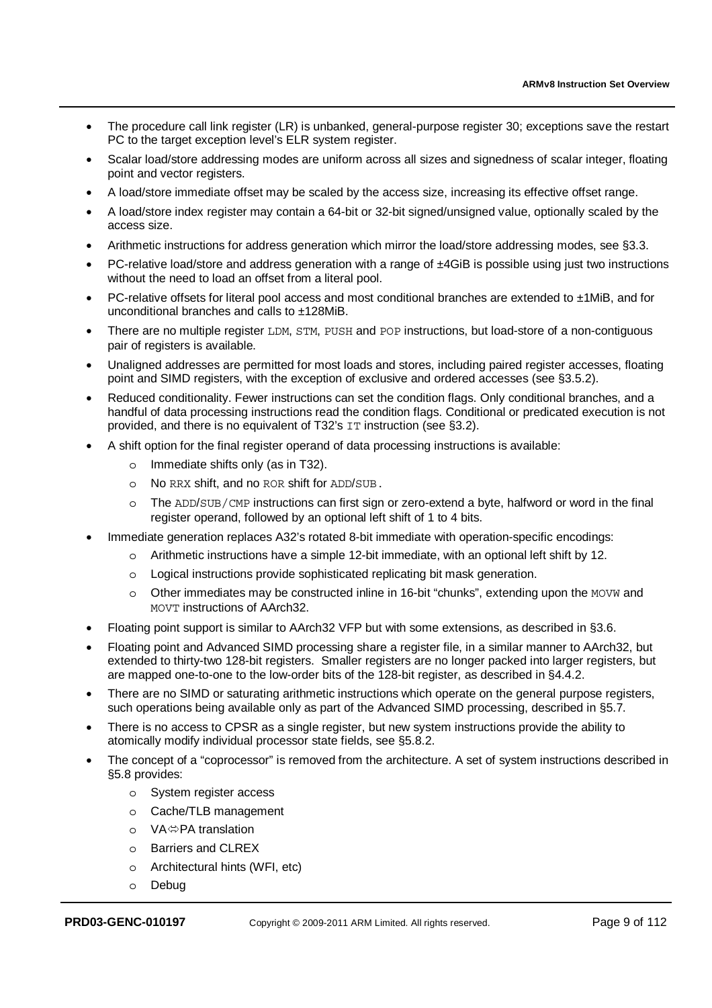- The procedure call link register (LR) is unbanked, general-purpose register 30; exceptions save the restart PC to the target exception level's ELR system register.
- Scalar load/store addressing modes are uniform across all sizes and signedness of scalar integer, floating point and vector registers.
- A load/store immediate offset may be scaled by the access size, increasing its effective offset range.
- A load/store index register may contain a 64-bit or 32-bit signed/unsigned value, optionally scaled by the access size.
- Arithmetic instructions for address generation which mirror the load/store addressing modes, see §3.3.
- PC-relative load/store and address generation with a range of ±4GiB is possible using just two instructions without the need to load an offset from a literal pool.
- PC-relative offsets for literal pool access and most conditional branches are extended to ±1MiB, and for unconditional branches and calls to ±128MiB.
- There are no multiple register LDM, STM, PUSH and POP instructions, but load-store of a non-contiguous pair of registers is available.
- Unaligned addresses are permitted for most loads and stores, including paired register accesses, floating point and SIMD registers, with the exception of exclusive and ordered accesses (see §3.5.2).
- Reduced conditionality. Fewer instructions can set the condition flags. Only conditional branches, and a handful of data processing instructions read the condition flags. Conditional or predicated execution is not provided, and there is no equivalent of T32's IT instruction (see §3.2).
- A shift option for the final register operand of data processing instructions is available:
	- o Immediate shifts only (as in T32).
	- o No RRX shift, and no ROR shift for ADD/SUB.
	- o The ADD/SUB/CMP instructions can first sign or zero-extend a byte, halfword or word in the final register operand, followed by an optional left shift of 1 to 4 bits.
- Immediate generation replaces A32's rotated 8-bit immediate with operation-specific encodings:
	- o Arithmetic instructions have a simple 12-bit immediate, with an optional left shift by 12.
	- o Logical instructions provide sophisticated replicating bit mask generation.
	- o Other immediates may be constructed inline in 16-bit "chunks", extending upon the MOVW and MOVT instructions of AArch32.
- Floating point support is similar to AArch32 VFP but with some extensions, as described in §3.6.
- Floating point and Advanced SIMD processing share a register file, in a similar manner to AArch32, but extended to thirty-two 128-bit registers. Smaller registers are no longer packed into larger registers, but are mapped one-to-one to the low-order bits of the 128-bit register, as described in §4.4.2.
- There are no SIMD or saturating arithmetic instructions which operate on the general purpose registers, such operations being available only as part of the Advanced SIMD processing, described in §5.7.
- There is no access to CPSR as a single register, but new system instructions provide the ability to atomically modify individual processor state fields, see §5.8.2.
- The concept of a "coprocessor" is removed from the architecture. A set of system instructions described in §5.8 provides:
	- o System register access
	- o Cache/TLB management
	- o VA⇔PA translation<br>o Barriers and CLREX
	- **Barriers and CLREX**
	- o Architectural hints (WFI, etc)
	- o Debug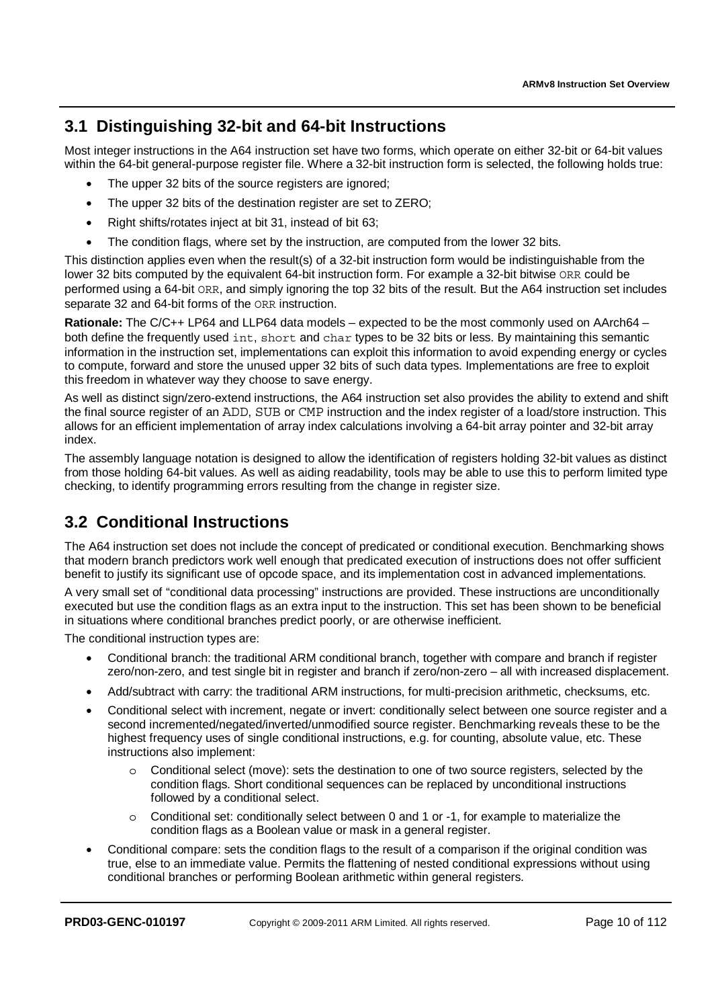# **3.1 Distinguishing 32-bit and 64-bit Instructions**

Most integer instructions in the A64 instruction set have two forms, which operate on either 32-bit or 64-bit values within the 64-bit general-purpose register file. Where a 32-bit instruction form is selected, the following holds true:

- The upper 32 bits of the source registers are ignored;
- The upper 32 bits of the destination register are set to ZERO;
- Right shifts/rotates inject at bit 31, instead of bit 63;
- The condition flags, where set by the instruction, are computed from the lower 32 bits.

This distinction applies even when the result(s) of a 32-bit instruction form would be indistinguishable from the lower 32 bits computed by the equivalent 64-bit instruction form. For example a 32-bit bitwise ORR could be performed using a 64-bit ORR, and simply ignoring the top 32 bits of the result. But the A64 instruction set includes separate 32 and 64-bit forms of the ORR instruction.

**Rationale:** The C/C++ LP64 and LLP64 data models – expected to be the most commonly used on AArch64 – both define the frequently used int, short and char types to be 32 bits or less. By maintaining this semantic information in the instruction set, implementations can exploit this information to avoid expending energy or cycles to compute, forward and store the unused upper 32 bits of such data types. Implementations are free to exploit this freedom in whatever way they choose to save energy.

As well as distinct sign/zero-extend instructions, the A64 instruction set also provides the ability to extend and shift the final source register of an ADD, SUB or CMP instruction and the index register of a load/store instruction. This allows for an efficient implementation of array index calculations involving a 64-bit array pointer and 32-bit array index.

The assembly language notation is designed to allow the identification of registers holding 32-bit values as distinct from those holding 64-bit values. As well as aiding readability, tools may be able to use this to perform limited type checking, to identify programming errors resulting from the change in register size.

# **3.2 Conditional Instructions**

The A64 instruction set does not include the concept of predicated or conditional execution. Benchmarking shows that modern branch predictors work well enough that predicated execution of instructions does not offer sufficient benefit to justify its significant use of opcode space, and its implementation cost in advanced implementations.

A very small set of "conditional data processing" instructions are provided. These instructions are unconditionally executed but use the condition flags as an extra input to the instruction. This set has been shown to be beneficial in situations where conditional branches predict poorly, or are otherwise inefficient.

The conditional instruction types are:

- Conditional branch: the traditional ARM conditional branch, together with compare and branch if register zero/non-zero, and test single bit in register and branch if zero/non-zero – all with increased displacement.
- Add/subtract with carry: the traditional ARM instructions, for multi-precision arithmetic, checksums, etc.
- Conditional select with increment, negate or invert: conditionally select between one source register and a second incremented/negated/inverted/unmodified source register. Benchmarking reveals these to be the highest frequency uses of single conditional instructions, e.g. for counting, absolute value, etc. These instructions also implement:
	- o Conditional select (move): sets the destination to one of two source registers, selected by the condition flags. Short conditional sequences can be replaced by unconditional instructions followed by a conditional select.
	- Conditional set: conditionally select between 0 and 1 or -1, for example to materialize the condition flags as a Boolean value or mask in a general register.
- Conditional compare: sets the condition flags to the result of a comparison if the original condition was true, else to an immediate value. Permits the flattening of nested conditional expressions without using conditional branches or performing Boolean arithmetic within general registers.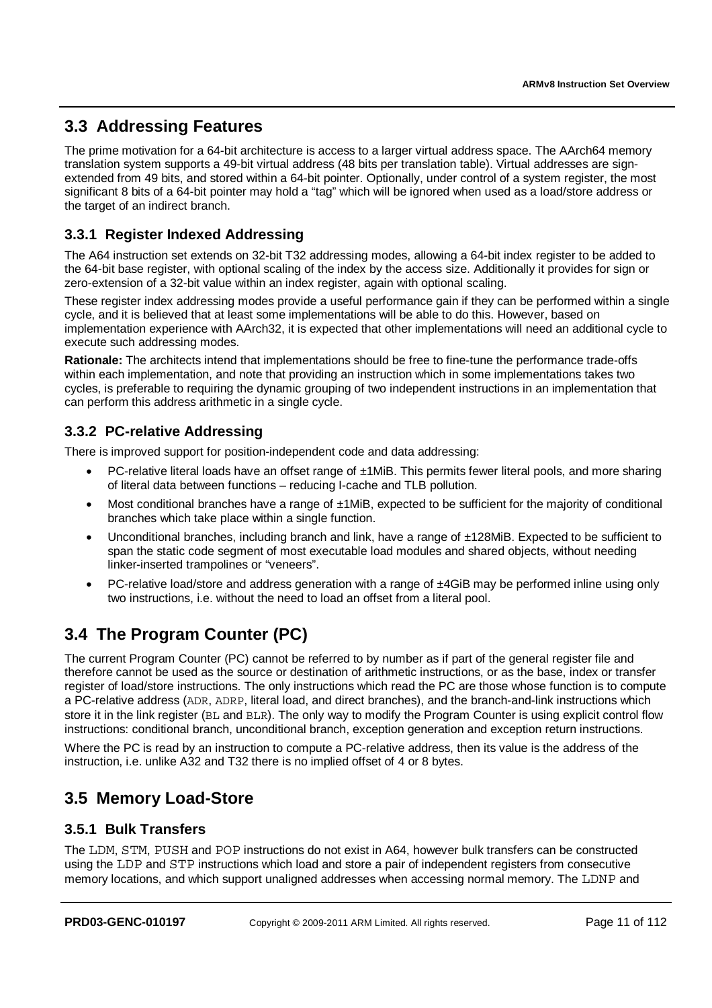# **3.3 Addressing Features**

The prime motivation for a 64-bit architecture is access to a larger virtual address space. The AArch64 memory translation system supports a 49-bit virtual address (48 bits per translation table). Virtual addresses are signextended from 49 bits, and stored within a 64-bit pointer. Optionally, under control of a system register, the most significant 8 bits of a 64-bit pointer may hold a "tag" which will be ignored when used as a load/store address or the target of an indirect branch.

### **3.3.1 Register Indexed Addressing**

The A64 instruction set extends on 32-bit T32 addressing modes, allowing a 64-bit index register to be added to the 64-bit base register, with optional scaling of the index by the access size. Additionally it provides for sign or zero-extension of a 32-bit value within an index register, again with optional scaling.

These register index addressing modes provide a useful performance gain if they can be performed within a single cycle, and it is believed that at least some implementations will be able to do this. However, based on implementation experience with AArch32, it is expected that other implementations will need an additional cycle to execute such addressing modes.

**Rationale:** The architects intend that implementations should be free to fine-tune the performance trade-offs within each implementation, and note that providing an instruction which in some implementations takes two cycles, is preferable to requiring the dynamic grouping of two independent instructions in an implementation that can perform this address arithmetic in a single cycle.

### **3.3.2 PC-relative Addressing**

There is improved support for position-independent code and data addressing:

- PC-relative literal loads have an offset range of ±1MiB. This permits fewer literal pools, and more sharing of literal data between functions – reducing I-cache and TLB pollution.
- Most conditional branches have a range of ±1MiB, expected to be sufficient for the majority of conditional branches which take place within a single function.
- Unconditional branches, including branch and link, have a range of ±128MiB. Expected to be sufficient to span the static code segment of most executable load modules and shared objects, without needing linker-inserted trampolines or "veneers".
- PC-relative load/store and address generation with a range of ±4GiB may be performed inline using only two instructions, i.e. without the need to load an offset from a literal pool.

# **3.4 The Program Counter (PC)**

The current Program Counter (PC) cannot be referred to by number as if part of the general register file and therefore cannot be used as the source or destination of arithmetic instructions, or as the base, index or transfer register of load/store instructions. The only instructions which read the PC are those whose function is to compute a PC-relative address (ADR, ADRP, literal load, and direct branches), and the branch-and-link instructions which store it in the link register (BL and BLR). The only way to modify the Program Counter is using explicit control flow instructions: conditional branch, unconditional branch, exception generation and exception return instructions.

Where the PC is read by an instruction to compute a PC-relative address, then its value is the address of the instruction, i.e. unlike A32 and T32 there is no implied offset of 4 or 8 bytes.

# **3.5 Memory Load-Store**

### **3.5.1 Bulk Transfers**

The LDM, STM, PUSH and POP instructions do not exist in A64, however bulk transfers can be constructed using the LDP and STP instructions which load and store a pair of independent registers from consecutive memory locations, and which support unaligned addresses when accessing normal memory. The LDNP and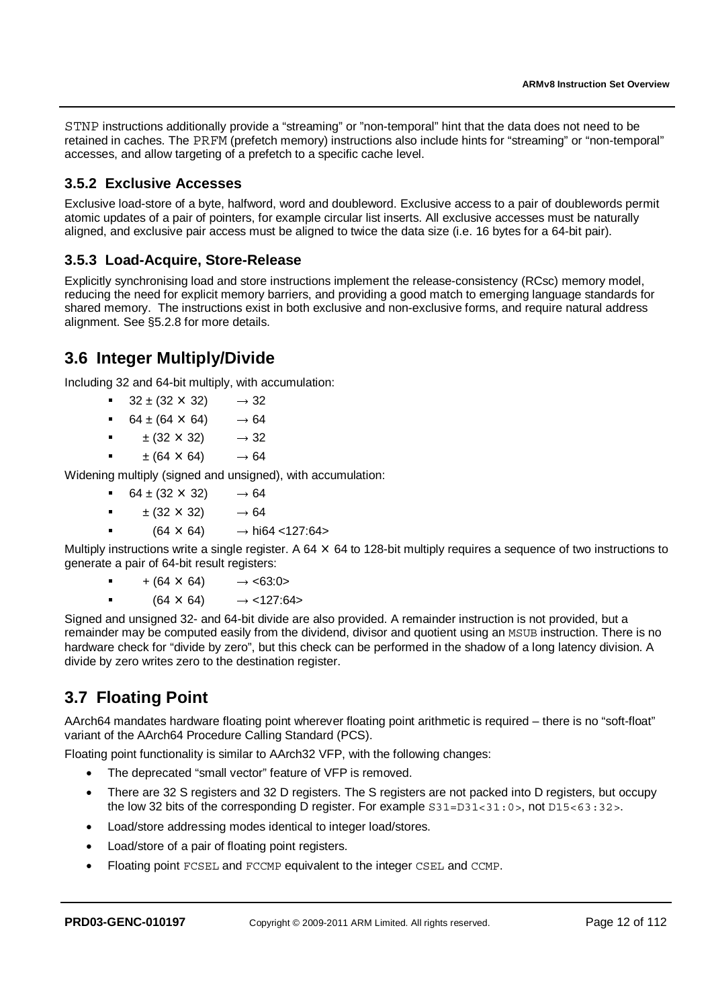STNP instructions additionally provide a "streaming" or "non-temporal" hint that the data does not need to be retained in caches. The PRFM (prefetch memory) instructions also include hints for "streaming" or "non-temporal" accesses, and allow targeting of a prefetch to a specific cache level.

### **3.5.2 Exclusive Accesses**

Exclusive load-store of a byte, halfword, word and doubleword. Exclusive access to a pair of doublewords permit atomic updates of a pair of pointers, for example circular list inserts. All exclusive accesses must be naturally aligned, and exclusive pair access must be aligned to twice the data size (i.e. 16 bytes for a 64-bit pair).

### **3.5.3 Load-Acquire, Store-Release**

Explicitly synchronising load and store instructions implement the release-consistency (RCsc) memory model, reducing the need for explicit memory barriers, and providing a good match to emerging language standards for shared memory. The instructions exist in both exclusive and non-exclusive forms, and require natural address alignment. See §5.2.8 for more details.

# **3.6 Integer Multiply/Divide**

Including 32 and 64-bit multiply, with accumulation:

- $32 \pm (32 \times 32) \rightarrow 32$ <br>64 ± (64 × 64)  $\rightarrow$  64
- -
- - $64 \pm (64 \times 64)$   $\rightarrow 64$ <br> $\pm (32 \times 32)$   $\rightarrow 32$
- - $\pm (32 \times 32)$   $\rightarrow 32$ <br> $\pm (64 \times 64)$   $\rightarrow 64$

 $\pm$  (64  $\times$  64)  $\rightarrow$  64<br>Widening multiply (signed and unsigned), with accumulation:

- 
- - $64 \pm (32 \times 32)$   $\rightarrow 64$ <br> $+ (32 \times 32)$   $\rightarrow 64$ 
	- $\pm$  (32 × 32)  $\rightarrow$  64<br>
	(64 × 64)  $\rightarrow$  hi64 <127:64>

■ (64 × 64) → hi64 <127:64><br>instructions write a single register. A 64 × Multiply instructions write a single register. A 64 × 64 to 128-bit multiply requires a sequence of two instructions to<br>generate a pair of 64-bit result registers: generate a pair of 64-bit result registers:

 $+ (64 \times 64)$   $\rightarrow$  <63:0><br>(64  $\times$  64)  $\rightarrow$  <127:64>

■ (64 × 64) → <127:64><br>Signed and unsigned 32- and 64-bit divide are also provided. A remainder instruction is not provided, but a remainder may be computed easily from the dividend, divisor and quotient using an MSUB instruction. There is no hardware check for "divide by zero", but this check can be performed in the shadow of a long latency division. A divide by zero writes zero to the destination register.

# **3.7 Floating Point**

-

-

AArch64 mandates hardware floating point wherever floating point arithmetic is required – there is no "soft-float" variant of the AArch64 Procedure Calling Standard (PCS).

Floating point functionality is similar to AArch32 VFP, with the following changes:

- The deprecated "small vector" feature of VFP is removed.
- There are 32 S registers and 32 D registers. The S registers are not packed into D registers, but occupy the low 32 bits of the corresponding D register. For example  $S31=D31<31:0>$ , not  $D15<63:32>$ .
- Load/store addressing modes identical to integer load/stores.
- Load/store of a pair of floating point registers.
- Floating point FCSEL and FCCMP equivalent to the integer CSEL and CCMP.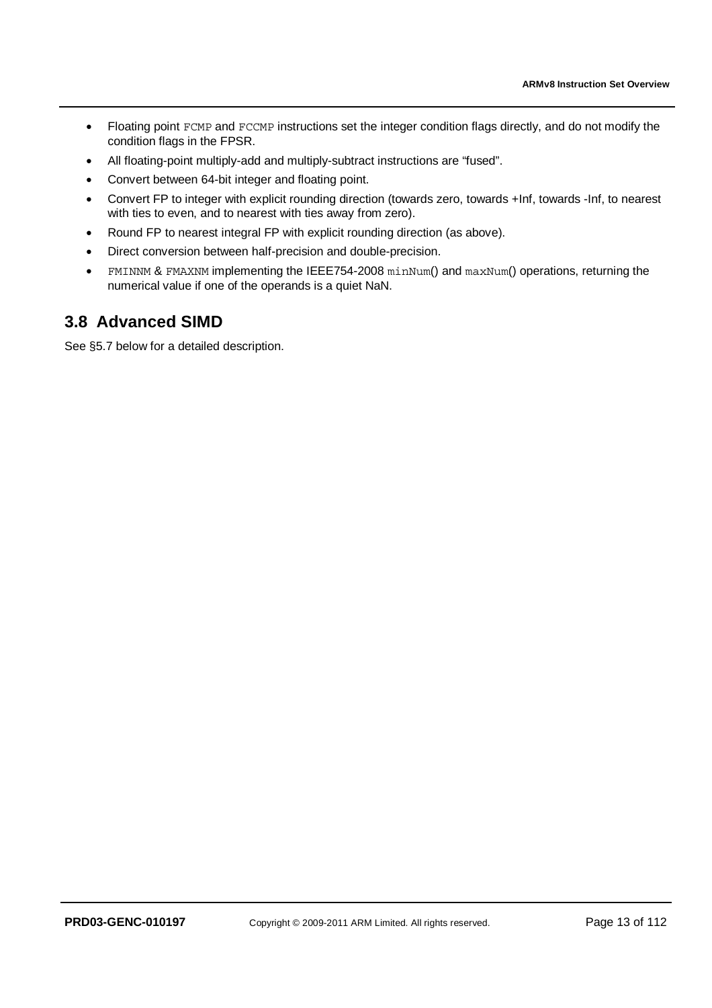- Floating point FCMP and FCCMP instructions set the integer condition flags directly, and do not modify the condition flags in the FPSR.
- All floating-point multiply-add and multiply-subtract instructions are "fused".
- Convert between 64-bit integer and floating point.
- Convert FP to integer with explicit rounding direction (towards zero, towards +Inf, towards -Inf, to nearest with ties to even, and to nearest with ties away from zero).
- Round FP to nearest integral FP with explicit rounding direction (as above).
- Direct conversion between half-precision and double-precision.
- FMINNM & FMAXNM implementing the IEEE754-2008 minNum() and maxNum() operations, returning the numerical value if one of the operands is a quiet NaN.

## **3.8 Advanced SIMD**

See §5.7 below for a detailed description.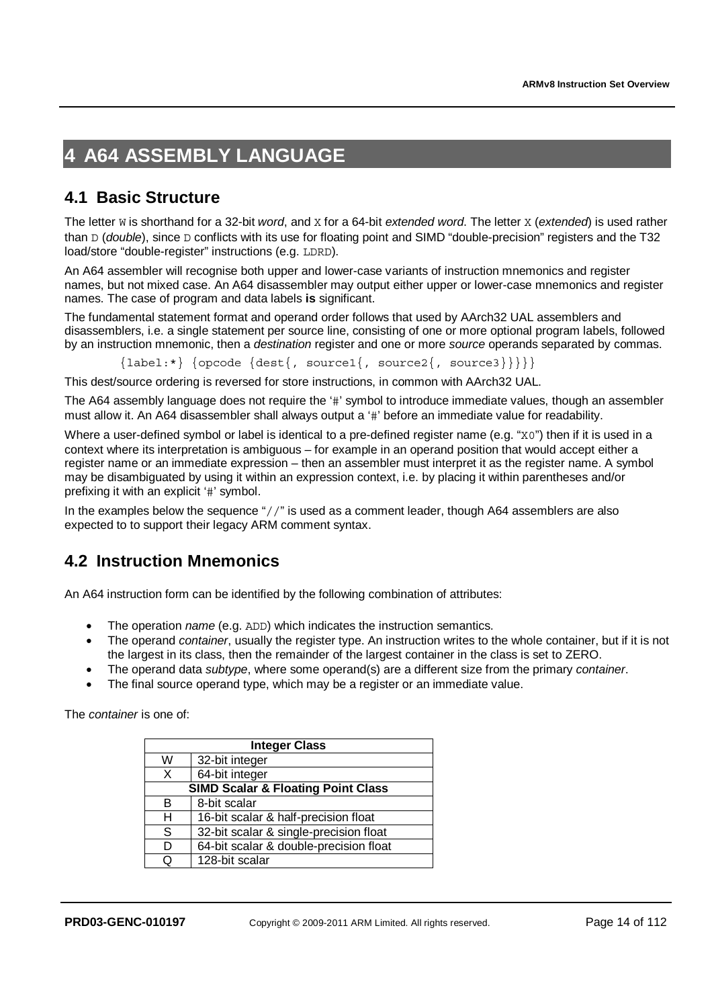# **4 A64 ASSEMBLY LANGUAGE**

# **4.1 Basic Structure**

The letter W is shorthand for a 32-bit *word*, and X for a 64-bit *extended word*. The letter X (*extended*) is used rather than D (*double*), since D conflicts with its use for floating point and SIMD "double-precision" registers and the T32 load/store "double-register" instructions (e.g. LDRD).

An A64 assembler will recognise both upper and lower-case variants of instruction mnemonics and register names, but not mixed case. An A64 disassembler may output either upper or lower-case mnemonics and register names. The case of program and data labels **is** significant.

The fundamental statement format and operand order follows that used by AArch32 UAL assemblers and disassemblers, i.e. a single statement per source line, consisting of one or more optional program labels, followed by an instruction mnemonic, then a *destination* register and one or more *source* operands separated by commas.

 $\{label.*}\$  {opcode  $\{dest\}$ , source1{, source2{, source3}}}}}

This dest/source ordering is reversed for store instructions, in common with AArch32 UAL.

The A64 assembly language does not require the '#' symbol to introduce immediate values, though an assembler must allow it. An A64 disassembler shall always output a '#' before an immediate value for readability.

Where a user-defined symbol or label is identical to a pre-defined register name (e.g. "x0") then if it is used in a context where its interpretation is ambiguous – for example in an operand position that would accept either a register name or an immediate expression – then an assembler must interpret it as the register name. A symbol may be disambiguated by using it within an expression context, i.e. by placing it within parentheses and/or prefixing it with an explicit '#' symbol.

In the examples below the sequence "//" is used as a comment leader, though A64 assemblers are also expected to to support their legacy ARM comment syntax.

# **4.2 Instruction Mnemonics**

An A64 instruction form can be identified by the following combination of attributes:

- The operation *name* (e.g. ADD) which indicates the instruction semantics.
- The operand *container*, usually the register type. An instruction writes to the whole container, but if it is not the largest in its class, then the remainder of the largest container in the class is set to ZERO.
- The operand data *subtype*, where some operand(s) are a different size from the primary *container*.
- The final source operand type, which may be a register or an immediate value.

The *container* is one of:

|                                           | <b>Integer Class</b>                          |  |  |  |  |
|-------------------------------------------|-----------------------------------------------|--|--|--|--|
| W                                         | 32-bit integer                                |  |  |  |  |
| Х                                         | 64-bit integer                                |  |  |  |  |
|                                           | <b>SIMD Scalar &amp; Floating Point Class</b> |  |  |  |  |
| 8-bit scalar<br>в                         |                                               |  |  |  |  |
| н<br>16-bit scalar & half-precision float |                                               |  |  |  |  |
| S                                         | 32-bit scalar & single-precision float        |  |  |  |  |
| D                                         | 64-bit scalar & double-precision float        |  |  |  |  |
| Q                                         | 128-bit scalar                                |  |  |  |  |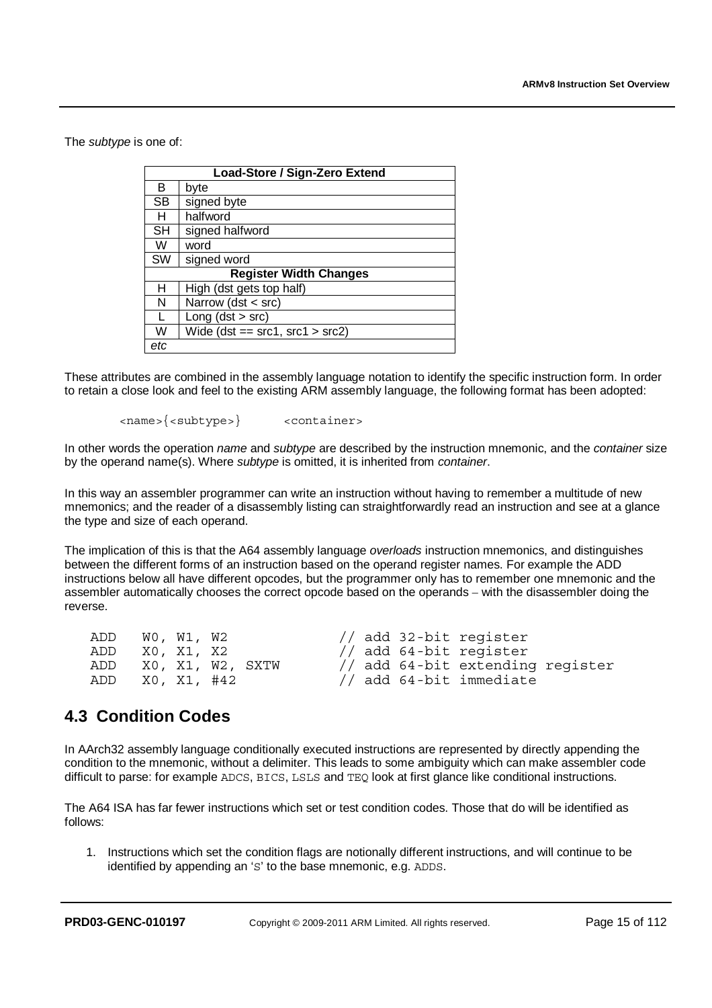The *subtype* is one of:

|           | Load-Store / Sign-Zero Extend         |  |  |  |  |  |
|-----------|---------------------------------------|--|--|--|--|--|
| в         | byte                                  |  |  |  |  |  |
| <b>SB</b> | signed byte                           |  |  |  |  |  |
| н         | halfword                              |  |  |  |  |  |
| <b>SH</b> | signed halfword                       |  |  |  |  |  |
| W         | word                                  |  |  |  |  |  |
| <b>SW</b> | signed word                           |  |  |  |  |  |
|           | <b>Register Width Changes</b>         |  |  |  |  |  |
| н         | High (dst gets top half)              |  |  |  |  |  |
| N         | Narrow (dst < src)                    |  |  |  |  |  |
|           | Long $(dst > src)$                    |  |  |  |  |  |
| w         | Wide (dst == $src1$ , $src1 > src2$ ) |  |  |  |  |  |
| etc       |                                       |  |  |  |  |  |

These attributes are combined in the assembly language notation to identify the specific instruction form. In order to retain a close look and feel to the existing ARM assembly language, the following format has been adopted:

<name>{<subtype>} <container>

In other words the operation *name* and *subtype* are described by the instruction mnemonic, and the *container* size by the operand name(s). Where *subtype* is omitted, it is inherited from *container*.

In this way an assembler programmer can write an instruction without having to remember a multitude of new mnemonics; and the reader of a disassembly listing can straightforwardly read an instruction and see at a glance the type and size of each operand.

The implication of this is that the A64 assembly language *overloads* instruction mnemonics, and distinguishes between the different forms of an instruction based on the operand register names. For example the ADD instructions below all have different opcodes, but the programmer only has to remember one mnemonic and the assembler automatically chooses the correct opcode based on the operands – with the disassembler doing the reverse.

| ADD | WO, W1, W2  |                  | // add 32-bit register           |  |
|-----|-------------|------------------|----------------------------------|--|
| ADD | X0, X1, X2  |                  | // add 64-bit reqister           |  |
| ADD |             | X0, X1, W2, SXTW | // add 64-bit extending register |  |
| ADD | X0, X1, #42 |                  | // add 64-bit immediate          |  |

### **4.3 Condition Codes**

In AArch32 assembly language conditionally executed instructions are represented by directly appending the condition to the mnemonic, without a delimiter. This leads to some ambiguity which can make assembler code difficult to parse: for example ADCS, BICS, LSLS and TEQ look at first glance like conditional instructions.

The A64 ISA has far fewer instructions which set or test condition codes. Those that do will be identified as follows:

1. Instructions which set the condition flags are notionally different instructions, and will continue to be identified by appending an 'S' to the base mnemonic, e.g. ADDS.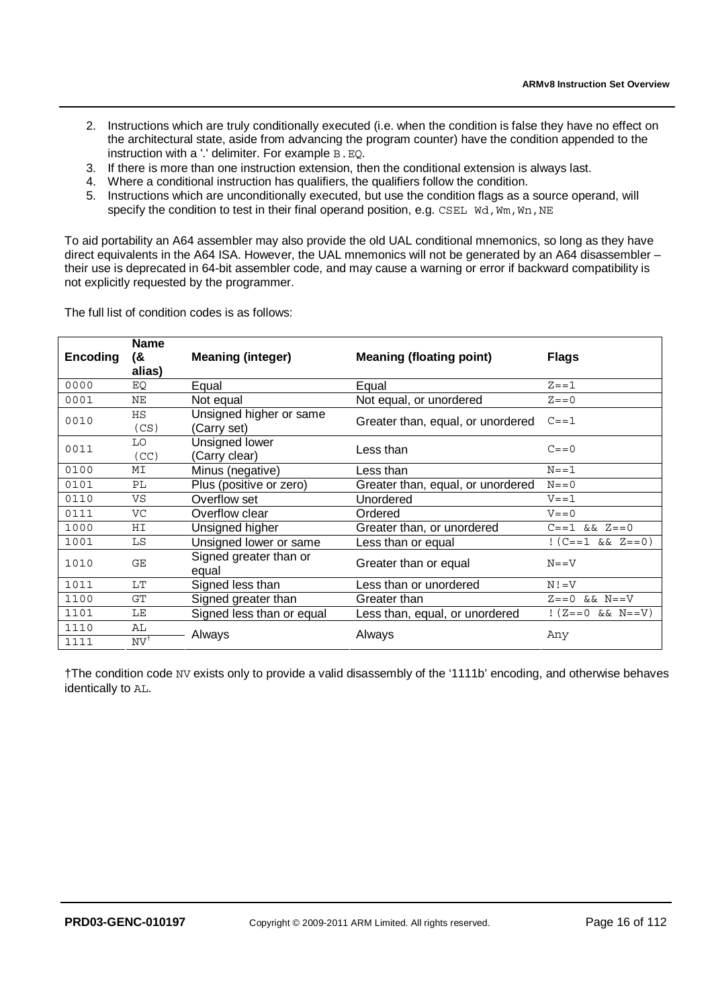- 2. Instructions which are truly conditionally executed (i.e. when the condition is false they have no effect on the architectural state, aside from advancing the program counter) have the condition appended to the instruction with a '.' delimiter. For example B.EQ.
- 3. If there is more than one instruction extension, then the conditional extension is always last.
- 4. Where a conditional instruction has qualifiers, the qualifiers follow the condition.
- 5. Instructions which are unconditionally executed, but use the condition flags as a source operand, will specify the condition to test in their final operand position, e.g. CSEL  $\overline{WA}$ ,  $\overline{W}$ m,  $\overline{W}$ n, NE

To aid portability an A64 assembler may also provide the old UAL conditional mnemonics, so long as they have direct equivalents in the A64 ISA. However, the UAL mnemonics will not be generated by an A64 disassembler – their use is deprecated in 64-bit assembler code, and may cause a warning or error if backward compatibility is not explicitly requested by the programmer.

The full list of condition codes is as follows:

| Encoding | <b>Name</b><br>(&<br>alias) | <b>Meaning (integer)</b>               | <b>Meaning (floating point)</b>   | <b>Flags</b>           |
|----------|-----------------------------|----------------------------------------|-----------------------------------|------------------------|
| 0000     | EQ                          | Equal                                  | Equal                             | $Z = = 1$              |
| 0001     | ΝE                          | Not equal                              | Not equal, or unordered           | $Z = 0$                |
| 0010     | HS<br>(CS)                  | Unsigned higher or same<br>(Carry set) | Greater than, equal, or unordered | $C = 1$                |
| 0011     | LO<br>(CC)                  | Unsigned lower<br>(Carry clear)        | Less than                         | $C = 0$                |
| 0100     | MΙ                          | Minus (negative)                       | Less than                         | $N = = 1$              |
| 0101     | PL                          | Plus (positive or zero)                | Greater than, equal, or unordered | $N = 0$                |
| 0110     | VS                          | Overflow set                           | Unordered                         | $V = = 1$              |
| 0111     | VC                          | Overflow clear                         | Ordered                           | $V = 0$                |
| 1000     | ΗI                          | Unsigned higher                        | Greater than, or unordered        | $C = -1$ & & $Z = 0$   |
| 1001     | LS                          | Unsigned lower or same                 | Less than or equal                | $(C=-1 \&& Z=-0)$      |
| 1010     | GE                          | Signed greater than or<br>equal        | Greater than or equal             | $N = = V$              |
| 1011     | LT                          | Signed less than                       | Less than or unordered            | $N! = V$               |
| 1100     | GT                          | Signed greater than                    | Greater than                      | $Z == 0$ && $N == V$   |
| 1101     | LE                          | Signed less than or equal              | Less than, equal, or unordered    | $!(Z == 0 \&& N == V)$ |
| 1110     | AL                          | Always                                 | Always                            | Any                    |
| 1111     | $\mathrm{NV}^{\dagger}$     |                                        |                                   |                        |

†The condition code NV exists only to provide a valid disassembly of the '1111b' encoding, and otherwise behaves identically to AL.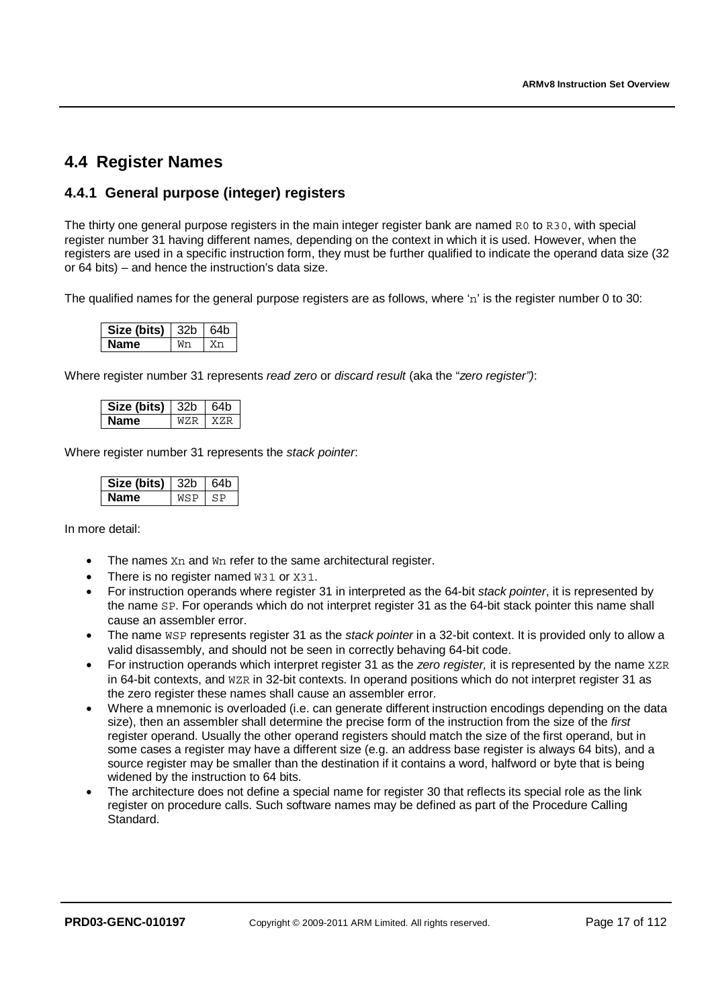# **4.4 Register Names**

### **4.4.1 General purpose (integer) registers**

The thirty one general purpose registers in the main integer register bank are named R0 to R30, with special register number 31 having different names, depending on the context in which it is used. However, when the registers are used in a specific instruction form, they must be further qualified to indicate the operand data size (32 or 64 bits) – and hence the instruction's data size.

The qualified names for the general purpose registers are as follows, where 'n' is the register number 0 to 30:

| Size (bits) | l 32b | 64h |
|-------------|-------|-----|
| vame        |       |     |

Where register number 31 represents *read zero* or *discard result* (aka the "*zero register")*:

| Size (bits) | - 32n | 64h |
|-------------|-------|-----|
| чап<br>ıе   |       |     |

Where register number 31 represents the *stack pointer*:

| Size (bits) - | エスンロ |  |
|---------------|------|--|
|               |      |  |

In more detail:

- The names Xn and Wn refer to the same architectural register.
- There is no register named W31 or X31.
- For instruction operands where register 31 in interpreted as the 64-bit *stack pointer*, it is represented by the name SP. For operands which do not interpret register 31 as the 64-bit stack pointer this name shall cause an assembler error.
- The name WSP represents register 31 as the *stack pointer* in a 32-bit context. It is provided only to allow a valid disassembly, and should not be seen in correctly behaving 64-bit code.
- For instruction operands which interpret register 31 as the *zero register,* it is represented by the name XZR in 64-bit contexts, and WZR in 32-bit contexts. In operand positions which do not interpret register 31 as the zero register these names shall cause an assembler error.
- Where a mnemonic is overloaded (i.e. can generate different instruction encodings depending on the data size), then an assembler shall determine the precise form of the instruction from the size of the *first* register operand. Usually the other operand registers should match the size of the first operand, but in some cases a register may have a different size (e.g. an address base register is always 64 bits), and a source register may be smaller than the destination if it contains a word, halfword or byte that is being widened by the instruction to 64 bits.
- The architecture does not define a special name for register 30 that reflects its special role as the link register on procedure calls. Such software names may be defined as part of the Procedure Calling Standard.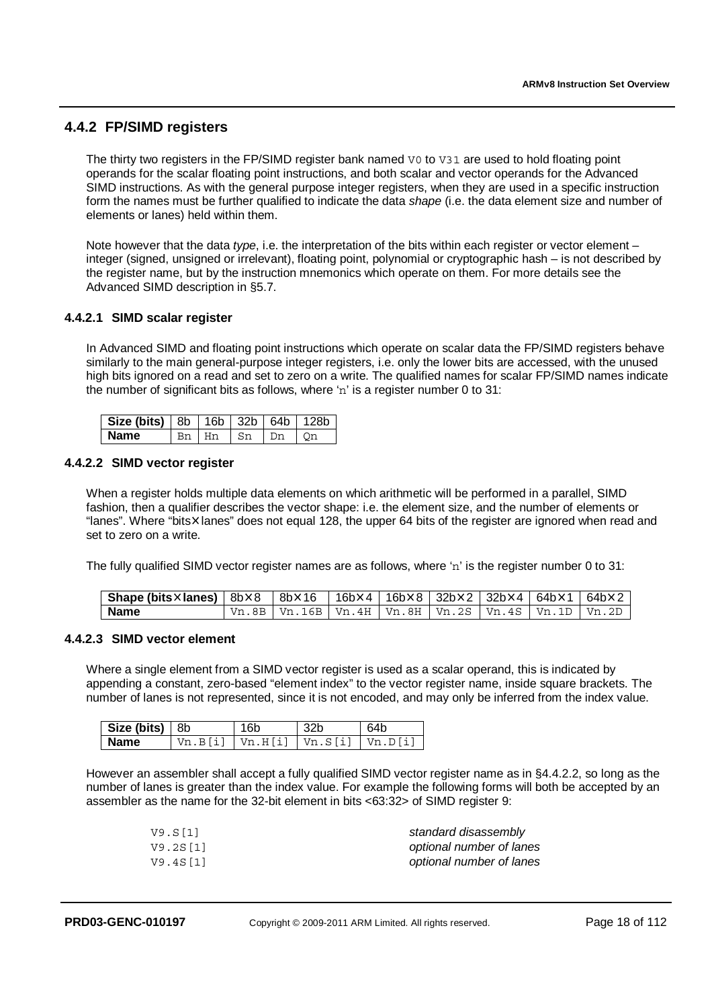### **4.4.2 FP/SIMD registers**

The thirty two registers in the FP/SIMD register bank named V0 to V31 are used to hold floating point operands for the scalar floating point instructions, and both scalar and vector operands for the Advanced SIMD instructions. As with the general purpose integer registers, when they are used in a specific instruction form the names must be further qualified to indicate the data *shape* (i.e. the data element size and number of elements or lanes) held within them.

Note however that the data *type*, i.e. the interpretation of the bits within each register or vector element – integer (signed, unsigned or irrelevant), floating point, polynomial or cryptographic hash – is not described by the register name, but by the instruction mnemonics which operate on them. For more details see the Advanced SIMD description in §5.7.

#### **4.4.2.1 SIMD scalar register**

In Advanced SIMD and floating point instructions which operate on scalar data the FP/SIMD registers behave similarly to the main general-purpose integer registers, i.e. only the lower bits are accessed, with the unused high bits ignored on a read and set to zero on a write. The qualified names for scalar FP/SIMD names indicate the number of significant bits as follows, where 'n' is a register number 0 to 31:

| <b>Size (bits)</b> $ 8b $ 16b $ 32b $ 64b |  |    | 128h |
|-------------------------------------------|--|----|------|
| <b>Name</b>                               |  | Dm |      |

#### **4.4.2.2 SIMD vector register**

When a register holds multiple data elements on which arithmetic will be performed in a parallel, SIMD fashion, then a qualifier describes the vector shape: i.e. the element size, and the number of elements or "lanes". Where "bits \anes" does not equal 128, the upper 64 bits of the register are ignored when read and set to zero on a write.

The fully qualified SIMD vector register names are as follows, where 'n' is the register number 0 to 31:

| <b>Shape (bits×lanes)</b>   8b×8   8b×16   16b×4   16b×8   32b×2   32b×4   64b×1   64b×2 |                                                                |  |  |  |
|------------------------------------------------------------------------------------------|----------------------------------------------------------------|--|--|--|
| <b>Name</b>                                                                              | Vn.8B   Vn.16B   Vn.4H   Vn.8H   Vn.2S   Vn.4S   Vn.1D   Vn.2D |  |  |  |

#### **4.4.2.3 SIMD vector element**

Where a single element from a SIMD vector register is used as a scalar operand, this is indicated by appending a constant, zero-based "element index" to the vector register name, inside square brackets. The number of lanes is not represented, since it is not encoded, and may only be inferred from the index value.

| Size (bits) $ 8b $ | 16b                                   | 32b | 64b |
|--------------------|---------------------------------------|-----|-----|
| Name               | Vn.B[i]   Vn.H[i]   Vn.S[i]   Vn.D[i] |     |     |

However an assembler shall accept a fully qualified SIMD vector register name as in §4.4.2.2, so long as the number of lanes is greater than the index value. For example the following forms will both be accepted by an assembler as the name for the 32-bit element in bits <63:32> of SIMD register 9:

| V9.S[1]  | standard disassembly     |
|----------|--------------------------|
| V9.2S[1] | optional number of lanes |
| V9.4S[1] | optional number of lanes |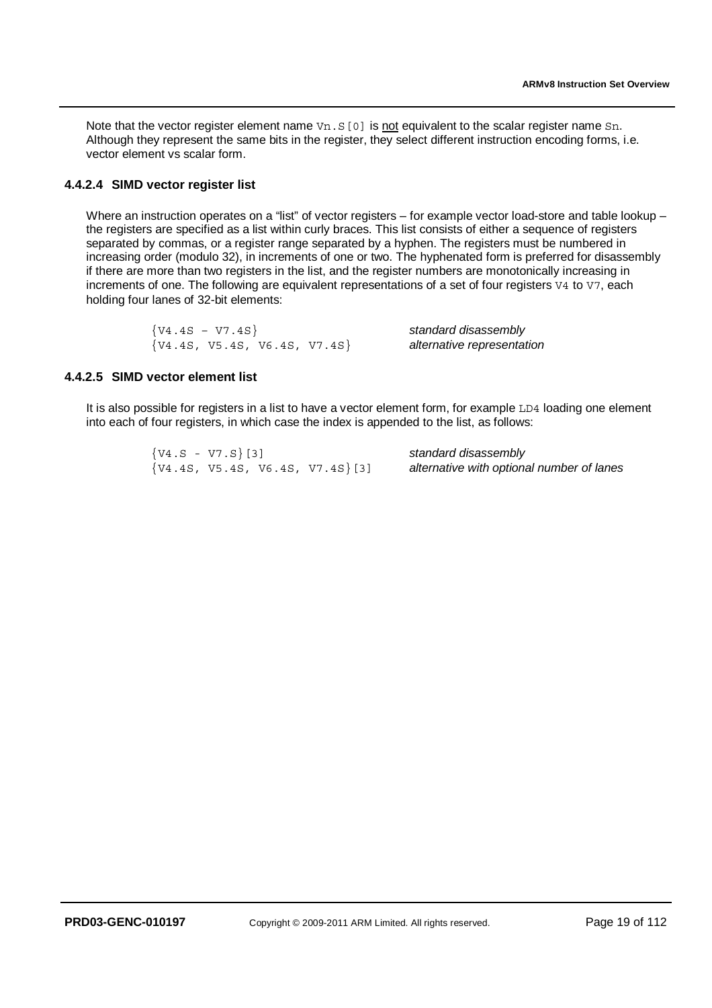Note that the vector register element name  $Vn.S[0]$  is not equivalent to the scalar register name Sn. Although they represent the same bits in the register, they select different instruction encoding forms, i.e. vector element vs scalar form.

#### **4.4.2.4 SIMD vector register list**

Where an instruction operates on a "list" of vector registers – for example vector load-store and table lookup – the registers are specified as a list within curly braces. This list consists of either a sequence of registers separated by commas, or a register range separated by a hyphen. The registers must be numbered in increasing order (modulo 32), in increments of one or two. The hyphenated form is preferred for disassembly if there are more than two registers in the list, and the register numbers are monotonically increasing in increments of one. The following are equivalent representations of a set of four registers V4 to V7, each holding four lanes of 32-bit elements:

| $\{V4.4S - V7.4S\}$              | standard disassembly       |
|----------------------------------|----------------------------|
| $\{V4.4S, V5.4S, V6.4S, V7.4S\}$ | alternative representation |

#### **4.4.2.5 SIMD vector element list**

It is also possible for registers in a list to have a vector element form, for example LD4 loading one element into each of four registers, in which case the index is appended to the list, as follows:

| $\{V4.S - V7.S\}$ [3]                | standard disassembly                      |
|--------------------------------------|-------------------------------------------|
| $\{V4.4S, V5.4S, V6.4S, V7.4S\}$ [3] | alternative with optional number of lanes |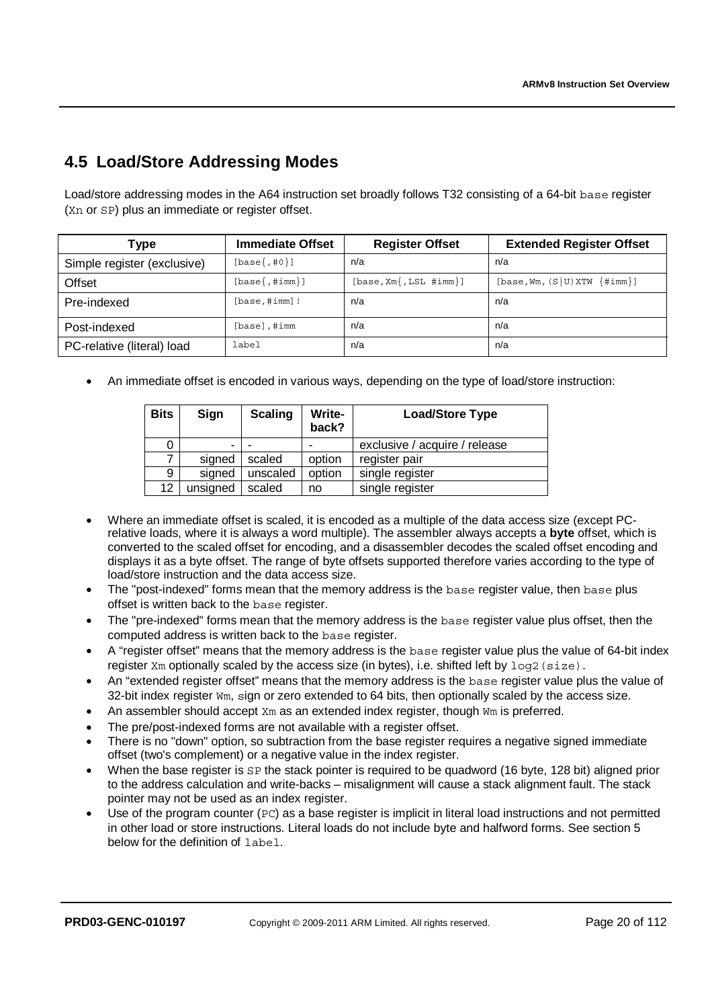# **4.5 Load/Store Addressing Modes**

Load/store addressing modes in the A64 instruction set broadly follows T32 consisting of a 64-bit base register (Xn or SP) plus an immediate or register offset.

| Type                        | <b>Immediate Offset</b> | <b>Register Offset</b>    | <b>Extended Register Offset</b> |
|-----------------------------|-------------------------|---------------------------|---------------------------------|
| Simple register (exclusive) | $[base\{1, 0\}]$        | n/a                       | n/a                             |
| Offset                      | $[base\{ , #imm \}]$    | $[base, Xm[, LSL #imm]\]$ | $[base, Wm, (S U) XTW {#imm}]$  |
| Pre-indexed                 | $[base, #imm]$ !        | n/a                       | n/a                             |
| Post-indexed                | $[base]$ , #imm         | n/a                       | n/a                             |
| PC-relative (literal) load  | label                   | n/a                       | n/a                             |

• An immediate offset is encoded in various ways, depending on the type of load/store instruction:

| <b>Bits</b> | Sign                     | <b>Scaling</b> | Write-<br>back? | <b>Load/Store Type</b>        |
|-------------|--------------------------|----------------|-----------------|-------------------------------|
|             | $\overline{\phantom{0}}$ |                |                 | exclusive / acquire / release |
|             | signed                   | scaled         | option          | register pair                 |
| 9           | signed                   | unscaled       | option          | single register               |
| 12          | unsigned                 | scaled         | no              | single register               |

- Where an immediate offset is scaled, it is encoded as a multiple of the data access size (except PCrelative loads, where it is always a word multiple). The assembler always accepts a **byte** offset, which is converted to the scaled offset for encoding, and a disassembler decodes the scaled offset encoding and displays it as a byte offset. The range of byte offsets supported therefore varies according to the type of load/store instruction and the data access size.
- The "post-indexed" forms mean that the memory address is the base register value, then base plus offset is written back to the base register.
- The "pre-indexed" forms mean that the memory address is the base register value plus offset, then the computed address is written back to the base register.
- A "register offset" means that the memory address is the base register value plus the value of 64-bit index register  $X_m$  optionally scaled by the access size (in bytes), i.e. shifted left by  $log2$  (size).
- An "extended register offset" means that the memory address is the base register value plus the value of  $32$ -bit index register  $Wm$ , sign or zero extended to 64 bits, then optionally scaled by the access size.
- An assembler should accept  $X_m$  as an extended index register, though  $W_m$  is preferred.
- The pre/post-indexed forms are not available with a register offset.
- There is no "down" option, so subtraction from the base register requires a negative signed immediate offset (two's complement) or a negative value in the index register.
- When the base register is SP the stack pointer is required to be quadword (16 byte, 128 bit) aligned prior to the address calculation and write-backs – misalignment will cause a stack alignment fault. The stack pointer may not be used as an index register.
- Use of the program counter ( $PC$ ) as a base register is implicit in literal load instructions and not permitted in other load or store instructions. Literal loads do not include byte and halfword forms. See section 5 below for the definition of label.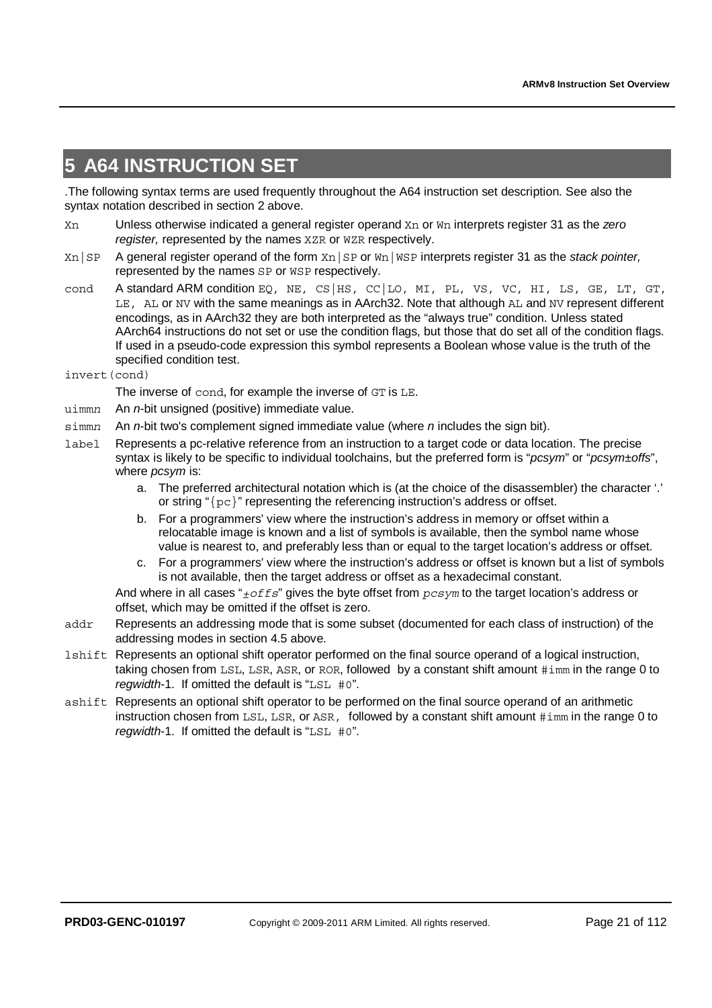# **5 A64 INSTRUCTION SET**

.The following syntax terms are used frequently throughout the A64 instruction set description. See also the syntax notation described in section 2 above.

- Xn Unless otherwise indicated a general register operand Xn or Wn interprets register 31 as the *zero register,* represented by the names XZR or WZR respectively.
- Xn|SP A general register operand of the form Xn|SP or Wn|WSP interprets register 31 as the *stack pointer,* represented by the names SP or WSP respectively.
- cond A standard ARM condition EQ, NE, CS | HS, CC | LO, MI, PL, VS, VC, HI, LS, GE, LT, GT, LE, AL or NV with the same meanings as in AArch32. Note that although AL and NV represent different encodings, as in AArch32 they are both interpreted as the "always true" condition. Unless stated AArch64 instructions do not set or use the condition flags, but those that do set all of the condition flags. If used in a pseudo-code expression this symbol represents a Boolean whose value is the truth of the specified condition test.
- invert(cond)
	- The inverse of cond, for example the inverse of GT is LE.
- uimm*n* An *n*-bit unsigned (positive) immediate value.
- simm*n* An *n*-bit two's complement signed immediate value (where *n* includes the sign bit).
- label Represents a pc-relative reference from an instruction to a target code or data location. The precise syntax is likely to be specific to individual toolchains, but the preferred form is "*pcsym*" or "*pcsym±offs*", where *pcsym* is:
	- a. The preferred architectural notation which is (at the choice of the disassembler) the character '.' or string " ${pc}$ " representing the referencing instruction's address or offset.
	- b. For a programmers' view where the instruction's address in memory or offset within a relocatable image is known and a list of symbols is available, then the symbol name whose value is nearest to, and preferably less than or equal to the target location's address or offset.
	- c. For a programmers' view where the instruction's address or offset is known but a list of symbols is not available, then the target address or offset as a hexadecimal constant.

 And where in all cases "*±offs*" gives the byte offset from *pcsym* to the target location's address or offset, which may be omitted if the offset is zero.

- addr Represents an addressing mode that is some subset (documented for each class of instruction) of the addressing modes in section 4.5 above.
- lshift Represents an optional shift operator performed on the final source operand of a logical instruction, taking chosen from LSL, LSR, ASR, or ROR, followed by a constant shift amount #imm in the range 0 to *regwidth*-1. If omitted the default is "LSL #0".
- ashift Represents an optional shift operator to be performed on the final source operand of an arithmetic instruction chosen from LSL, LSR, or ASR, followed by a constant shift amount #imm in the range 0 to *regwidth*-1. If omitted the default is "LSL #0".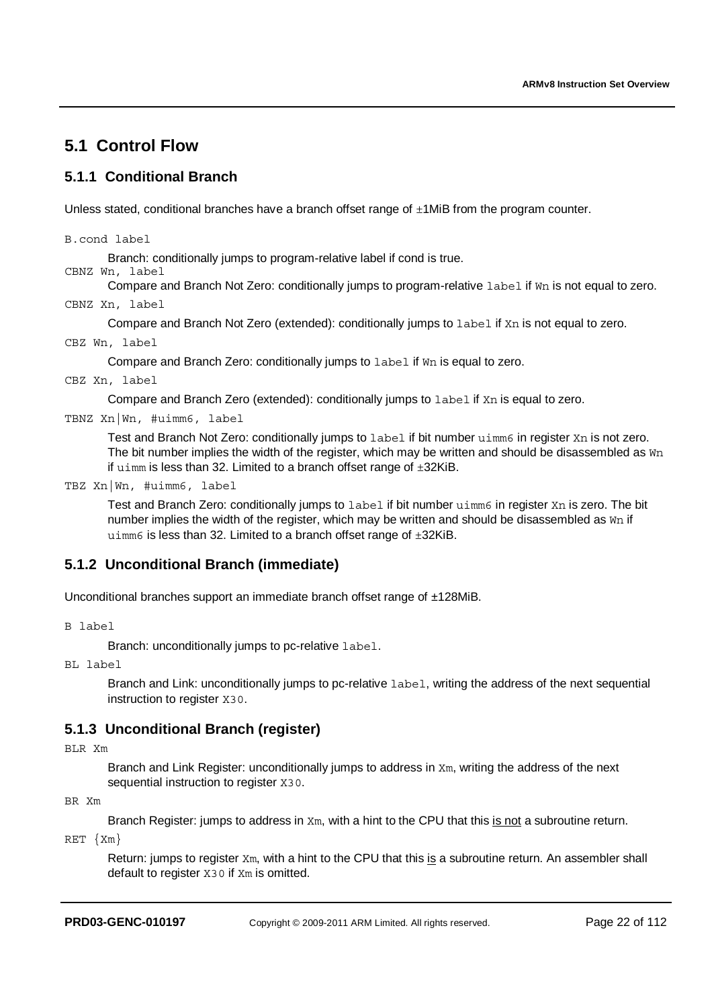# **5.1 Control Flow**

### **5.1.1 Conditional Branch**

Unless stated, conditional branches have a branch offset range of  $\pm$ 1MiB from the program counter.

B.cond label

Branch: conditionally jumps to program-relative label if cond is true.

CBNZ Wn, label

Compare and Branch Not Zero: conditionally jumps to program-relative label if Wn is not equal to zero.

CBNZ Xn, label

Compare and Branch Not Zero (extended): conditionally jumps to label if Xn is not equal to zero.

CBZ Wn, label

Compare and Branch Zero: conditionally jumps to label if Wn is equal to zero.

CBZ Xn, label

Compare and Branch Zero (extended): conditionally jumps to label if Xn is equal to zero.

TBNZ Xn|Wn, #uimm6, label

Test and Branch Not Zero: conditionally jumps to label if bit number uimm6 in register Xn is not zero. The bit number implies the width of the register, which may be written and should be disassembled as  $W_{\text{D}}$ if  $u$ imm is less than 32. Limited to a branch offset range of  $\pm 32$ KiB.

TBZ Xn|Wn, #uimm6, label

Test and Branch Zero: conditionally jumps to label if bit number uimm6 in register Xn is zero. The bit number implies the width of the register, which may be written and should be disassembled as  $W_{\text{D}}$  if uimm6 is less than 32. Limited to a branch offset range of  $\pm 32$ KiB.

### **5.1.2 Unconditional Branch (immediate)**

Unconditional branches support an immediate branch offset range of ±128MiB.

B label

Branch: unconditionally jumps to pc-relative label.

BL label

Branch and Link: unconditionally jumps to pc-relative label, writing the address of the next sequential instruction to register X30.

### **5.1.3 Unconditional Branch (register)**

BLR Xm

Branch and Link Register: unconditionally jumps to address in  $X<sub>m</sub>$ , writing the address of the next sequential instruction to register X30.

#### BR Xm

Branch Register: jumps to address in  $X_m$ , with a hint to the CPU that this is not a subroutine return.

RET {Xm}

Return: jumps to register Xm, with a hint to the CPU that this is a subroutine return. An assembler shall default to register X30 if Xm is omitted.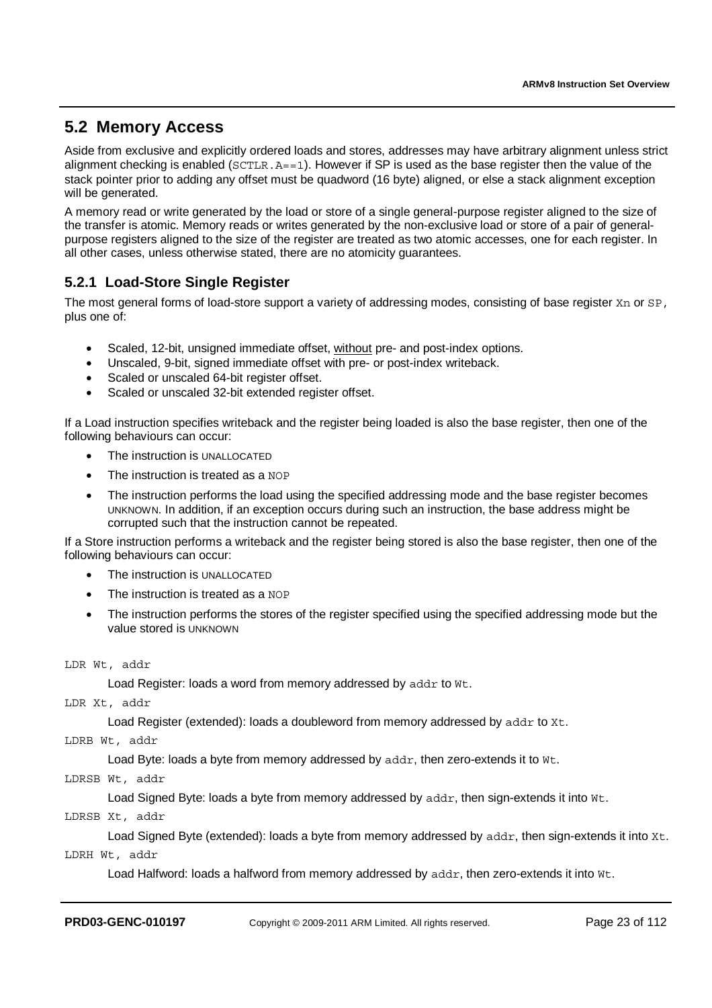### **5.2 Memory Access**

Aside from exclusive and explicitly ordered loads and stores, addresses may have arbitrary alignment unless strict alignment checking is enabled ( $SCTLR$ ,  $A==1$ ). However if SP is used as the base register then the value of the stack pointer prior to adding any offset must be quadword (16 byte) aligned, or else a stack alignment exception will be generated.

A memory read or write generated by the load or store of a single general-purpose register aligned to the size of the transfer is atomic. Memory reads or writes generated by the non-exclusive load or store of a pair of generalpurpose registers aligned to the size of the register are treated as two atomic accesses, one for each register. In all other cases, unless otherwise stated, there are no atomicity guarantees.

### **5.2.1 Load-Store Single Register**

The most general forms of load-store support a variety of addressing modes, consisting of base register Xn or SP, plus one of:

- Scaled, 12-bit, unsigned immediate offset, without pre- and post-index options.
- Unscaled, 9-bit, signed immediate offset with pre- or post-index writeback.
- Scaled or unscaled 64-bit register offset.
- Scaled or unscaled 32-bit extended register offset.

If a Load instruction specifies writeback and the register being loaded is also the base register, then one of the following behaviours can occur:

- The instruction is UNALLOCATED
- The instruction is treated as a NOP
- The instruction performs the load using the specified addressing mode and the base register becomes UNKNOWN. In addition, if an exception occurs during such an instruction, the base address might be corrupted such that the instruction cannot be repeated.

If a Store instruction performs a writeback and the register being stored is also the base register, then one of the following behaviours can occur:

- The instruction is UNALLOCATED
- The instruction is treated as a NOP
- The instruction performs the stores of the register specified using the specified addressing mode but the value stored is UNKNOWN

LDR Wt, addr

Load Register: loads a word from memory addressed by addr to Wt.

LDR Xt, addr

Load Register (extended): loads a doubleword from memory addressed by addr to Xt.

LDRB Wt, addr

Load Byte: loads a byte from memory addressed by addr, then zero-extends it to Wt.

LDRSB Wt, addr

Load Signed Byte: loads a byte from memory addressed by addr, then sign-extends it into Wt.

LDRSB Xt, addr

Load Signed Byte (extended): loads a byte from memory addressed by addr, then sign-extends it into Xt.

LDRH Wt, addr

Load Halfword: loads a halfword from memory addressed by addr, then zero-extends it into Wt.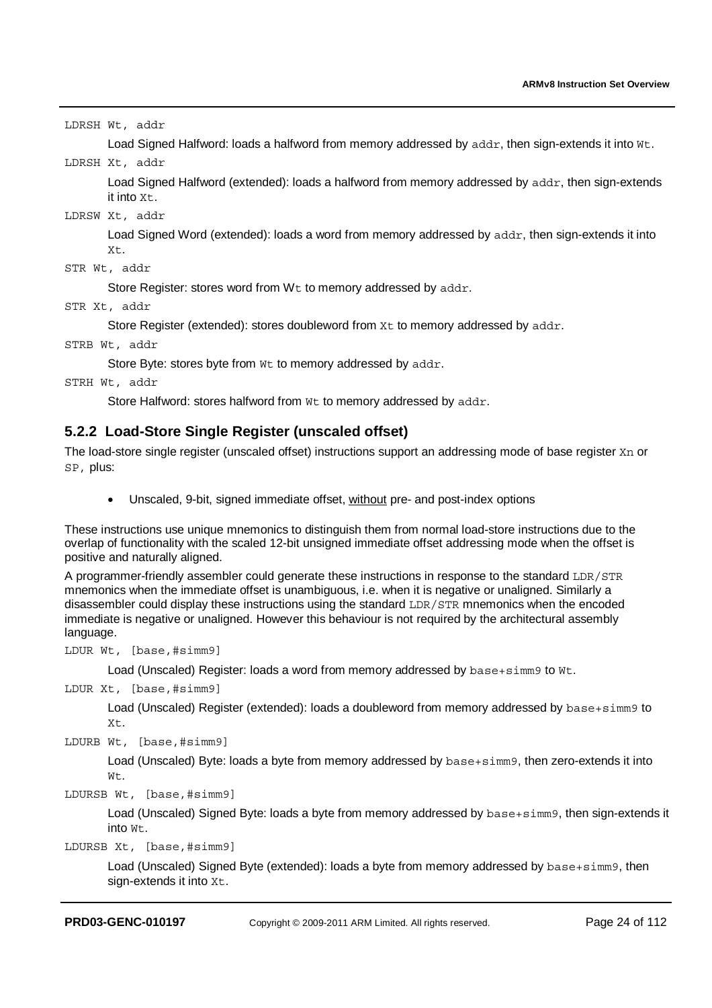LDRSH Wt, addr

Load Signed Halfword: loads a halfword from memory addressed by addr, then sign-extends it into Wt.

#### LDRSH Xt, addr

Load Signed Halfword (extended): loads a halfword from memory addressed by addr, then sign-extends it into  $Xt$ .

#### LDRSW Xt, addr

Load Signed Word (extended): loads a word from memory addressed by addr, then sign-extends it into Xt.

```
STR Wt, addr
```
Store Register: stores word from Wt to memory addressed by addr.

STR Xt, addr

Store Register (extended): stores doubleword from Xt to memory addressed by addr.

STRB Wt, addr

Store Byte: stores byte from Wt to memory addressed by addr.

```
STRH Wt, addr
```
Store Halfword: stores halfword from Wt to memory addressed by addr.

### **5.2.2 Load-Store Single Register (unscaled offset)**

The load-store single register (unscaled offset) instructions support an addressing mode of base register Xn or SP, plus:

• Unscaled, 9-bit, signed immediate offset, without pre- and post-index options

These instructions use unique mnemonics to distinguish them from normal load-store instructions due to the overlap of functionality with the scaled 12-bit unsigned immediate offset addressing mode when the offset is positive and naturally aligned.

A programmer-friendly assembler could generate these instructions in response to the standard LDR/STR mnemonics when the immediate offset is unambiguous, i.e. when it is negative or unaligned. Similarly a disassembler could display these instructions using the standard LDR/STR mnemonics when the encoded immediate is negative or unaligned. However this behaviour is not required by the architectural assembly language.

LDUR Wt, [base,#simm9]

Load (Unscaled) Register: loads a word from memory addressed by base+simm9 to Wt.

```
LDUR Xt, [base,#simm9]
```
Load (Unscaled) Register (extended): loads a doubleword from memory addressed by base+simm9 to Xt.

LDURB Wt, [base,#simm9]

Load (Unscaled) Byte: loads a byte from memory addressed by base+simm9, then zero-extends it into Wt.

LDURSB Wt, [base,#simm9]

Load (Unscaled) Signed Byte: loads a byte from memory addressed by base+simm9, then sign-extends it into Wt.

LDURSB Xt, [base,#simm9]

Load (Unscaled) Signed Byte (extended): loads a byte from memory addressed by base+simm9, then sign-extends it into  $Xt$ .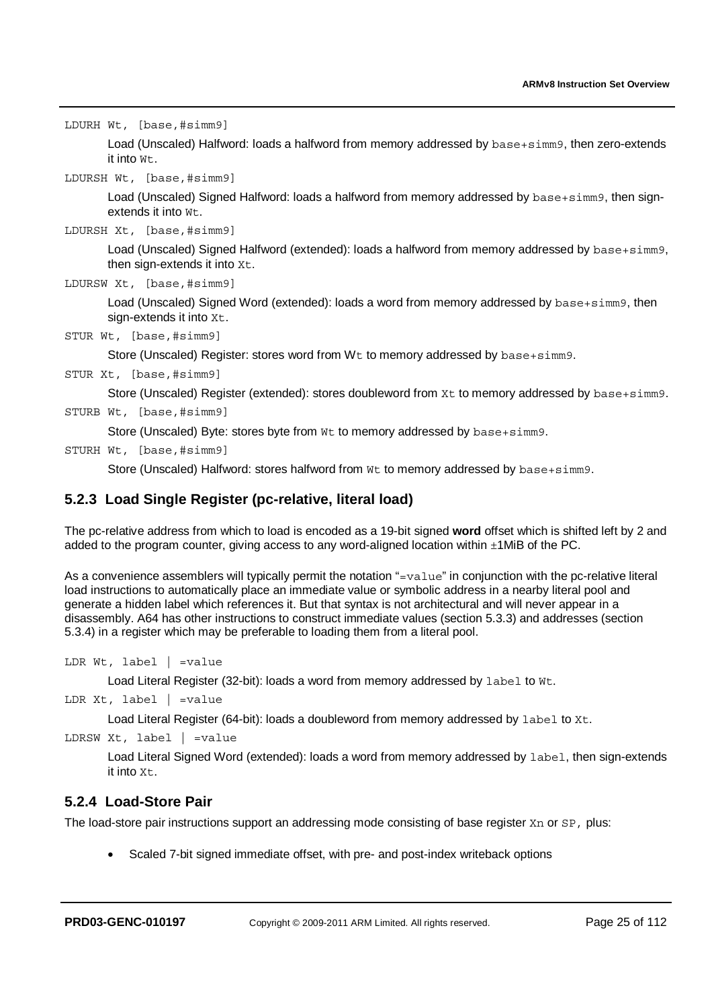LDURH Wt, [base,#simm9]

Load (Unscaled) Halfword: loads a halfword from memory addressed by base+simm9, then zero-extends it into  $W^+$ 

LDURSH Wt, [base,#simm9]

Load (Unscaled) Signed Halfword: loads a halfword from memory addressed by base+simm9, then signextends it into Wt.

```
LDURSH Xt, [base,#simm9]
```
Load (Unscaled) Signed Halfword (extended): loads a halfword from memory addressed by base+simm9, then sign-extends it into Xt.

```
LDURSW Xt, [base,#simm9]
```
Load (Unscaled) Signed Word (extended): loads a word from memory addressed by base+simm9, then sign-extends it into  $Xt$ .

STUR Wt, [base,#simm9]

Store (Unscaled) Register: stores word from Wt to memory addressed by base+simm9.

STUR Xt, [base,#simm9]

Store (Unscaled) Register (extended): stores doubleword from Xt to memory addressed by base+simm9.

STURB Wt, [base,#simm9]

Store (Unscaled) Byte: stores byte from Wt to memory addressed by base+simm9.

STURH Wt, [base,#simm9]

Store (Unscaled) Halfword: stores halfword from Wt to memory addressed by base+simm9.

### **5.2.3 Load Single Register (pc-relative, literal load)**

The pc-relative address from which to load is encoded as a 19-bit signed **word** offset which is shifted left by 2 and added to the program counter, giving access to any word-aligned location within  $\pm 1$ MiB of the PC.

As a convenience assemblers will typically permit the notation "=value" in conjunction with the pc-relative literal load instructions to automatically place an immediate value or symbolic address in a nearby literal pool and generate a hidden label which references it. But that syntax is not architectural and will never appear in a disassembly. A64 has other instructions to construct immediate values (section 5.3.3) and addresses (section 5.3.4) in a register which may be preferable to loading them from a literal pool.

```
LDR Wt, label | =value
```
Load Literal Register (32-bit): loads a word from memory addressed by label to Wt.

```
LDR Xt, label | =value
```
Load Literal Register (64-bit): loads a doubleword from memory addressed by label to Xt.

```
LDRSW Xt, label | =value
```
Load Literal Signed Word (extended): loads a word from memory addressed by label, then sign-extends it into Xt.

### **5.2.4 Load-Store Pair**

The load-store pair instructions support an addressing mode consisting of base register Xn or SP, plus:

• Scaled 7-bit signed immediate offset, with pre- and post-index writeback options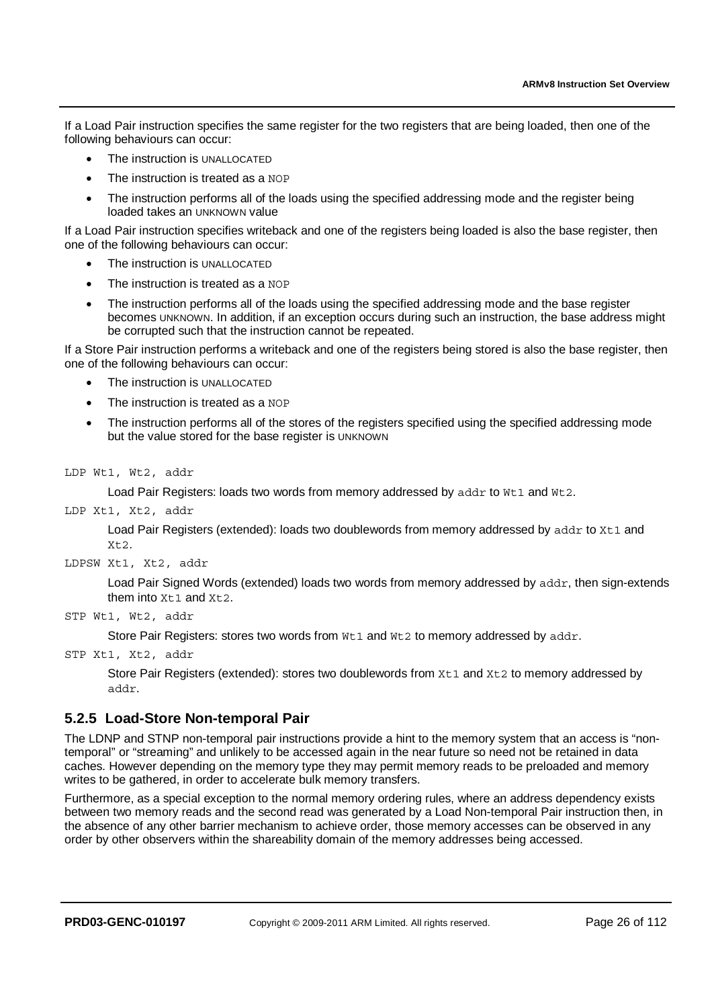If a Load Pair instruction specifies the same register for the two registers that are being loaded, then one of the following behaviours can occur:

- The instruction is UNALLOCATED
- The instruction is treated as a NOP
- The instruction performs all of the loads using the specified addressing mode and the register being loaded takes an UNKNOWN value

If a Load Pair instruction specifies writeback and one of the registers being loaded is also the base register, then one of the following behaviours can occur:

- The instruction is UNALLOCATED
- The instruction is treated as a NOP
- The instruction performs all of the loads using the specified addressing mode and the base register becomes UNKNOWN. In addition, if an exception occurs during such an instruction, the base address might be corrupted such that the instruction cannot be repeated.

If a Store Pair instruction performs a writeback and one of the registers being stored is also the base register, then one of the following behaviours can occur:

- The instruction is UNALLOCATED
- The instruction is treated as a NOP
- The instruction performs all of the stores of the registers specified using the specified addressing mode but the value stored for the base register is UNKNOWN

LDP Wt1, Wt2, addr

Load Pair Registers: loads two words from memory addressed by addr to Wt1 and Wt2.

LDP Xt1, Xt2, addr

Load Pair Registers (extended): loads two doublewords from memory addressed by addr to Xt1 and Xt2.

LDPSW Xt1, Xt2, addr

Load Pair Signed Words (extended) loads two words from memory addressed by addr, then sign-extends them into  $Xt1$  and  $Xt2$ .

STP Wt1, Wt2, addr

Store Pair Registers: stores two words from Wt1 and Wt2 to memory addressed by addr.

STP Xt1, Xt2, addr

Store Pair Registers (extended): stores two doublewords from  $Xt1$  and  $Xt2$  to memory addressed by addr.

#### **5.2.5 Load-Store Non-temporal Pair**

The LDNP and STNP non-temporal pair instructions provide a hint to the memory system that an access is "nontemporal" or "streaming" and unlikely to be accessed again in the near future so need not be retained in data caches. However depending on the memory type they may permit memory reads to be preloaded and memory writes to be gathered, in order to accelerate bulk memory transfers.

Furthermore, as a special exception to the normal memory ordering rules, where an address dependency exists between two memory reads and the second read was generated by a Load Non-temporal Pair instruction then, in the absence of any other barrier mechanism to achieve order, those memory accesses can be observed in any order by other observers within the shareability domain of the memory addresses being accessed.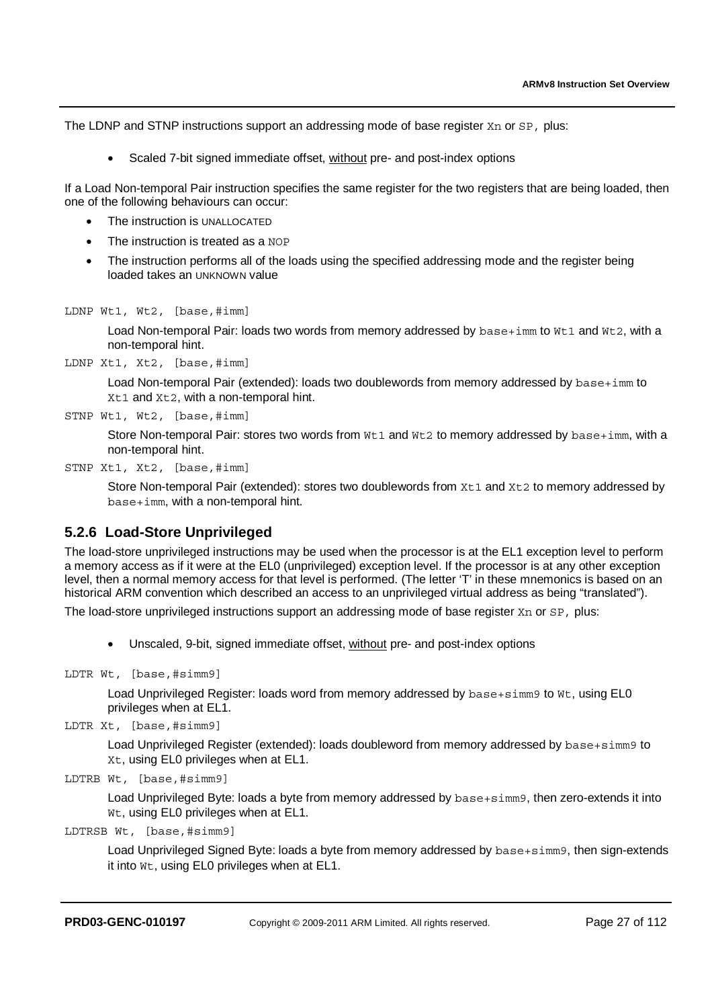The LDNP and STNP instructions support an addressing mode of base register Xn or SP, plus:

• Scaled 7-bit signed immediate offset, without pre- and post-index options

If a Load Non-temporal Pair instruction specifies the same register for the two registers that are being loaded, then one of the following behaviours can occur:

- The instruction is UNALLOCATED
- The instruction is treated as a NOP
- The instruction performs all of the loads using the specified addressing mode and the register being loaded takes an UNKNOWN value

LDNP Wt1, Wt2, [base,#imm]

Load Non-temporal Pair: loads two words from memory addressed by  $base+imm$  to  $Wt1$  and  $Wt2$ , with a non-temporal hint.

LDNP Xt1, Xt2, [base,#imm]

Load Non-temporal Pair (extended): loads two doublewords from memory addressed by base+imm to Xt1 and Xt2, with a non-temporal hint.

STNP Wt1, Wt2, [base,#imm]

Store Non-temporal Pair: stores two words from Wt1 and Wt2 to memory addressed by base+imm, with a non-temporal hint.

STNP Xt1, Xt2, [base,#imm]

Store Non-temporal Pair (extended): stores two doublewords from  $x$ t1 and  $x$ t2 to memory addressed by base+imm, with a non-temporal hint.

#### **5.2.6 Load-Store Unprivileged**

The load-store unprivileged instructions may be used when the processor is at the EL1 exception level to perform a memory access as if it were at the EL0 (unprivileged) exception level. If the processor is at any other exception level, then a normal memory access for that level is performed. (The letter 'T' in these mnemonics is based on an historical ARM convention which described an access to an unprivileged virtual address as being "translated").

The load-store unprivileged instructions support an addressing mode of base register Xn or SP, plus:

• Unscaled, 9-bit, signed immediate offset, without pre- and post-index options

```
LDTR Wt, [base,#simm9]
```
Load Unprivileged Register: loads word from memory addressed by base+simm9 to Wt, using EL0 privileges when at EL1.

```
LDTR Xt, [base,#simm9]
```
Load Unprivileged Register (extended): loads doubleword from memory addressed by base+simm9 to Xt, using EL0 privileges when at EL1.

```
LDTRB Wt, [base,#simm9]
```
Load Unprivileged Byte: loads a byte from memory addressed by base+simm9, then zero-extends it into Wt, using EL0 privileges when at EL1.

LDTRSB Wt, [base,#simm9]

Load Unprivileged Signed Byte: loads a byte from memory addressed by base+simm9, then sign-extends it into Wt, using EL0 privileges when at EL1.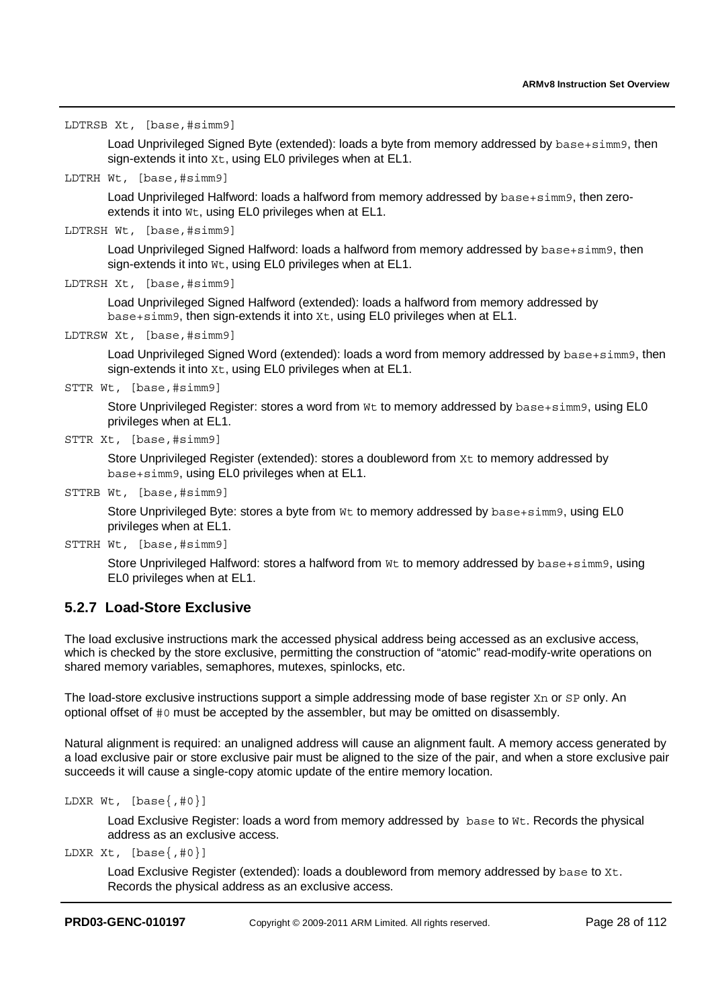LDTRSB Xt, [base,#simm9]

Load Unprivileged Signed Byte (extended): loads a byte from memory addressed by base+simm9, then sign-extends it into  $x_t$ , using EL0 privileges when at EL1.

LDTRH Wt, [base,#simm9]

Load Unprivileged Halfword: loads a halfword from memory addressed by base+simm9, then zeroextends it into Wt, using EL0 privileges when at EL1.

LDTRSH Wt, [base,#simm9]

Load Unprivileged Signed Halfword: loads a halfword from memory addressed by base+simm9, then sign-extends it into Wt, using EL0 privileges when at EL1.

```
LDTRSH Xt, [base,#simm9]
```
Load Unprivileged Signed Halfword (extended): loads a halfword from memory addressed by base+simm9, then sign-extends it into Xt, using EL0 privileges when at EL1.

LDTRSW Xt, [base,#simm9]

Load Unprivileged Signed Word (extended): loads a word from memory addressed by base+simm9, then sign-extends it into  $Xt$ , using EL0 privileges when at EL1.

STTR Wt, [base,#simm9]

Store Unprivileged Register: stores a word from Wt to memory addressed by base+simm9, using EL0 privileges when at EL1.

```
STTR Xt, [base,#simm9]
```
Store Unprivileged Register (extended): stores a doubleword from  $Xt$  to memory addressed by base+simm9, using EL0 privileges when at EL1.

STTRB Wt, [base,#simm9]

Store Unprivileged Byte: stores a byte from Wt to memory addressed by base+simm9, using EL0 privileges when at EL1.

STTRH Wt, [base,#simm9]

Store Unprivileged Halfword: stores a halfword from Wt to memory addressed by base+simm9, using EL0 privileges when at EL1.

#### **5.2.7 Load-Store Exclusive**

The load exclusive instructions mark the accessed physical address being accessed as an exclusive access, which is checked by the store exclusive, permitting the construction of "atomic" read-modify-write operations on shared memory variables, semaphores, mutexes, spinlocks, etc.

The load-store exclusive instructions support a simple addressing mode of base register Xn or SP only. An optional offset of #0 must be accepted by the assembler, but may be omitted on disassembly.

Natural alignment is required: an unaligned address will cause an alignment fault. A memory access generated by a load exclusive pair or store exclusive pair must be aligned to the size of the pair, and when a store exclusive pair succeeds it will cause a single-copy atomic update of the entire memory location.

```
LDXR Wt, [base{, #0}]
```
Load Exclusive Register: loads a word from memory addressed by base to Wt. Records the physical address as an exclusive access.

LDXR Xt,  $[base\{, #0\}]$ 

Load Exclusive Register (extended): loads a doubleword from memory addressed by base to Xt. Records the physical address as an exclusive access.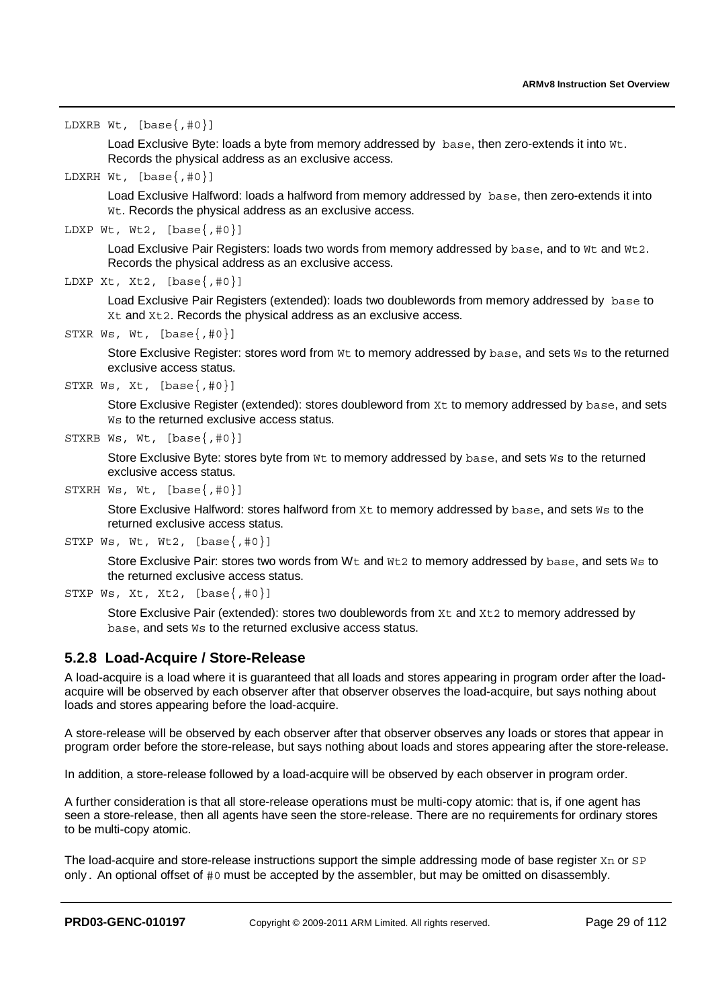```
LDXRB Wt, [base{,#0}]
```
Load Exclusive Byte: loads a byte from memory addressed by base, then zero-extends it into Wt. Records the physical address as an exclusive access.

LDXRH Wt, [base{,#0}]

Load Exclusive Halfword: loads a halfword from memory addressed by base, then zero-extends it into Wt. Records the physical address as an exclusive access.

LDXP Wt, Wt2,  $[base{, #0}]$ 

Load Exclusive Pair Registers: loads two words from memory addressed by base, and to Wt and Wt2. Records the physical address as an exclusive access.

```
LDXP Xt, Xt2, [base\{, #0\}]
```
Load Exclusive Pair Registers (extended): loads two doublewords from memory addressed by base to Xt and Xt2. Records the physical address as an exclusive access.

STXR Ws, Wt, [base{,#0}]

Store Exclusive Register: stores word from Wt to memory addressed by base, and sets Ws to the returned exclusive access status.

```
STXR Ws, Xt, [base{, #0}]
```
Store Exclusive Register (extended): stores doubleword from Xt to memory addressed by base, and sets W<sub>s</sub> to the returned exclusive access status.

```
STXRB Ws, Wt, [base{,#0}]
```
Store Exclusive Byte: stores byte from Wt to memory addressed by base, and sets Ws to the returned exclusive access status.

STXRH Ws, Wt, [base{,#0}]

Store Exclusive Halfword: stores halfword from Xt to memory addressed by base, and sets Ws to the returned exclusive access status.

```
STXP Ws, Wt, Wt2, [base\{, #0\}]
```
Store Exclusive Pair: stores two words from Wt and Wt2 to memory addressed by base, and sets Ws to the returned exclusive access status.

```
STXP Ws, Xt, Xt2, [base\{1, 40\}]
```
Store Exclusive Pair (extended): stores two doublewords from  $x_t$  and  $x_t$  to memory addressed by base, and sets Ws to the returned exclusive access status.

#### **5.2.8 Load-Acquire / Store-Release**

A load-acquire is a load where it is guaranteed that all loads and stores appearing in program order after the loadacquire will be observed by each observer after that observer observes the load-acquire, but says nothing about loads and stores appearing before the load-acquire.

A store-release will be observed by each observer after that observer observes any loads or stores that appear in program order before the store-release, but says nothing about loads and stores appearing after the store-release.

In addition, a store-release followed by a load-acquire will be observed by each observer in program order.

A further consideration is that all store-release operations must be multi-copy atomic: that is, if one agent has seen a store-release, then all agents have seen the store-release. There are no requirements for ordinary stores to be multi-copy atomic.

The load-acquire and store-release instructions support the simple addressing mode of base register  $X<sub>n</sub>$  or  $SP$ only. An optional offset of #0 must be accepted by the assembler, but may be omitted on disassembly.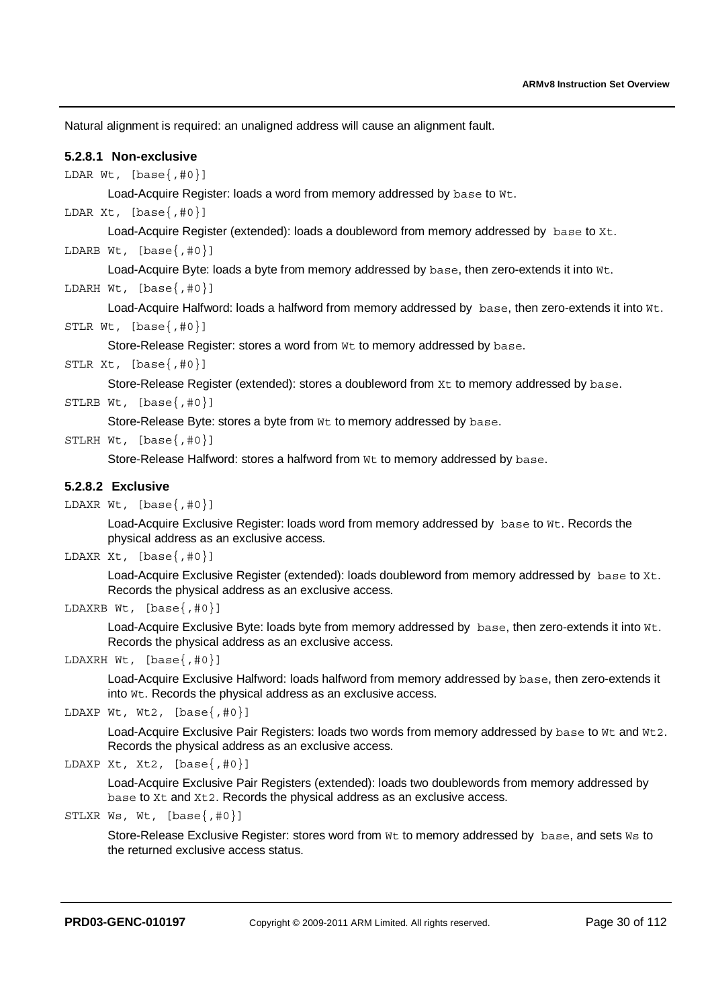Natural alignment is required: an unaligned address will cause an alignment fault.

#### **5.2.8.1 Non-exclusive**

LDAR Wt,  $[base\{, #0\}]$ 

Load-Acquire Register: loads a word from memory addressed by base to Wt.

LDAR Xt,  $[base\{, #0\}]$ 

Load-Acquire Register (extended): loads a doubleword from memory addressed by base to Xt.

LDARB Wt,  $[base\{, #0\}]$ 

Load-Acquire Byte: loads a byte from memory addressed by base, then zero-extends it into Wt.

LDARH Wt,  $[base{, #0}]$ 

Load-Acquire Halfword: loads a halfword from memory addressed by base, then zero-extends it into Wt.

```
STLR Wt, [base{, #0}]
```
Store-Release Register: stores a word from Wt to memory addressed by base.

STLR Xt,  $[base{, #0}]$ 

Store-Release Register (extended): stores a doubleword from Xt to memory addressed by base.

STLRB Wt,  $[base\{, #0\}]$ 

Store-Release Byte: stores a byte from  $Wt$  to memory addressed by base.

STLRH Wt,  $[base{, #0}]$ 

Store-Release Halfword: stores a halfword from Wt to memory addressed by base.

#### **5.2.8.2 Exclusive**

LDAXR Wt,  $[base\{, #0\}]$ 

Load-Acquire Exclusive Register: loads word from memory addressed by base to Wt. Records the physical address as an exclusive access.

LDAXR Xt,  $[base{, #0}]$ 

Load-Acquire Exclusive Register (extended): loads doubleword from memory addressed by base to Xt. Records the physical address as an exclusive access.

LDAXRB Wt,  $[base{, #0}]$ 

Load-Acquire Exclusive Byte: loads byte from memory addressed by base, then zero-extends it into Wt. Records the physical address as an exclusive access.

LDAXRH Wt, [base{,#0}]

Load-Acquire Exclusive Halfword: loads halfword from memory addressed by base, then zero-extends it into Wt. Records the physical address as an exclusive access.

```
LDAXP Wt, Wt2, [base\{, #0\}]
```
Load-Acquire Exclusive Pair Registers: loads two words from memory addressed by base to Wt and Wt2. Records the physical address as an exclusive access.

```
LDAXP Xt, Xt2, [base{, #0}]
```
Load-Acquire Exclusive Pair Registers (extended): loads two doublewords from memory addressed by base to Xt and Xt2. Records the physical address as an exclusive access.

STLXR Ws, Wt,  $[base{, #0}]$ 

Store-Release Exclusive Register: stores word from Wt to memory addressed by base, and sets Ws to the returned exclusive access status.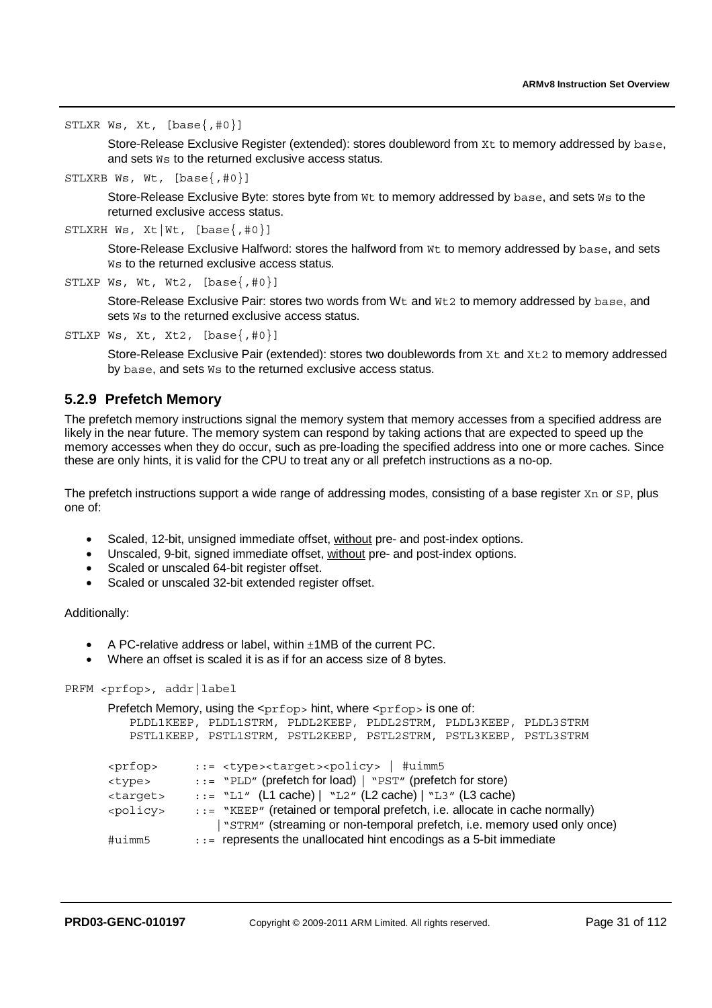STLXR Ws, Xt, [base{,#0}]

Store-Release Exclusive Register (extended): stores doubleword from Xt to memory addressed by base, and sets Ws to the returned exclusive access status.

STLXRB Ws, Wt, [base{,#0}]

Store-Release Exclusive Byte: stores byte from  $Wt$  to memory addressed by base, and sets Ws to the returned exclusive access status.

```
STLXRH Ws, Xt|Wt, [base{,#0}]
```
Store-Release Exclusive Halfword: stores the halfword from Wt to memory addressed by base, and sets W<sub>s</sub> to the returned exclusive access status.

```
STLXP Ws, Wt, Wt2, [base\{, #0\}]
```
Store-Release Exclusive Pair: stores two words from Wt and Wt2 to memory addressed by base, and sets  $W$ <sub>s</sub> to the returned exclusive access status.

#### STLXP Ws, Xt, Xt2,  $[base\{, #0\}]$

Store-Release Exclusive Pair (extended): stores two doublewords from Xt and Xt2 to memory addressed by base, and sets Ws to the returned exclusive access status.

#### **5.2.9 Prefetch Memory**

The prefetch memory instructions signal the memory system that memory accesses from a specified address are likely in the near future. The memory system can respond by taking actions that are expected to speed up the memory accesses when they do occur, such as pre-loading the specified address into one or more caches. Since these are only hints, it is valid for the CPU to treat any or all prefetch instructions as a no-op.

The prefetch instructions support a wide range of addressing modes, consisting of a base register Xn or SP, plus one of:

- Scaled, 12-bit, unsigned immediate offset, without pre- and post-index options.
- Unscaled, 9-bit, signed immediate offset, without pre- and post-index options.
- Scaled or unscaled 64-bit register offset.
- Scaled or unscaled 32-bit extended register offset.

Additionally:

- A PC-relative address or label, within ±1MB of the current PC.
- Where an offset is scaled it is as if for an access size of 8 bytes.

```
PRFM <prfop>, addr|label
```

```
Prefetch Memory, using the <prfop> hint, where <prfop> is one of:
   PLDL1KEEP, PLDL1STRM, PLDL2KEEP, PLDL2STRM, PLDL3KEEP, PLDL3STRM 
   PSTL1KEEP, PSTL1STRM, PSTL2KEEP, PSTL2STRM, PSTL3KEEP, PSTL3STRM 
<prfop> ::= <type><target><policy> | #uimm5
<type> ::= "PLD" (prefetch for load) | "PST" (prefetch for store) 
\langletarget> ::= "L1" (L1 cache) | "L2" (L2 cache) | "L3" (L3 cache)
<policy> ::= "KEEP" (retained or temporal prefetch, i.e. allocate in cache normally) 
                  |"STRM" (streaming or non-temporal prefetch, i.e. memory used only once) 
#uimm5 ::= represents the unallocated hint encodings as a 5-bit immediate
```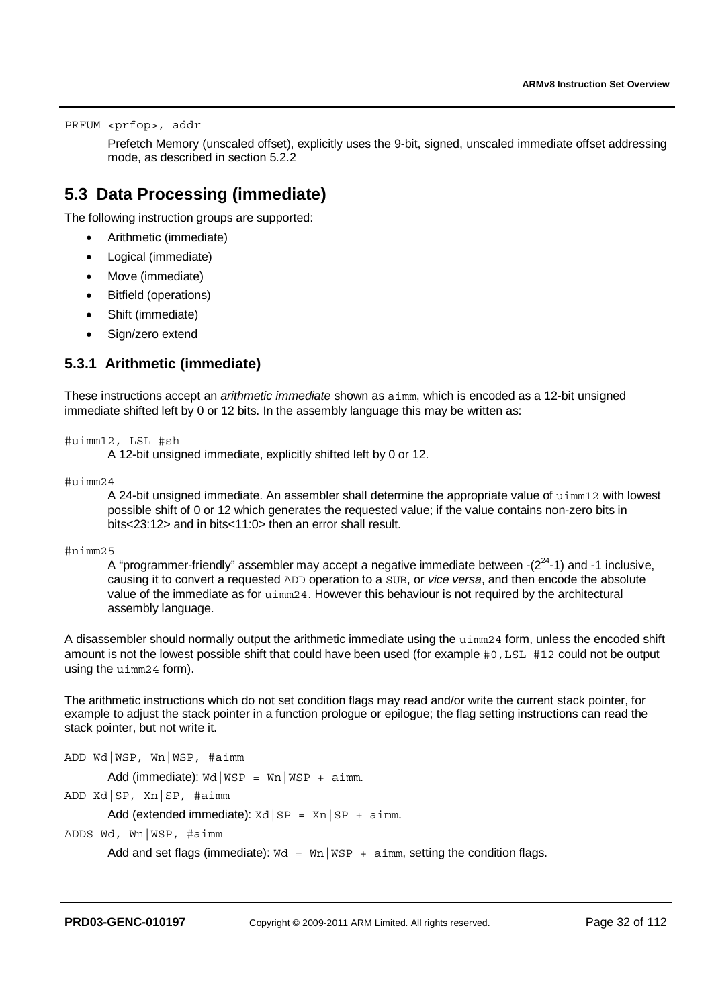PRFUM <prfop>, addr

Prefetch Memory (unscaled offset), explicitly uses the 9-bit, signed, unscaled immediate offset addressing mode, as described in section 5.2.2

## **5.3 Data Processing (immediate)**

The following instruction groups are supported:

- Arithmetic (immediate)
- Logical (immediate)
- Move (immediate)
- Bitfield (operations)
- Shift (immediate)
- Sign/zero extend

### **5.3.1 Arithmetic (immediate)**

These instructions accept an *arithmetic immediate* shown as aimm, which is encoded as a 12-bit unsigned immediate shifted left by 0 or 12 bits. In the assembly language this may be written as:

#uimm12, LSL #sh

A 12-bit unsigned immediate, explicitly shifted left by 0 or 12.

 $\text{#u}$ imm $24$ 

A 24-bit unsigned immediate. An assembler shall determine the appropriate value of uimm12 with lowest possible shift of 0 or 12 which generates the requested value; if the value contains non-zero bits in bits<23:12> and in bits<11:0> then an error shall result.

#nimm25

A "programmer-friendly" assembler may accept a negative immediate between  $-(2^{24}-1)$  and  $-1$  inclusive, causing it to convert a requested ADD operation to a SUB, or *vice versa*, and then encode the absolute value of the immediate as for uimm24. However this behaviour is not required by the architectural assembly language.

A disassembler should normally output the arithmetic immediate using the uimm24 form, unless the encoded shift amount is not the lowest possible shift that could have been used (for example #0,LSL #12 could not be output using the uimm24 form).

The arithmetic instructions which do not set condition flags may read and/or write the current stack pointer, for example to adjust the stack pointer in a function prologue or epilogue; the flag setting instructions can read the stack pointer, but not write it.

ADD Wd|WSP, Wn|WSP, #aimm Add (immediate):  $\text{wd}|\text{WSP} = \text{wn}|\text{WSP} + \text{aimm}$ . ADD Xd|SP, Xn|SP, #aimm Add (extended immediate):  $Xd|SP = Xn|SP + airm$ . ADDS Wd, Wn|WSP, #aimm Add and set flags (immediate):  $\text{wd} = \text{Wn}|\text{WSP} + \text{a} \text{imm}$ , setting the condition flags.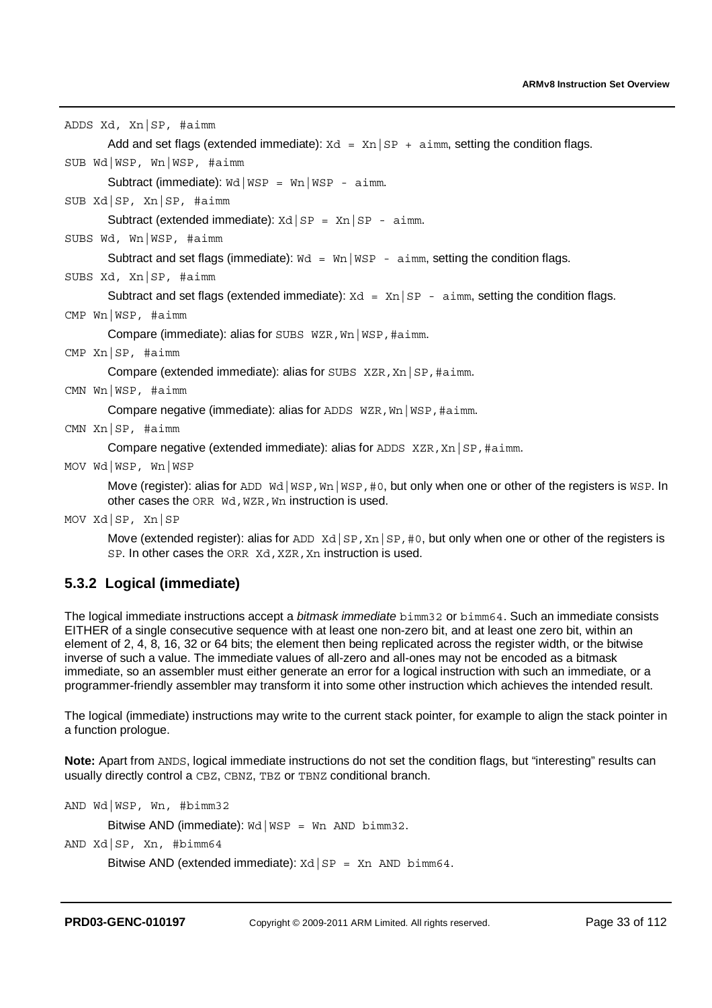ADDS Xd, Xn|SP, #aimm

Add and set flags (extended immediate):  $Xd = Xn | SP + \text{aimn}$ , setting the condition flags.

SUB Wd|WSP, Wn|WSP, #aimm

Subtract (immediate):  $\text{wd}$ |  $\text{WSP}$  =  $\text{wn}$ |  $\text{WSP}$  - aimm.

SUB Xd|SP, Xn|SP, #aimm

Subtract (extended immediate):  $Xd|SP = Xn|SP - aimm$ .

SUBS Wd, Wn|WSP, #aimm

Subtract and set flags (immediate):  $\text{Wd} = \text{Wn} \mid \text{WSP}$  - aimm, setting the condition flags.

SUBS Xd, Xn|SP, #aimm

Subtract and set flags (extended immediate):  $Xd = Xn|SP - \text{aimm}$ , setting the condition flags.

CMP Wn|WSP, #aimm

Compare (immediate): alias for SUBS WZR,Wn|WSP,#aimm.

CMP Xn|SP, #aimm

Compare (extended immediate): alias for SUBS XZR, Xn | SP, #aimm.

CMN Wn|WSP, #aimm

Compare negative (immediate): alias for ADDS WZR, Wn | WSP, #aimm.

CMN Xn|SP, #aimm

Compare negative (extended immediate): alias for ADDS  $XZR, Xn|SP, #aim.$ 

MOV Wd|WSP, Wn|WSP

Move (register): alias for ADD Wd | WSP, Wn | WSP, #0, but only when one or other of the registers is WSP. In other cases the ORR Wd, WZR, Wn instruction is used.

MOV Xd|SP, Xn|SP

Move (extended register): alias for ADD  $Xd|SP, Xn|SP, #0$ , but only when one or other of the registers is SP. In other cases the ORR Xd, XZR, Xn instruction is used.

#### **5.3.2 Logical (immediate)**

The logical immediate instructions accept a *bitmask immediate* bimm32 or bimm64. Such an immediate consists EITHER of a single consecutive sequence with at least one non-zero bit, and at least one zero bit, within an element of 2, 4, 8, 16, 32 or 64 bits; the element then being replicated across the register width, or the bitwise inverse of such a value. The immediate values of all-zero and all-ones may not be encoded as a bitmask immediate, so an assembler must either generate an error for a logical instruction with such an immediate, or a programmer-friendly assembler may transform it into some other instruction which achieves the intended result.

The logical (immediate) instructions may write to the current stack pointer, for example to align the stack pointer in a function prologue.

**Note:** Apart from ANDS, logical immediate instructions do not set the condition flags, but "interesting" results can usually directly control a CBZ, CBNZ, TBZ or TBNZ conditional branch.

AND Wd|WSP, Wn, #bimm32

Bitwise AND (immediate): Wd | WSP = Wn AND bimm32.

AND Xd|SP, Xn, #bimm64

Bitwise AND (extended immediate):  $Xd|SP = Xn$  AND bimm64.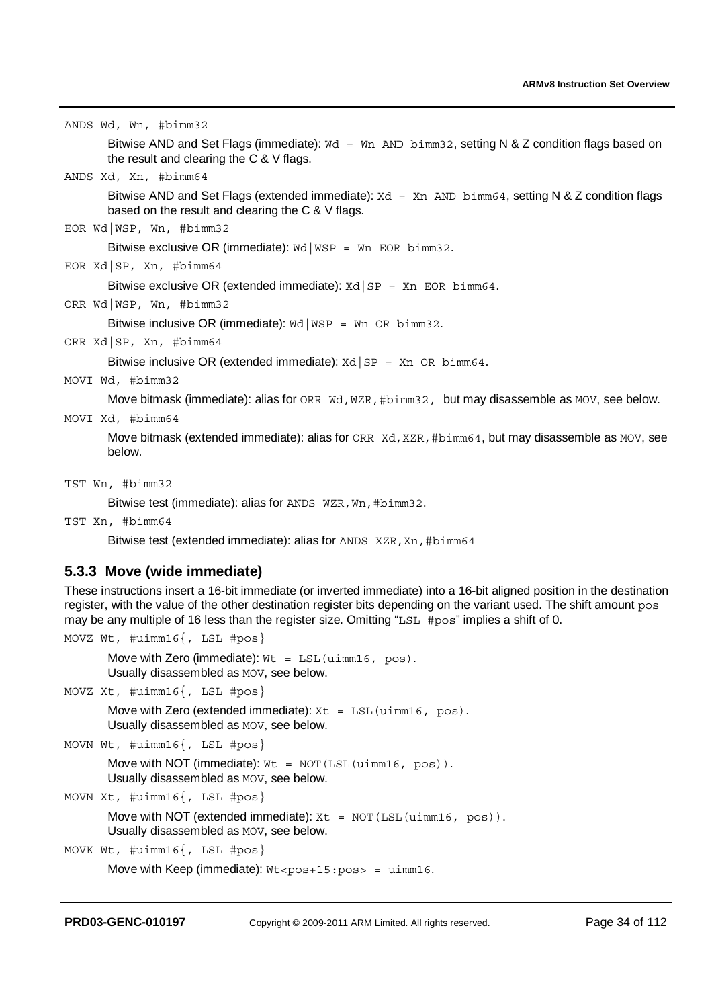ANDS Wd, Wn, #bimm32

Bitwise AND and Set Flags (immediate):  $wd = Wn$  AND bimm32, setting N & Z condition flags based on the result and clearing the C & V flags.

ANDS Xd, Xn, #bimm64

Bitwise AND and Set Flags (extended immediate):  $Xd = Xn$  AND  $b_{m}$ 64, setting N & Z condition flags based on the result and clearing the C & V flags.

EOR Wd|WSP, Wn, #bimm32

Bitwise exclusive OR (immediate):  $\text{wd}$  |  $\text{WSP}$  =  $\text{Wn}$  EOR bimm32.

EOR Xd|SP, Xn, #bimm64

Bitwise exclusive OR (extended immediate):  $Xd|SP = Xn$  EOR bimm64.

ORR Wd|WSP, Wn, #bimm32

Bitwise inclusive OR (immediate):  $\text{wd}$  |  $\text{wSP}$  = Wn OR bimm32.

ORR Xd|SP, Xn, #bimm64

Bitwise inclusive OR (extended immediate):  $Xd|SP = Xn$  OR  $bimm64$ .

MOVI Wd, #bimm32

Move bitmask (immediate): alias for ORR Wd, WZR, #bimm32, but may disassemble as MOV, see below.

MOVI Xd, #bimm64

Move bitmask (extended immediate): alias for ORR Xd, XZR, #bimm64, but may disassemble as MOV, see below.

TST Wn, #bimm32

Bitwise test (immediate): alias for ANDS WZR, Wn, #bimm32.

TST Xn, #bimm64

Bitwise test (extended immediate): alias for ANDS XZR, Xn, #bimm64

#### **5.3.3 Move (wide immediate)**

These instructions insert a 16-bit immediate (or inverted immediate) into a 16-bit aligned position in the destination register, with the value of the other destination register bits depending on the variant used. The shift amount pos may be any multiple of 16 less than the register size. Omitting "LSL #pos" implies a shift of 0.

MOVZ Wt, #uimm16{, LSL #pos}

Move with Zero (immediate):  $Wt = LSL$  (uimm16, pos). Usually disassembled as MOV, see below.

MOVZ Xt, #uimm16{, LSL #pos}

Move with Zero (extended immediate):  $Xt = LSL$  (uimm16, pos). Usually disassembled as MOV, see below.

```
MOVN Wt, #uimm16{, LSL #pos}
```
Move with NOT (immediate):  $Wt = NOT(LSL(uimm16, pos))$ . Usually disassembled as MOV, see below.

MOVN Xt, #uimm16{, LSL #pos}

Move with NOT (extended immediate):  $Xt = NOT(LSL(uimm16, pos))$ . Usually disassembled as MOV, see below.

```
MOVK Wt, #uimm16{, LSL #pos}
```

```
Move with Keep (immediate): Wt < pos+15:pos = uimm16.
```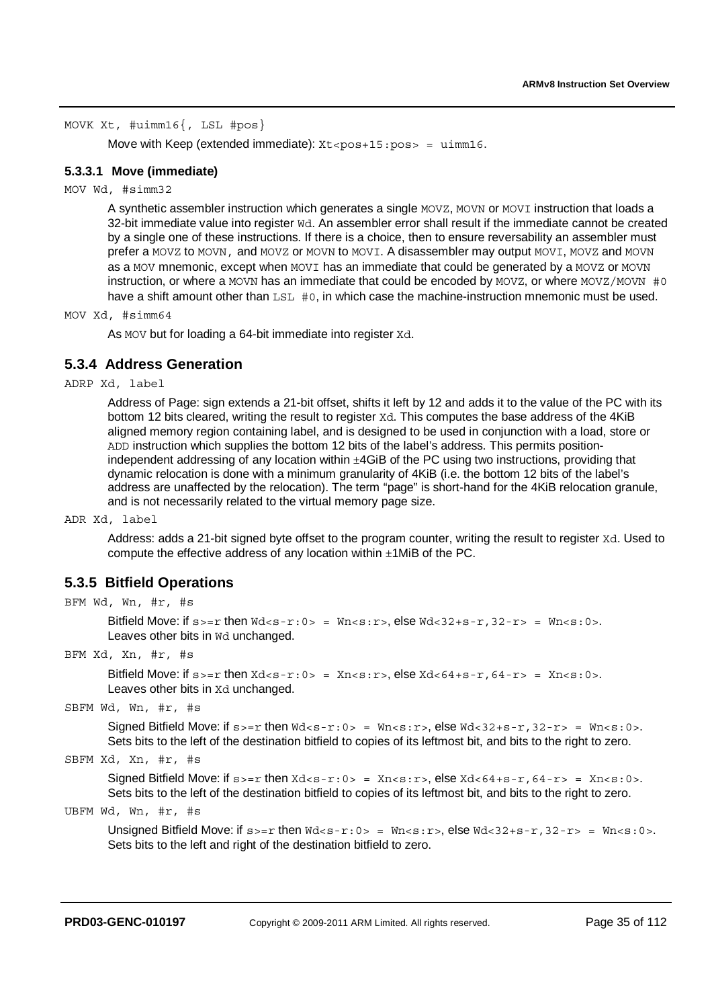#### MOVK Xt, #uimm16{, LSL #pos}

Move with Keep (extended immediate):  $Xt < pos+15:pos = uimm16$ .

#### **5.3.3.1 Move (immediate)**

#### MOV Wd, #simm32

A synthetic assembler instruction which generates a single MOVZ, MOVN or MOVI instruction that loads a 32-bit immediate value into register Wd. An assembler error shall result if the immediate cannot be created by a single one of these instructions. If there is a choice, then to ensure reversability an assembler must prefer a MOVZ to MOVN, and MOVZ or MOVN to MOVI. A disassembler may output MOVI, MOVZ and MOVN as a MOV mnemonic, except when MOVI has an immediate that could be generated by a MOVZ or MOVN instruction, or where a MOVN has an immediate that could be encoded by MOVZ, or where MOVZ/MOVN  $#0$ have a shift amount other than LSL #0, in which case the machine-instruction mnemonic must be used.

MOV Xd, #simm64

As MOV but for loading a 64-bit immediate into register Xd.

#### **5.3.4 Address Generation**

ADRP Xd, label

Address of Page: sign extends a 21-bit offset, shifts it left by 12 and adds it to the value of the PC with its bottom 12 bits cleared, writing the result to register Xd. This computes the base address of the 4KiB aligned memory region containing label, and is designed to be used in conjunction with a load, store or ADD instruction which supplies the bottom 12 bits of the label's address. This permits positionindependent addressing of any location within ±4GiB of the PC using two instructions, providing that dynamic relocation is done with a minimum granularity of 4KiB (i.e. the bottom 12 bits of the label's address are unaffected by the relocation). The term "page" is short-hand for the 4KiB relocation granule, and is not necessarily related to the virtual memory page size.

ADR Xd, label

Address: adds a 21-bit signed byte offset to the program counter, writing the result to register Xd. Used to compute the effective address of any location within  $\pm$ 1MiB of the PC.

#### **5.3.5 Bitfield Operations**

BFM Wd, Wn, #r, #s

```
Bitfield Move: if s >= r then Wd < s - r: 0 > = Wn < s : r >, else Wd < 32 + s - r, 32 - r > = Wn < s : 0 >.
Leaves other bits in Wd unchanged.
```
BFM Xd, Xn, #r, #s

```
Bitfield Move: if s >= r then Xds-r: 0 > = Xn < s : r >, else Xd < 64+s-r, 64-r > = Xn < s : 0 >.
Leaves other bits in Xd unchanged.
```
SBFM Wd, Wn, #r, #s

Signed Bitfield Move: if  $s>=r$  then  $Wd = Wn$ , else  $Wd<32+s-r$ ,  $32-r> = Wn$ . Sets bits to the left of the destination bitfield to copies of its leftmost bit, and bits to the right to zero.

SBFM Xd, Xn, #r, #s

Signed Bitfield Move: if  $s>=r$  then  $Xd = Xn$ , else  $Xd<64+s-r$ ,  $64-r> = Xn$ . Sets bits to the left of the destination bitfield to copies of its leftmost bit, and bits to the right to zero.

UBFM Wd, Wn, #r, #s

Unsigned Bitfield Move: if  $s>=r$  then  $Wd = Wn,$  else  $Wd<32+s-r$ ,  $32-r> = Wn.$ Sets bits to the left and right of the destination bitfield to zero.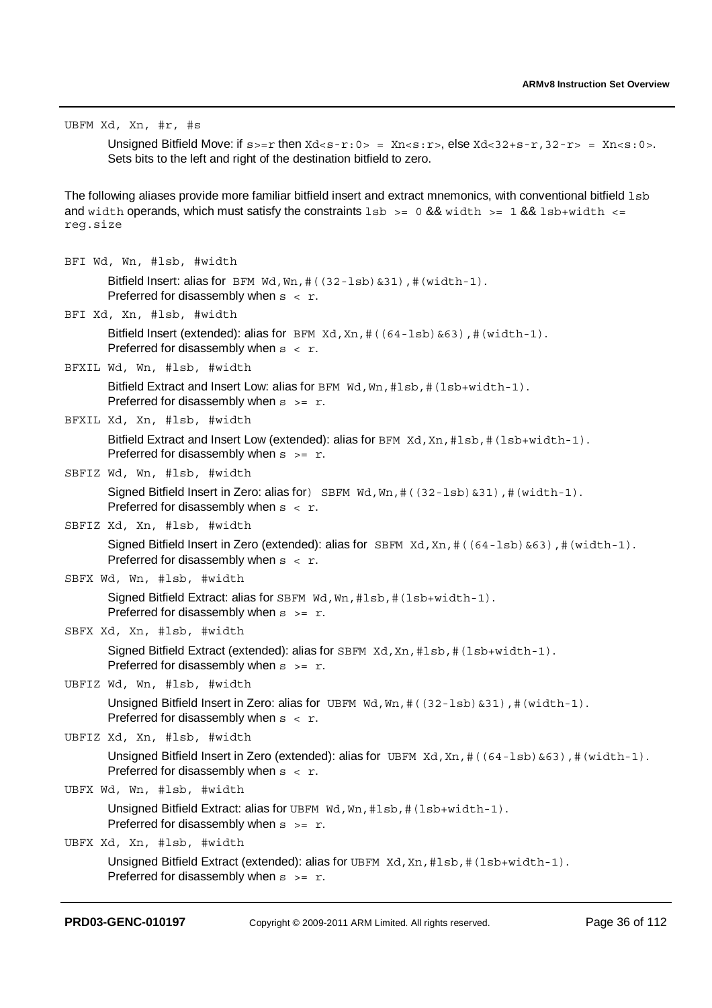UBFM Xd, Xn, #r, #s

Unsigned Bitfield Move: if  $s_0=r$  then  $Xds-r:0> = Xn < s:r$ , else  $Xds-32+s-r$ ,  $32-r>= Xn < s:0>$ . Sets bits to the left and right of the destination bitfield to zero.

The following aliases provide more familiar bitfield insert and extract mnemonics, with conventional bitfield lsb and width operands, which must satisfy the constraints  $\text{lsb} \geq 0.88$  width  $\text{ls} = 1.88$  lsb+width  $\text{ls} = 1.88$ reg.size

BFI Wd, Wn, #lsb, #width Bitfield Insert: alias for BFM  $wd, Wn, #((32-1sb) & 31)$ ,  $#(width-1)$ . Preferred for disassembly when  $s < r$ . BFI Xd, Xn, #lsb, #width Bitfield Insert (extended): alias for  $BFM Xd, Xn, #((64-1sb) & 63)$ ,  $# (width-1)$ . Preferred for disassembly when  $s < r$ . BFXIL Wd, Wn, #lsb, #width Bitfield Extract and Insert Low: alias for BFM Wd, Wn, #1sb, # (1sb+width-1). Preferred for disassembly when  $s \geq r$ . BFXIL Xd, Xn, #lsb, #width Bitfield Extract and Insert Low (extended): alias for  $BFM Xd, Xn, #1sb, #(1sb+width-1)$ . Preferred for disassembly when  $s \geq r$ . SBFIZ Wd, Wn, #lsb, #width Signed Bitfield Insert in Zero: alias for  $\sum_{s}$  SBFM Wd, Wn, # ((32-1sb) &31), # (width-1). Preferred for disassembly when  $s < r$ . SBFIZ Xd, Xn, #lsb, #width Signed Bitfield Insert in Zero (extended): alias for  $SBFM Xd, Xn, # ((64-1sb) & 63)$ , # (width-1). Preferred for disassembly when  $s < r$ . SBFX Wd, Wn, #lsb, #width Signed Bitfield Extract: alias for SBFM Wd, Wn, #1sb, # (1sb+width-1). Preferred for disassembly when  $s \geq r$ . SBFX Xd, Xn, #lsb, #width Signed Bitfield Extract (extended): alias for  $SBFM$   $Xd$ ,  $Xn$ ,  $#1sb$ ,  $#(1sb+width-1)$ . Preferred for disassembly when  $s \geq r$ . UBFIZ Wd, Wn, #lsb, #width Unsigned Bitfield Insert in Zero: alias for UBFM Wd, Wn, # ((32-1sb) &31), # (width-1). Preferred for disassembly when  $s < r$ . UBFIZ Xd, Xn, #lsb, #width Unsigned Bitfield Insert in Zero (extended): alias for UBFM  $Xd, Xn, \#((64 - 1sb) & 63)$ ,  $\#(width - 1)$ . Preferred for disassembly when  $s < r$ . UBFX Wd, Wn, #lsb, #width Unsigned Bitfield Extract: alias for UBFM Wd, Wn, #1sb, # (1sb+width-1). Preferred for disassembly when  $s \geq r$ . UBFX Xd, Xn, #lsb, #width Unsigned Bitfield Extract (extended): alias for UBFM Xd, Xn, #1sb, # (1sb+width-1). Preferred for disassembly when  $s = r$ .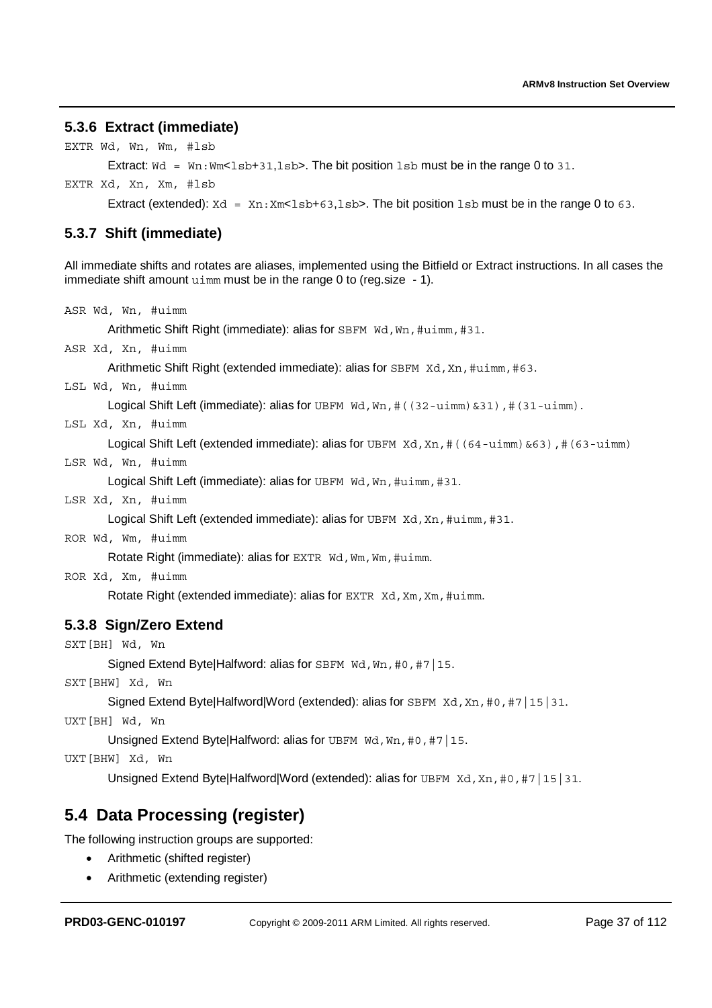### **5.3.6 Extract (immediate)**

```
EXTR Wd, Wn, Wm, #lsb
```
Extract:  $\text{Nd} = \text{Wn}: \text{Wm} < \text{lsb} + 31, \text{lsb} >$ . The bit position  $\text{lsb}$  must be in the range 0 to 31.

EXTR Xd, Xn, Xm, #lsb

Extract (extended):  $Xd = Xn: Xm < 1sb + 63,1sb > 0$ . The bit position  $1sb$  must be in the range 0 to 63.

### **5.3.7 Shift (immediate)**

All immediate shifts and rotates are aliases, implemented using the Bitfield or Extract instructions. In all cases the immediate shift amount uimm must be in the range 0 to (reg. size - 1).

```
ASR Wd, Wn, #uimm
```
Arithmetic Shift Right (immediate): alias for SBFM Wd, Wn, #uimm, #31.

ASR Xd, Xn, #uimm

Arithmetic Shift Right (extended immediate): alias for SBFM Xd, Xn, #uimm, #63.

LSL Wd, Wn, #uimm

Logical Shift Left (immediate): alias for UBFM Wd, Wn, # ((32-uimm) & 31), # (31-uimm).

LSL Xd, Xn, #uimm

Logical Shift Left (extended immediate): alias for UBFM Xd, Xn, # ((64-uimm) &63), # (63-uimm)

LSR Wd, Wn, #uimm

Logical Shift Left (immediate): alias for UBFM Wd, Wn, #uimm, #31.

LSR Xd, Xn, #uimm

Logical Shift Left (extended immediate): alias for UBFM Xd, Xn, #uimm, #31.

ROR Wd, Wm, #uimm

Rotate Right (immediate): alias for EXTR Wd, Wm, Wm, #uimm.

ROR Xd, Xm, #uimm

Rotate Right (extended immediate): alias for EXTR Xd, Xm, Xm, #uimm.

### **5.3.8 Sign/Zero Extend**

SXT[BH] Wd, Wn

Signed Extend BytelHalfword: alias for SBFM Wd, Wn, #0, #7 | 15.

SXT[BHW] Xd, Wn

Signed Extend Byte|Halfword|Word (extended): alias for SBFM Xd, Xn, #0, #7 | 15 | 31.

UXT[BH] Wd, Wn

Unsigned Extend Byte|Halfword: alias for UBFM Wd, Wn, #0, #7 | 15.

UXT[BHW] Xd, Wn

Unsigned Extend Byte|Halfword|Word (extended): alias for UBFM Xd, Xn, #0, #7 | 15 | 31.

## **5.4 Data Processing (register)**

The following instruction groups are supported:

- Arithmetic (shifted register)
- Arithmetic (extending register)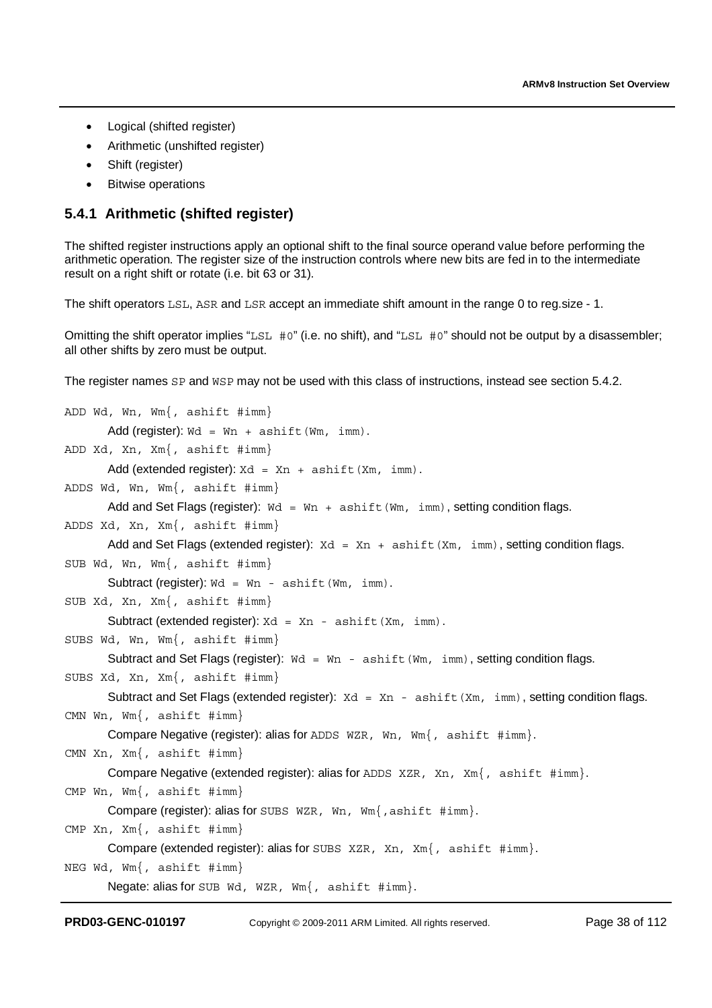- Logical (shifted register)
- Arithmetic (unshifted register)
- Shift (register)
- Bitwise operations

### **5.4.1 Arithmetic (shifted register)**

The shifted register instructions apply an optional shift to the final source operand value before performing the arithmetic operation. The register size of the instruction controls where new bits are fed in to the intermediate result on a right shift or rotate (i.e. bit 63 or 31).

The shift operators LSL, ASR and LSR accept an immediate shift amount in the range 0 to reg.size - 1.

Omitting the shift operator implies "LSL #0" (i.e. no shift), and "LSL #0" should not be output by a disassembler; all other shifts by zero must be output.

The register names SP and WSP may not be used with this class of instructions, instead see section 5.4.2.

```
ADD Wd, Wn, Wm{, ashift #imm} 
       Add (register): Wd = Wn + ashiftU(Wm, imm).
ADD Xd, Xn, Xm{, ashift #imm} 
       Add (extended register): Xd = Xn + \alpha + \alpha + \alpha (Xm, imm).
ADDS Wd, Wn, Wm{, ashift #imm} 
       Add and Set Flags (register): Wd = Wn + \alpha \sinh(t) (Wm, imm), setting condition flags.
ADDS Xd, Xn, Xm{, ashift #imm} 
       Add and Set Flags (extended register): Xd = Xn + \text{ashift}(Xm, \text{imm}), setting condition flags.
SUB Wd, Wn, Wm{, ashift #imm} 
       Subtract (register): wd = Wn - ashift(Wm, imm).
SUB Xd, Xn, Xm{, ashift #imm} 
       Subtract (extended register): Xd = Xn - \alpha \sin(t) (Xm, imm).
SUBS Wd, Wn, Wm{, ashift #imm} 
       Subtract and Set Flags (register): Wd = Wn - ashift(Wm, imm), setting condition flags.
SUBS Xd, Xn, Xm{, ashift #imm} 
       Subtract and Set Flags (extended register): Xd = Xn - \alpha \sin(iXm, \text{imm}), setting condition flags.
CMN Wn, Wm{, ashift #imm} 
       Compare Negative (register): alias for ADDS WZR, Wn, Wm{, ashift #imm}. 
CMN Xn, Xm{, ashift #imm} 
       Compare Negative (extended register): alias for ADDS XZR, Xn, Xm{, ashift \#imm}.
CMP Wn, Wm{, ashift #imm} 
       Compare (register): alias for SUBS WZR, Wn, Wm{,ashift #imm}. 
CMP Xn, Xm{, ashift #imm} 
       Compare (extended register): alias for SUBS XZR, Xn, Xm{, ashift #imm}.
NEG Wd, Wm{, ashift #imm} 
       Negate: alias for SUB Wd, WZR, Wm{, ashift #imm}.
```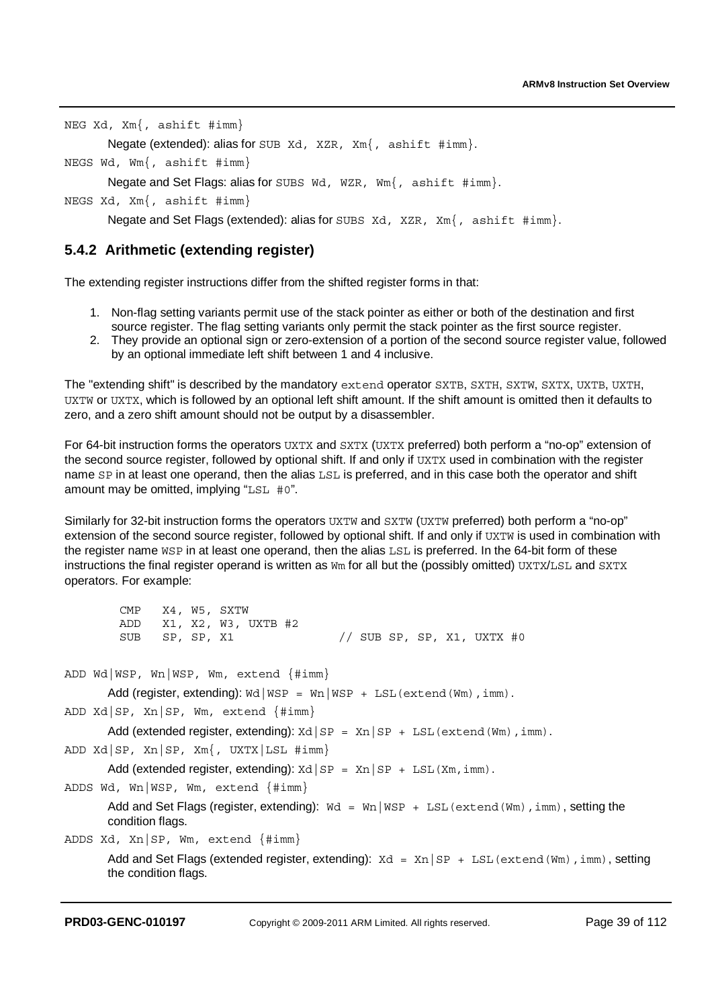NEG Xd, Xm{, ashift #imm}

Negate (extended): alias for SUB Xd, XZR, Xm{, ashift #imm}.

NEGS Wd, Wm{, ashift #imm}

Negate and Set Flags: alias for SUBS Wd, WZR, Wm{, ashift #imm}.

NEGS Xd, Xm{, ashift #imm}

Negate and Set Flags (extended): alias for SUBS Xd, XZR, Xm{, ashift  $\#imm$ .

### **5.4.2 Arithmetic (extending register)**

The extending register instructions differ from the shifted register forms in that:

- 1. Non-flag setting variants permit use of the stack pointer as either or both of the destination and first source register. The flag setting variants only permit the stack pointer as the first source register.
- 2. They provide an optional sign or zero-extension of a portion of the second source register value, followed by an optional immediate left shift between 1 and 4 inclusive.

The "extending shift" is described by the mandatory extend operator SXTB, SXTH, SXTW, SXTX, UXTB, UXTH, UXTW or UXTX, which is followed by an optional left shift amount. If the shift amount is omitted then it defaults to zero, and a zero shift amount should not be output by a disassembler.

For 64-bit instruction forms the operators UXTX and SXTX (UXTX preferred) both perform a "no-op" extension of the second source register, followed by optional shift. If and only if UXTX used in combination with the register name SP in at least one operand, then the alias LSL is preferred, and in this case both the operator and shift amount may be omitted, implying "LSL #0".

Similarly for 32-bit instruction forms the operators UXTW and SXTW (UXTW preferred) both perform a "no-op" extension of the second source register, followed by optional shift. If and only if UXTW is used in combination with the register name WSP in at least one operand, then the alias LSL is preferred. In the 64-bit form of these instructions the final register operand is written as  $Wm$  for all but the (possibly omitted)  $UXTX/LSL$  and  $SXTX$ operators. For example:

```
 CMP X4, W5, SXTW 
         ADD X1, X2, W3, UXTB #2<br>SUB SP, SP, X1
          SUB SP, SP, X1 // SUB SP, SP, X1, UXTX #0 
ADD Wd|WSP, Wn|WSP, Wm, extend {#imm} 
       Add (register, extending): \text{wd} | \text{WSP} = \text{Wn} | \text{WSP} + \text{LSL}(\text{extend}(\text{Wm}), \text{imm}).ADD Xd|SP, Xn|SP, Wm, extend {#imm} 
       Add (extended register, extending): Xd|SP = Xn|SP + LSL (extend (Wm), imm).
ADD Xd|SP, Xn|SP, Xm{, UXTX|LSL #imm} 
       Add (extended register, extending): xd|SP = Xn|SP + LSL(Xm, imm).
ADDS Wd, Wn|WSP, Wm, extend {#imm} 
       Add and Set Flags (register, extending): Wd = Wn|WSP + LSL (extend (Wm), imm), setting the
       condition flags. 
ADDS Xd, Xn|SP, Wm, extend {#imm} 
       Add and Set Flags (extended register, extending): Xd = Xn | SP + LSL (extend (Wm), imm), setting
       the condition flags.
```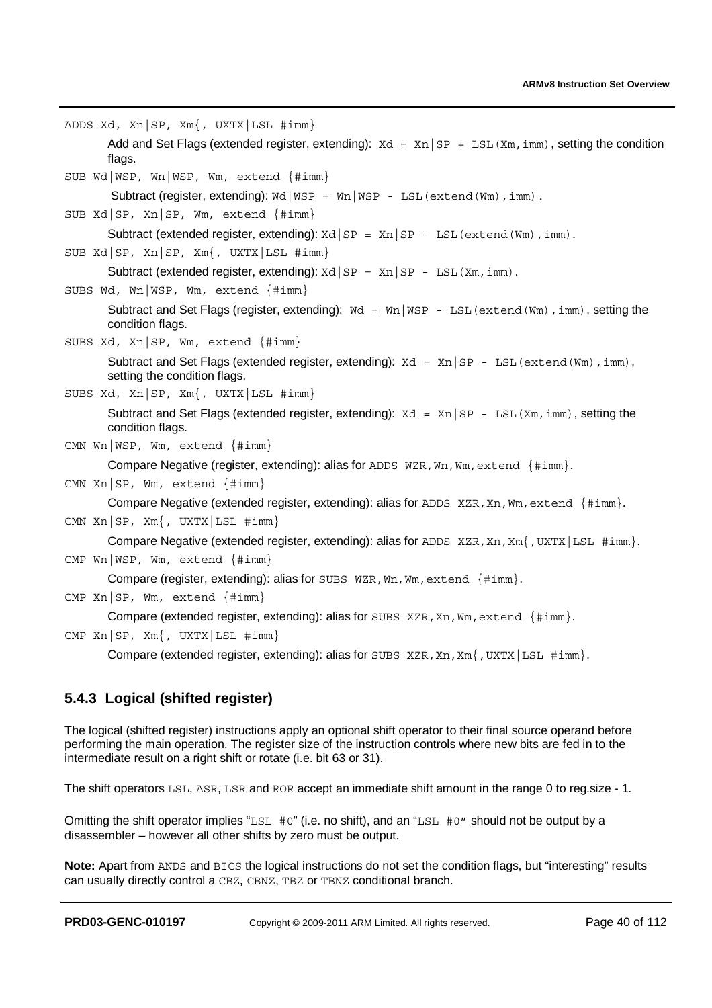```
ADDS Xd, Xn|SP, Xm{, UXTX|LSL #imm} 
       Add and Set Flags (extended register, extending): Xd = Xn|SP + LSL(Xm, imm), setting the condition
       flags.
SUB Wd|WSP, Wn|WSP, Wm, extend {#imm}
        Subtract (register, extending): Wd | WSP = Wn | WSP - LSL (extend (Wm), imm).
SUB Xd|SP, Xn|SP, Wm, extend {#imm} 
       Subtract (extended register, extending): xd|SP = xn|SP - LSL (extend (Wm), imm).
SUB Xd|SP, Xn|SP, Xm{, UXTX|LSL #imm} 
       Subtract (extended register, extending): Xd|SP = Xn|SP - LSL(Xm, imm).
SUBS Wd, Wn|WSP, Wm, extend {#imm} 
       Subtract and Set Flags (register, extending): \text{Wd} = \text{Wn} \mid \text{WSP} - \text{LSL} (extend (Wm), imm), setting the
       condition flags. 
SUBS Xd, Xn|SP, Wm, extend {#imm} 
       Subtract and Set Flags (extended register, extending): Xd = Xn|SP - LSL (extend (Wm), imm).
       setting the condition flags.
SUBS Xd, Xn|SP, Xm{, UXTX|LSL #imm} 
       Subtract and Set Flags (extended register, extending): \text{Xd} = \text{Xn} | \text{SP} - \text{LSL}(\text{Xm}, \text{imm}), setting the
       condition flags. 
CMN Wn|WSP, Wm, extend {#imm} 
       Compare Negative (register, extending): alias for ADDS WZR, Wn, Wm, extend {#imm}.
CMN Xn|SP, Wm, extend {#imm}
       Compare Negative (extended register, extending): alias for ADDS XZR, Xn, Wm, \text{extend } \{ \# \text{imm} \}.CMN Xn|SP, Xm{, UXTX|LSL #imm}
       Compare Negative (extended register, extending): alias for ADDS XZR, Xn, Xm {, UXTX | LSL \#imm.
CMP Wn|WSP, Wm, extend {#imm}
       Compare (register, extending): alias for SUBS WZR, Wn, Wm, extend {#imm}.
CMP Xn|SP, Wm, extend {#imm} 
       Compare (extended register, extending): alias for SUBS XZR, Xn, Wm, extend {#imm}.
CMP Xn|SP, Xm{, UXTX|LSL #imm}
       Compare (extended register, extending): alias for SUBS XZR, Xm, Xm, UXTX | LSL \#imm.
```
## **5.4.3 Logical (shifted register)**

The logical (shifted register) instructions apply an optional shift operator to their final source operand before performing the main operation. The register size of the instruction controls where new bits are fed in to the intermediate result on a right shift or rotate (i.e. bit 63 or 31).

The shift operators LSL, ASR, LSR and ROR accept an immediate shift amount in the range 0 to reg.size - 1.

Omitting the shift operator implies "LSL  $#0$ " (i.e. no shift), and an "LSL  $#0$ " should not be output by a disassembler – however all other shifts by zero must be output.

**Note:** Apart from ANDS and BICS the logical instructions do not set the condition flags, but "interesting" results can usually directly control a CBZ, CBNZ, TBZ or TBNZ conditional branch.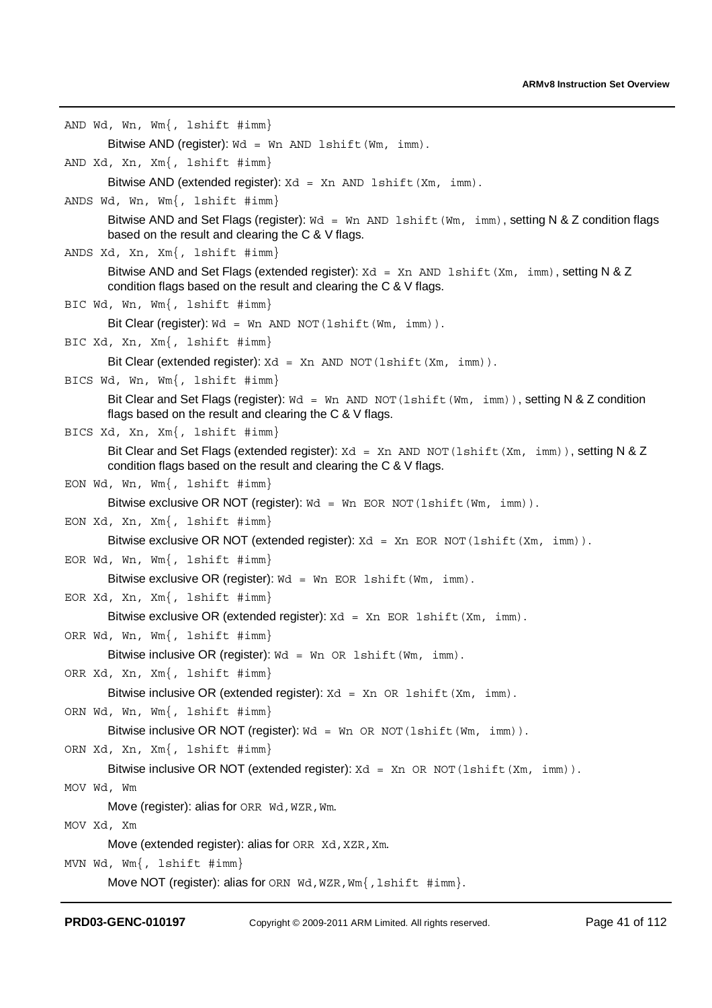```
AND Wd, Wn, Wm{, lshift #imm} 
       Bitwise AND (register): wd = wn AND lshift (Wm, imm).
AND Xd, Xn, Xm{, lshift #imm} 
       Bitwise AND (extended register): Xd = Xn AND lshift (Xm, imm).
ANDS Wd, Wn, Wm{, lshift #imm} 
       Bitwise AND and Set Flags (register): Wd = Wn AND lshift (Wm, imm), setting N & Z condition flags
       based on the result and clearing the C & V flags. 
ANDS Xd, Xn, Xm{, lshift #imm} 
       Bitwise AND and Set Flags (extended register): Xd = Xn AND lshift(Xm, imm), setting N & Z
       condition flags based on the result and clearing the C & V flags. 
BIC Wd, Wn, Wm{, lshift #imm} 
       Bit Clear (register): Wd = Wn AND NOT (lshift (Wm, imm)).
BIC Xd, Xn, Xm{, lshift #imm} 
       Bit Clear (extended register): Xd = Xn AND NOT (lshift (Xm, imm)).
BICS Wd, Wn, Wm{, lshift #imm} 
       Bit Clear and Set Flags (register): Wd = Wn AND NOT (1shift (Wm, imm)), setting N & Z condition
       flags based on the result and clearing the C & V flags. 
BICS Xd, Xn, Xm{, lshift #imm} 
       Bit Clear and Set Flags (extended register): Xd = Xn AND NOT (lshift (Xm, imm)), setting N & Z
       condition flags based on the result and clearing the C & V flags. 
EON Wd, Wn, Wm{, lshift #imm} 
       Bitwise exclusive OR NOT (register): wd = wn EOR NOT (lshift (Wm, imm)).
EON Xd, Xn, Xm{, lshift #imm} 
       Bitwise exclusive OR NOT (extended register): Xd = Xn EOR NOT (lshift (Xm, imm)).
EOR Wd, Wn, Wm{, lshift #imm} 
       Bitwise exclusive OR (register): wd = Wr EOR lshift (Wm, imm).
EOR Xd, Xn, Xm{, lshift #imm} 
       Bitwise exclusive OR (extended register): Xd = Xn EOR lshift (Xm, imm).
ORR Wd, Wn, Wm{, lshift #imm} 
       Bitwise inclusive OR (register): wd = Wr OR lshift (Wm, imm).
ORR Xd, Xn, Xm{, lshift #imm} 
       Bitwise inclusive OR (extended register): Xd = Xn OR lshift (Xm, imm).
ORN Wd, Wn, Wm{, lshift #imm}
       Bitwise inclusive OR NOT (register): Wd = Wn OR NOT (lshift (Wm, imm)).
ORN Xd, Xn, Xm{, lshift #imm} 
       Bitwise inclusive OR NOT (extended register): Xd = Xn OR NOT (lshift (Xm, imm)).
MOV Wd, Wm 
       Move (register): alias for ORR Wd, WZR, Wm.
MOV Xd, Xm 
       Move (extended register): alias for ORR Xd, XZR, Xm.
MVN Wd, Wm{, lshift #imm} 
       Move NOT (register): alias for ORN Wd, WZR, Wm {, lshift #imm}.
```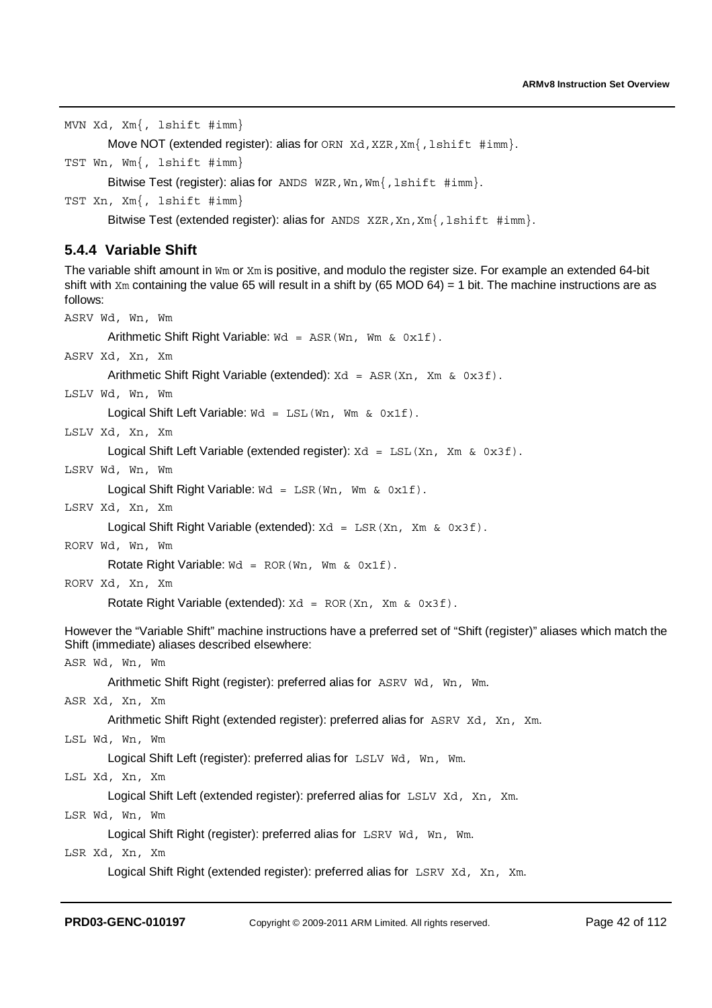MVN Xd, Xm{, lshift #imm}

Move NOT (extended register): alias for ORN Xd, XZR, Xm{, lshift #imm}.

TST Wn, Wm{, lshift #imm}

Bitwise Test (register): alias for ANDS WZR, Wn, Wm {, lshift #imm}.

TST Xn, Xm{, lshift #imm}

Bitwise Test (extended register): alias for ANDS XZR, Xn, Xm{, lshift #imm}.

### **5.4.4 Variable Shift**

The variable shift amount in Wm or Xm is positive, and modulo the register size. For example an extended 64-bit shift with  $Xm$  containing the value 65 will result in a shift by (65 MOD 64) = 1 bit. The machine instructions are as follows:

```
ASRV Wd, Wn, Wm 
       Arithmetic Shift Right Variable: Wd = ASR (Wn, Wm & 0x1f).
ASRV Xd, Xn, Xm 
       Arithmetic Shift Right Variable (extended): Xd = ASR(Xn, Xm \& 0x3f).
LSLV Wd, Wn, Wm 
       Logical Shift Left Variable: Wd = LSL (Wn, Wm & 0x1f).
LSLV Xd, Xn, Xm 
       Logical Shift Left Variable (extended register): Xd = LSL(Xn, Xm \& 0x3f).
LSRV Wd, Wn, Wm 
       Logical Shift Right Variable: Wd = LSR (Wn, Wm & 0x1f).
LSRV Xd, Xn, Xm 
       Logical Shift Right Variable (extended): Xd = LSR(Xn, Xm \& 0x3f).
RORV Wd, Wn, Wm 
       Rotate Right Variable: Wd = ROR(Wn, Wm \& 0x1f).
RORV Xd, Xn, Xm 
       Rotate Right Variable (extended): Xd = ROR(Xn, Xm \& 0x3f).
However the "Variable Shift" machine instructions have a preferred set of "Shift (register)" aliases which match the 
Shift (immediate) aliases described elsewhere: 
ASR Wd, Wn, Wm 
       Arithmetic Shift Right (register): preferred alias for ASRV Wd, Wn, Wm. 
ASR Xd, Xn, Xm 
       Arithmetic Shift Right (extended register): preferred alias for ASRV Xd, Xn, Xm. 
LSL Wd, Wn, Wm 
       Logical Shift Left (register): preferred alias for LSLV Wd, Wn, Wm.
LSL Xd, Xn, Xm 
       Logical Shift Left (extended register): preferred alias for LSLV Xd, Xn, Xm.
LSR Wd, Wn, Wm 
       Logical Shift Right (register): preferred alias for LSRV Wd, Wn, Wm.
LSR Xd, Xn, Xm 
       Logical Shift Right (extended register): preferred alias for LSRV Xd, Xn, Xm.
```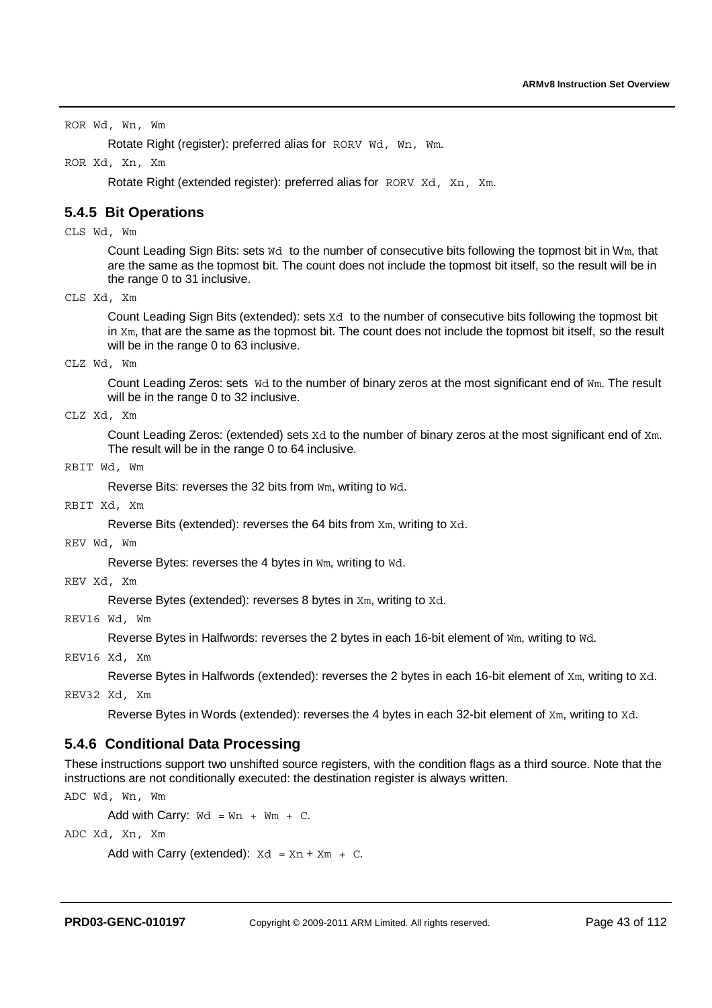ROR Wd, Wn, Wm

Rotate Right (register): preferred alias for RORV Wd, Wn, Wm.

ROR Xd, Xn, Xm

Rotate Right (extended register): preferred alias for RORV Xd, Xn, Xm.

### **5.4.5 Bit Operations**

CLS Wd, Wm

Count Leading Sign Bits: sets Wd to the number of consecutive bits following the topmost bit in Wm, that are the same as the topmost bit. The count does not include the topmost bit itself, so the result will be in the range 0 to 31 inclusive.

CLS Xd, Xm

Count Leading Sign Bits (extended): sets Xd to the number of consecutive bits following the topmost bit in Xm, that are the same as the topmost bit. The count does not include the topmost bit itself, so the result will be in the range 0 to 63 inclusive.

CLZ Wd, Wm

Count Leading Zeros: sets Wd to the number of binary zeros at the most significant end of Wm. The result will be in the range 0 to 32 inclusive.

CLZ Xd, Xm

Count Leading Zeros: (extended) sets Xd to the number of binary zeros at the most significant end of Xm. The result will be in the range 0 to 64 inclusive.

#### RBIT Wd, Wm

Reverse Bits: reverses the 32 bits from Wm, writing to Wd.

RBIT Xd, Xm

Reverse Bits (extended): reverses the 64 bits from Xm, writing to Xd.

REV Wd, Wm

Reverse Bytes: reverses the 4 bytes in Wm, writing to Wd.

REV Xd, Xm

Reverse Bytes (extended): reverses 8 bytes in Xm, writing to Xd.

REV16 Wd, Wm

Reverse Bytes in Halfwords: reverses the 2 bytes in each 16-bit element of Wm, writing to Wd.

REV16 Xd, Xm

Reverse Bytes in Halfwords (extended): reverses the 2 bytes in each 16-bit element of Xm, writing to Xd.

REV32 Xd, Xm

Reverse Bytes in Words (extended): reverses the 4 bytes in each 32-bit element of Xm, writing to Xd.

### **5.4.6 Conditional Data Processing**

These instructions support two unshifted source registers, with the condition flags as a third source. Note that the instructions are not conditionally executed: the destination register is always written.

ADC Wd, Wn, Wm

Add with Carry:  $\text{wd} = \text{Wn} + \text{Wm} + \text{C}$ .

ADC Xd, Xn, Xm

Add with Carry (extended):  $Xd = Xn + Xm + C$ .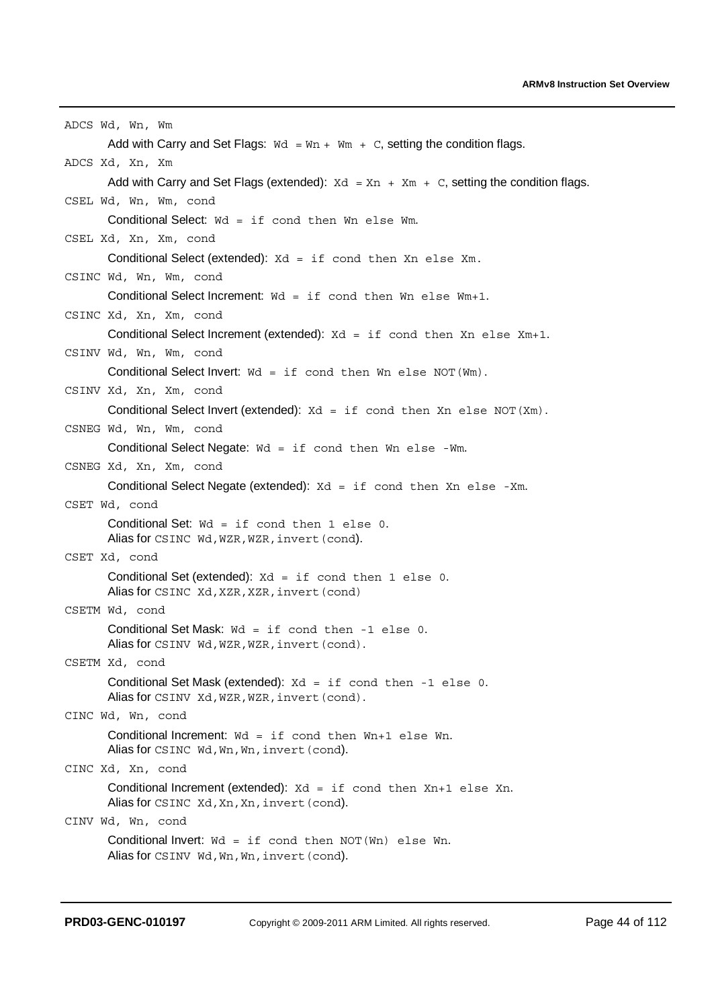```
ADCS Wd, Wn, Wm 
       Add with Carry and Set Flags: \text{Wd} = \text{Wn} + \text{Wm} + \text{C}, setting the condition flags.
ADCS Xd, Xn, Xm 
       Add with Carry and Set Flags (extended): Xd = Xn + Xm + C, setting the condition flags.
CSEL Wd, Wn, Wm, cond 
       Conditional Select: Wd = if cond then Wn else Wm.
CSEL Xd, Xn, Xm, cond 
       Conditional Select (extended): Xd = if cond then Xn else Xm. 
CSINC Wd, Wn, Wm, cond 
       Conditional Select Increment: Wd = if cond then Wn else Wm+1. 
CSINC Xd, Xn, Xm, cond 
       Conditional Select Increment (extended): Xd = if cond then Xn else Xm+1.
CSINV Wd, Wn, Wm, cond 
       Conditional Select Invert: Wd = if cond then Wn else NOT(Wm). 
CSINV Xd, Xn, Xm, cond 
       Conditional Select Invert (extended): Xd = if cond then Xn else NOT(Xm).
CSNEG Wd, Wn, Wm, cond 
       Conditional Select Negate: Wd = if cond then Wn else -Wm. 
CSNEG Xd, Xn, Xm, cond 
       Conditional Select Negate (extended): Xd = if cond then Xn else -Xm.
CSET Wd, cond 
       Conditional Set: Wd = if cond then 1 else 0. 
       Alias for CSINC Wd, WZR, WZR, invert (cond).
CSET Xd, cond 
       Conditional Set (extended): Xd = if cond then 1 else 0.
       Alias for CSINC Xd, XZR, XZR, invert (cond)
CSETM Wd, cond 
       Conditional Set Mask: Wd = if cond then -1 else 0. 
       Alias for CSINV Wd, WZR, WZR, invert (cond).
CSETM Xd, cond 
       Conditional Set Mask (extended): Xd = if cond then -1 else 0. 
       Alias for CSINV Xd, WZR, WZR, invert (cond).
CINC Wd, Wn, cond 
       Conditional Increment: Wd = if cond then Wn+1 else Wn.
       Alias for CSINC Wd, Wn, Wn, invert (cond).
CINC Xd, Xn, cond 
       Conditional Increment (extended): Xd = if cond then Xn+1 else Xn.
       Alias for CSINC Xd, Xn, Xn, invert (cond).
CINV Wd, Wn, cond 
       Conditional Invert: Wd = if cond then NOT(Wn) else Wn.Alias for CSINV Wd, Wn, Wn, invert (cond).
```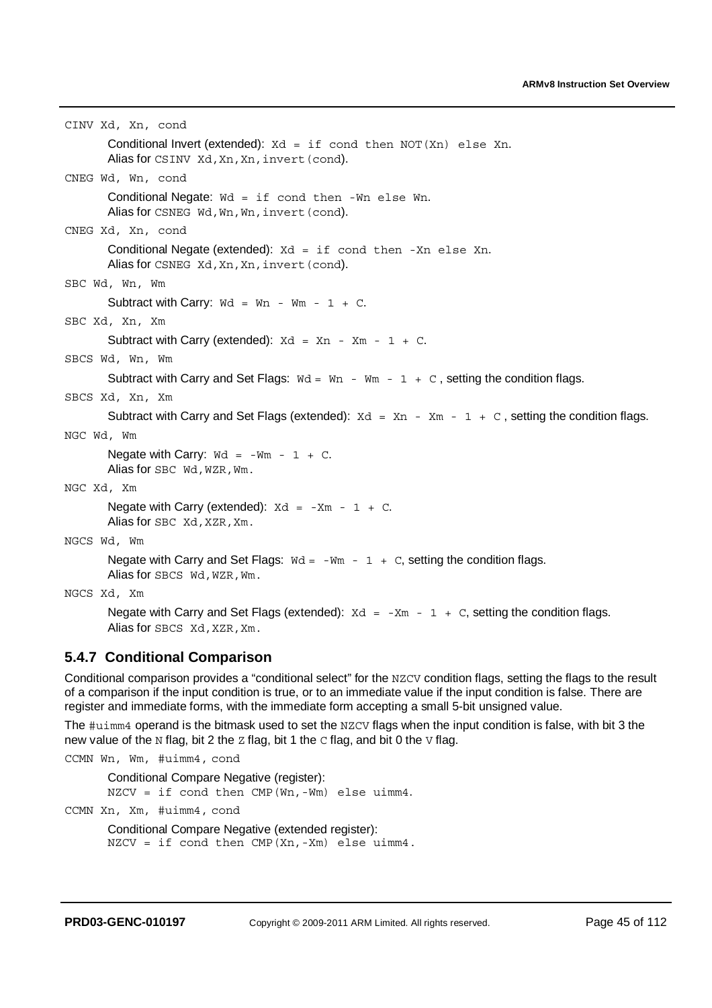```
CINV Xd, Xn, cond 
       Conditional Invert (extended): Xd = if cond then NOT(Xn) else Xn.
       Alias for CSINV Xd, Xn, Xn, invert (cond).
CNEG Wd, Wn, cond 
       Conditional Negate: Wd = if cond then -Wn else Wn. 
       Alias for CSNEG Wd, Wn, Wn, invert (cond).
CNEG Xd, Xn, cond 
       Conditional Negate (extended): Xd = if cond then -Xn else Xn. 
       Alias for CSNEG Xd, Xn, Xn, invert (cond).
SBC Wd, Wn, Wm 
       Subtract with Carry: \text{wd} = \text{Wn} - \text{Wm} - 1 + \text{C}.SBC Xd, Xn, Xm 
       Subtract with Carry (extended): Xd = Xn - Xm - 1 + C.
SBCS Wd, Wn, Wm 
       Subtract with Carry and Set Flags: \text{Wd} = \text{Wn} - \text{Wm} - 1 + \text{C}, setting the condition flags.
SBCS Xd, Xn, Xm 
       Subtract with Carry and Set Flags (extended): Xd = Xn - Xm - 1 + C, setting the condition flags.
NGC Wd, Wm 
       Negate with Carry: \text{wd} = -\text{Wm} - 1 + \text{C}.
       Alias for SBC Wd, WZR, Wm.
NGC Xd, Xm 
       Negate with Carry (extended): Xd = -Xm - 1 + C.
       Alias for SBC Xd, XZR, Xm.
NGCS Wd, Wm 
       Negate with Carry and Set Flags: Wd = -Wm - 1 + C, setting the condition flags.
       Alias for SBCS Wd, WZR, Wm.
```
NGCS Xd, Xm

Negate with Carry and Set Flags (extended):  $Xd = -Xm - 1 + C$ , setting the condition flags. Alias for SBCS Xd, XZR, Xm.

### **5.4.7 Conditional Comparison**

Conditional comparison provides a "conditional select" for the NZCV condition flags, setting the flags to the result of a comparison if the input condition is true, or to an immediate value if the input condition is false. There are register and immediate forms, with the immediate form accepting a small 5-bit unsigned value.

The #uimm4 operand is the bitmask used to set the NZCV flags when the input condition is false, with bit 3 the new value of the N flag, bit 2 the  $Z$  flag, bit 1 the  $C$  flag, and bit 0 the  $V$  flag.

CCMN Wn, Wm, #uimm4, cond

Conditional Compare Negative (register): NZCV = if cond then CMP(Wn,-Wm) else uimm4. CCMN Xn, Xm, #uimm4, cond Conditional Compare Negative (extended register): NZCV = if cond then CMP(Xn,-Xm) else uimm4.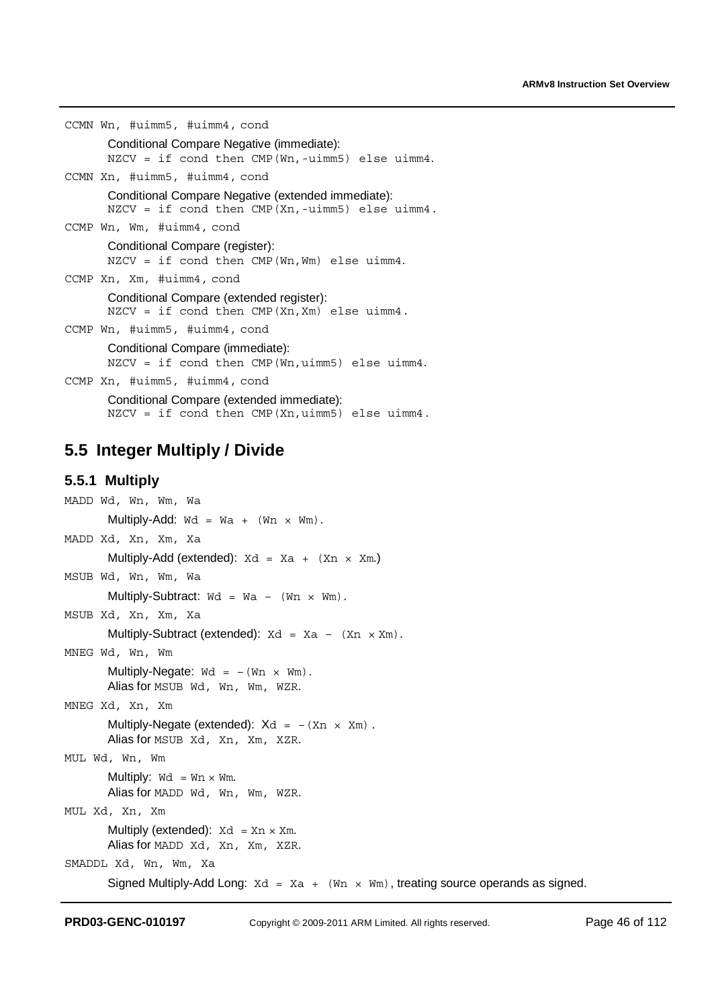```
CCMN Wn, #uimm5, #uimm4, cond
      Conditional Compare Negative (immediate): 
      NZCV = if cond then CMP(Wn,-uimm5) else uimm4. 
CCMN Xn, #uimm5, #uimm4, cond
      Conditional Compare Negative (extended immediate): 
      NZCV = if cond then CMP(Xn,-uimm5) else uimm4. 
CCMP Wn, Wm, #uimm4, cond
      Conditional Compare (register): 
      NZCV = if cond then CMP(Wn,Wm) else uimm4. 
CCMP Xn, Xm, #uimm4, cond
      Conditional Compare (extended register): 
      NZCV = if cond then CMP(Xn,Xm) else uimm4. 
CCMP Wn, #uimm5, #uimm4, cond
      Conditional Compare (immediate): 
      NZCV = if cond then CMP(Wn,uimm5) else uimm4.CCMP Xn, #uimm5, #uimm4, cond
```
Conditional Compare (extended immediate):  $NZCV = if cond then CMP(Xn, uimm5) else uimm4.$ 

### **5.5 Integer Multiply / Divide**

#### **5.5.1 Multiply**

```
MADD Wd, Wn, Wm, Wa 
        Multiply-Add: \text{Wd} = \text{Wa} + (\text{Wn} \times \text{Wm}).MADD Xd, Xn, Xm, Xa 
        Multiply-Add (extended): Xd = Xa + (Xn \times Xm)MSUB Wd, Wn, Wm, Wa 
        Multiply-Subtract: \text{wd} = \text{Wa} - (\text{Wn} \times \text{Wm}).MSUB Xd, Xn, Xm, Xa 
        Multiply-Subtract (extended): Xd = Xa - (Xn \times Xm).
MNEG Wd, Wn, Wm 
        Multiply-Negate: \text{wd} = -(\text{Wn} \times \text{Wm}).Alias for MSUB Wd, Wn, Wm, WZR. 
MNEG Xd, Xn, Xm 
        Multiply-Negate (extended): Xd = -(Xn \times Xm).
        Alias for MSUB Xd, Xn, Xm, XZR. 
MUL Wd, Wn, Wm 
        Multiply: \text{Wd} = \text{Wn} \times \text{Wm}.
        Alias for MADD Wd, Wn, Wm, WZR. 
MUL Xd, Xn, Xm 
        Multiply (extended): Xd = Xn \times Xm.
        Alias for MADD Xd, Xn, Xm, XZR.
SMADDL Xd, Wn, Wm, Xa 
        Signed Multiply-Add Long: Xd = Xa + (Wn \times Wm), treating source operands as signed.
```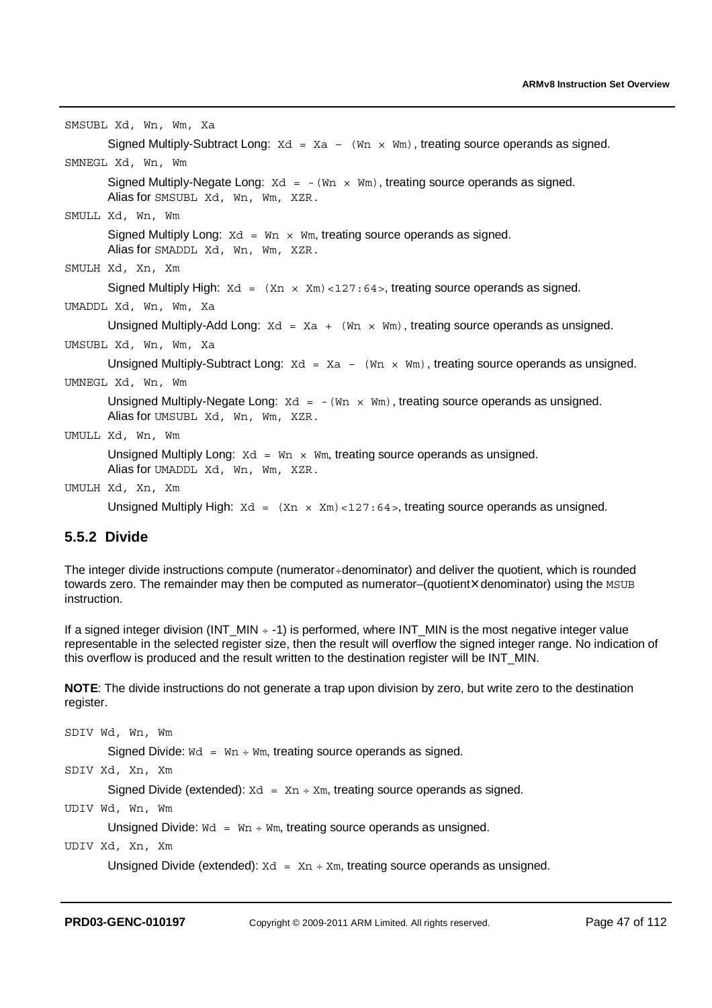| SMSUBL Xd, Wn, Wm, Xa                                                                                                              |
|------------------------------------------------------------------------------------------------------------------------------------|
| Signed Multiply-Subtract Long: $Xd = Xa - (Wn \times Wm)$ , treating source operands as signed.                                    |
| SMNEGL Xd, Wn, Wm                                                                                                                  |
| Signed Multiply-Negate Long: $Xd = -(Wn \times Wm)$ , treating source operands as signed.<br>Alias for SMSUBL Xd, Wn, Wm, XZR.     |
| SMULL Xd, Wn, Wm                                                                                                                   |
| Signed Multiply Long: $Xd = Wn \times Wm$ , treating source operands as signed.<br>Alias for SMADDL Xd, Wn, Wm, XZR.               |
| SMULH Xd, Xn, Xm                                                                                                                   |
| Signed Multiply High: $Xd = (Xn \times Xm) < 127 : 64$ , treating source operands as signed.                                       |
| UMADDL Xd, Wn, Wm, Xa                                                                                                              |
| Unsigned Multiply-Add Long: $Xd = Xa + (Wn \times Wm)$ , treating source operands as unsigned.                                     |
| UMSUBL Xd, Wn, Wm, Xa                                                                                                              |
| Unsigned Multiply-Subtract Long: $Xd = Xa - (Wn \times Wm)$ , treating source operands as unsigned.                                |
| UMNEGL Xd, Wn, Wm                                                                                                                  |
| Unsigned Multiply-Negate Long: $Xd = -(Wn \times Wm)$ , treating source operands as unsigned.<br>Alias for UMSUBL Xd, Wn, Wm, XZR. |
| UMULL Xd, Wn, Wm                                                                                                                   |
| Unsigned Multiply Long: $Xd = Wn \times Wm$ , treating source operands as unsigned.<br>Alias for UMADDL Xd, Wn, Wm, XZR.           |
| UMULH Xd, Xn, Xm                                                                                                                   |
| Unsigned Multiply High: $Xd = (Xn \times Xm) < 127:64$ , treating source operands as unsigned.                                     |

### **5.5.2 Divide**

The integer divide instructions compute (numerator÷denominator) and deliver the quotient, which is rounded towards zero. The remainder may then be computed as numerator–(quotient×denominator) using the MSUB instruction.

If a signed integer division (INT\_MIN  $\div$  -1) is performed, where INT\_MIN is the most negative integer value representable in the selected register size, then the result will overflow the signed integer range. No indication of this overflow is produced and the result written to the destination register will be INT\_MIN.

**NOTE**: The divide instructions do not generate a trap upon division by zero, but write zero to the destination register.

SDIV Wd, Wn, Wm Signed Divide:  $wd = Wn + Wm$ , treating source operands as signed.

SDIV Xd, Xn, Xm

Signed Divide (extended):  $Xd = Xn + Xm$ , treating source operands as signed.

UDIV Wd, Wn, Wm

Unsigned Divide:  $Wd = Wn + Wm$ , treating source operands as unsigned.

UDIV Xd, Xn, Xm

Unsigned Divide (extended):  $Xd = Xn + Xm$ , treating source operands as unsigned.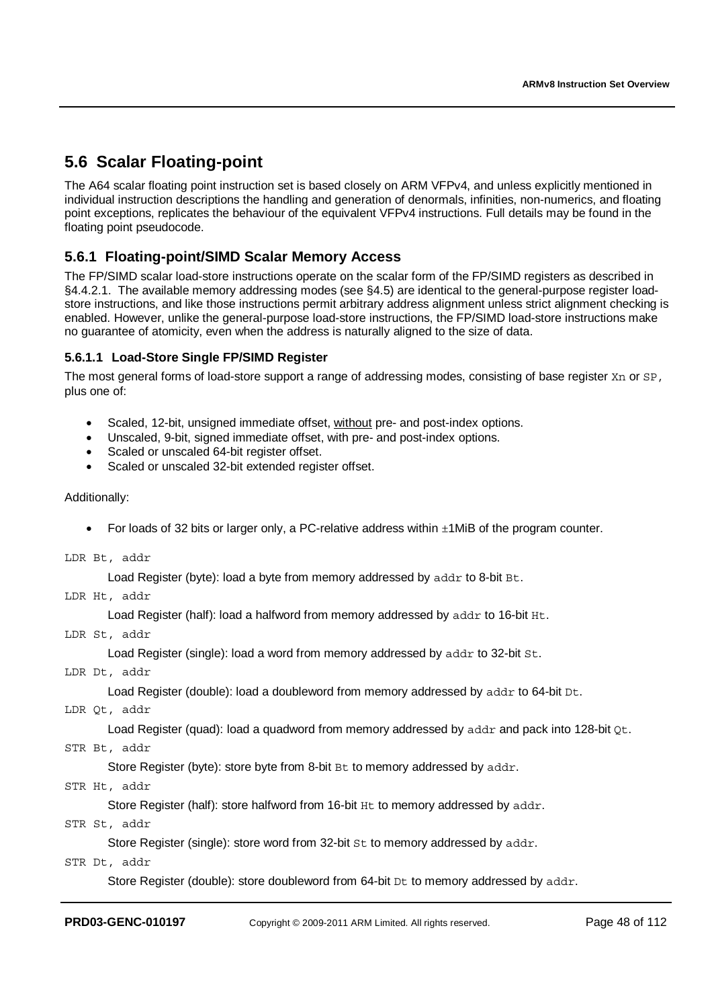# **5.6 Scalar Floating-point**

The A64 scalar floating point instruction set is based closely on ARM VFPv4, and unless explicitly mentioned in individual instruction descriptions the handling and generation of denormals, infinities, non-numerics, and floating point exceptions, replicates the behaviour of the equivalent VFPv4 instructions. Full details may be found in the floating point pseudocode.

### **5.6.1 Floating-point/SIMD Scalar Memory Access**

The FP/SIMD scalar load-store instructions operate on the scalar form of the FP/SIMD registers as described in §4.4.2.1. The available memory addressing modes (see §4.5) are identical to the general-purpose register loadstore instructions, and like those instructions permit arbitrary address alignment unless strict alignment checking is enabled. However, unlike the general-purpose load-store instructions, the FP/SIMD load-store instructions make no guarantee of atomicity, even when the address is naturally aligned to the size of data.

### **5.6.1.1 Load-Store Single FP/SIMD Register**

The most general forms of load-store support a range of addressing modes, consisting of base register Xn or SP, plus one of:

- Scaled, 12-bit, unsigned immediate offset, without pre- and post-index options.
- Unscaled, 9-bit, signed immediate offset, with pre- and post-index options.
- Scaled or unscaled 64-bit register offset.
- Scaled or unscaled 32-bit extended register offset.

#### Additionally:

For loads of 32 bits or larger only, a PC-relative address within  $\pm 1$ MiB of the program counter.

LDR Bt, addr

```
Load Register (byte): load a byte from memory addressed by addr to 8-bit Bt.
```
LDR Ht, addr

Load Register (half): load a halfword from memory addressed by addr to 16-bit Ht.

LDR St, addr

Load Register (single): load a word from memory addressed by addr to 32-bit St.

LDR Dt, addr

Load Register (double): load a doubleword from memory addressed by addr to 64-bit Dt.

LDR Qt, addr

Load Register (quad): load a quadword from memory addressed by addr and pack into 128-bit  $O_t$ .

STR Bt, addr

Store Register (byte): store byte from 8-bit Bt to memory addressed by addr.

STR Ht, addr

Store Register (half): store halfword from 16-bit Ht to memory addressed by addr.

STR St, addr

Store Register (single): store word from 32-bit St to memory addressed by addr.

STR Dt, addr

Store Register (double): store doubleword from 64-bit  $D\text{t}$  to memory addressed by addr.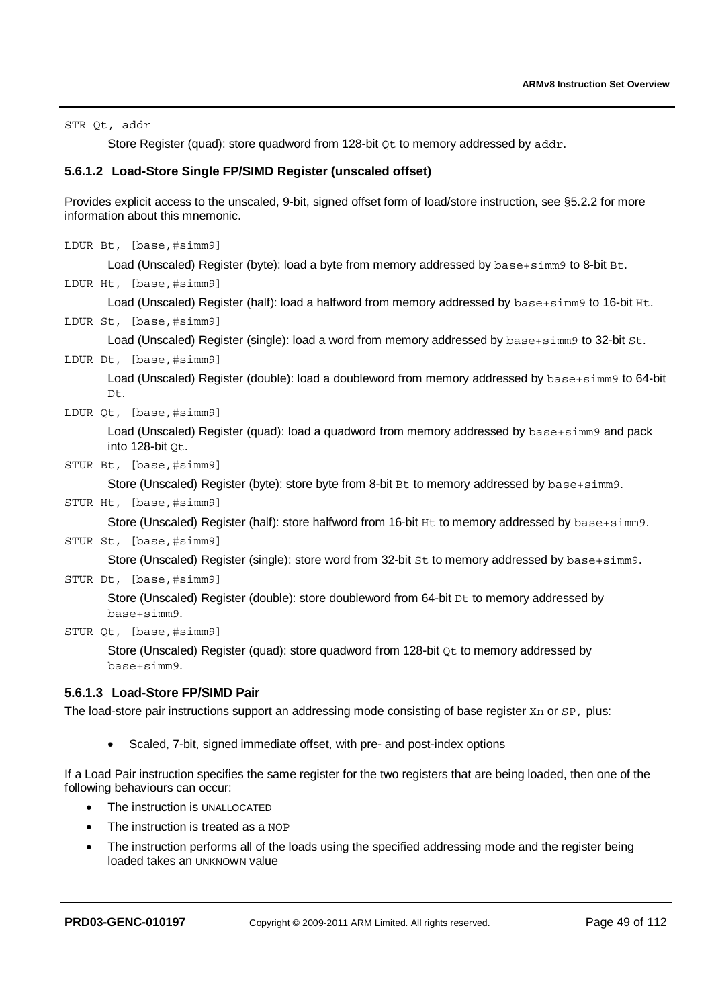STR Qt, addr

Store Register (quad): store quadword from 128-bit  $ot$  to memory addressed by addr.

### **5.6.1.2 Load-Store Single FP/SIMD Register (unscaled offset)**

Provides explicit access to the unscaled, 9-bit, signed offset form of load/store instruction, see §5.2.2 for more information about this mnemonic.

```
LDUR Bt, [base,#simm9]
```
Load (Unscaled) Register (byte): load a byte from memory addressed by base+simm9 to 8-bit Bt.

LDUR Ht, [base,#simm9]

Load (Unscaled) Register (half): load a halfword from memory addressed by base+simm9 to 16-bit Ht.

LDUR St, [base,#simm9]

Load (Unscaled) Register (single): load a word from memory addressed by base+simm9 to 32-bit St.

LDUR Dt, [base,#simm9]

Load (Unscaled) Register (double): load a doubleword from memory addressed by base+simm9 to 64-bit Dt.

LDUR Qt, [base,#simm9]

Load (Unscaled) Register (quad): load a quadword from memory addressed by base+simm9 and pack into 128-bit Qt.

STUR Bt, [base,#simm9]

Store (Unscaled) Register (byte): store byte from 8-bit Bt to memory addressed by base+simm9.

#### STUR Ht, [base,#simm9]

Store (Unscaled) Register (half): store halfword from 16-bit Ht to memory addressed by base+simm9.

### STUR St, [base,#simm9]

Store (Unscaled) Register (single): store word from 32-bit St to memory addressed by base+simm9.

STUR Dt, [base,#simm9]

Store (Unscaled) Register (double): store doubleword from 64-bit Dt to memory addressed by base+simm9.

STUR Qt, [base,#simm9]

Store (Unscaled) Register (quad): store quadword from 128-bit  $ot$  to memory addressed by base+simm9.

### **5.6.1.3 Load-Store FP/SIMD Pair**

The load-store pair instructions support an addressing mode consisting of base register Xn or SP, plus:

• Scaled, 7-bit, signed immediate offset, with pre- and post-index options

If a Load Pair instruction specifies the same register for the two registers that are being loaded, then one of the following behaviours can occur:

- The instruction is UNALLOCATED
- The instruction is treated as a NOP
- The instruction performs all of the loads using the specified addressing mode and the register being loaded takes an UNKNOWN value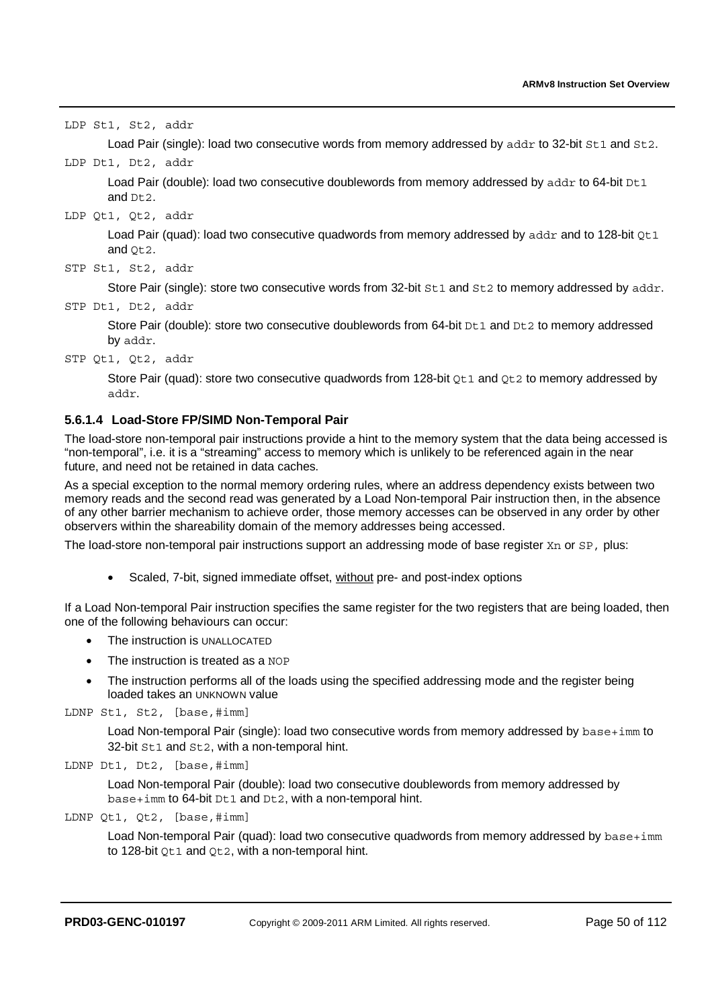|  | LDP St1, St2, addr |                                                                                                                    |
|--|--------------------|--------------------------------------------------------------------------------------------------------------------|
|  |                    | Load Pair (single): load two consecutive words from memory addressed by addr to 32-bit st1 and st2.                |
|  | LDP Dt1, Dt2, addr |                                                                                                                    |
|  | and $Dt2$ .        | Load Pair (double): load two consecutive doublewords from memory addressed by $\text{addr}$ to 64-bit $\text{Det}$ |
|  | LDP Qt1, Qt2, addr |                                                                                                                    |
|  | and $Qt2$ .        | Load Pair (quad): load two consecutive quadwords from memory addressed by addr and to 128-bit $Qt1$                |
|  | STP St1, St2, addr |                                                                                                                    |
|  |                    | Store Pair (single): store two consecutive words from 32-bit St1 and St2 to memory addressed by addr.              |
|  | STP Dt1, Dt2, addr |                                                                                                                    |
|  | by addr.           | Store Pair (double): store two consecutive doublewords from 64-bit Dt1 and Dt2 to memory addressed                 |

STP Qt1, Qt2, addr

Store Pair (quad): store two consecutive quadwords from 128-bit  $\cot 1$  and  $\cot 2$  to memory addressed by addr.

### **5.6.1.4 Load-Store FP/SIMD Non-Temporal Pair**

The load-store non-temporal pair instructions provide a hint to the memory system that the data being accessed is "non-temporal", i.e. it is a "streaming" access to memory which is unlikely to be referenced again in the near future, and need not be retained in data caches.

As a special exception to the normal memory ordering rules, where an address dependency exists between two memory reads and the second read was generated by a Load Non-temporal Pair instruction then, in the absence of any other barrier mechanism to achieve order, those memory accesses can be observed in any order by other observers within the shareability domain of the memory addresses being accessed.

The load-store non-temporal pair instructions support an addressing mode of base register Xn or SP, plus:

• Scaled, 7-bit, signed immediate offset, without pre- and post-index options

If a Load Non-temporal Pair instruction specifies the same register for the two registers that are being loaded, then one of the following behaviours can occur:

- The instruction is UNALLOCATED
- The instruction is treated as a NOP
- The instruction performs all of the loads using the specified addressing mode and the register being loaded takes an UNKNOWN value

LDNP St1, St2, [base,#imm]

Load Non-temporal Pair (single): load two consecutive words from memory addressed by base+imm to 32-bit St1 and St2, with a non-temporal hint.

LDNP Dt1, Dt2, [base,#imm]

Load Non-temporal Pair (double): load two consecutive doublewords from memory addressed by base+imm to 64-bit Dt1 and Dt2, with a non-temporal hint.

LDNP Qt1, Qt2, [base,#imm]

Load Non-temporal Pair (quad): load two consecutive quadwords from memory addressed by  $base+imm$ to 128-bit Qt1 and Qt2, with a non-temporal hint.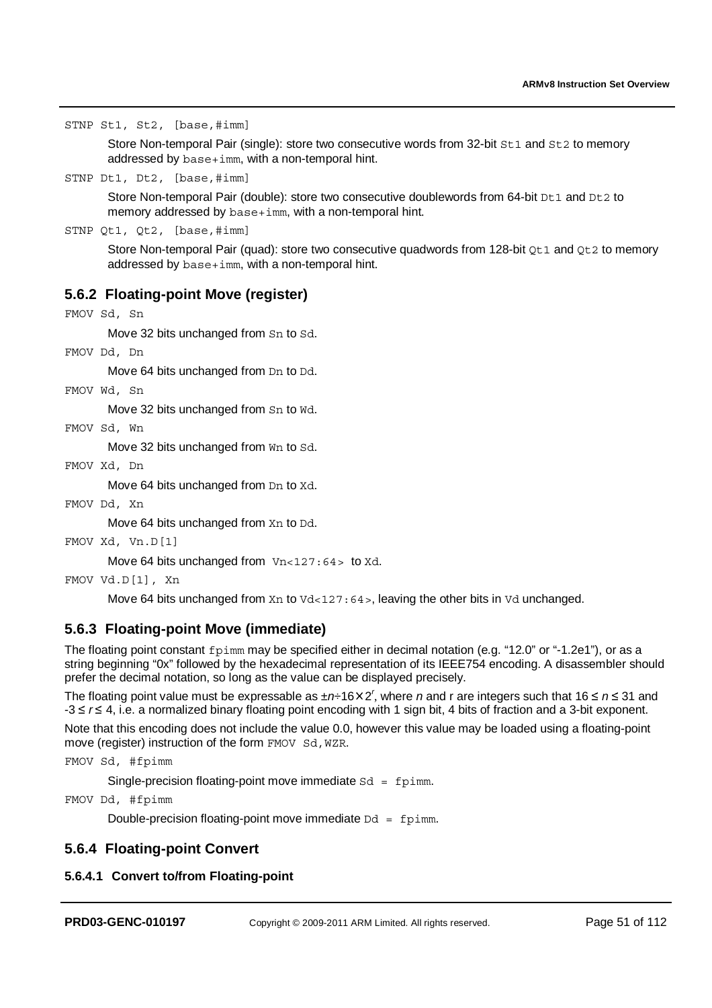STNP St1, St2, [base,#imm]

Store Non-temporal Pair (single): store two consecutive words from 32-bit St1 and St2 to memory addressed by base+imm, with a non-temporal hint.

STNP Dt1, Dt2, [base,#imm]

Store Non-temporal Pair (double): store two consecutive doublewords from 64-bit Dt1 and Dt2 to memory addressed by base+imm, with a non-temporal hint.

STNP Qt1, Qt2, [base,#imm]

Store Non-temporal Pair (quad): store two consecutive quadwords from 128-bit Qt1 and Qt2 to memory addressed by base+imm, with a non-temporal hint.

### **5.6.2 Floating-point Move (register)**

```
FMOV Sd, Sn
```
Move 32 bits unchanged from Sn to Sd.

FMOV Dd, Dn

Move 64 bits unchanged from Dn to Dd.

FMOV Wd, Sn

Move 32 bits unchanged from Sn to Wd.

FMOV Sd, Wn

Move 32 bits unchanged from Wn to Sd.

FMOV Xd, Dn

Move 64 bits unchanged from Dn to Xd.

FMOV Dd, Xn

Move 64 bits unchanged from Xn to Dd.

FMOV Xd, Vn.D[1]

Move 64 bits unchanged from  $Vn<127:64$  to Xd.

```
FMOV Vd.D[1], Xn
```
Move 64 bits unchanged from  $X_n$  to  $Vd < 127:64$ , leaving the other bits in  $Vd$  unchanged.

### **5.6.3 Floating-point Move (immediate)**

The floating point constant fpimm may be specified either in decimal notation (e.g. "12.0" or "-1.2e1"), or as a string beginning "0x" followed by the hexadecimal representation of its IEEE754 encoding. A disassembler should prefer the decimal notation, so long as the value can be displayed precisely.

The floating point value must be expressable as ±*n÷*16×2<sup>*r*</sup>, where *n* and r are integers such that 16 ≤ *n* ≤ 31 and<br>-3 ≤ *r* ≤ 4. i.e. a normalized binarv floating point encoding with 1 sign bit. 4 bits of fraction a -3 ≤ r ≤ 4, i.e. a normalized binary floating point encoding with 1 sign bit, 4 bits of fraction and a 3-bit exponent.<br>Note that this concention data continued the sealed of 2.0 homeone this sealed a sealed behalved as a

Note that this encoding does not include the value 0.0, however this value may be loaded using a floating-point move (register) instruction of the form FMOV Sd, WZR.

```
FMOV Sd, #fpimm
```
Single-precision floating-point move immediate  $Sd = f$  form.

FMOV Dd, #fpimm

Double-precision floating-point move immediate  $Dd = f$ pimm.

### **5.6.4 Floating-point Convert**

### **5.6.4.1 Convert to/from Floating-point**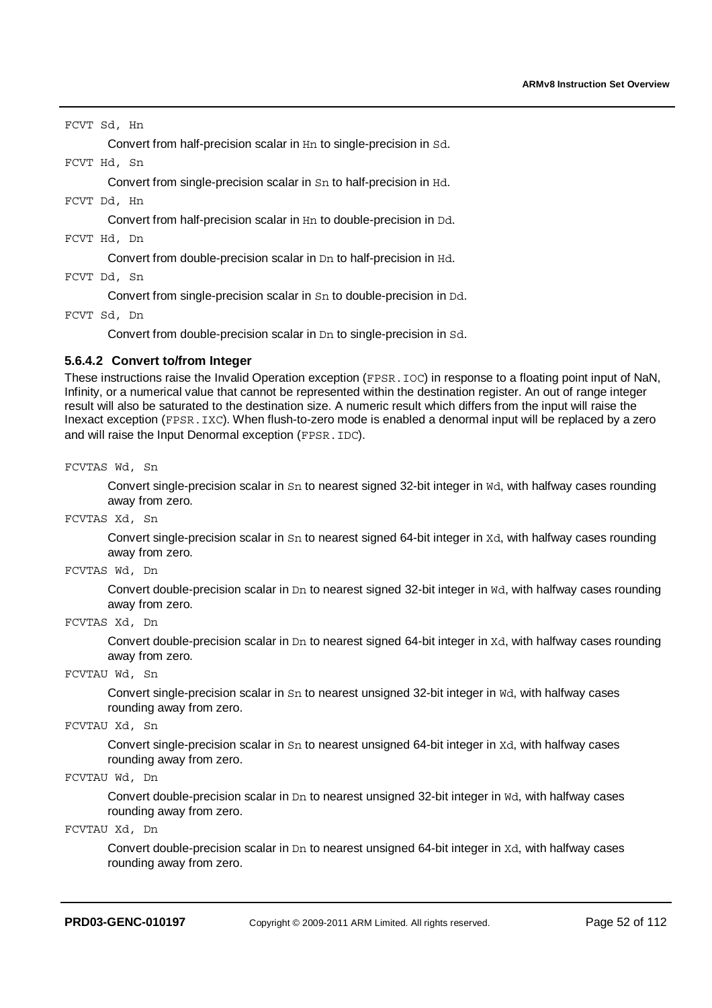FCVT Sd, Hn

Convert from half-precision scalar in Hn to single-precision in Sd.

FCVT Hd, Sn

Convert from single-precision scalar in Sn to half-precision in Hd.

FCVT Dd, Hn

Convert from half-precision scalar in Hn to double-precision in Dd.

FCVT Hd, Dn

Convert from double-precision scalar in Dn to half-precision in Hd.

FCVT Dd, Sn

Convert from single-precision scalar in Sn to double-precision in Dd.

FCVT Sd, Dn

Convert from double-precision scalar in Dn to single-precision in Sd.

#### **5.6.4.2 Convert to/from Integer**

These instructions raise the Invalid Operation exception (FPSR. IOC) in response to a floating point input of NaN, Infinity, or a numerical value that cannot be represented within the destination register. An out of range integer result will also be saturated to the destination size. A numeric result which differs from the input will raise the Inexact exception (FPSR.IXC). When flush-to-zero mode is enabled a denormal input will be replaced by a zero and will raise the Input Denormal exception (FPSR.IDC).

FCVTAS Wd, Sn

Convert single-precision scalar in Sn to nearest signed 32-bit integer in Wd, with halfway cases rounding away from zero.

FCVTAS Xd, Sn

Convert single-precision scalar in Sn to nearest signed 64-bit integer in Xd, with halfway cases rounding away from zero.

FCVTAS Wd, Dn

Convert double-precision scalar in Dn to nearest signed 32-bit integer in Wd, with halfway cases rounding away from zero.

FCVTAS Xd, Dn

Convert double-precision scalar in  $Dn$  to nearest signed 64-bit integer in  $Xd$ , with halfway cases rounding away from zero.

FCVTAU Wd, Sn

Convert single-precision scalar in Sn to nearest unsigned 32-bit integer in Wd, with halfway cases rounding away from zero.

FCVTAU Xd, Sn

Convert single-precision scalar in Sn to nearest unsigned 64-bit integer in Xd, with halfway cases rounding away from zero.

```
FCVTAU Wd, Dn
```
Convert double-precision scalar in Dn to nearest unsigned 32-bit integer in Wd, with halfway cases rounding away from zero.

FCVTAU Xd, Dn

Convert double-precision scalar in Dn to nearest unsigned 64-bit integer in Xd, with halfway cases rounding away from zero.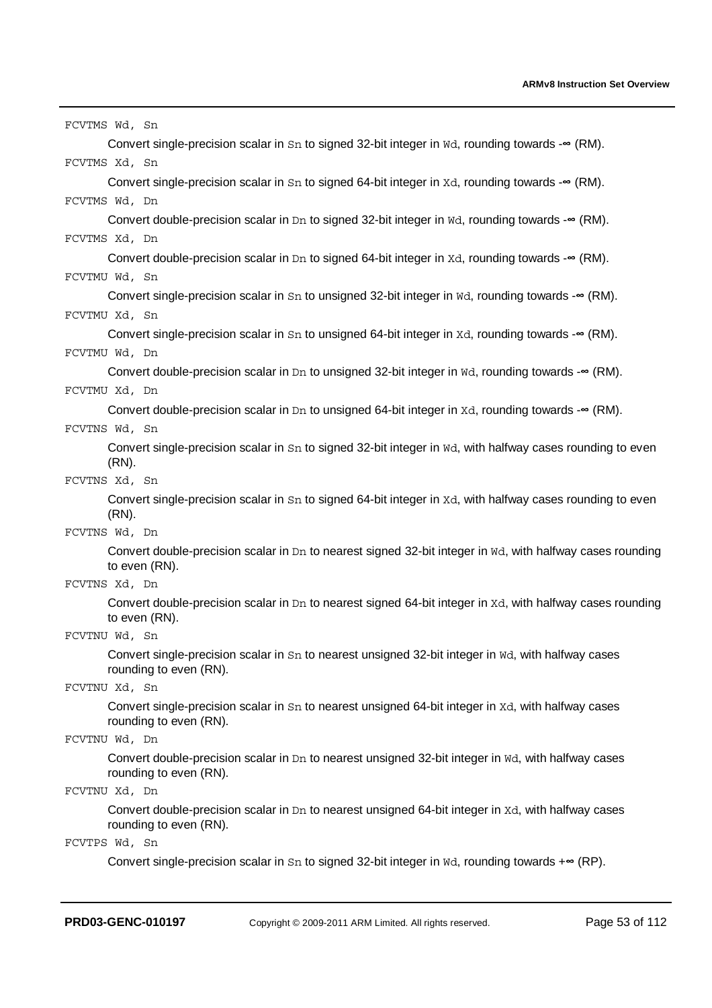| FCVTMS Wd, Sn                                                                                                                   |
|---------------------------------------------------------------------------------------------------------------------------------|
| Convert single-precision scalar in $Sn$ to signed 32-bit integer in $WA$ , rounding towards - $\infty$ (RM).                    |
| FCVTMS Xd, Sn                                                                                                                   |
| Convert single-precision scalar in $Sn$ to signed 64-bit integer in $Xd$ , rounding towards - $\infty$ (RM).                    |
| FCVTMS Wd, Dn                                                                                                                   |
| Convert double-precision scalar in Dn to signed 32-bit integer in $\mathbb{W}d$ , rounding towards - $\infty$ (RM).             |
| FCVTMS Xd, Dn                                                                                                                   |
| Convert double-precision scalar in Dn to signed 64-bit integer in $Xd$ , rounding towards - $\infty$ (RM).                      |
| FCVTMU Wd, Sn                                                                                                                   |
| Convert single-precision scalar in $Sn$ to unsigned 32-bit integer in $WA$ , rounding towards - $\infty$ (RM).                  |
| FCVTMU Xd, Sn                                                                                                                   |
| Convert single-precision scalar in Sn to unsigned 64-bit integer in Xd, rounding towards -∞ (RM).                               |
| FCVTMU Wd, Dn                                                                                                                   |
| Convert double-precision scalar in Dn to unsigned 32-bit integer in $\overline{w}$ d, rounding towards - $\infty$ (RM).         |
| FCVTMU Xd, Dn                                                                                                                   |
| Convert double-precision scalar in Dn to unsigned 64-bit integer in $Xd$ , rounding towards - $\infty$ (RM).                    |
| FCVTNS Wd, Sn                                                                                                                   |
| Convert single-precision scalar in Sn to signed 32-bit integer in Wd, with halfway cases rounding to even                       |
| $(RN)$ .                                                                                                                        |
| FCVTNS Xd, Sn                                                                                                                   |
| Convert single-precision scalar in Sn to signed 64-bit integer in Xd, with halfway cases rounding to even<br>(RN).              |
| FCVTNS Wd, Dn                                                                                                                   |
| Convert double-precision scalar in $Dn$ to nearest signed 32-bit integer in $wd$ , with halfway cases rounding<br>to even (RN). |
| FCVTNS Xd, Dn                                                                                                                   |
| Convert double-precision scalar in Dn to nearest signed 64-bit integer in Xd, with halfway cases rounding<br>to even (RN).      |
| FCVTNU Wd, Sn                                                                                                                   |
| Convert single-precision scalar in Sn to nearest unsigned 32-bit integer in Wd, with halfway cases<br>rounding to even (RN).    |
| FCVTNU Xd, Sn                                                                                                                   |
| Convert single-precision scalar in Sn to nearest unsigned 64-bit integer in Xd, with halfway cases<br>rounding to even (RN).    |
| FCVTNU Wd, Dn                                                                                                                   |
| Convert double-precision scalar in Dn to nearest unsigned 32-bit integer in Wd, with halfway cases<br>rounding to even (RN).    |
| FCVTNU Xd, Dn                                                                                                                   |
| Convert double-precision scalar in Dn to nearest unsigned 64-bit integer in Xd, with halfway cases<br>rounding to even (RN).    |
| FCVTPS Wd, Sn                                                                                                                   |
| Convert single-precision scalar in $Sn$ to signed 32-bit integer in $WA$ , rounding towards + $\infty$ (RP).                    |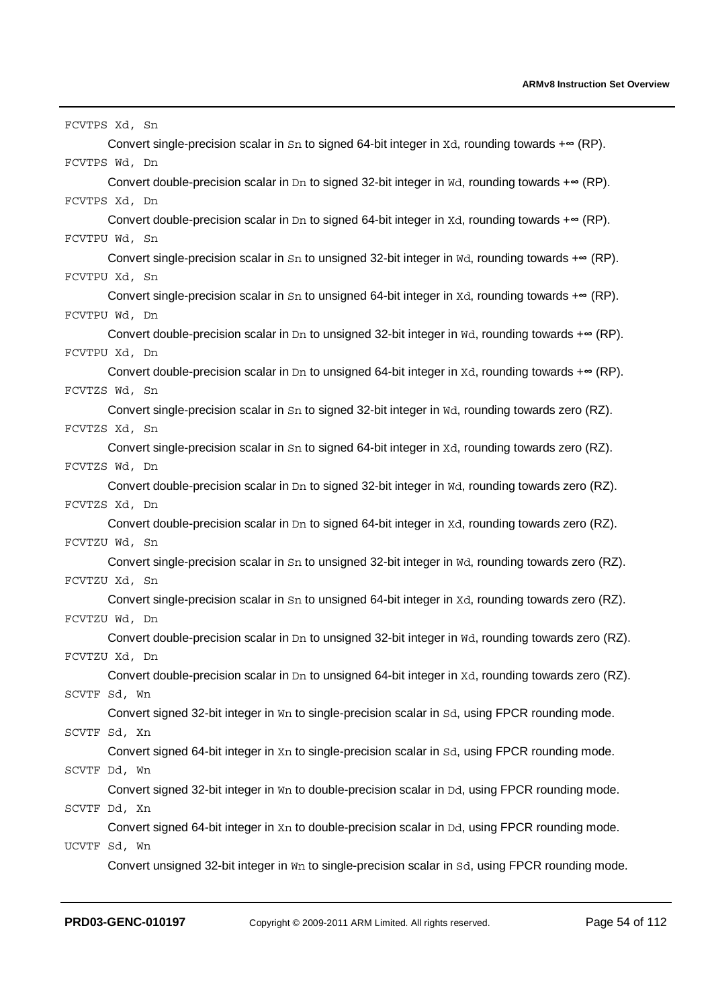| FCVTPS Xd, Sn                                                                                                        |
|----------------------------------------------------------------------------------------------------------------------|
| Convert single-precision scalar in $Sn$ to signed 64-bit integer in $Xd$ , rounding towards + $\infty$ (RP).         |
| FCVTPS Wd, Dn                                                                                                        |
| Convert double-precision scalar in Dn to signed 32-bit integer in Wd, rounding towards + <sup>®</sup> (RP).          |
| FCVTPS Xd, Dn                                                                                                        |
| Convert double-precision scalar in Dn to signed 64-bit integer in Xd, rounding towards + $\infty$ (RP).              |
| FCVTPU Wd, Sn                                                                                                        |
| Convert single-precision scalar in $Sn$ to unsigned 32-bit integer in $WA$ , rounding towards + $\infty$ (RP).       |
| FCVTPU Xd, Sn                                                                                                        |
| Convert single-precision scalar in $Sn$ to unsigned 64-bit integer in $Xd$ , rounding towards + $\infty$ (RP).       |
| FCVTPU Wd, Dn                                                                                                        |
| Convert double-precision scalar in Dn to unsigned 32-bit integer in $\overline{w}$ rounding towards + $\infty$ (RP). |
| FCVTPU Xd, Dn                                                                                                        |
| Convert double-precision scalar in Dn to unsigned 64-bit integer in $Xd$ , rounding towards + $\infty$ (RP).         |
| FCVTZS Wd, Sn                                                                                                        |
| Convert single-precision scalar in Sn to signed 32-bit integer in Wd, rounding towards zero (RZ).                    |
| FCVTZS Xd, Sn                                                                                                        |
| Convert single-precision scalar in Sn to signed 64-bit integer in Xd, rounding towards zero (RZ).<br>FCVTZS Wd, Dn   |
| Convert double-precision scalar in Dn to signed 32-bit integer in Wd, rounding towards zero (RZ).                    |
| FCVTZS Xd, Dn                                                                                                        |
| Convert double-precision scalar in Dn to signed 64-bit integer in Xd, rounding towards zero (RZ).                    |
| FCVTZU Wd, Sn                                                                                                        |
| Convert single-precision scalar in Sn to unsigned 32-bit integer in Wd, rounding towards zero (RZ).                  |
| FCVTZU Xd, Sn                                                                                                        |
| Convert single-precision scalar in $Sn$ to unsigned 64-bit integer in $Xd$ , rounding towards zero (RZ).             |
| FCVTZU Wd, Dn                                                                                                        |
| Convert double-precision scalar in Dn to unsigned 32-bit integer in Wd, rounding towards zero (RZ).                  |
| FCVTZU Xd, Dn                                                                                                        |
| Convert double-precision scalar in $Dn$ to unsigned 64-bit integer in $Xd$ , rounding towards zero (RZ).             |
| SCVTF Sd, Wn                                                                                                         |
| Convert signed 32-bit integer in Wn to single-precision scalar in Sd, using FPCR rounding mode.                      |
| SCVTF Sd, Xn                                                                                                         |
| Convert signed 64-bit integer in Xn to single-precision scalar in Sd, using FPCR rounding mode.                      |
| SCVTF Dd, Wn                                                                                                         |
| Convert signed 32-bit integer in Wn to double-precision scalar in Dd, using FPCR rounding mode.                      |
| SCVTF Dd, Xn                                                                                                         |
| Convert signed 64-bit integer in Xn to double-precision scalar in Dd, using FPCR rounding mode.                      |
| UCVTF Sd, Wn                                                                                                         |
| Convert unsigned 32-bit integer in Wn to single-precision scalar in Sd, using FPCR rounding mode.                    |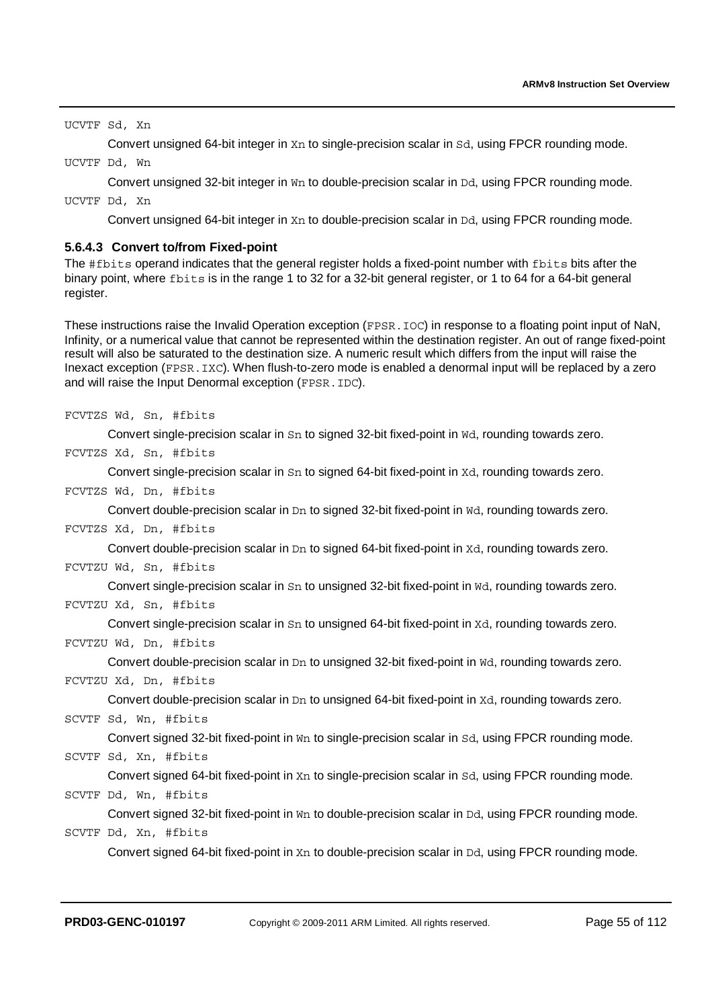UCVTF Sd, Xn

Convert unsigned 64-bit integer in Xn to single-precision scalar in Sd, using FPCR rounding mode.

UCVTF Dd, Wn

Convert unsigned 32-bit integer in Wn to double-precision scalar in Dd, using FPCR rounding mode.

UCVTF Dd, Xn

Convert unsigned 64-bit integer in Xn to double-precision scalar in Dd, using FPCR rounding mode.

### **5.6.4.3 Convert to/from Fixed-point**

The #fbits operand indicates that the general register holds a fixed-point number with fbits bits after the binary point, where fbits is in the range 1 to 32 for a 32-bit general register, or 1 to 64 for a 64-bit general register.

These instructions raise the Invalid Operation exception (FPSR, IOC) in response to a floating point input of NaN, Infinity, or a numerical value that cannot be represented within the destination register. An out of range fixed-point result will also be saturated to the destination size. A numeric result which differs from the input will raise the Inexact exception (FPSR.IXC). When flush-to-zero mode is enabled a denormal input will be replaced by a zero and will raise the Input Denormal exception (FPSR.IDC).

FCVTZS Wd, Sn, #fbits

Convert single-precision scalar in Sn to signed 32-bit fixed-point in Wd, rounding towards zero.

FCVTZS Xd, Sn, #fbits

Convert single-precision scalar in Sn to signed 64-bit fixed-point in Xd, rounding towards zero.

FCVTZS Wd, Dn, #fbits

Convert double-precision scalar in Dn to signed 32-bit fixed-point in Wd, rounding towards zero.

FCVTZS Xd, Dn, #fbits

Convert double-precision scalar in D<sub>n</sub> to signed 64-bit fixed-point in Xd, rounding towards zero.

#### FCVTZU Wd, Sn, #fbits

Convert single-precision scalar in Sn to unsigned 32-bit fixed-point in Wd, rounding towards zero. FCVTZU Xd, Sn, #fbits

Convert single-precision scalar in Sn to unsigned 64-bit fixed-point in Xd, rounding towards zero.

### FCVTZU Wd, Dn, #fbits

Convert double-precision scalar in  $Dn$  to unsigned 32-bit fixed-point in  $Nd$ , rounding towards zero.

```
FCVTZU Xd, Dn, #fbits
```
Convert double-precision scalar in D<sub>n</sub> to unsigned 64-bit fixed-point in Xd, rounding towards zero.

```
SCVTF Sd, Wn, #fbits
```
Convert signed 32-bit fixed-point in Wn to single-precision scalar in Sd, using FPCR rounding mode.

SCVTF Sd, Xn, #fbits

Convert signed 64-bit fixed-point in Xn to single-precision scalar in Sd, using FPCR rounding mode.

### SCVTF Dd, Wn, #fbits

Convert signed 32-bit fixed-point in  $W_{11}$  to double-precision scalar in  $Dd$ , using FPCR rounding mode. SCVTF Dd, Xn, #fbits

Convert signed 64-bit fixed-point in Xn to double-precision scalar in Dd, using FPCR rounding mode.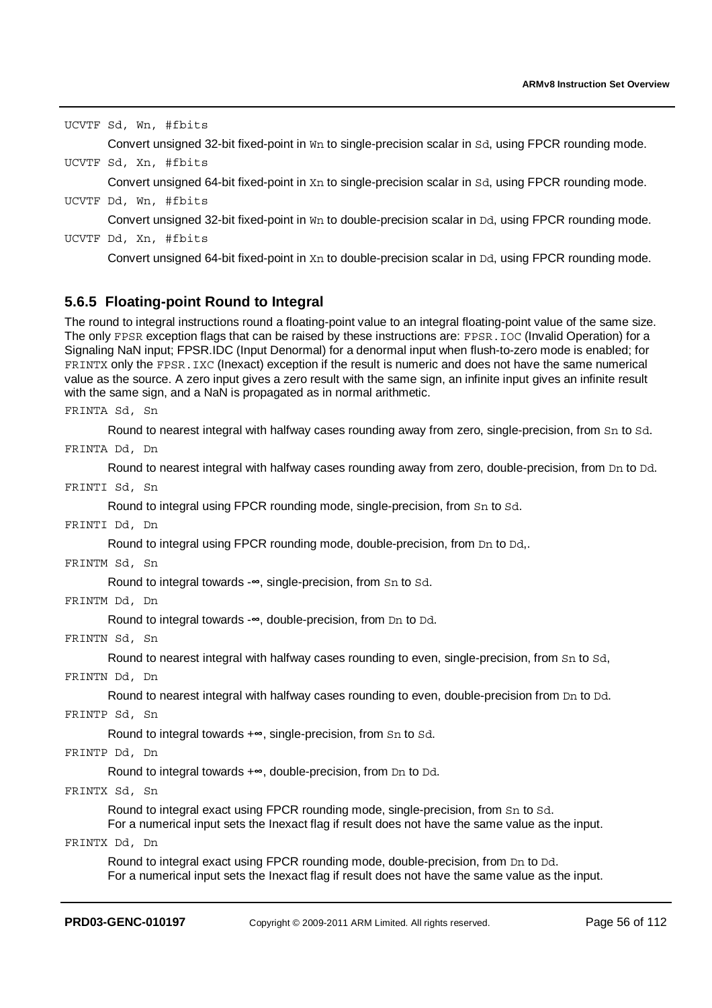UCVTF Sd, Wn, #fbits

Convert unsigned 32-bit fixed-point in Wn to single-precision scalar in Sd, using FPCR rounding mode.

UCVTF Sd, Xn, #fbits

Convert unsigned 64-bit fixed-point in Xn to single-precision scalar in Sd, using FPCR rounding mode.

UCVTF Dd, Wn, #fbits

Convert unsigned 32-bit fixed-point in W<sub>n</sub> to double-precision scalar in Dd, using FPCR rounding mode.

UCVTF Dd, Xn, #fbits

Convert unsigned 64-bit fixed-point in X<sub>n</sub> to double-precision scalar in Dd, using FPCR rounding mode.

### **5.6.5 Floating-point Round to Integral**

The round to integral instructions round a floating-point value to an integral floating-point value of the same size. The only FPSR exception flags that can be raised by these instructions are: FPSR.IOC (Invalid Operation) for a Signaling NaN input; FPSR.IDC (Input Denormal) for a denormal input when flush-to-zero mode is enabled; for FRINTX only the FPSR.IXC (Inexact) exception if the result is numeric and does not have the same numerical value as the source. A zero input gives a zero result with the same sign, an infinite input gives an infinite result with the same sign, and a NaN is propagated as in normal arithmetic.

FRINTA Sd, Sn

Round to nearest integral with halfway cases rounding away from zero, single-precision, from Sn to Sd.

FRINTA Dd, Dn

Round to nearest integral with halfway cases rounding away from zero, double-precision, from Dn to Dd.

FRINTI Sd, Sn

Round to integral using FPCR rounding mode, single-precision, from Sn to Sd.

FRINTI Dd, Dn

Round to integral using FPCR rounding mode, double-precision, from Dn to Dd,.

FRINTM Sd, Sn

Round to integral towards -∞, single-precision, from Sn to Sd.<br>Dd, Dn

FRINTM Dd, Dn

Round to integral towards -∞, double-precision, from Dn to Dd.<br>Sd, Sn

FRINTN Sd, Sn

Round to nearest integral with halfway cases rounding to even, single-precision, from Sn to Sd,

FRINTN Dd, Dn

Round to nearest integral with halfway cases rounding to even, double-precision from Dn to Dd.

FRINTP Sd, Sn

Round to integral towards +∞, single-precision, from Sn to Sd.<br>Dd, Dn

#### FRINTP Dd, Dn

Round to integral towards +∞, double-precision, from Dn to Dd.<br>Sd, Sn

FRINTX Sd, Sn

Round to integral exact using FPCR rounding mode, single-precision, from Sn to Sd.

For a numerical input sets the Inexact flag if result does not have the same value as the input.

#### FRINTX Dd, Dn

Round to integral exact using FPCR rounding mode, double-precision, from Dn to Dd. For a numerical input sets the Inexact flag if result does not have the same value as the input.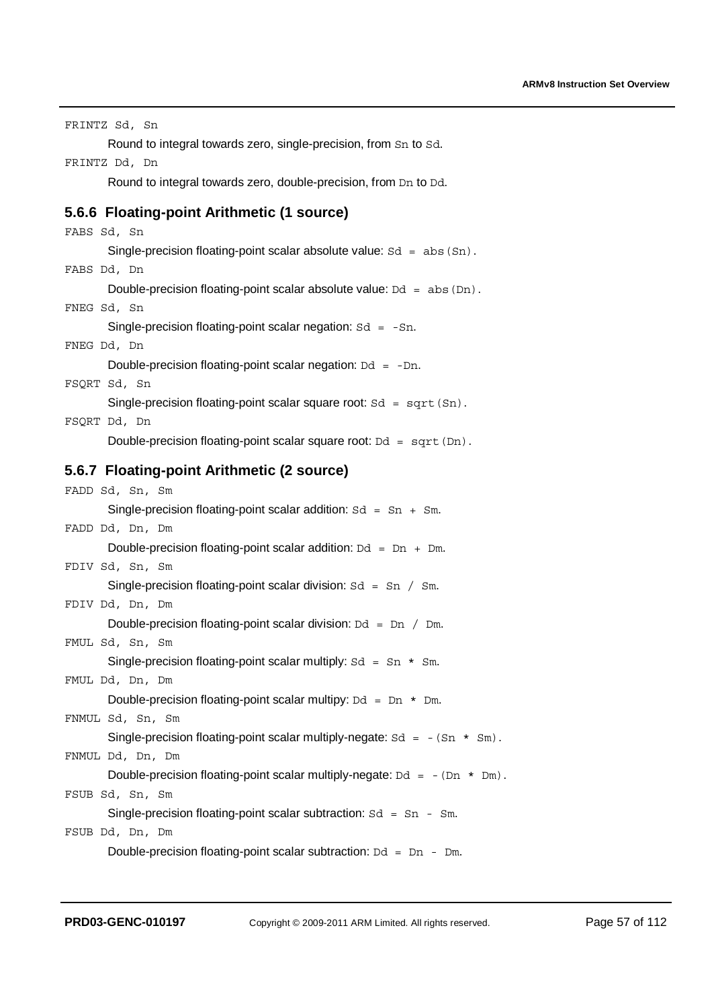| FRINTZ Sd, Sn                                                                           |
|-----------------------------------------------------------------------------------------|
| Round to integral towards zero, single-precision, from Sn to Sd.                        |
| FRINTZ Dd, Dn                                                                           |
| Round to integral towards zero, double-precision, from Dn to Dd.                        |
| 5.6.6 Floating-point Arithmetic (1 source)                                              |
| FABS Sd, Sn                                                                             |
| Single-precision floating-point scalar absolute value: $Sd = abs(Sn)$ .                 |
| FABS Dd, Dn                                                                             |
| Double-precision floating-point scalar absolute value: $Dd = abs(Dn)$ .                 |
| FNEG Sd, Sn                                                                             |
| Single-precision floating-point scalar negation: $Sd = -Sn$ .                           |
| FNEG Dd, Dn                                                                             |
| Double-precision floating-point scalar negation: $Dd = -Dn$ .                           |
| FSQRT Sd, Sn                                                                            |
| Single-precision floating-point scalar square root: $Sd = sqrt(Sn)$ .<br>FSQRT Dd, Dn   |
| Double-precision floating-point scalar square root: $Dd = sqrt(Dn)$ .                   |
|                                                                                         |
| 5.6.7 Floating-point Arithmetic (2 source)                                              |
| FADD Sd, Sn, Sm                                                                         |
| Single-precision floating-point scalar addition: $Sd = Sn + Sm$ .                       |
| FADD Dd, Dn, Dm                                                                         |
| Double-precision floating-point scalar addition: $Dd = Dn + Dm$ .                       |
| FDIV Sd, Sn, Sm                                                                         |
| Single-precision floating-point scalar division: $Sd = Sn / Sm$ .                       |
| FDIV Dd, Dn, Dm                                                                         |
| Double-precision floating-point scalar division: $Dd = Dn / Dm$ .                       |
| FMUL Sd, Sn, Sm                                                                         |
| Single-precision floating-point scalar multiply: $Sd = Sn * Sm$ .                       |
| FMUL Dd, Dn, Dm                                                                         |
| Double-precision floating-point scalar multipy: $Dd = Dn * Dm$ .                        |
| FNMUL Sd, Sn, Sm                                                                        |
| Single-precision floating-point scalar multiply-negate: $Sd = -(Sn * Sm)$ .             |
| FNMUL Dd, Dn, Dm                                                                        |
| Double-precision floating-point scalar multiply-negate: $Dd = -(Dn * Dm)$ .             |
| FSUB Sd, Sn, Sm                                                                         |
| Single-precision floating-point scalar subtraction: $Sd = Sn - Sm$ .<br>FSUB Dd, Dn, Dm |
|                                                                                         |
| Double-precision floating-point scalar subtraction: $Dd = Dn - Dm$ .                    |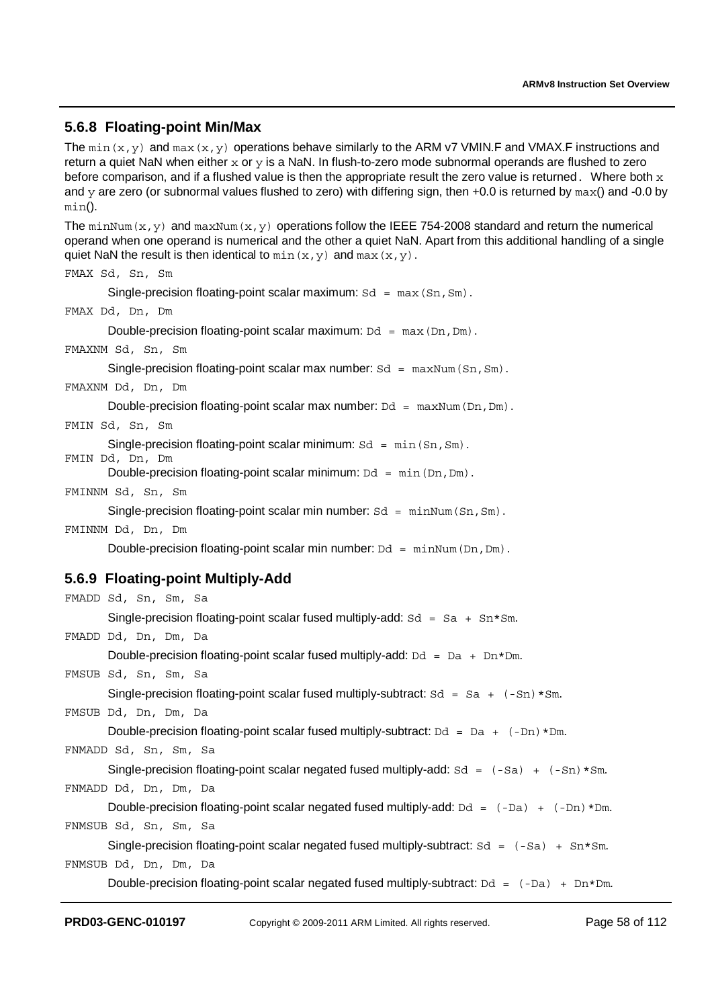### **5.6.8 Floating-point Min/Max**

```
The min(x, y) and max(x, y) operations behave similarly to the ARM v7 VMIN.F and VMAX.F instructions and
return a quiet NaN when either x or y is a NaN. In flush-to-zero mode subnormal operands are flushed to zero
before comparison, and if a flushed value is then the appropriate result the zero value is returned. Where both xand y are zero (or subnormal values flushed to zero) with differing sign, then +0.0 is returned by max() and -0.0 by
min(). 
The minNum(x, y) and maxNum(x, y) operations follow the IEEE 754-2008 standard and return the numerical
operand when one operand is numerical and the other a quiet NaN. Apart from this additional handling of a single 
quiet NaN the result is then identical to min(x, y) and max(x, y).
FMAX Sd, Sn, Sm 
       Single-precision floating-point scalar maximum: Sd = \max(Sn, Sm).
FMAX Dd, Dn, Dm 
       Double-precision floating-point scalar maximum: Dd = \max(Dn, Dm).
FMAXNM Sd, Sn, Sm 
       Single-precision floating-point scalar max number: Sd = \text{maxNum}(Sn, Sm).
FMAXNM Dd, Dn, Dm 
       Double-precision floating-point scalar max number: Dd = \text{maxNum}(Dn, Dm).
FMIN Sd, Sn, Sm 
       Single-precision floating-point scalar minimum: Sd = min(Sn, Sm).
FMIN Dd, Dn, Dm 
       Double-precision floating-point scalar minimum: Dd = min(Dn, Dm).
FMINNM Sd, Sn, Sm 
       Single-precision floating-point scalar min number: Sd = minNum(Sn, Sm).
FMINNM Dd, Dn, Dm 
       Double-precision floating-point scalar min number: Dd = minNum(Dn, Dm).
5.6.9 Floating-point Multiply-Add 
FMADD Sd, Sn, Sm, Sa 
       Single-precision floating-point scalar fused multiply-add: Sd = Sa + Sn*Sm.
FMADD Dd, Dn, Dm, Da 
       Double-precision floating-point scalar fused multiply-add: Dd = Da + Dn * Dm.
FMSUB Sd, Sn, Sm, Sa 
       Single-precision floating-point scalar fused multiply-subtract: Sd = Sa + (-Sn) * Sm.
FMSUB Dd, Dn, Dm, Da 
       Double-precision floating-point scalar fused multiply-subtract: Dd = Da + (-Dn) * Dm.
FNMADD Sd, Sn, Sm, Sa 
       Single-precision floating-point scalar negated fused multiply-add: Sd = (-Sa) + (-Sn) * Sm.
FNMADD Dd, Dn, Dm, Da 
       Double-precision floating-point scalar negated fused multiply-add: Dd = (-Da) + (-Dn) * Dm.
FNMSUB Sd, Sn, Sm, Sa 
       Single-precision floating-point scalar negated fused multiply-subtract: Sd = (-Sa) + Sn * Sm.
FNMSUB Dd, Dn, Dm, Da 
       Double-precision floating-point scalar negated fused multiply-subtract: Dd = (-Da) + Dn * Dm.
```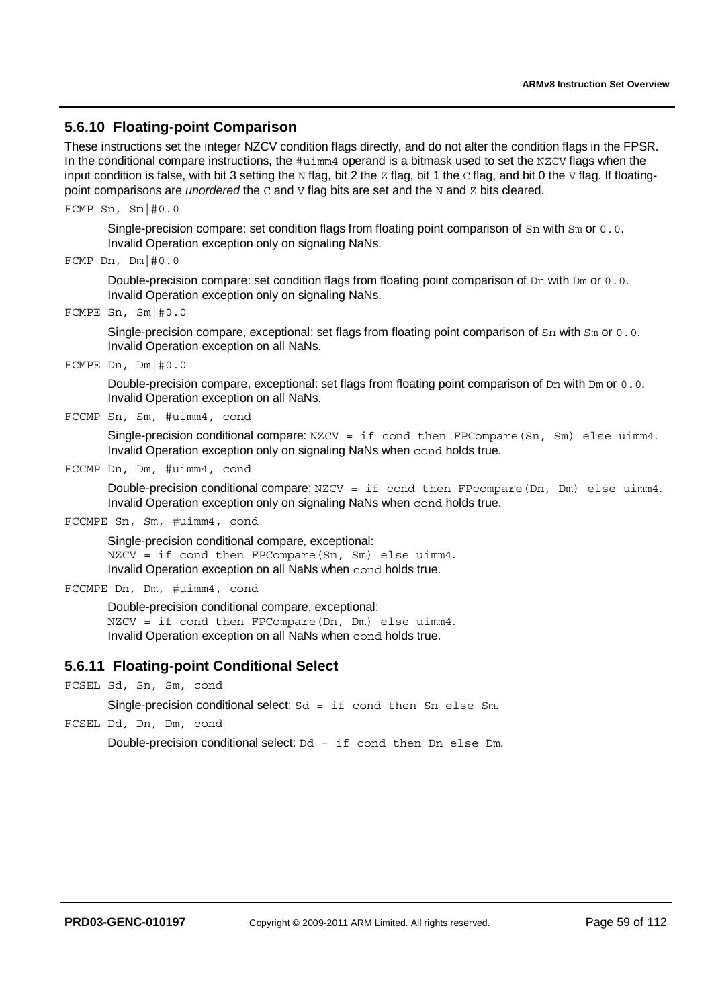### **5.6.10 Floating-point Comparison**

These instructions set the integer NZCV condition flags directly, and do not alter the condition flags in the FPSR. In the conditional compare instructions, the  $\#u\text{-}\text{im}4$  operand is a bitmask used to set the NZCV flags when the input condition is false, with bit 3 setting the N flag, bit 2 the z flag, bit 1 the  $\circ$  flag, and bit 0 the  $\vee$  flag. If floatingpoint comparisons are *unordered* the C and V flag bits are set and the N and Z bits cleared.

FCMP Sn, Sm|#0.0

Single-precision compare: set condition flags from floating point comparison of Sn with Sm or 0.0. Invalid Operation exception only on signaling NaNs.

```
FCMP Dn, Dm|#0.0
```
Double-precision compare: set condition flags from floating point comparison of Dn with Dm or 0.0. Invalid Operation exception only on signaling NaNs.

FCMPE Sn, Sm|#0.0

Single-precision compare, exceptional: set flags from floating point comparison of Sn with Sm or 0.0. Invalid Operation exception on all NaNs.

FCMPE Dn, Dm|#0.0

Double-precision compare, exceptional: set flags from floating point comparison of Dn with Dm or 0.0. Invalid Operation exception on all NaNs.

FCCMP Sn, Sm, #uimm4, cond

Single-precision conditional compare: NZCV = if cond then FPCompare(Sn, Sm) else uimm4. Invalid Operation exception only on signaling NaNs when cond holds true.

FCCMP Dn, Dm, #uimm4, cond

Double-precision conditional compare: NZCV = if cond then FPcompare(Dn, Dm) else uimm4. Invalid Operation exception only on signaling NaNs when cond holds true.

FCCMPE Sn, Sm, #uimm4, cond

Single-precision conditional compare, exceptional: NZCV = if cond then FPCompare(Sn, Sm) else uimm4. Invalid Operation exception on all NaNs when cond holds true.

FCCMPE Dn, Dm, #uimm4, cond

Double-precision conditional compare, exceptional: NZCV = if cond then FPCompare(Dn, Dm) else uimm4. Invalid Operation exception on all NaNs when cond holds true.

### **5.6.11 Floating-point Conditional Select**

FCSEL Sd, Sn, Sm, cond

Single-precision conditional select:  $Sd = if cond then Sn else Sm$ .

FCSEL Dd, Dn, Dm, cond

Double-precision conditional select:  $Dd = if cond then Dn else Dm$ .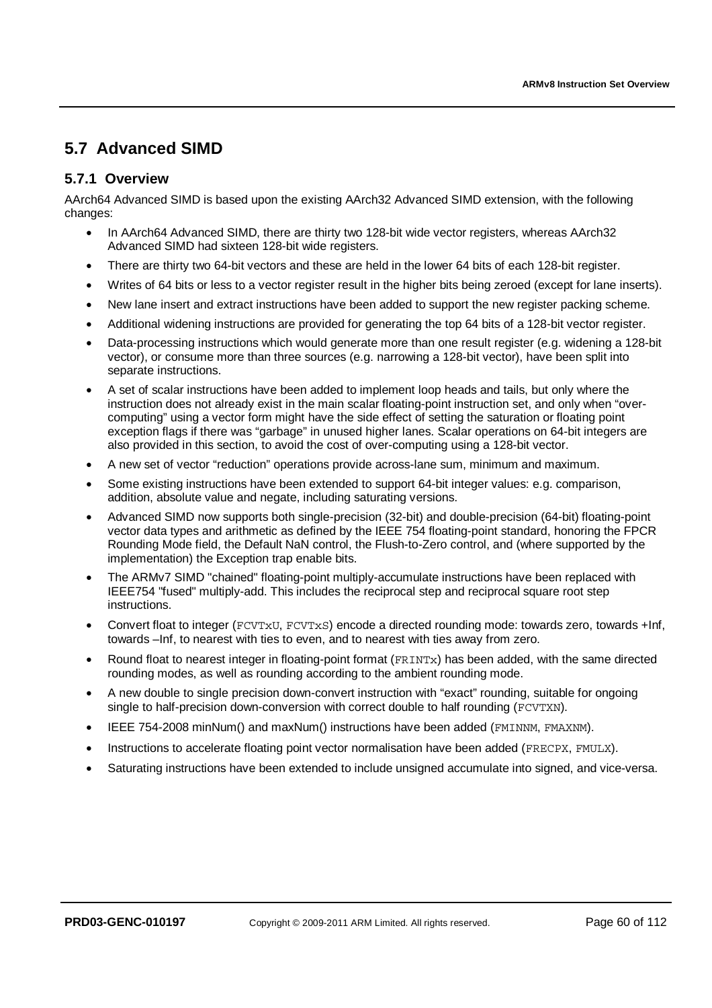# **5.7 Advanced SIMD**

### **5.7.1 Overview**

AArch64 Advanced SIMD is based upon the existing AArch32 Advanced SIMD extension, with the following changes:

- In AArch64 Advanced SIMD, there are thirty two 128-bit wide vector registers, whereas AArch32 Advanced SIMD had sixteen 128-bit wide registers.
- There are thirty two 64-bit vectors and these are held in the lower 64 bits of each 128-bit register.
- Writes of 64 bits or less to a vector register result in the higher bits being zeroed (except for lane inserts).
- New lane insert and extract instructions have been added to support the new register packing scheme.
- Additional widening instructions are provided for generating the top 64 bits of a 128-bit vector register.
- Data-processing instructions which would generate more than one result register (e.g. widening a 128-bit vector), or consume more than three sources (e.g. narrowing a 128-bit vector), have been split into separate instructions.
- A set of scalar instructions have been added to implement loop heads and tails, but only where the instruction does not already exist in the main scalar floating-point instruction set, and only when "overcomputing" using a vector form might have the side effect of setting the saturation or floating point exception flags if there was "garbage" in unused higher lanes. Scalar operations on 64-bit integers are also provided in this section, to avoid the cost of over-computing using a 128-bit vector.
- A new set of vector "reduction" operations provide across-lane sum, minimum and maximum.
- Some existing instructions have been extended to support 64-bit integer values: e.g. comparison, addition, absolute value and negate, including saturating versions.
- Advanced SIMD now supports both single-precision (32-bit) and double-precision (64-bit) floating-point vector data types and arithmetic as defined by the IEEE 754 floating-point standard, honoring the FPCR Rounding Mode field, the Default NaN control, the Flush-to-Zero control, and (where supported by the implementation) the Exception trap enable bits.
- The ARMv7 SIMD "chained" floating-point multiply-accumulate instructions have been replaced with IEEE754 "fused" multiply-add. This includes the reciprocal step and reciprocal square root step instructions.
- Convert float to integer (FCVTxU, FCVTxS) encode a directed rounding mode: towards zero, towards +Inf, towards –Inf, to nearest with ties to even, and to nearest with ties away from zero.
- Round float to nearest integer in floating-point format (FRINTx) has been added, with the same directed rounding modes, as well as rounding according to the ambient rounding mode.
- A new double to single precision down-convert instruction with "exact" rounding, suitable for ongoing single to half-precision down-conversion with correct double to half rounding (FCVTXN).
- IEEE 754-2008 minNum() and maxNum() instructions have been added (FMINNM, FMAXNM).
- Instructions to accelerate floating point vector normalisation have been added (FRECPX, FMULX).
- Saturating instructions have been extended to include unsigned accumulate into signed, and vice-versa.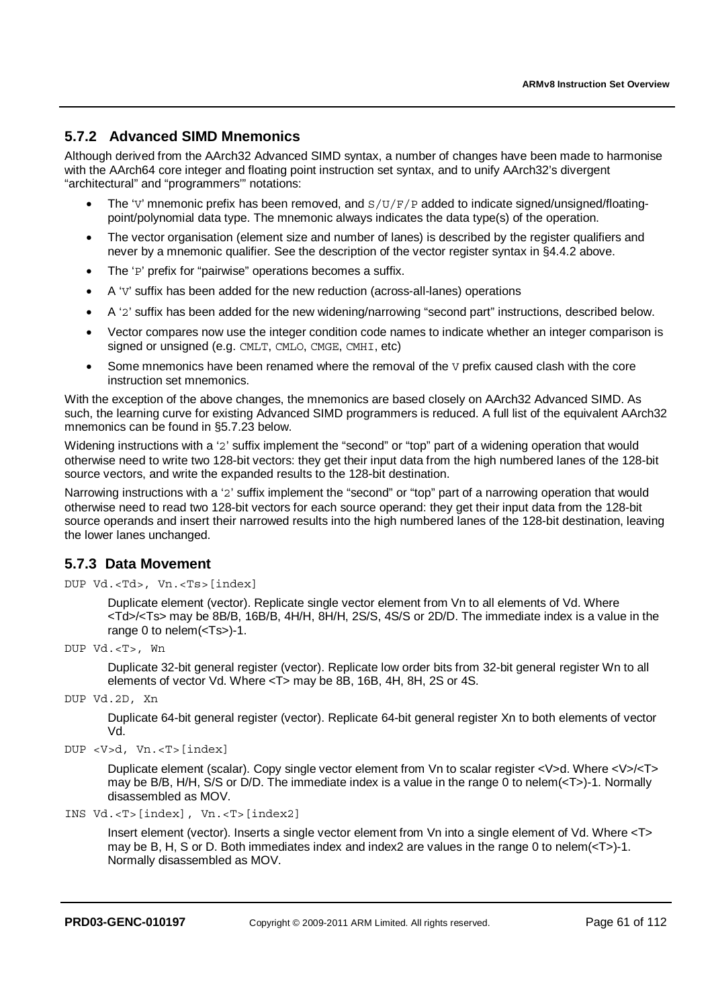### **5.7.2 Advanced SIMD Mnemonics**

Although derived from the AArch32 Advanced SIMD syntax, a number of changes have been made to harmonise with the AArch64 core integer and floating point instruction set syntax, and to unify AArch32's divergent "architectural" and "programmers'" notations:

- The 'V' mnemonic prefix has been removed, and  $S/UF/P$  added to indicate signed/unsigned/floatingpoint/polynomial data type. The mnemonic always indicates the data type(s) of the operation.
- The vector organisation (element size and number of lanes) is described by the register qualifiers and never by a mnemonic qualifier. See the description of the vector register syntax in §4.4.2 above.
- The 'P' prefix for "pairwise" operations becomes a suffix.
- A 'V' suffix has been added for the new reduction (across-all-lanes) operations
- A '2' suffix has been added for the new widening/narrowing "second part" instructions, described below.
- Vector compares now use the integer condition code names to indicate whether an integer comparison is signed or unsigned (e.g. CMLT, CMLO, CMGE, CMHI, etc)
- Some mnemonics have been renamed where the removal of the  $V$  prefix caused clash with the core instruction set mnemonics.

With the exception of the above changes, the mnemonics are based closely on AArch32 Advanced SIMD. As such, the learning curve for existing Advanced SIMD programmers is reduced. A full list of the equivalent AArch32 mnemonics can be found in §5.7.23 below.

Widening instructions with a '2' suffix implement the "second" or "top" part of a widening operation that would otherwise need to write two 128-bit vectors: they get their input data from the high numbered lanes of the 128-bit source vectors, and write the expanded results to the 128-bit destination.

Narrowing instructions with a '2' suffix implement the "second" or "top" part of a narrowing operation that would otherwise need to read two 128-bit vectors for each source operand: they get their input data from the 128-bit source operands and insert their narrowed results into the high numbered lanes of the 128-bit destination, leaving the lower lanes unchanged.

### **5.7.3 Data Movement**

DUP Vd.<Td>, Vn.<Ts>[index]

Duplicate element (vector). Replicate single vector element from Vn to all elements of Vd. Where <Td>/<Ts> may be 8B/B, 16B/B, 4H/H, 8H/H, 2S/S, 4S/S or 2D/D. The immediate index is a value in the range 0 to nelem(<Ts>)-1.

DUP Vd.<T>, Wn

Duplicate 32-bit general register (vector). Replicate low order bits from 32-bit general register Wn to all elements of vector Vd. Where <T> may be 8B, 16B, 4H, 8H, 2S or 4S.

DUP Vd.2D, Xn

Duplicate 64-bit general register (vector). Replicate 64-bit general register Xn to both elements of vector Vd.

```
DUP <V>d, Vn.<T>[index]
```
Duplicate element (scalar). Copy single vector element from Vn to scalar register <V>d. Where <V>/<T> may be B/B, H/H, S/S or D/D. The immediate index is a value in the range 0 to nelem(<T>)-1. Normally disassembled as MOV.

```
INS Vd.<T>[index], Vn.<T>[index2]
```
Insert element (vector). Inserts a single vector element from Vn into a single element of Vd. Where <T> may be B, H, S or D. Both immediates index and index2 are values in the range 0 to nelem( $\leq$ T>)-1. Normally disassembled as MOV.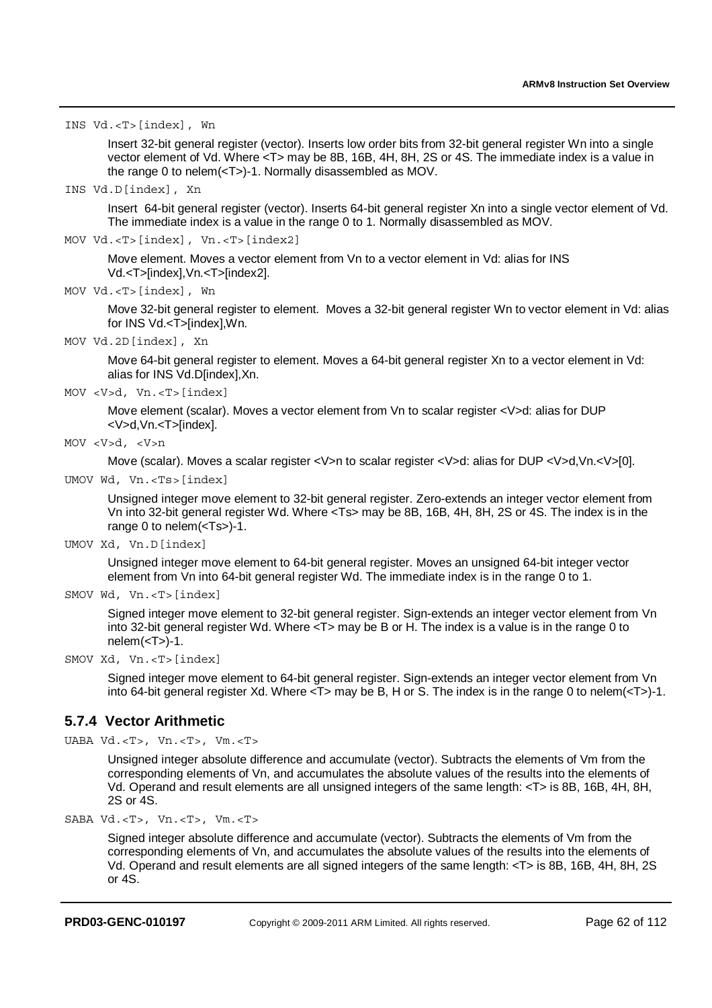INS Vd.<T>[index], Wn

Insert 32-bit general register (vector). Inserts low order bits from 32-bit general register Wn into a single vector element of Vd. Where <T> may be 8B, 16B, 4H, 8H, 2S or 4S. The immediate index is a value in the range 0 to nelem(<T>)-1. Normally disassembled as MOV.

INS Vd.D[index], Xn

Insert 64-bit general register (vector). Inserts 64-bit general register Xn into a single vector element of Vd. The immediate index is a value in the range 0 to 1. Normally disassembled as MOV.

MOV Vd.<T>[index], Vn.<T>[index2]

Move element. Moves a vector element from Vn to a vector element in Vd: alias for INS Vd.<T>[index],Vn.<T>[index2].

MOV Vd.<T>[index], Wn

Move 32-bit general register to element. Moves a 32-bit general register Wn to vector element in Vd; alias for INS Vd.<T>[index],Wn.

MOV Vd.2D[index], Xn

Move 64-bit general register to element. Moves a 64-bit general register Xn to a vector element in Vd: alias for INS Vd.D[index],Xn.

MOV <V>d, Vn.<T>[index]

Move element (scalar). Moves a vector element from Vn to scalar register <V>d: alias for DUP <V>d,Vn.<T>[index].

```
MOV <V>d, <V>n
```
Move (scalar). Moves a scalar register <V>n to scalar register <V>d: alias for DUP <V>d,Vn.<V>[0].

UMOV Wd, Vn.<Ts>[index]

Unsigned integer move element to 32-bit general register. Zero-extends an integer vector element from Vn into 32-bit general register Wd. Where <Ts> may be 8B, 16B, 4H, 8H, 2S or 4S. The index is in the range 0 to nelem(<Ts>)-1.

UMOV Xd, Vn.D[index]

Unsigned integer move element to 64-bit general register. Moves an unsigned 64-bit integer vector element from Vn into 64-bit general register Wd. The immediate index is in the range 0 to 1.

```
SMOV Wd, Vn.<T>[index]
```
Signed integer move element to 32-bit general register. Sign-extends an integer vector element from Vn into 32-bit general register Wd. Where <T> may be B or H. The index is a value is in the range 0 to  $nelem(<sub>Y</sub>)-1.$ 

SMOV Xd, Vn.<T>[index]

Signed integer move element to 64-bit general register. Sign-extends an integer vector element from Vn into 64-bit general register Xd. Where  $\langle$ T $\rangle$  may be B, H or S. The index is in the range 0 to nelem( $\langle$ T $\rangle$ -1.

#### **5.7.4 Vector Arithmetic**

UABA Vd.<T>, Vn.<T>, Vm.<T>

Unsigned integer absolute difference and accumulate (vector). Subtracts the elements of Vm from the corresponding elements of Vn, and accumulates the absolute values of the results into the elements of Vd. Operand and result elements are all unsigned integers of the same length: <T> is 8B, 16B, 4H, 8H, 2S or 4S.

SABA Vd.<T>, Vn.<T>, Vm.<T>

Signed integer absolute difference and accumulate (vector). Subtracts the elements of Vm from the corresponding elements of Vn, and accumulates the absolute values of the results into the elements of Vd. Operand and result elements are all signed integers of the same length: <T> is 8B, 16B, 4H, 8H, 2S or 4S.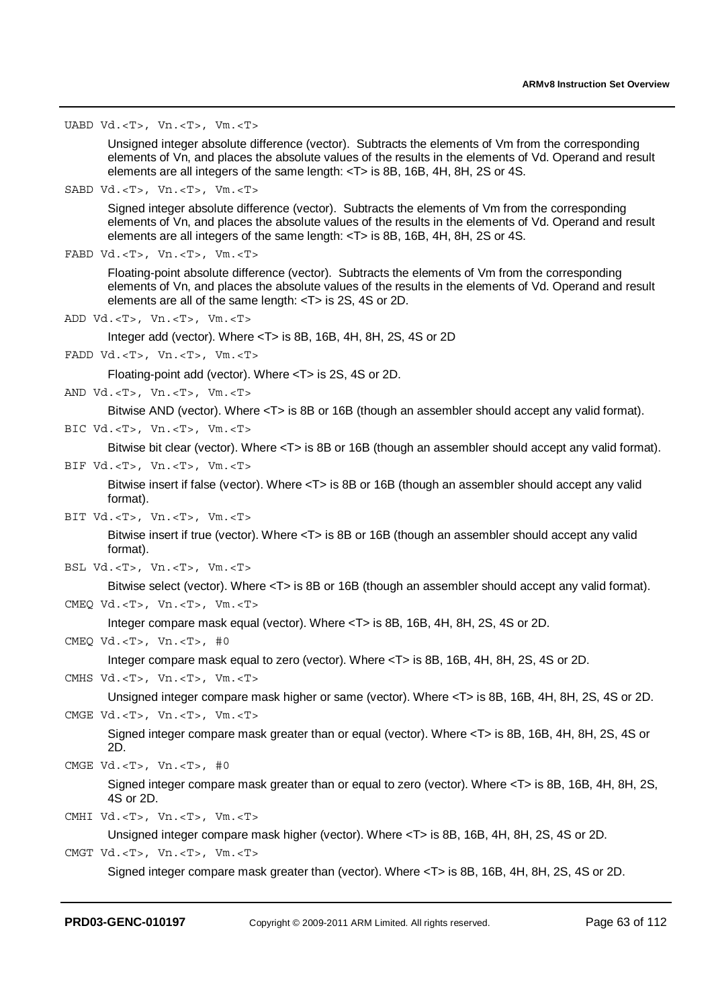UABD Vd.<T>, Vn.<T>, Vm.<T>

Unsigned integer absolute difference (vector). Subtracts the elements of Vm from the corresponding elements of Vn, and places the absolute values of the results in the elements of Vd. Operand and result elements are all integers of the same length: <T> is 8B, 16B, 4H, 8H, 2S or 4S.

SABD Vd.<T>, Vn.<T>, Vm.<T>

Signed integer absolute difference (vector). Subtracts the elements of Vm from the corresponding elements of Vn, and places the absolute values of the results in the elements of Vd. Operand and result elements are all integers of the same length: <T> is 8B, 16B, 4H, 8H, 2S or 4S.

```
FABD Vd.<T>, Vn.<T>, Vm.<T>
```
Floating-point absolute difference (vector). Subtracts the elements of Vm from the corresponding elements of Vn, and places the absolute values of the results in the elements of Vd. Operand and result elements are all of the same length: <T> is 2S, 4S or 2D.

ADD Vd.<T>, Vn.<T>, Vm.<T>

Integer add (vector). Where <T> is 8B, 16B, 4H, 8H, 2S, 4S or 2D

FADD Vd.<T>, Vn.<T>, Vm.<T>

Floating-point add (vector). Where <T> is 2S, 4S or 2D.

AND Vd.<T>, Vn.<T>, Vm.<T>

Bitwise AND (vector). Where <T> is 8B or 16B (though an assembler should accept any valid format).

BIC Vd.<T>, Vn.<T>, Vm.<T>

Bitwise bit clear (vector). Where <T> is 8B or 16B (though an assembler should accept any valid format).

BIF Vd.<T>, Vn.<T>, Vm.<T>

Bitwise insert if false (vector). Where <T> is 8B or 16B (though an assembler should accept any valid format).

BIT Vd.<T>, Vn.<T>, Vm.<T>

Bitwise insert if true (vector). Where <T> is 8B or 16B (though an assembler should accept any valid format).

BSL Vd.<T>, Vn.<T>, Vm.<T>

Bitwise select (vector). Where <T> is 8B or 16B (though an assembler should accept any valid format). CMEQ Vd.<T>, Vn.<T>, Vm.<T>

Integer compare mask equal (vector). Where <T> is 8B, 16B, 4H, 8H, 2S, 4S or 2D.

CMEQ Vd.<T>, Vn.<T>, #0

Integer compare mask equal to zero (vector). Where <T> is 8B, 16B, 4H, 8H, 2S, 4S or 2D.

CMHS Vd.<T>, Vn.<T>, Vm.<T>

Unsigned integer compare mask higher or same (vector). Where <T> is 8B, 16B, 4H, 8H, 2S, 4S or 2D. CMGE Vd.<T>, Vn.<T>, Vm.<T>

Signed integer compare mask greater than or equal (vector). Where <T> is 8B, 16B, 4H, 8H, 2S, 4S or  $2\overline{D}$ .

```
CMGE Vd.<T>, Vn.<T>, #0
```
Signed integer compare mask greater than or equal to zero (vector). Where <T> is 8B, 16B, 4H, 8H, 2S, 4S or 2D.

```
CMHI Vd.<T>, Vn.<T>, Vm.<T>
```
Unsigned integer compare mask higher (vector). Where <T> is 8B, 16B, 4H, 8H, 2S, 4S or 2D.

CMGT Vd.<T>, Vn.<T>, Vm.<T>

Signed integer compare mask greater than (vector). Where <T> is 8B, 16B, 4H, 8H, 2S, 4S or 2D.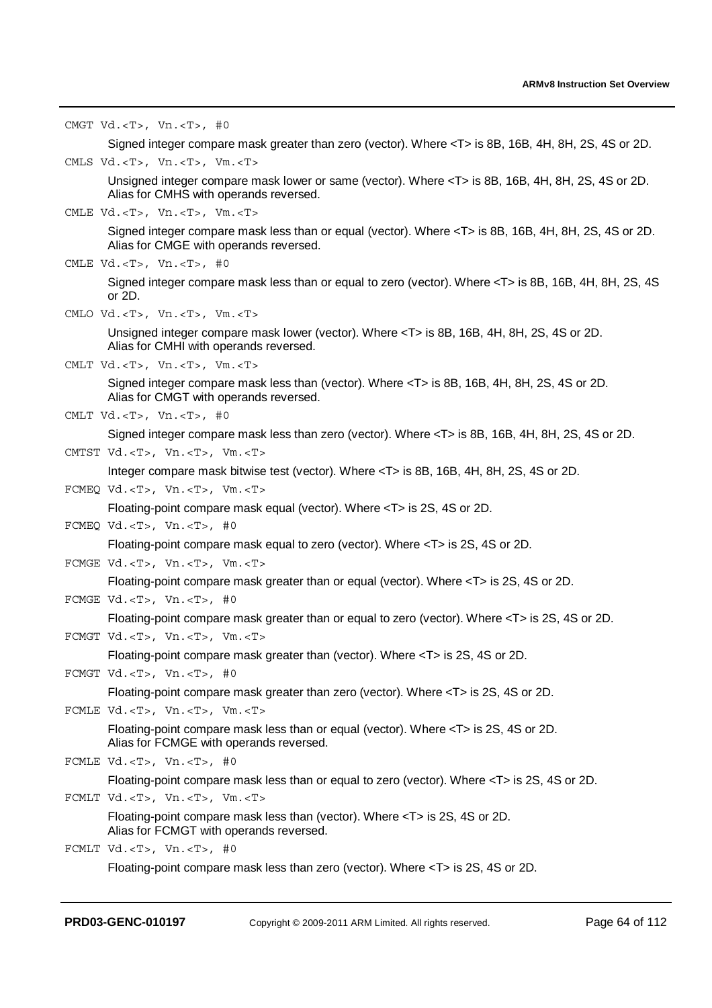CMGT Vd.<T>, Vn.<T>, #0 Signed integer compare mask greater than zero (vector). Where <T> is 8B, 16B, 4H, 8H, 2S, 4S or 2D. CMLS Vd.<T>, Vn.<T>, Vm.<T> Unsigned integer compare mask lower or same (vector). Where <T> is 8B, 16B, 4H, 8H, 2S, 4S or 2D. Alias for CMHS with operands reversed. CMLE Vd.<T>, Vn.<T>, Vm.<T> Signed integer compare mask less than or equal (vector). Where <T> is 8B, 16B, 4H, 8H, 2S, 4S or 2D. Alias for CMGE with operands reversed. CMLE Vd.<T>, Vn.<T>, #0 Signed integer compare mask less than or equal to zero (vector). Where <T> is 8B, 16B, 4H, 8H, 2S, 4S or 2D. CMLO Vd.<T>, Vn.<T>, Vm.<T> Unsigned integer compare mask lower (vector). Where <T> is 8B, 16B, 4H, 8H, 2S, 4S or 2D. Alias for CMHI with operands reversed. CMLT Vd.<T>, Vn.<T>, Vm.<T> Signed integer compare mask less than (vector). Where <T> is 8B, 16B, 4H, 8H, 2S, 4S or 2D. Alias for CMGT with operands reversed. CMLT Vd.<T>, Vn.<T>, #0 Signed integer compare mask less than zero (vector). Where <T> is 8B, 16B, 4H, 8H, 2S, 4S or 2D. CMTST Vd.<T>, Vn.<T>, Vm.<T> Integer compare mask bitwise test (vector). Where <T> is 8B, 16B, 4H, 8H, 2S, 4S or 2D. FCMEQ Vd.<T>, Vn.<T>, Vm.<T> Floating-point compare mask equal (vector). Where <T> is 2S, 4S or 2D. FCMEQ Vd.<T>, Vn.<T>, #0 Floating-point compare mask equal to zero (vector). Where <T> is 2S, 4S or 2D. FCMGE Vd.<T>, Vn.<T>, Vm.<T> Floating-point compare mask greater than or equal (vector). Where <T> is 2S, 4S or 2D. FCMGE Vd.<T>, Vn.<T>, #0 Floating-point compare mask greater than or equal to zero (vector). Where <T> is 2S, 4S or 2D. FCMGT Vd.<T>, Vn.<T>, Vm.<T> Floating-point compare mask greater than (vector). Where <T> is 2S, 4S or 2D. FCMGT Vd.<T>, Vn.<T>, #0 Floating-point compare mask greater than zero (vector). Where <T> is 2S, 4S or 2D. FCMLE Vd.<T>, Vn.<T>, Vm.<T> Floating-point compare mask less than or equal (vector). Where <T> is 2S, 4S or 2D. Alias for FCMGE with operands reversed. FCMLE Vd.<T>, Vn.<T>, #0 Floating-point compare mask less than or equal to zero (vector). Where <T> is 2S, 4S or 2D. FCMLT Vd.<T>, Vn.<T>, Vm.<T> Floating-point compare mask less than (vector). Where <T> is 2S, 4S or 2D. Alias for FCMGT with operands reversed. FCMLT Vd.<T>, Vn.<T>, #0

Floating-point compare mask less than zero (vector). Where <T> is 2S, 4S or 2D.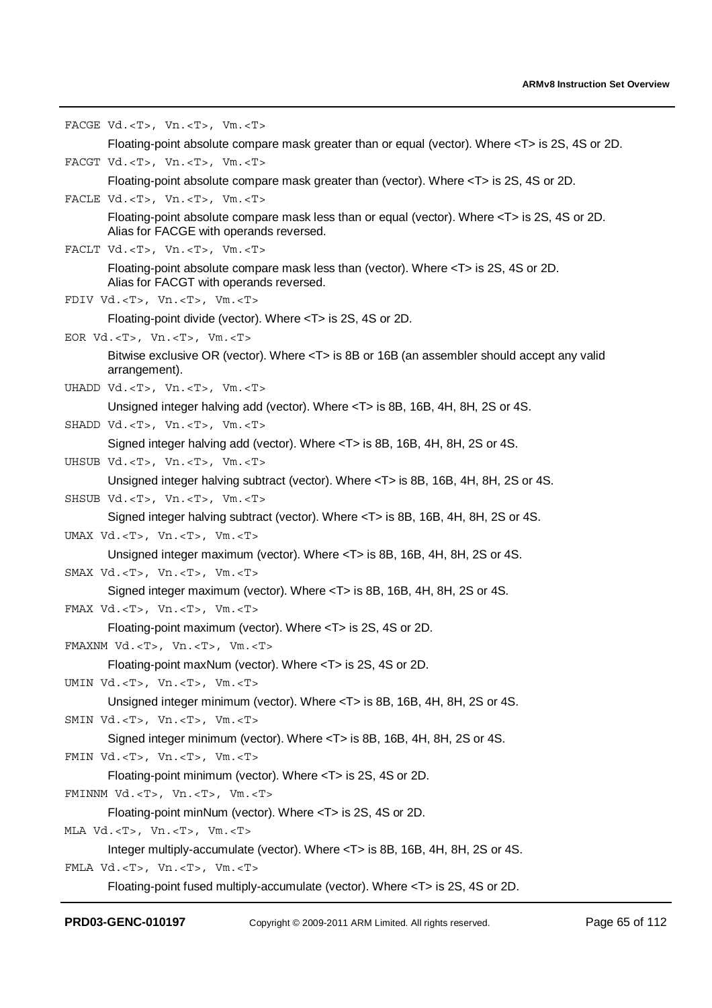```
FACGE Vd.<T>, Vn.<T>, Vm.<T>
       Floating-point absolute compare mask greater than or equal (vector). Where <T> is 2S, 4S or 2D. 
FACGT Vd.<T>, Vn.<T>, Vm.<T>
       Floating-point absolute compare mask greater than (vector). Where <T> is 2S, 4S or 2D. 
FACLE Vd.<T>, Vn.<T>, Vm.<T>
       Floating-point absolute compare mask less than or equal (vector). Where <T> is 2S, 4S or 2D. 
       Alias for FACGE with operands reversed. 
FACLT Vd.<T>, Vn.<T>, Vm.<T>
       Floating-point absolute compare mask less than (vector). Where <T> is 2S, 4S or 2D. 
       Alias for FACGT with operands reversed. 
FDIV Vd.<T>, Vn.<T>, Vm.<T>
       Floating-point divide (vector). Where <T> is 2S, 4S or 2D. 
EOR Vd.<T>, Vn.<T>, Vm.<T>
       Bitwise exclusive OR (vector). Where <T> is 8B or 16B (an assembler should accept any valid 
       arrangement). 
UHADD Vd.<T>, Vn.<T>, Vm.<T>
       Unsigned integer halving add (vector). Where <T> is 8B, 16B, 4H, 8H, 2S or 4S. 
SHADD Vd.<T>, Vn.<T>, Vm.<T>
       Signed integer halving add (vector). Where <T> is 8B, 16B, 4H, 8H, 2S or 4S. 
UHSUB Vd.<T>, Vn.<T>, Vm.<T>
       Unsigned integer halving subtract (vector). Where <T> is 8B, 16B, 4H, 8H, 2S or 4S. 
SHSUB Vd.<T>, Vn.<T>, Vm.<T>
       Signed integer halving subtract (vector). Where <T> is 8B, 16B, 4H, 8H, 2S or 4S. 
UMAX Vd.<T>, Vn.<T>, Vm.<T>
       Unsigned integer maximum (vector). Where <T> is 8B, 16B, 4H, 8H, 2S or 4S. 
SMAX Vd.<T>, Vn.<T>, Vm.<T>
       Signed integer maximum (vector). Where <T> is 8B, 16B, 4H, 8H, 2S or 4S. 
FMAX Vd.<T>, Vn.<T>, Vm.<T>
       Floating-point maximum (vector). Where <T> is 2S, 4S or 2D. 
FMAXNM Vd.<T>, Vn.<T>, Vm.<T>
       Floating-point maxNum (vector). Where <T> is 2S, 4S or 2D. 
UMIN Vd.<T>, Vn.<T>, Vm.<T>
       Unsigned integer minimum (vector). Where <T> is 8B, 16B, 4H, 8H, 2S or 4S. 
SMIN Vd.<T>, Vn.<T>, Vm.<T>
       Signed integer minimum (vector). Where <T> is 8B, 16B, 4H, 8H, 2S or 4S. 
FMIN Vd.<T>, Vn.<T>, Vm.<T>
       Floating-point minimum (vector). Where <T> is 2S, 4S or 2D. 
FMINNM Vd.<T>, Vn.<T>, Vm.<T>
       Floating-point minNum (vector). Where <T> is 2S, 4S or 2D. 
MLA Vd.<T>, Vn.<T>, Vm.<T>
       Integer multiply-accumulate (vector). Where <T> is 8B, 16B, 4H, 8H, 2S or 4S. 
FMLA Vd.<T>, Vn.<T>, Vm.<T>
       Floating-point fused multiply-accumulate (vector). Where <T> is 2S, 4S or 2D.
```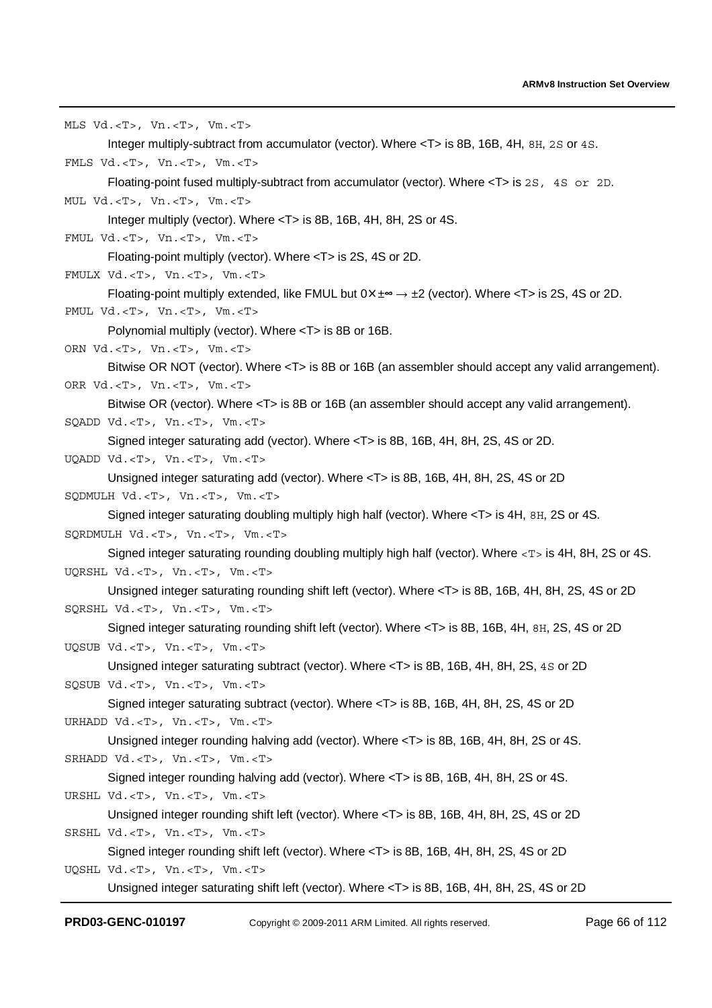MLS Vd.<T>, Vn.<T>, Vm.<T> Integer multiply-subtract from accumulator (vector). Where <T> is 8B, 16B, 4H, 8H, 2S or 4S. FMLS Vd.<T>, Vn.<T>, Vm.<T> Floating-point fused multiply-subtract from accumulator (vector). Where <T> is 2S, 4S or 2D. MUL Vd.<T>, Vn.<T>, Vm.<T> Integer multiply (vector). Where <T> is 8B, 16B, 4H, 8H, 2S or 4S. FMUL Vd.<T>, Vn.<T>, Vm.<T> Floating-point multiply (vector). Where <T> is 2S, 4S or 2D. FMULX Vd.<T>, Vn.<T>, Vm.<T> Floating-point multiply extended, like FMUL but  $0 \times \pm \infty \rightarrow \pm 2$  (vector). Where <T> is 2S, 4S or 2D. PMUL Vd.<T>, Vn.<T>, Vm.<T> Polynomial multiply (vector). Where <T> is 8B or 16B. ORN Vd.<T>, Vn.<T>, Vm.<T> Bitwise OR NOT (vector). Where <T> is 8B or 16B (an assembler should accept any valid arrangement). ORR Vd.<T>, Vn.<T>, Vm.<T> Bitwise OR (vector). Where <T> is 8B or 16B (an assembler should accept any valid arrangement). SQADD Vd.<T>, Vn.<T>, Vm.<T> Signed integer saturating add (vector). Where <T> is 8B, 16B, 4H, 8H, 2S, 4S or 2D. UQADD Vd.<T>, Vn.<T>, Vm.<T> Unsigned integer saturating add (vector). Where <T> is 8B, 16B, 4H, 8H, 2S, 4S or 2D SQDMULH Vd.<T>, Vn.<T>, Vm.<T> Signed integer saturating doubling multiply high half (vector). Where <T> is 4H, 8H, 2S or 4S. SQRDMULH Vd.<T>, Vn.<T>, Vm.<T> Signed integer saturating rounding doubling multiply high half (vector). Where <T> is 4H, 8H, 2S or 4S. UQRSHL Vd.<T>, Vn.<T>, Vm.<T> Unsigned integer saturating rounding shift left (vector). Where <T> is 8B, 16B, 4H, 8H, 2S, 4S or 2D SQRSHL Vd.<T>, Vn.<T>, Vm.<T> Signed integer saturating rounding shift left (vector). Where <T> is 8B, 16B, 4H, 8H, 2S, 4S or 2D UQSUB Vd.<T>, Vn.<T>, Vm.<T> Unsigned integer saturating subtract (vector). Where <T> is 8B, 16B, 4H, 8H, 2S, 4S or 2D SQSUB Vd.<T>, Vn.<T>, Vm.<T> Signed integer saturating subtract (vector). Where <T> is 8B, 16B, 4H, 8H, 2S, 4S or 2D URHADD Vd.<T>, Vn.<T>, Vm.<T> Unsigned integer rounding halving add (vector). Where <T> is 8B, 16B, 4H, 8H, 2S or 4S. SRHADD Vd.<T>, Vn.<T>, Vm.<T> Signed integer rounding halving add (vector). Where <T> is 8B, 16B, 4H, 8H, 2S or 4S. URSHL Vd.<T>, Vn.<T>, Vm.<T> Unsigned integer rounding shift left (vector). Where <T> is 8B, 16B, 4H, 8H, 2S, 4S or 2D SRSHL Vd.<T>, Vn.<T>, Vm.<T> Signed integer rounding shift left (vector). Where <T> is 8B, 16B, 4H, 8H, 2S, 4S or 2D UQSHL Vd.<T>, Vn.<T>, Vm.<T> Unsigned integer saturating shift left (vector). Where <T> is 8B, 16B, 4H, 8H, 2S, 4S or 2D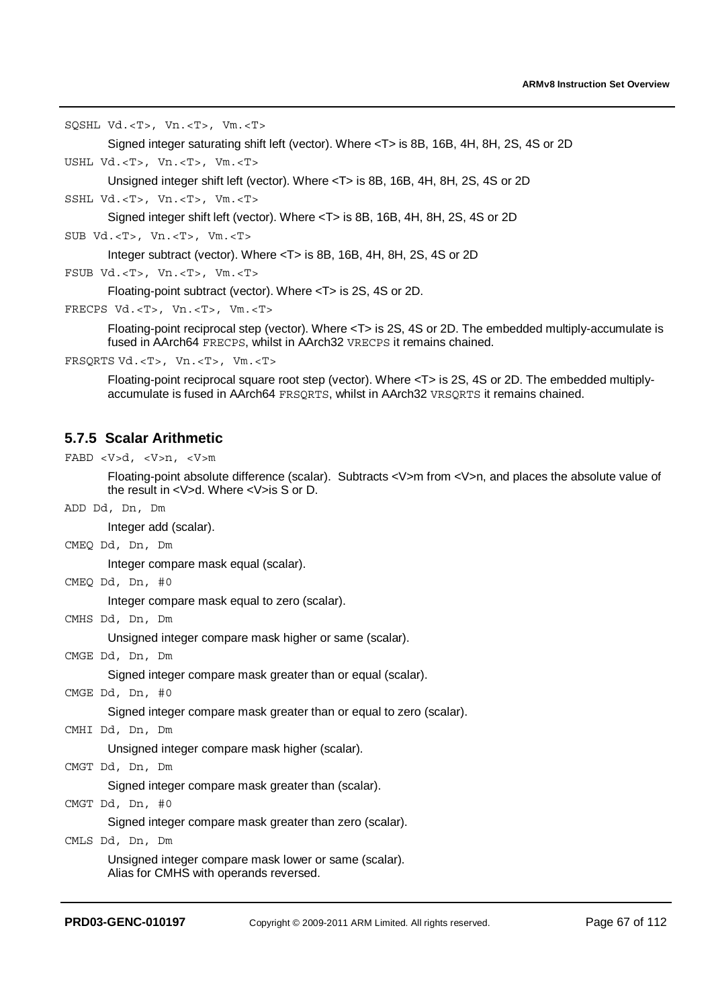SQSHL Vd.<T>, Vn.<T>, Vm.<T>

```
Signed integer saturating shift left (vector). Where <T> is 8B, 16B, 4H, 8H, 2S, 4S or 2D
```
USHL Vd.<T>, Vn.<T>, Vm.<T>

Unsigned integer shift left (vector). Where <T> is 8B, 16B, 4H, 8H, 2S, 4S or 2D

SSHL Vd.<T>, Vn.<T>, Vm.<T>

Signed integer shift left (vector). Where <T> is 8B, 16B, 4H, 8H, 2S, 4S or 2D

SUB Vd.<T>, Vn.<T>, Vm.<T>

Integer subtract (vector). Where <T> is 8B, 16B, 4H, 8H, 2S, 4S or 2D

FSUB Vd.<T>, Vn.<T>, Vm.<T>

Floating-point subtract (vector). Where <T> is 2S, 4S or 2D.

```
FRECPS Vd.<T>, Vn.<T>, Vm.<T>
```
Floating-point reciprocal step (vector). Where <T> is 2S, 4S or 2D. The embedded multiply-accumulate is fused in AArch64 FRECPS, whilst in AArch32 VRECPS it remains chained.

```
FRSQRTS Vd.<T>, Vn.<T>, Vm.<T>
```
Floating-point reciprocal square root step (vector). Where <T> is 2S, 4S or 2D. The embedded multiplyaccumulate is fused in AArch64 FRSQRTS, whilst in AArch32 VRSQRTS it remains chained.

### **5.7.5 Scalar Arithmetic**

FABD <V>d, <V>n, <V>m

Floating-point absolute difference (scalar). Subtracts <V>m from <V>n, and places the absolute value of the result in <V>d. Where <V>is S or D.

ADD Dd, Dn, Dm

Integer add (scalar).

CMEQ Dd, Dn, Dm

Integer compare mask equal (scalar).

CMEQ Dd, Dn, #0

Integer compare mask equal to zero (scalar).

CMHS Dd, Dn, Dm

Unsigned integer compare mask higher or same (scalar).

CMGE Dd, Dn, Dm

Signed integer compare mask greater than or equal (scalar).

CMGE Dd, Dn, #0

Signed integer compare mask greater than or equal to zero (scalar).

CMHI Dd, Dn, Dm

Unsigned integer compare mask higher (scalar).

CMGT Dd, Dn, Dm

Signed integer compare mask greater than (scalar).

CMGT Dd, Dn, #0

Signed integer compare mask greater than zero (scalar).

CMLS Dd, Dn, Dm

Unsigned integer compare mask lower or same (scalar). Alias for CMHS with operands reversed.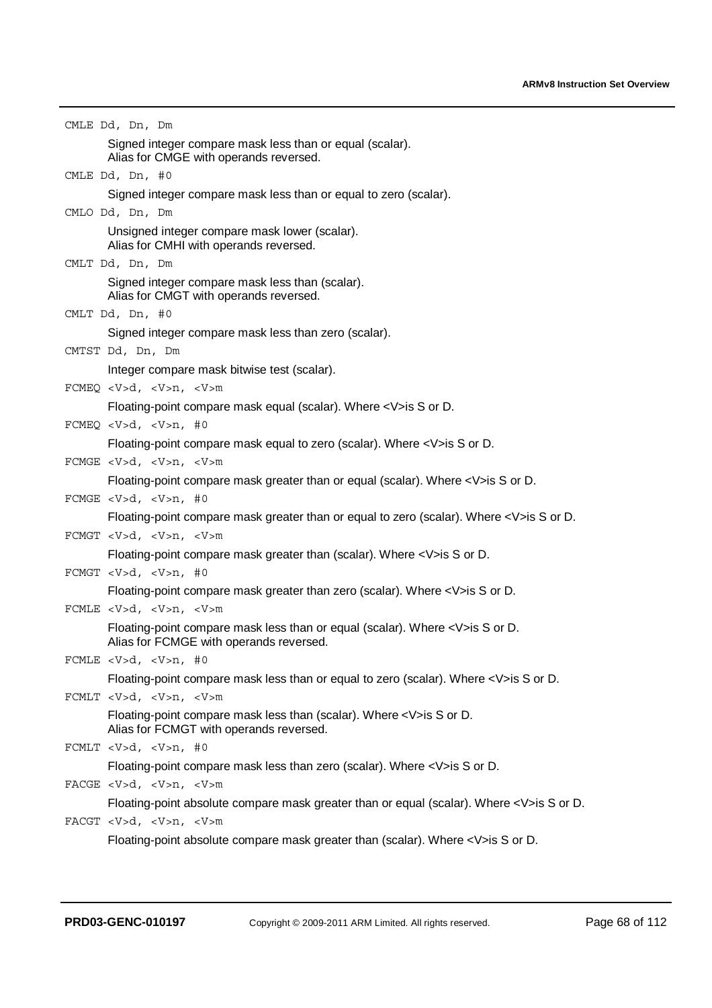| CMLE Dd, Dn, Dm                                                                                                      |
|----------------------------------------------------------------------------------------------------------------------|
| Signed integer compare mask less than or equal (scalar).                                                             |
| Alias for CMGE with operands reversed.                                                                               |
| CMLE Dd, Dn, #0                                                                                                      |
| Signed integer compare mask less than or equal to zero (scalar).                                                     |
| CMLO Dd, Dn, Dm                                                                                                      |
| Unsigned integer compare mask lower (scalar).<br>Alias for CMHI with operands reversed.                              |
| CMLT Dd, Dn, Dm                                                                                                      |
| Signed integer compare mask less than (scalar).                                                                      |
| Alias for CMGT with operands reversed.                                                                               |
| CMLT Dd, Dn, #0                                                                                                      |
| Signed integer compare mask less than zero (scalar).                                                                 |
| CMTST Dd, Dn, Dm                                                                                                     |
| Integer compare mask bitwise test (scalar).                                                                          |
| FCMEQ < V>d, < V>n, < V>m                                                                                            |
| Floating-point compare mask equal (scalar). Where <v>is S or D.</v>                                                  |
| FCMEQ < $V>d$ , < $V>n$ , #0                                                                                         |
| Floating-point compare mask equal to zero (scalar). Where <v>is S or D.</v>                                          |
| FCMGE < V>d, < V>n, < V>m                                                                                            |
| Floating-point compare mask greater than or equal (scalar). Where <v>is S or D.</v>                                  |
| FCMGE $d$ , $n$ , #0                                                                                                 |
| Floating-point compare mask greater than or equal to zero (scalar). Where <v>is S or D.</v>                          |
| ${\tt FCMGT} \ d\, , \ n\, , \ m$                                                                                    |
| Floating-point compare mask greater than (scalar). Where <v>is S or D.</v>                                           |
| FCMGT < $V>d$ , < $V>n$ , #0                                                                                         |
| Floating-point compare mask greater than zero (scalar). Where <v>is S or D.</v>                                      |
| FCMLE < V>d, <v>n, <v>m<br/>Floating-point compare mask less than or equal (scalar). Where <v>is S or D.</v></v></v> |
| Alias for FCMGE with operands reversed.                                                                              |
| FCMLE $d$ , $n$ , #0                                                                                                 |
| Floating-point compare mask less than or equal to zero (scalar). Where <v>is S or D.</v>                             |
| FCMLT < V>d, <v>n, <v>m</v></v>                                                                                      |
| Floating-point compare mask less than (scalar). Where <v>is S or D.</v>                                              |
| Alias for FCMGT with operands reversed.                                                                              |
| FCMLT <v>d, <v>n, #0</v></v>                                                                                         |
| Floating-point compare mask less than zero (scalar). Where <v>is S or D.</v>                                         |
| FACGE $d$ , $n$ , $m$                                                                                                |
| Floating-point absolute compare mask greater than or equal (scalar). Where <v>is S or D.</v>                         |
| FACGT $d$ , $n$ , $m$                                                                                                |
| Floating-point absolute compare mask greater than (scalar). Where <v>is S or D.</v>                                  |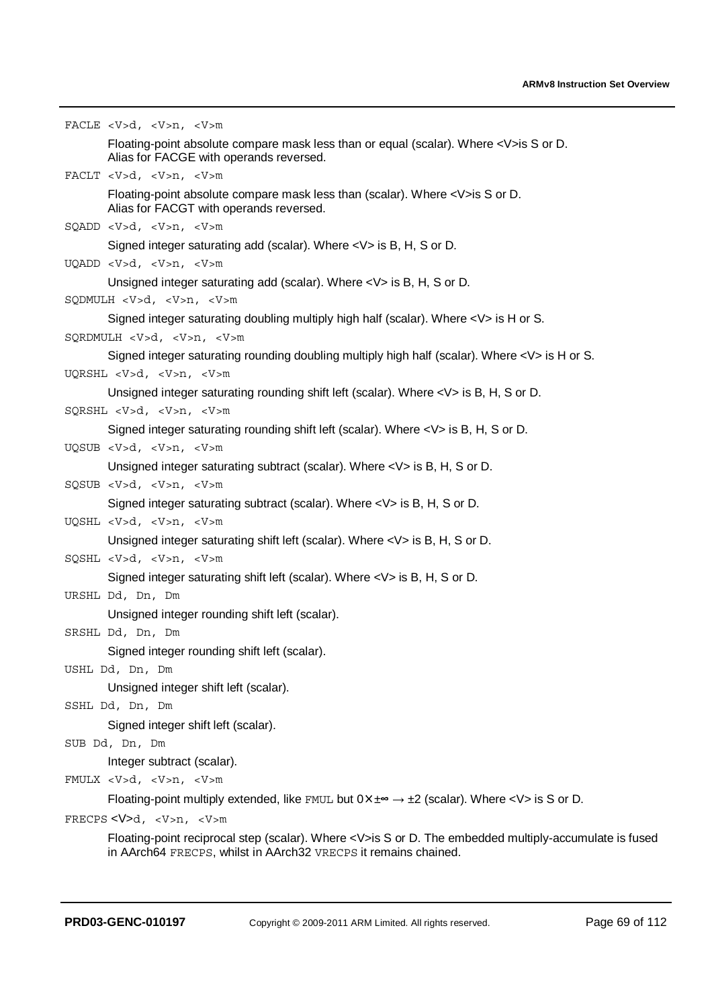```
FACLE <V>d, <V>n, <V>m
        Floating-point absolute compare mask less than or equal (scalar). Where <V>is S or D. 
       Alias for FACGE with operands reversed. 
FACLT <V>d, <V>n, <V>m
        Floating-point absolute compare mask less than (scalar). Where <V>is S or D. 
       Alias for FACGT with operands reversed. 
SQADD <V>d, <V>n, <V>m
       Signed integer saturating add (scalar). Where <V> is B, H, S or D. 
UQADD <V>d, <V>n, <V>m
       Unsigned integer saturating add (scalar). Where <V> is B, H, S or D. 
SQDMULH <V>d, <V>n, <V>m
       Signed integer saturating doubling multiply high half (scalar). Where <V> is H or S. 
SQRDMULH <V>d, <V>n, <V>m
        Signed integer saturating rounding doubling multiply high half (scalar). Where <V> is H or S. 
UQRSHL <V>d, <V>n, <V>m
       Unsigned integer saturating rounding shift left (scalar). Where <V> is B, H, S or D. 
SQRSHL <V>d, <V>n, <V>m
        Signed integer saturating rounding shift left (scalar). Where <V> is B, H, S or D. 
UQSUB <V>d, <V>n, <V>m
       Unsigned integer saturating subtract (scalar). Where <V> is B, H, S or D. 
SQSUB <V>d, <V>n, <V>m
       Signed integer saturating subtract (scalar). Where <V> is B, H, S or D. 
UQSHL <V>d, <V>n, <V>m
       Unsigned integer saturating shift left (scalar). Where <V> is B, H, S or D. 
SQSHL <V>d, <V>n, <V>m
       Signed integer saturating shift left (scalar). Where <V> is B, H, S or D. 
URSHL Dd, Dn, Dm
        Unsigned integer rounding shift left (scalar). 
SRSHL Dd, Dn, Dm
        Signed integer rounding shift left (scalar). 
USHL Dd, Dn, Dm
       Unsigned integer shift left (scalar). 
SSHL Dd, Dn, Dm
        Signed integer shift left (scalar). 
SUB Dd, Dn, Dm
       Integer subtract (scalar). 
FMULX <V>d, <V>n, <V>m
        Floating-point multiply extended, like FMUL but 0 \times \pm \infty \rightarrow \pm 2 (scalar). Where \lt V is S or D.
FRECPS <V>d, <V>n, <V>m
```
Floating-point reciprocal step (scalar). Where <V>is S or D. The embedded multiply-accumulate is fused in AArch64 FRECPS, whilst in AArch32 VRECPS it remains chained.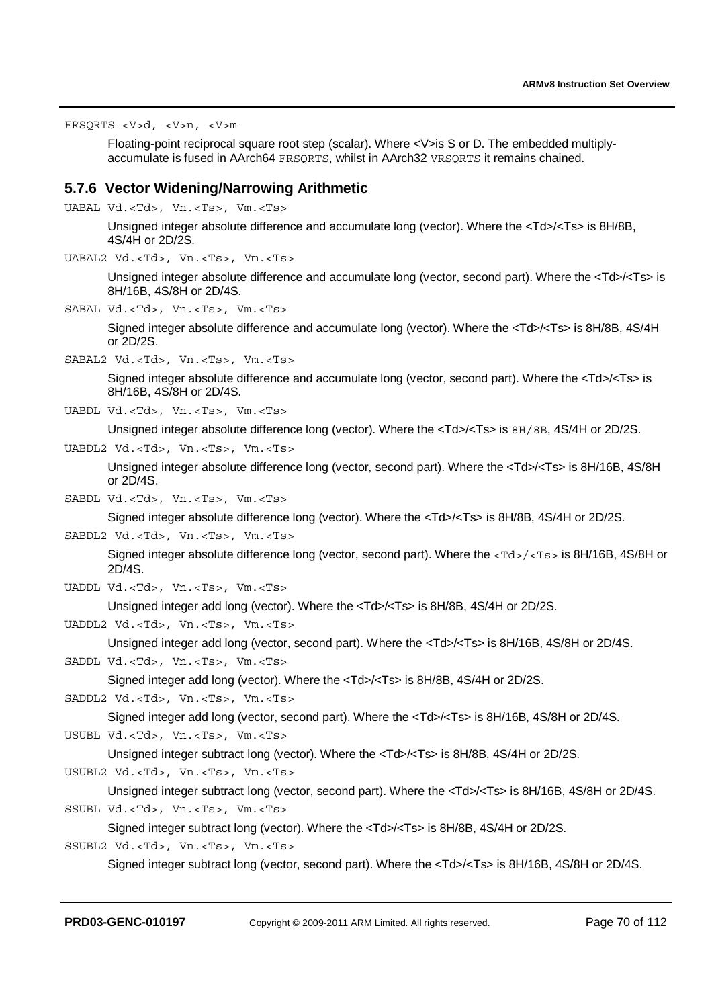FRSQRTS <V>d, <V>n, <V>m

Floating-point reciprocal square root step (scalar). Where <V>is S or D. The embedded multiplyaccumulate is fused in AArch64 FRSQRTS, whilst in AArch32 VRSQRTS it remains chained.

#### **5.7.6 Vector Widening/Narrowing Arithmetic**

UABAL Vd.<Td>, Vn.<Ts>, Vm.<Ts>

Unsigned integer absolute difference and accumulate long (vector). Where the <Td>/<Ts> is 8H/8B, 4S/4H or 2D/2S.

UABAL2 Vd.<Td>, Vn.<Ts>, Vm.<Ts>

Unsigned integer absolute difference and accumulate long (vector, second part). Where the <Td>/<Ts> is 8H/16B, 4S/8H or 2D/4S.

SABAL Vd.<Td>, Vn.<Ts>, Vm.<Ts>

Signed integer absolute difference and accumulate long (vector). Where the <Td>/<Ts> is 8H/8B, 4S/4H or 2D/2S.

SABAL2 Vd.<Td>, Vn.<Ts>, Vm.<Ts>

Signed integer absolute difference and accumulate long (vector, second part). Where the <Td>/<Ts> is 8H/16B, 4S/8H or 2D/4S.

UABDL Vd.<Td>, Vn.<Ts>, Vm.<Ts>

Unsigned integer absolute difference long (vector). Where the <Td>/<Ts> is  $8H/8B$ , 4S/4H or 2D/2S.

UABDL2 Vd.<Td>, Vn.<Ts>, Vm.<Ts>

Unsigned integer absolute difference long (vector, second part). Where the <Td>/<Ts> is 8H/16B, 4S/8H or 2D/4S.

SABDL Vd.<Td>, Vn.<Ts>, Vm.<Ts>

Signed integer absolute difference long (vector). Where the <Td>/<Ts> is 8H/8B, 4S/4H or 2D/2S.

SABDL2 Vd.<Td>, Vn.<Ts>, Vm.<Ts>

Signed integer absolute difference long (vector, second part). Where the <Td>/<Ts> is 8H/16B, 4S/8H or 2D/4S.

UADDL Vd.<Td>, Vn.<Ts>, Vm.<Ts>

Unsigned integer add long (vector). Where the <Td>/<Ts> is 8H/8B, 4S/4H or 2D/2S.

UADDL2 Vd.<Td>, Vn.<Ts>, Vm.<Ts>

Unsigned integer add long (vector, second part). Where the <Td>/<Ts> is 8H/16B, 4S/8H or 2D/4S.

```
SADDL Vd.<Td>, Vn.<Ts>, Vm.<Ts>
```
Signed integer add long (vector). Where the <Td>/<Ts> is 8H/8B, 4S/4H or 2D/2S.

```
SADDL2 Vd.<Td>, Vn.<Ts>, Vm.<Ts>
```
Signed integer add long (vector, second part). Where the <Td>/<Ts> is 8H/16B, 4S/8H or 2D/4S. USUBL Vd.<Td>, Vn.<Ts>, Vm.<Ts>

Unsigned integer subtract long (vector). Where the <Td>/<Ts> is 8H/8B, 4S/4H or 2D/2S.

USUBL2 Vd.<Td>, Vn.<Ts>, Vm.<Ts>

Unsigned integer subtract long (vector, second part). Where the <Td>/<Ts> is 8H/16B, 4S/8H or 2D/4S. SSUBL Vd.<Td>, Vn.<Ts>, Vm.<Ts>

Signed integer subtract long (vector). Where the <Td>/<Ts> is 8H/8B, 4S/4H or 2D/2S. SSUBL2 Vd.<Td>, Vn.<Ts>, Vm.<Ts>

Signed integer subtract long (vector, second part). Where the <Td>/<Ts> is 8H/16B, 4S/8H or 2D/4S.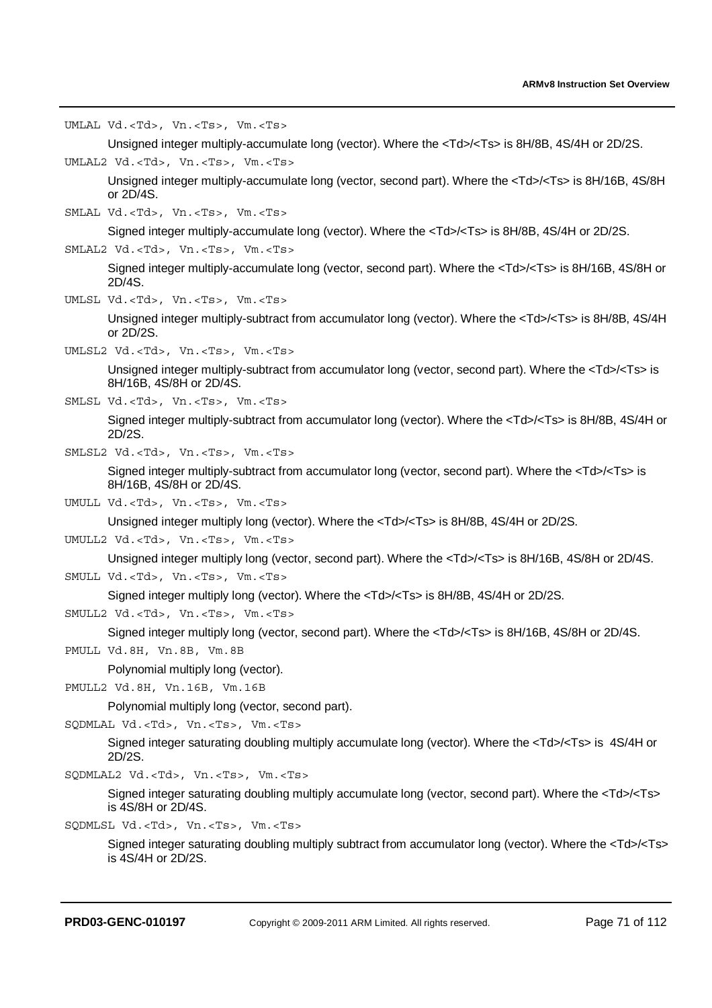UMLAL Vd.<Td>, Vn.<Ts>, Vm.<Ts>

Unsigned integer multiply-accumulate long (vector). Where the <Td>/<Ts> is 8H/8B, 4S/4H or 2D/2S.

UMLAL2 Vd.<Td>, Vn.<Ts>, Vm.<Ts>

Unsigned integer multiply-accumulate long (vector, second part). Where the <Td>/<Ts> is 8H/16B, 4S/8H or 2D/4S.

SMLAL Vd.<Td>, Vn.<Ts>, Vm.<Ts>

Signed integer multiply-accumulate long (vector). Where the <Td>/<Ts> is 8H/8B, 4S/4H or 2D/2S.

SMLAL2 Vd.<Td>, Vn.<Ts>, Vm.<Ts>

Signed integer multiply-accumulate long (vector, second part). Where the <Td>/<Ts> is 8H/16B, 4S/8H or 2D/4S.

UMLSL Vd.<Td>, Vn.<Ts>, Vm.<Ts>

Unsigned integer multiply-subtract from accumulator long (vector). Where the <Td>/<Ts> is 8H/8B, 4S/4H or 2D/2S.

UMLSL2 Vd.<Td>, Vn.<Ts>, Vm.<Ts>

Unsigned integer multiply-subtract from accumulator long (vector, second part). Where the <Td>/<Ts> is 8H/16B, 4S/8H or 2D/4S.

SMLSL Vd.<Td>, Vn.<Ts>, Vm.<Ts>

Signed integer multiply-subtract from accumulator long (vector). Where the <Td>/<Ts> is 8H/8B, 4S/4H or 2D/2S.

SMLSL2 Vd.<Td>, Vn.<Ts>, Vm.<Ts>

Signed integer multiply-subtract from accumulator long (vector, second part). Where the <Td>/<Ts> is 8H/16B, 4S/8H or 2D/4S.

UMULL Vd.<Td>, Vn.<Ts>, Vm.<Ts>

Unsigned integer multiply long (vector). Where the <Td>/<Ts> is 8H/8B, 4S/4H or 2D/2S.

UMULL2 Vd.<Td>, Vn.<Ts>, Vm.<Ts>

Unsigned integer multiply long (vector, second part). Where the <Td>/<Ts> is 8H/16B, 4S/8H or 2D/4S.

SMULL Vd.<Td>, Vn.<Ts>, Vm.<Ts>

Signed integer multiply long (vector). Where the <Td>/<Ts> is 8H/8B, 4S/4H or 2D/2S.

SMULL2 Vd.<Td>, Vn.<Ts>, Vm.<Ts>

Signed integer multiply long (vector, second part). Where the <Td>/<Ts> is 8H/16B, 4S/8H or 2D/4S.

PMULL Vd.8H, Vn.8B, Vm.8B

Polynomial multiply long (vector).

PMULL2 Vd.8H, Vn.16B, Vm.16B

Polynomial multiply long (vector, second part).

SQDMLAL Vd.<Td>, Vn.<Ts>, Vm.<Ts>

Signed integer saturating doubling multiply accumulate long (vector). Where the <Td>/<Ts> is 4S/4H or 2D/2S.

SQDMLAL2 Vd.<Td>, Vn.<Ts>, Vm.<Ts>

Signed integer saturating doubling multiply accumulate long (vector, second part). Where the <Td>/<Ts> is 4S/8H or 2D/4S.

SQDMLSL Vd.<Td>, Vn.<Ts>, Vm.<Ts>

Signed integer saturating doubling multiply subtract from accumulator long (vector). Where the <Td>/<Ts> is 4S/4H or 2D/2S.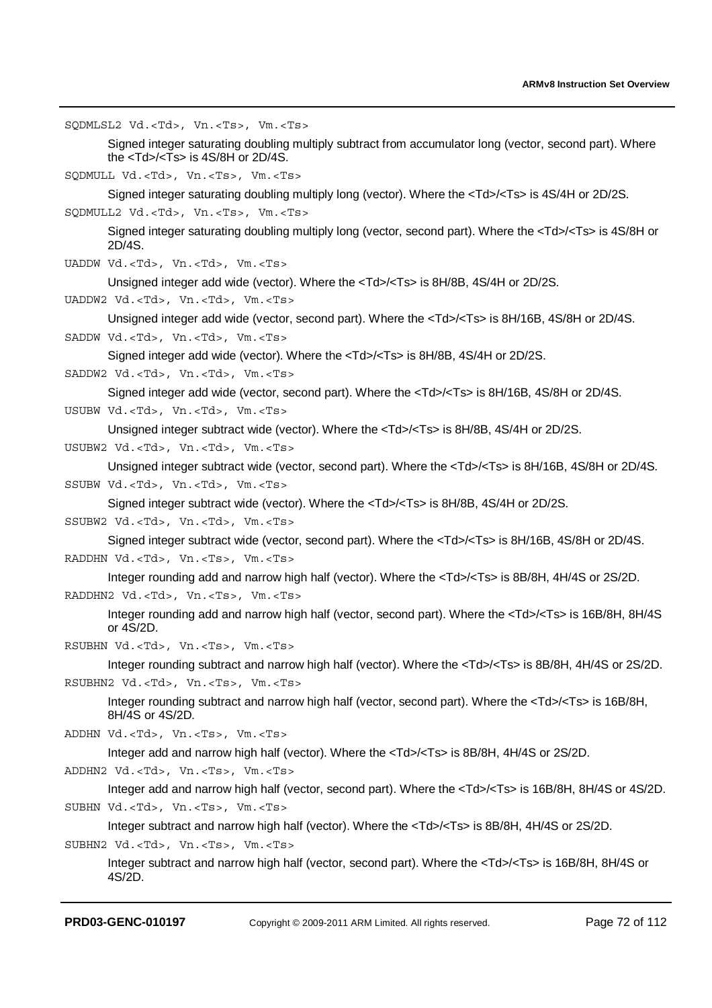SQDMLSL2 Vd.<Td>, Vn.<Ts>, Vm.<Ts>

Signed integer saturating doubling multiply subtract from accumulator long (vector, second part). Where the <Td>/<Ts> is 4S/8H or 2D/4S.

SQDMULL Vd.<Td>, Vn.<Ts>, Vm.<Ts>

Signed integer saturating doubling multiply long (vector). Where the <Td>/<Ts> is 4S/4H or 2D/2S.

SQDMULL2 Vd.<Td>, Vn.<Ts>, Vm.<Ts>

Signed integer saturating doubling multiply long (vector, second part). Where the <Td>/<Ts> is 4S/8H or 2D/4S.

UADDW Vd.<Td>, Vn.<Td>, Vm.<Ts>

Unsigned integer add wide (vector). Where the <Td>/<Ts> is 8H/8B, 4S/4H or 2D/2S.

UADDW2 Vd.<Td>, Vn.<Td>, Vm.<Ts>

Unsigned integer add wide (vector, second part). Where the <Td>/<Ts> is 8H/16B, 4S/8H or 2D/4S.

SADDW Vd.<Td>, Vn.<Td>, Vm.<Ts>

Signed integer add wide (vector). Where the <Td>/<Ts> is 8H/8B, 4S/4H or 2D/2S.

SADDW2 Vd.<Td>, Vn.<Td>, Vm.<Ts>

Signed integer add wide (vector, second part). Where the <Td>/<Ts> is 8H/16B, 4S/8H or 2D/4S.

USUBW Vd.<Td>, Vn.<Td>, Vm.<Ts>

Unsigned integer subtract wide (vector). Where the <Td>/<Ts> is 8H/8B, 4S/4H or 2D/2S.

USUBW2 Vd.<Td>, Vn.<Td>, Vm.<Ts>

Unsigned integer subtract wide (vector, second part). Where the <Td>/<Ts> is 8H/16B, 4S/8H or 2D/4S. SSUBW Vd.<Td>, Vn.<Td>, Vm.<Ts>

Signed integer subtract wide (vector). Where the <Td>/<Ts> is 8H/8B, 4S/4H or 2D/2S.

SSUBW2 Vd.<Td>, Vn.<Td>, Vm.<Ts>

Signed integer subtract wide (vector, second part). Where the <Td>/<Ts> is 8H/16B, 4S/8H or 2D/4S. RADDHN Vd.<Td>, Vn.<Ts>, Vm.<Ts>

Integer rounding add and narrow high half (vector). Where the <Td>/<Ts> is 8B/8H, 4H/4S or 2S/2D. RADDHN2 Vd.<Td>, Vn.<Ts>, Vm.<Ts>

Integer rounding add and narrow high half (vector, second part). Where the <Td>/<Ts> is 16B/8H, 8H/4S or 4S/2D.

RSUBHN Vd.<Td>, Vn.<Ts>, Vm.<Ts>

Integer rounding subtract and narrow high half (vector). Where the <Td>/<Ts> is 8B/8H, 4H/4S or 2S/2D. RSUBHN2 Vd.<Td>, Vn.<Ts>, Vm.<Ts>

Integer rounding subtract and narrow high half (vector, second part). Where the <Td>/<Ts> is 16B/8H, 8H/4S or 4S/2D.

ADDHN Vd.<Td>, Vn.<Ts>, Vm.<Ts>

Integer add and narrow high half (vector). Where the <Td>/<Ts> is 8B/8H, 4H/4S or 2S/2D.

ADDHN2 Vd.<Td>, Vn.<Ts>, Vm.<Ts>

Integer add and narrow high half (vector, second part). Where the <Td>/<Ts> is 16B/8H, 8H/4S or 4S/2D. SUBHN Vd.<Td>, Vn.<Ts>, Vm.<Ts>

Integer subtract and narrow high half (vector). Where the <Td>/<Ts> is 8B/8H, 4H/4S or 2S/2D. SUBHN2 Vd.<Td>, Vn.<Ts>, Vm.<Ts>

Integer subtract and narrow high half (vector, second part). Where the <Td>/<Ts> is 16B/8H, 8H/4S or 4S/2D.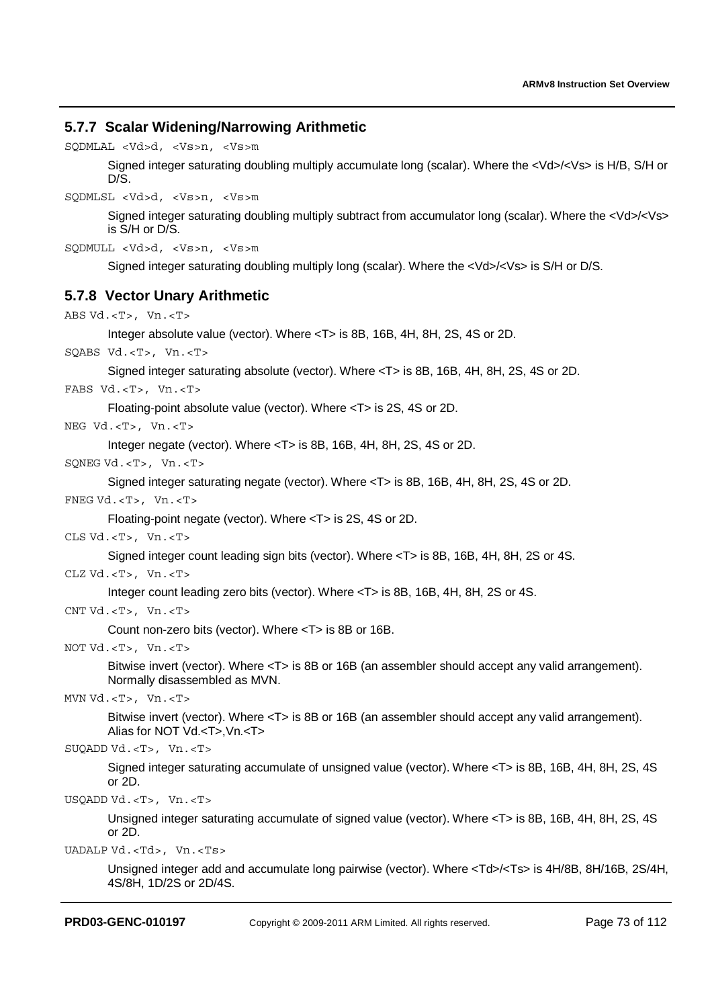## **5.7.7 Scalar Widening/Narrowing Arithmetic**

SQDMLAL <Vd>d, <Vs>n, <Vs>m

Signed integer saturating doubling multiply accumulate long (scalar). Where the <Vd>/<Vs> is H/B, S/H or D/S.

SQDMLSL <Vd>d, <Vs>n, <Vs>m

Signed integer saturating doubling multiply subtract from accumulator long (scalar). Where the <Vd>/<Vs> is S/H or D/S.

```
SQDMULL <Vd>d, <Vs>n, <Vs>m
```
Signed integer saturating doubling multiply long (scalar). Where the <Vd>/<Vs> is S/H or D/S.

## **5.7.8 Vector Unary Arithmetic**

```
ABS Vd.<T>, Vn.<T>
       Integer absolute value (vector). Where <T> is 8B, 16B, 4H, 8H, 2S, 4S or 2D. 
SQABS Vd.<T>, Vn.<T>
       Signed integer saturating absolute (vector). Where <T> is 8B, 16B, 4H, 8H, 2S, 4S or 2D. 
FABS Vd.<T>, Vn.<T>
       Floating-point absolute value (vector). Where <T> is 2S, 4S or 2D. 
NEG Vd.<T>, Vn.<T>
       Integer negate (vector). Where <T> is 8B, 16B, 4H, 8H, 2S, 4S or 2D. 
SQNEG Vd.<T>, Vn.<T>
       Signed integer saturating negate (vector). Where <T> is 8B, 16B, 4H, 8H, 2S, 4S or 2D. 
FNEG Vd.<T>, Vn.<T>
       Floating-point negate (vector). Where <T> is 2S, 4S or 2D. 
CLS Vd.<T>, Vn.<T>
       Signed integer count leading sign bits (vector). Where <T> is 8B, 16B, 4H, 8H, 2S or 4S. 
CLZ Vd.<T>, Vn.<T>
       Integer count leading zero bits (vector). Where <T> is 8B, 16B, 4H, 8H, 2S or 4S. 
CNT Vd.<T>, Vn.<T> 
       Count non-zero bits (vector). Where <T> is 8B or 16B. 
NOT Vd.<T>, Vn.<T>
       Bitwise invert (vector). Where <T> is 8B or 16B (an assembler should accept any valid arrangement). 
       Normally disassembled as MVN. 
MVN Vd.<T>, Vn.<T>
       Bitwise invert (vector). Where <T> is 8B or 16B (an assembler should accept any valid arrangement). 
       Alias for NOT Vd.<T>,Vn.<T> 
SUQADD Vd.<T>, Vn.<T>
       Signed integer saturating accumulate of unsigned value (vector). Where <T> is 8B, 16B, 4H, 8H, 2S, 4S 
       or 2D.
```
USQADD Vd.<T>, Vn.<T>

Unsigned integer saturating accumulate of signed value (vector). Where <T> is 8B, 16B, 4H, 8H, 2S, 4S or 2D.

UADALP Vd.<Td>, Vn.<Ts>

Unsigned integer add and accumulate long pairwise (vector). Where <Td>/<Ts> is 4H/8B, 8H/16B, 2S/4H, 4S/8H, 1D/2S or 2D/4S.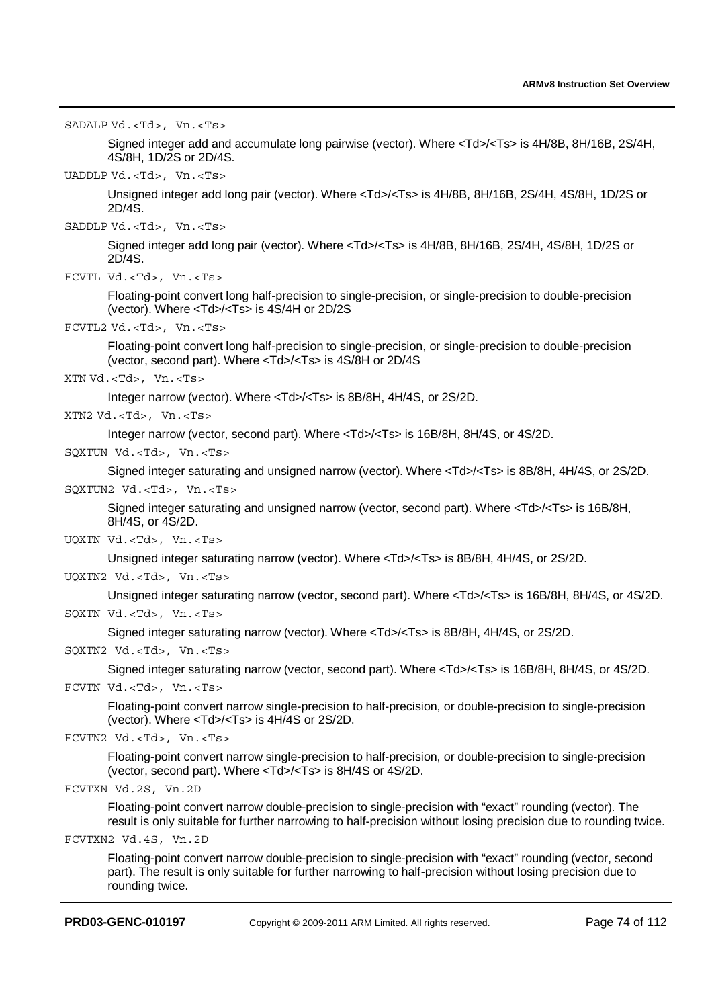SADALP Vd.<Td>, Vn.<Ts>

Signed integer add and accumulate long pairwise (vector). Where <Td>/<Ts> is 4H/8B, 8H/16B, 2S/4H, 4S/8H, 1D/2S or 2D/4S.

UADDLP Vd.<Td>, Vn.<Ts>

Unsigned integer add long pair (vector). Where <Td>/<Ts> is 4H/8B, 8H/16B, 2S/4H, 4S/8H, 1D/2S or 2D/4S.

SADDLP Vd.<Td>, Vn.<Ts>

Signed integer add long pair (vector). Where <Td>/<Ts> is 4H/8B, 8H/16B, 2S/4H, 4S/8H, 1D/2S or 2D/4S.

```
FCVTL Vd.<Td>, Vn.<Ts>
```
Floating-point convert long half-precision to single-precision, or single-precision to double-precision (vector). Where <Td>/<Ts> is 4S/4H or 2D/2S

```
FCVTL2 Vd.<Td>, Vn.<Ts>
```
Floating-point convert long half-precision to single-precision, or single-precision to double-precision (vector, second part). Where <Td>/<Ts> is 4S/8H or 2D/4S

XTN Vd.<Td>, Vn.<Ts>

Integer narrow (vector). Where <Td>/<Ts> is 8B/8H, 4H/4S, or 2S/2D.

XTN2 Vd.<Td>, Vn.<Ts>

Integer narrow (vector, second part). Where <Td>/<Ts> is 16B/8H, 8H/4S, or 4S/2D.

SQXTUN Vd.<Td>, Vn.<Ts>

Signed integer saturating and unsigned narrow (vector). Where <Td>/<Ts> is 8B/8H, 4H/4S, or 2S/2D.

SQXTUN2 Vd. <Td>, Vn. <Ts>

Signed integer saturating and unsigned narrow (vector, second part). Where <Td>/<Ts> is 16B/8H, 8H/4S, or 4S/2D.

UQXTN Vd.<Td>, Vn.<Ts>

Unsigned integer saturating narrow (vector). Where <Td>/<Ts> is 8B/8H, 4H/4S, or 2S/2D.

UQXTN2 Vd.<Td>, Vn.<Ts>

Unsigned integer saturating narrow (vector, second part). Where <Td>/<Ts> is 16B/8H, 8H/4S, or 4S/2D.

SQXTN Vd.<Td>, Vn.<Ts>

Signed integer saturating narrow (vector). Where <Td>/<Ts> is 8B/8H, 4H/4S, or 2S/2D.

SQXTN2 Vd.<Td>, Vn.<Ts>

Signed integer saturating narrow (vector, second part). Where <Td>/<Ts> is 16B/8H, 8H/4S, or 4S/2D.

FCVTN Vd.<Td>, Vn.<Ts>

Floating-point convert narrow single-precision to half-precision, or double-precision to single-precision (vector). Where <Td>/<Ts> is 4H/4S or 2S/2D.

```
FCVTN2 Vd.<Td>, Vn.<Ts>
```
Floating-point convert narrow single-precision to half-precision, or double-precision to single-precision (vector, second part). Where <Td>/<Ts> is 8H/4S or 4S/2D.

```
FCVTXN Vd.2S, Vn.2D
```
Floating-point convert narrow double-precision to single-precision with "exact" rounding (vector). The result is only suitable for further narrowing to half-precision without losing precision due to rounding twice.

FCVTXN2 Vd.4S, Vn.2D

Floating-point convert narrow double-precision to single-precision with "exact" rounding (vector, second part). The result is only suitable for further narrowing to half-precision without losing precision due to rounding twice.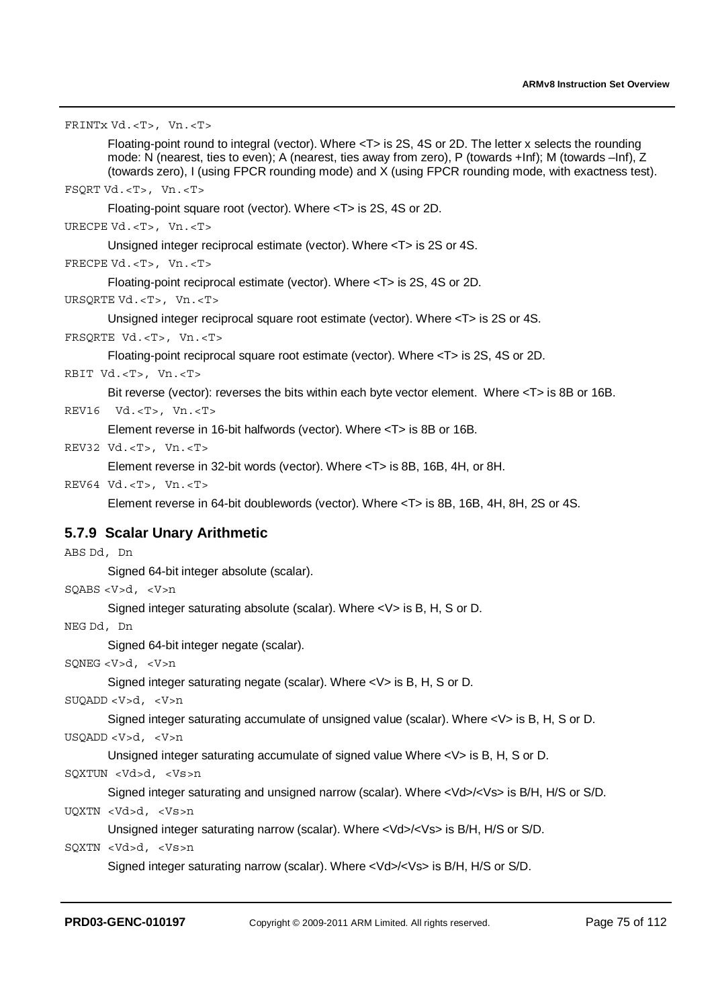FRINTx Vd.<T>, Vn.<T> Floating-point round to integral (vector). Where <T> is 2S, 4S or 2D. The letter x selects the rounding mode: N (nearest, ties to even); A (nearest, ties away from zero), P (towards +Inf); M (towards –Inf), Z (towards zero), I (using FPCR rounding mode) and X (using FPCR rounding mode, with exactness test). FSQRT Vd.<T>, Vn.<T> Floating-point square root (vector). Where <T> is 2S, 4S or 2D. URECPE Vd.<T>, Vn.<T> Unsigned integer reciprocal estimate (vector). Where <T> is 2S or 4S. FRECPE Vd.<T>, Vn.<T> Floating-point reciprocal estimate (vector). Where <T> is 2S, 4S or 2D. URSQRTE Vd.<T>, Vn.<T> Unsigned integer reciprocal square root estimate (vector). Where <T> is 2S or 4S. FRSQRTE Vd.<T>, Vn.<T> Floating-point reciprocal square root estimate (vector). Where <T> is 2S, 4S or 2D. RBIT Vd.<T>, Vn.<T> Bit reverse (vector): reverses the bits within each byte vector element. Where <T> is 8B or 16B. REV16 Vd.<T>, Vn.<T> Element reverse in 16-bit halfwords (vector). Where <T> is 8B or 16B. REV32 Vd.<T>, Vn.<T> Element reverse in 32-bit words (vector). Where <T> is 8B, 16B, 4H, or 8H. REV64 Vd.<T>, Vn.<T> Element reverse in 64-bit doublewords (vector). Where <T> is 8B, 16B, 4H, 8H, 2S or 4S. **5.7.9 Scalar Unary Arithmetic**  ABS Dd, Dn Signed 64-bit integer absolute (scalar). SQABS <V>d, <V>n Signed integer saturating absolute (scalar). Where <V> is B, H, S or D. NEG Dd, Dn Signed 64-bit integer negate (scalar). SQNEG <V>d, <V>n Signed integer saturating negate (scalar). Where <V> is B, H, S or D. SUQADD <V>d, <V>n Signed integer saturating accumulate of unsigned value (scalar). Where <V> is B, H, S or D. USQADD <V>d, <V>n Unsigned integer saturating accumulate of signed value Where <V> is B, H, S or D. SQXTUN <Vd>d, <Vs>n Signed integer saturating and unsigned narrow (scalar). Where <Vd>/<Vs> is B/H, H/S or S/D.

UQXTN <Vd>d, <Vs>n

Unsigned integer saturating narrow (scalar). Where <Vd>/<Vs> is B/H, H/S or S/D.

```
SQXTN <Vd>d, <Vs>n
```
Signed integer saturating narrow (scalar). Where <Vd>/<Vs> is B/H, H/S or S/D.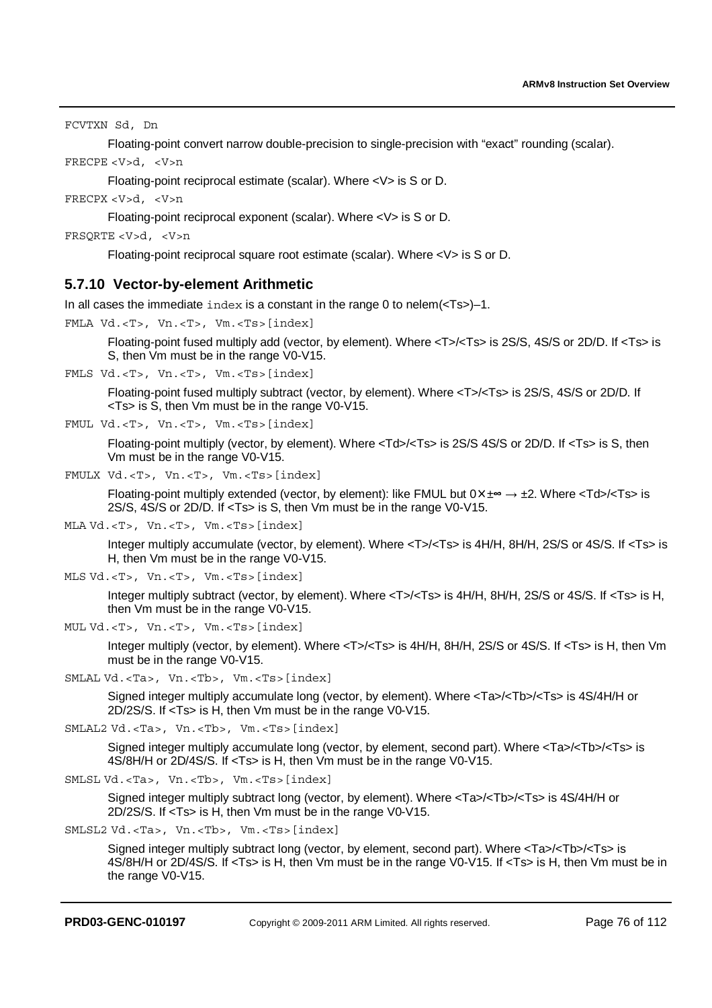FCVTXN Sd, Dn

Floating-point convert narrow double-precision to single-precision with "exact" rounding (scalar).

FRECPE <V>d, <V>n

Floating-point reciprocal estimate (scalar). Where <V> is S or D.

FRECPX <V>d, <V>n

Floating-point reciprocal exponent (scalar). Where <V> is S or D.

FRSQRTE <V>d, <V>n

Floating-point reciprocal square root estimate (scalar). Where <V> is S or D.

### **5.7.10 Vector-by-element Arithmetic**

In all cases the immediate index is a constant in the range 0 to nelem(<Ts>)–1.

FMLA Vd.<T>, Vn.<T>, Vm.<Ts>[index]

Floating-point fused multiply add (vector, by element). Where <T>/<Ts> is 2S/S, 4S/S or 2D/D. If <Ts> is S, then Vm must be in the range V0-V15.

FMLS Vd.<T>, Vn.<T>, Vm.<Ts>[index]

Floating-point fused multiply subtract (vector, by element). Where <T>/<Ts> is 2S/S, 4S/S or 2D/D. If <Ts> is S, then Vm must be in the range V0-V15.

FMUL Vd.<T>, Vn.<T>, Vm.<Ts>[index]

Floating-point multiply (vector, by element). Where <Td>/<Ts> is 2S/S 4S/S or 2D/D. If <Ts> is S, then Vm must be in the range V0-V15.

FMULX Vd.<T>, Vn.<T>, Vm.<Ts>[index]

Floating-point multiply extended (vector, by element): like FMUL but  $0 \times \pm \infty \rightarrow \pm 2$ . Where  $\lt Td\gt/\lt Ts\gt i$  is 2S/S, 4S/S or 2D/D. If <Ts> is S, then Vm must be in the range V0-V15.

MLA Vd.<T>, Vn.<T>, Vm.<Ts>[index]

Integer multiply accumulate (vector, by element). Where <T>/<Ts> is 4H/H, 8H/H, 2S/S or 4S/S. If <Ts> is H, then Vm must be in the range V0-V15.

MLS Vd.<T>, Vn.<T>, Vm.<Ts>[index]

Integer multiply subtract (vector, by element). Where <T>/<Ts> is 4H/H, 8H/H, 2S/S or 4S/S. If <Ts> is H, then Vm must be in the range V0-V15.

MUL Vd.<T>, Vn.<T>, Vm.<Ts>[index]

Integer multiply (vector, by element). Where <T>/<Ts> is 4H/H, 8H/H, 2S/S or 4S/S. If <Ts> is H, then Vm must be in the range V0-V15.

SMLAL Vd.<Ta>, Vn.<Tb>, Vm.<Ts>[index]

Signed integer multiply accumulate long (vector, by element). Where <Ta>/<Tb>/<Ts> is 4S/4H/H or 2D/2S/S. If <Ts> is H, then Vm must be in the range V0-V15.

```
SMLAL2 Vd.<Ta>, Vn.<Tb>, Vm.<Ts>[index]
```
Signed integer multiply accumulate long (vector, by element, second part). Where <Ta>/<Tb>/<Ts> is 4S/8H/H or 2D/4S/S. If <Ts> is H, then Vm must be in the range V0-V15.

```
SMLSL Vd.<Ta>, Vn.<Tb>, Vm.<Ts>[index]
```
Signed integer multiply subtract long (vector, by element). Where <Ta>/<Tb>/<Ts> is 4S/4H/H or 2D/2S/S. If <Ts> is H, then Vm must be in the range V0-V15.

```
SMLSL2 Vd.<Ta>, Vn.<Tb>, Vm.<Ts>[index]
```
Signed integer multiply subtract long (vector, by element, second part). Where <Ta>/<Tb>/<Ts> is 4S/8H/H or 2D/4S/S. If <Ts> is H, then Vm must be in the range V0-V15. If <Ts> is H, then Vm must be in the range V0-V15.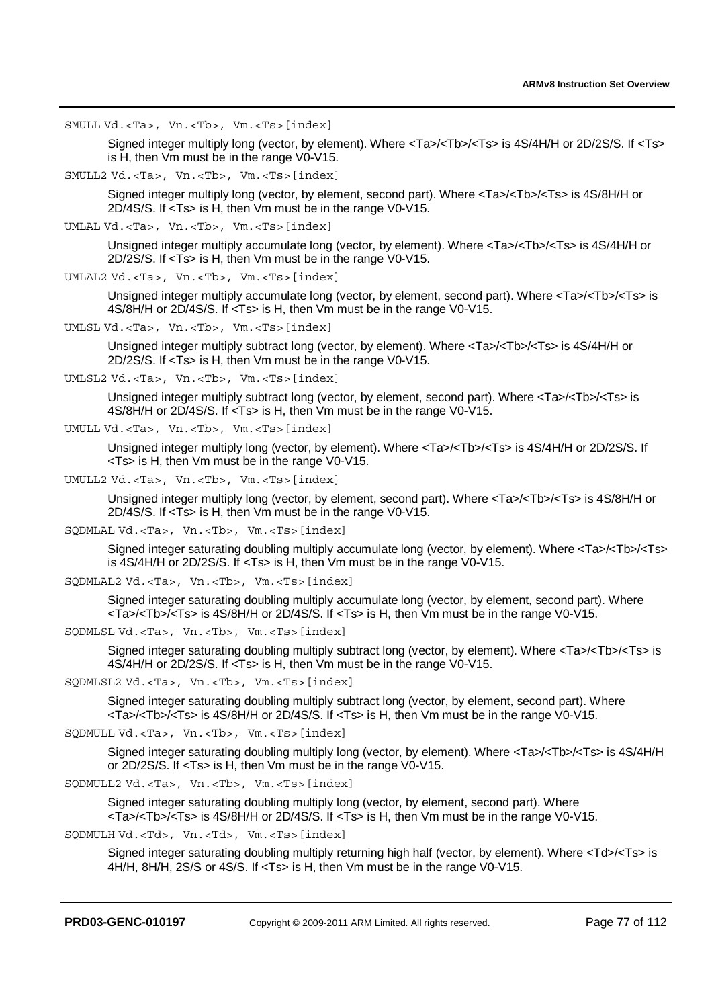SMULL Vd.<Ta>, Vn.<Tb>, Vm.<Ts>[index]

Signed integer multiply long (vector, by element). Where <Ta>/<Tb>/<Ts> is 4S/4H/H or 2D/2S/S. If <Ts> is H, then Vm must be in the range V0-V15.

SMULL2 Vd.<Ta>, Vn.<Tb>, Vm.<Ts>[index]

Signed integer multiply long (vector, by element, second part). Where <Ta>/<Tb>/<Ts> is 4S/8H/H or 2D/4S/S. If <Ts> is H, then Vm must be in the range V0-V15.

UMLAL Vd.<Ta>, Vn.<Tb>, Vm.<Ts>[index]

Unsigned integer multiply accumulate long (vector, by element). Where <Ta>/<Tb>/<Ts> is 4S/4H/H or 2D/2S/S. If <Ts> is H, then Vm must be in the range V0-V15.

```
UMLAL2 Vd.<Ta>, Vn.<Tb>, Vm.<Ts>[index]
```
Unsigned integer multiply accumulate long (vector, by element, second part). Where <Ta>/<Tb>/<Ts> is 4S/8H/H or 2D/4S/S. If <Ts> is H, then Vm must be in the range V0-V15.

```
UMLSL Vd.<Ta>, Vn.<Tb>, Vm.<Ts>[index]
```
Unsigned integer multiply subtract long (vector, by element). Where <Ta>/<Tb>/<Ts> is 4S/4H/H or 2D/2S/S. If <Ts> is H, then Vm must be in the range V0-V15.

UMLSL2 Vd.<Ta>, Vn.<Tb>, Vm.<Ts>[index]

Unsigned integer multiply subtract long (vector, by element, second part). Where <Ta>/<Tb>/<Ts> is 4S/8H/H or 2D/4S/S. If <Ts> is H, then Vm must be in the range V0-V15.

```
UMULL Vd.<Ta>, Vn.<Tb>, Vm.<Ts>[index]
```
Unsigned integer multiply long (vector, by element). Where <Ta>/<Tb>/<Ts> is 4S/4H/H or 2D/2S/S. If <Ts> is H, then Vm must be in the range V0-V15.

```
UMULL2 Vd.<Ta>, Vn.<Tb>, Vm.<Ts>[index]
```
Unsigned integer multiply long (vector, by element, second part). Where <Ta>/<Tb>/<Ts> is 4S/8H/H or 2D/4S/S. If <Ts> is H, then Vm must be in the range V0-V15.

SQDMLAL Vd.<Ta>, Vn.<Tb>, Vm.<Ts>[index]

Signed integer saturating doubling multiply accumulate long (vector, by element). Where <Ta>/<Tb>/<Ts> is 4S/4H/H or 2D/2S/S. If <Ts> is H, then Vm must be in the range V0-V15.

```
SQDMLAL2 Vd.<Ta>, Vn.<Tb>, Vm.<Ts>[index]
```
Signed integer saturating doubling multiply accumulate long (vector, by element, second part). Where  $\overline{\text{max}}$  <Ta>/<Tb>/<Ts> is 4S/8H/H or 2D/4S/S. If <Ts> is H, then Vm must be in the range V0-V15.

```
SQDMLSL Vd.<Ta>, Vn.<Tb>, Vm.<Ts>[index]
```
Signed integer saturating doubling multiply subtract long (vector, by element). Where <Ta>/<Tb>/<Ts> is 4S/4H/H or 2D/2S/S. If <Ts> is H, then Vm must be in the range V0-V15.

SQDMLSL2 Vd.<Ta>, Vn.<Tb>, Vm.<Ts>[index]

Signed integer saturating doubling multiply subtract long (vector, by element, second part). Where <Ta>/<Tb>/<Ts> is 4S/8H/H or 2D/4S/S. If <Ts> is H, then Vm must be in the range V0-V15.

SQDMULL Vd.<Ta>, Vn.<Tb>, Vm.<Ts>[index]

Signed integer saturating doubling multiply long (vector, by element). Where <Ta>/<Tb>/<Ts> is 4S/4H/H or 2D/2S/S. If <Ts> is H, then Vm must be in the range V0-V15.

```
SQDMULL2 Vd.<Ta>, Vn.<Tb>, Vm.<Ts>[index]
```
Signed integer saturating doubling multiply long (vector, by element, second part). Where <Ta>/<Tb>/<Ts> is 4S/8H/H or 2D/4S/S. If <Ts> is H, then Vm must be in the range V0-V15.

SQDMULH Vd.<Td>, Vn.<Td>, Vm.<Ts>[index]

Signed integer saturating doubling multiply returning high half (vector, by element). Where <Td>/<Ts> is 4H/H, 8H/H, 2S/S or 4S/S. If <Ts> is H, then Vm must be in the range V0-V15.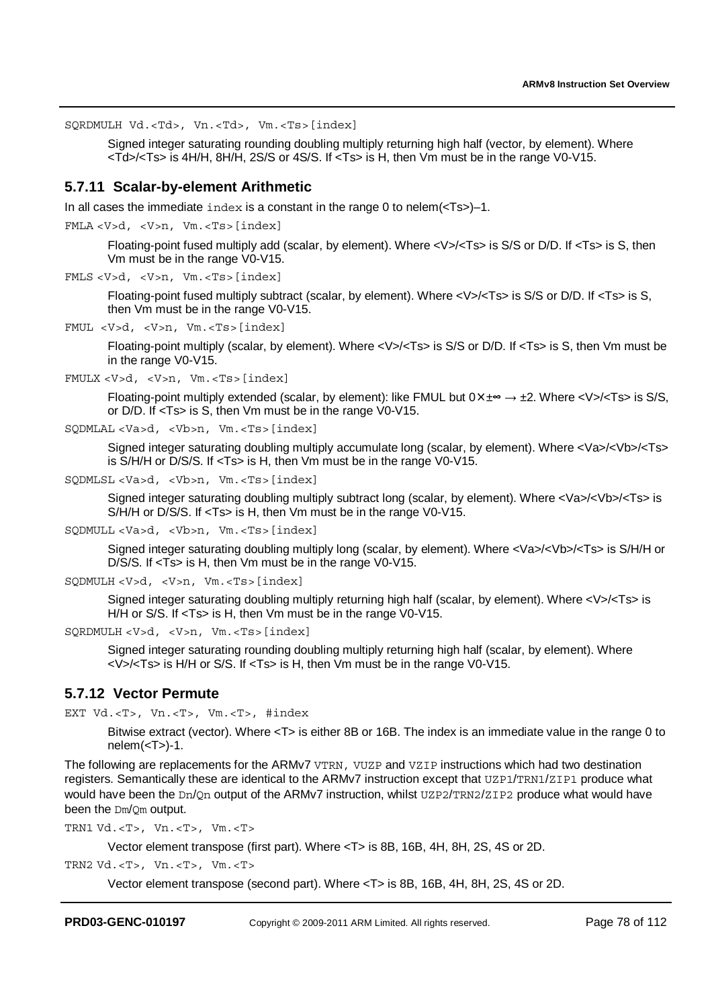SQRDMULH Vd.<Td>, Vn.<Td>, Vm.<Ts>[index]

Signed integer saturating rounding doubling multiply returning high half (vector, by element). Where <Td>/<Ts> is 4H/H, 8H/H, 2S/S or 4S/S. If <Ts> is H, then Vm must be in the range V0-V15.

### **5.7.11 Scalar-by-element Arithmetic**

In all cases the immediate  $index$  is a constant in the range 0 to nelem( $\leq$ Ts $>$ )–1.

FMLA <V>d, <V>n, Vm.<Ts>[index]

Floating-point fused multiply add (scalar, by element). Where <V>/<Ts> is S/S or D/D. If <Ts> is S, then Vm must be in the range V0-V15.

FMLS <V>d, <V>n, Vm.<Ts>[index]

Floating-point fused multiply subtract (scalar, by element). Where <V>/<Ts> is S/S or D/D. If <Ts> is S, then Vm must be in the range V0-V15.

FMUL <V>d, <V>n, Vm.<Ts>[index]

Floating-point multiply (scalar, by element). Where <V>/<Ts> is S/S or D/D. If <Ts> is S, then Vm must be in the range V0-V15.

```
FMULX <V>d, <V>n, Vm.<Ts>[index]
```
Floating-point multiply extended (scalar, by element): like FMUL but  $0 \times \pm \infty \rightarrow \pm 2$ . Where  $\lt V > \lt T$ s> is S/S, or D/D. If <Ts> is S, then Vm must be in the range V0-V15.

SQDMLAL <Va>d, <Vb>n, Vm.<Ts>[index]

Signed integer saturating doubling multiply accumulate long (scalar, by element). Where <Va>/<Vb>/<Ts> is S/H/H or D/S/S. If <Ts> is H, then Vm must be in the range V0-V15.

```
SQDMLSL <Va>d, <Vb>n, Vm.<Ts>[index]
```
Signed integer saturating doubling multiply subtract long (scalar, by element). Where <Va>/<Vb>/<Ts> is S/H/H or D/S/S. If <Ts> is H, then Vm must be in the range V0-V15.

SQDMULL <Va>d, <Vb>n, Vm.<Ts>[index]

Signed integer saturating doubling multiply long (scalar, by element). Where <Va>/<Vb>/<Ts> is S/H/H or D/S/S. If <Ts> is H, then Vm must be in the range V0-V15.

```
SQDMULH <V>d, <V>n, Vm.<Ts>[index]
```
Signed integer saturating doubling multiply returning high half (scalar, by element). Where <V>/<Ts> is H/H or S/S. If <Ts> is H, then Vm must be in the range V0-V15.

```
SQRDMULH <V>d, <V>n, Vm.<Ts>[index]
```
Signed integer saturating rounding doubling multiply returning high half (scalar, by element). Where <V>/<Ts> is H/H or S/S. If <Ts> is H, then Vm must be in the range V0-V15.

## **5.7.12 Vector Permute**

EXT Vd.<T>, Vn.<T>, Vm.<T>, #index

Bitwise extract (vector). Where <T> is either 8B or 16B. The index is an immediate value in the range 0 to  $nelem(<sub>Y</sub>)-1.$ 

The following are replacements for the ARMv7 VTRN, VUZP and VZIP instructions which had two destination registers. Semantically these are identical to the ARMv7 instruction except that UZP1/TRN1/ZIP1 produce what would have been the Dn/On output of the ARMv7 instruction, whilst UZP2/TRN2/ZIP2 produce what would have been the Dm/Qm output.

TRN1  $Vd.-T>$ ,  $Vn.-T>$ ,  $Vm.-T>$ 

Vector element transpose (first part). Where <T> is 8B, 16B, 4H, 8H, 2S, 4S or 2D.

TRN2 Vd.<T>, Vn.<T>, Vm.<T>

Vector element transpose (second part). Where <T> is 8B, 16B, 4H, 8H, 2S, 4S or 2D.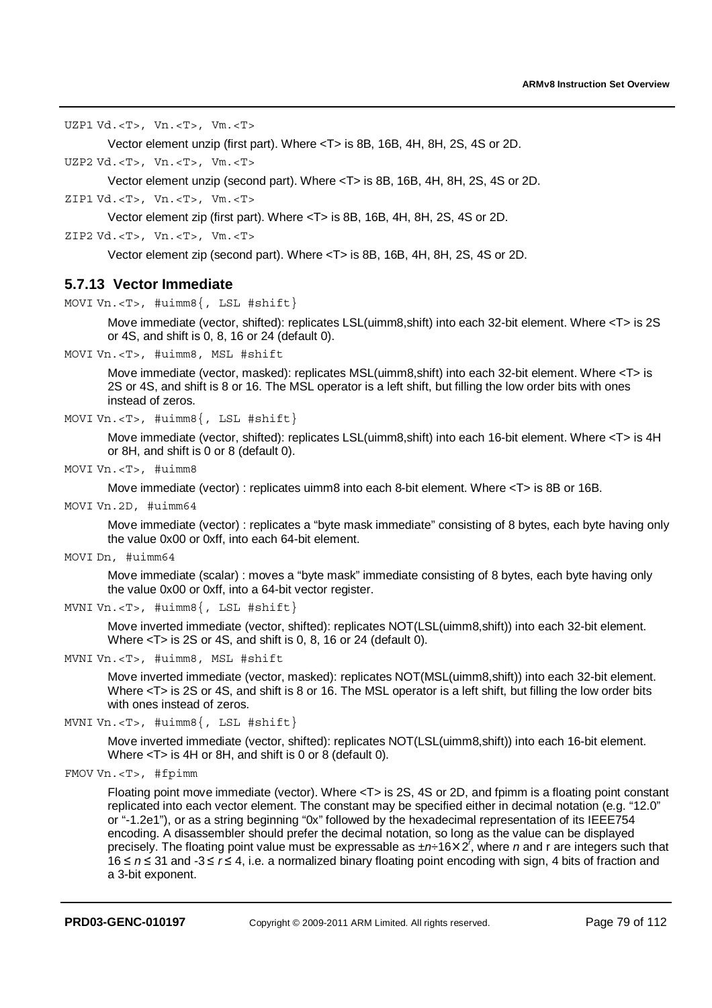UZP1 Vd.<T>, Vn.<T>, Vm.<T>

Vector element unzip (first part). Where <T> is 8B, 16B, 4H, 8H, 2S, 4S or 2D.

UZP2 Vd.<T>, Vn.<T>, Vm.<T>

Vector element unzip (second part). Where <T> is 8B, 16B, 4H, 8H, 2S, 4S or 2D.

ZIP1 Vd.<T>, Vn.<T>, Vm.<T>

Vector element zip (first part). Where <T> is 8B, 16B, 4H, 8H, 2S, 4S or 2D.

ZIP2 Vd.<T>, Vn.<T>, Vm.<T>

Vector element zip (second part). Where <T> is 8B, 16B, 4H, 8H, 2S, 4S or 2D.

## **5.7.13 Vector Immediate**

MOVI Vn. <T>, #uimm8{, LSL #shift}

Move immediate (vector, shifted): replicates LSL(uimm8,shift) into each 32-bit element. Where <T> is 2S or 4S, and shift is 0, 8, 16 or 24 (default 0).

MOVI Vn.<T>, #uimm8, MSL #shift

Move immediate (vector, masked): replicates MSL(uimm8, shift) into each 32-bit element. Where <T> is 2S or 4S, and shift is 8 or 16. The MSL operator is a left shift, but filling the low order bits with ones instead of zeros.

MOVI Vn.<T>, #uimm8{, LSL #shift}

Move immediate (vector, shifted): replicates LSL(uimm8,shift) into each 16-bit element. Where <T> is 4H or 8H, and shift is 0 or 8 (default 0).

MOVI Vn.<T>, #uimm8

Move immediate (vector) : replicates uimm8 into each 8-bit element. Where <T> is 8B or 16B.

MOVI Vn.2D, #uimm64

Move immediate (vector) : replicates a "byte mask immediate" consisting of 8 bytes, each byte having only the value 0x00 or 0xff, into each 64-bit element.

MOVI Dn, #uimm64

Move immediate (scalar) : moves a "byte mask" immediate consisting of 8 bytes, each byte having only the value 0x00 or 0xff, into a 64-bit vector register.

```
MVNI Vn.<T>, #uimm8{, LSL #shift}
```
Move inverted immediate (vector, shifted): replicates NOT(LSL(uimm8,shift)) into each 32-bit element. Where <T> is 2S or 4S, and shift is 0, 8, 16 or 24 (default 0).

MVNI Vn.<T>, #uimm8, MSL #shift

Move inverted immediate (vector, masked): replicates NOT(MSL(uimm8,shift)) into each 32-bit element. Where <T> is 2S or 4S, and shift is 8 or 16. The MSL operator is a left shift, but filling the low order bits with ones instead of zeros.

MVNI Vn. <T>, #uimm8{, LSL #shift}

Move inverted immediate (vector, shifted): replicates NOT(LSL(uimm8,shift)) into each 16-bit element. Where <T> is 4H or 8H, and shift is 0 or 8 (default 0).

```
FMOV Vn.<T>, #fpimm
```
Floating point move immediate (vector). Where <T> is 2S, 4S or 2D, and fpimm is a floating point constant replicated into each vector element. The constant may be specified either in decimal notation (e.g. "12.0" or "-1.2e1"), or as a string beginning "0x" followed by the hexadecimal representation of its IEEE754 encoding. A disassembler should prefer the decimal notation, so long as the value can be displayed precisely. The floating point value must be expressable as ±n÷16×2<sup>7</sup>, where *n* and r are integers such that<br>16 ≤ *n* ≤ 31 and -3 ≤ *r* ≤ 4, i.e. a normalized binary floating point encoding with sign. 4 bits of fraction 16 ≤ *n* ≤ 31 and -3 ≤ *r* ≤ 4, i.e. a normalized binary floating point encoding with sign, 4 bits of fraction and<br>a 3-bit exponent a 3-bit exponent.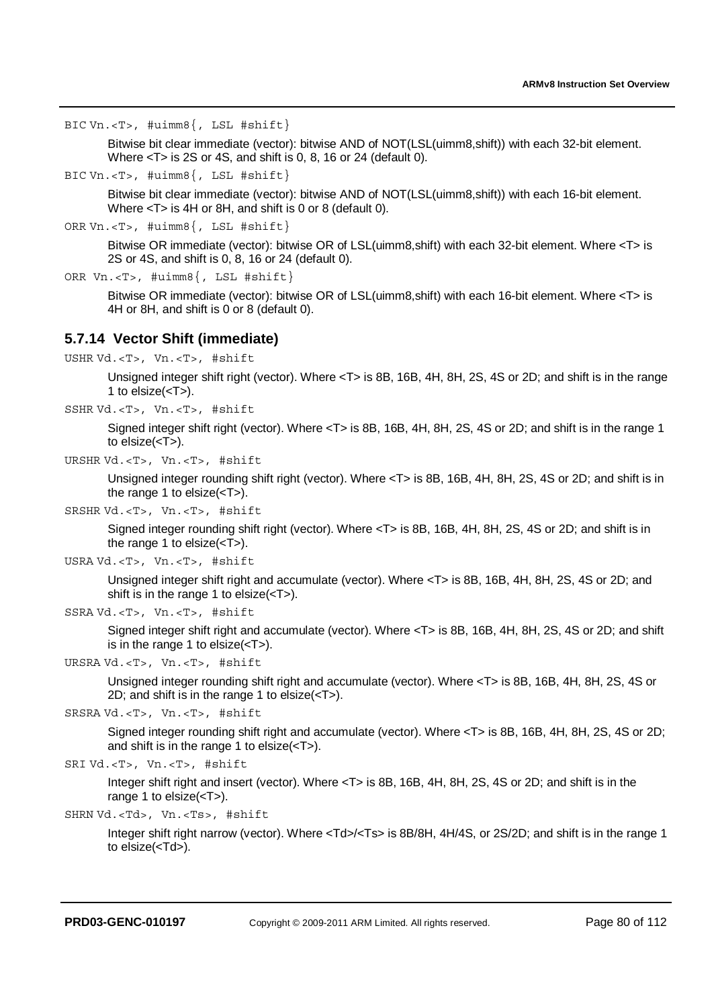BIC Vn.<T>, #uimm8{, LSL #shift}

Bitwise bit clear immediate (vector): bitwise AND of NOT(LSL(uimm8,shift)) with each 32-bit element. Where <T> is 2S or 4S, and shift is 0, 8, 16 or 24 (default 0).

BIC Vn.<T>, #uimm8{, LSL #shift}

Bitwise bit clear immediate (vector): bitwise AND of NOT(LSL(uimm8,shift)) with each 16-bit element. Where <T> is 4H or 8H, and shift is 0 or 8 (default 0).

ORR Vn.<T>, #uimm8{, LSL #shift}

Bitwise OR immediate (vector): bitwise OR of LSL(uimm8,shift) with each 32-bit element. Where <T> is 2S or 4S, and shift is 0, 8, 16 or 24 (default 0).

```
ORR Vn.<T>, #uimm8{, LSL #shift}
```
Bitwise OR immediate (vector): bitwise OR of LSL(uimm8,shift) with each 16-bit element. Where <T> is 4H or 8H, and shift is 0 or 8 (default 0).

# **5.7.14 Vector Shift (immediate)**

USHR Vd.<T>, Vn.<T>, #shift

Unsigned integer shift right (vector). Where <T> is 8B, 16B, 4H, 8H, 2S, 4S or 2D; and shift is in the range 1 to  $else( $-T$ )$ .

```
SSHR Vd.<T>, Vn.<T>, #shift
```
Signed integer shift right (vector). Where <T> is 8B, 16B, 4H, 8H, 2S, 4S or 2D; and shift is in the range 1 to elsize(<T>).

URSHR Vd.<T>, Vn.<T>, #shift

Unsigned integer rounding shift right (vector). Where <T> is 8B, 16B, 4H, 8H, 2S, 4S or 2D; and shift is in the range 1 to elsize $(**T**)$ .

```
SRSHR Vd.<T>, Vn.<T>, #shift
```
Signed integer rounding shift right (vector). Where <T> is 8B, 16B, 4H, 8H, 2S, 4S or 2D; and shift is in the range 1 to elsize $(**T**)$ .

```
USRA Vd.<T>, Vn.<T>, #shift
```
Unsigned integer shift right and accumulate (vector). Where <T> is 8B, 16B, 4H, 8H, 2S, 4S or 2D; and shift is in the range 1 to elsize(<T>).

```
SSRA Vd.<T>, Vn.<T>, #shift
```
Signed integer shift right and accumulate (vector). Where <T> is 8B, 16B, 4H, 8H, 2S, 4S or 2D; and shift is in the range 1 to elsize $(**T**)$ .

```
URSRA Vd.<T>, Vn.<T>, #shift
```
Unsigned integer rounding shift right and accumulate (vector). Where <T> is 8B, 16B, 4H, 8H, 2S, 4S or 2D; and shift is in the range 1 to elsize $(**T**)$ .

```
SRSRA Vd.<T>, Vn.<T>, #shift
```
Signed integer rounding shift right and accumulate (vector). Where <T> is 8B, 16B, 4H, 8H, 2S, 4S or 2D; and shift is in the range 1 to elsize(<T>).

```
SRI Vd.<T>, Vn.<T>, #shift
```
Integer shift right and insert (vector). Where <T> is 8B, 16B, 4H, 8H, 2S, 4S or 2D; and shift is in the range 1 to elsize(<T>).

```
SHRN Vd.<Td>, Vn.<Ts>, #shift
```
Integer shift right narrow (vector). Where <Td>/<Ts> is 8B/8H, 4H/4S, or 2S/2D; and shift is in the range 1 to elsize(<Td>).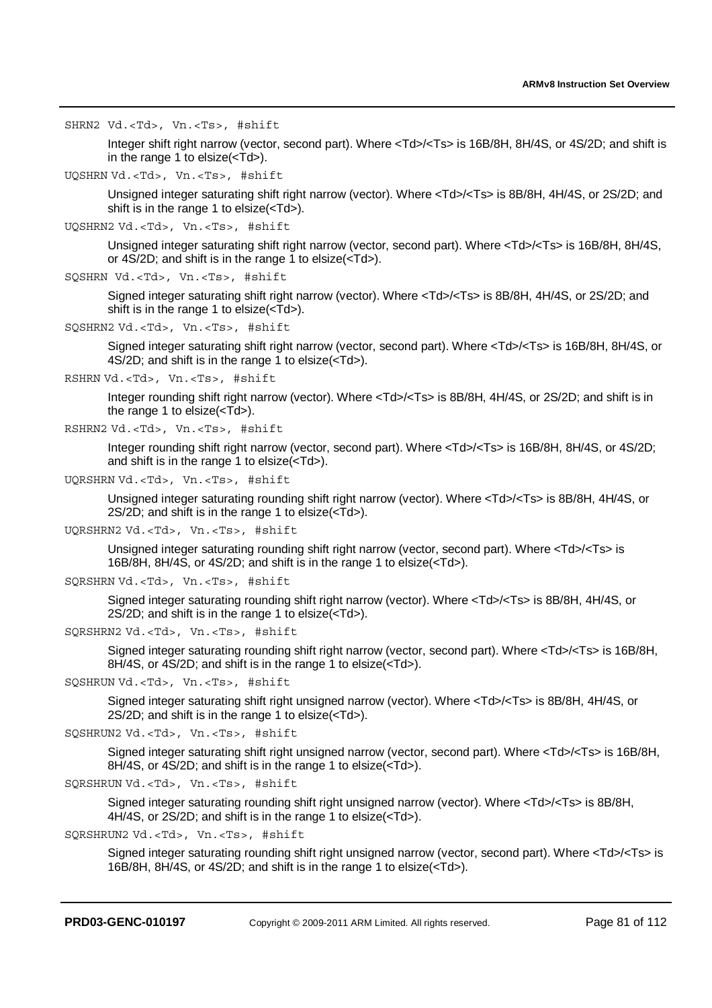SHRN2 Vd.<Td>, Vn.<Ts>, #shift

Integer shift right narrow (vector, second part). Where <Td>/<Ts> is 16B/8H, 8H/4S, or 4S/2D; and shift is in the range 1 to elsize(<Td>).

```
UQSHRN Vd.<Td>, Vn.<Ts>, #shift
```
Unsigned integer saturating shift right narrow (vector). Where <Td>/<Ts> is 8B/8H, 4H/4S, or 2S/2D; and shift is in the range 1 to elsize(<Td>).

```
UQSHRN2 Vd.<Td>, Vn.<Ts>, #shift
```
Unsigned integer saturating shift right narrow (vector, second part). Where <Td>/<Ts> is 16B/8H, 8H/4S, or  $4\overline{S}/2D$ ; and shift is in the range 1 to elsize( $\overline{S}/7d$ ).

```
SQSHRN Vd.<Td>, Vn.<Ts>, #shift
```
Signed integer saturating shift right narrow (vector). Where <Td>/<Ts> is 8B/8H, 4H/4S, or 2S/2D; and shift is in the range 1 to elsize(<Td>).

```
SQSHRN2 Vd.<Td>, Vn.<Ts>, #shift
```
Signed integer saturating shift right narrow (vector, second part). Where <Td>/<Ts> is 16B/8H, 8H/4S, or 4S/2D; and shift is in the range 1 to elsize $(\angle Td$ 

```
RSHRN Vd.<Td>, Vn.<Ts>, #shift
```
Integer rounding shift right narrow (vector). Where <Td>/<Ts> is 8B/8H, 4H/4S, or 2S/2D; and shift is in the range 1 to elsize(<Td>).

```
RSHRN2 Vd.<Td>, Vn.<Ts>, #shift
```
Integer rounding shift right narrow (vector, second part). Where  $<$ Td>/ $<$ Ts> is 16B/8H, 8H/4S, or 4S/2D; and shift is in the range 1 to elsize(<Td>).

```
UQRSHRN Vd.<Td>, Vn.<Ts>, #shift
```
Unsigned integer saturating rounding shift right narrow (vector). Where <Td>/<Ts> is 8B/8H, 4H/4S, or  $2S/2D$ ; and shift is in the range 1 to elsize( $\overline{\text{C}}$ Td $>$ ).

UQRSHRN2 Vd.<Td>, Vn.<Ts>, #shift

Unsigned integer saturating rounding shift right narrow (vector, second part). Where <Td>/<Ts> is 16B/8H, 8H/4S, or 4S/2D; and shift is in the range 1 to elsize(<Td>).

```
SQRSHRN Vd.<Td>, Vn.<Ts>, #shift
```

```
Signed integer saturating rounding shift right narrow (vector). Where <Td>/<Ts> is 8B/8H, 4H/4S, or 
2S/2D; and shift is in the range 1 to elsize(<Td>).
```

```
SQRSHRN2 Vd.<Td>, Vn.<Ts>, #shift
```
Signed integer saturating rounding shift right narrow (vector, second part). Where <Td>/<Ts> is 16B/8H, 8H/4S, or 4S/2D; and shift is in the range 1 to elsize(<Td>).

SQSHRUN Vd.<Td>, Vn.<Ts>, #shift

Signed integer saturating shift right unsigned narrow (vector). Where <Td>/<Ts> is 8B/8H, 4H/4S, or 2S/2D; and shift is in the range 1 to elsize(<Td>).

SQSHRUN2 Vd.<Td>, Vn.<Ts>, #shift

Signed integer saturating shift right unsigned narrow (vector, second part). Where <Td>/<Ts> is 16B/8H, 8H/4S, or 4S/2D; and shift is in the range 1 to elsize(<Td>).

```
SQRSHRUN Vd.<Td>, Vn.<Ts>, #shift
```
Signed integer saturating rounding shift right unsigned narrow (vector). Where <Td>/<Ts> is 8B/8H, 4H/4S, or 2S/2D; and shift is in the range 1 to elsize(<Td>).

```
SQRSHRUN2 Vd.<Td>, Vn.<Ts>, #shift
```
Signed integer saturating rounding shift right unsigned narrow (vector, second part). Where <Td>/<Ts> is 16B/8H, 8H/4S, or 4S/2D; and shift is in the range 1 to elsize(<Td>).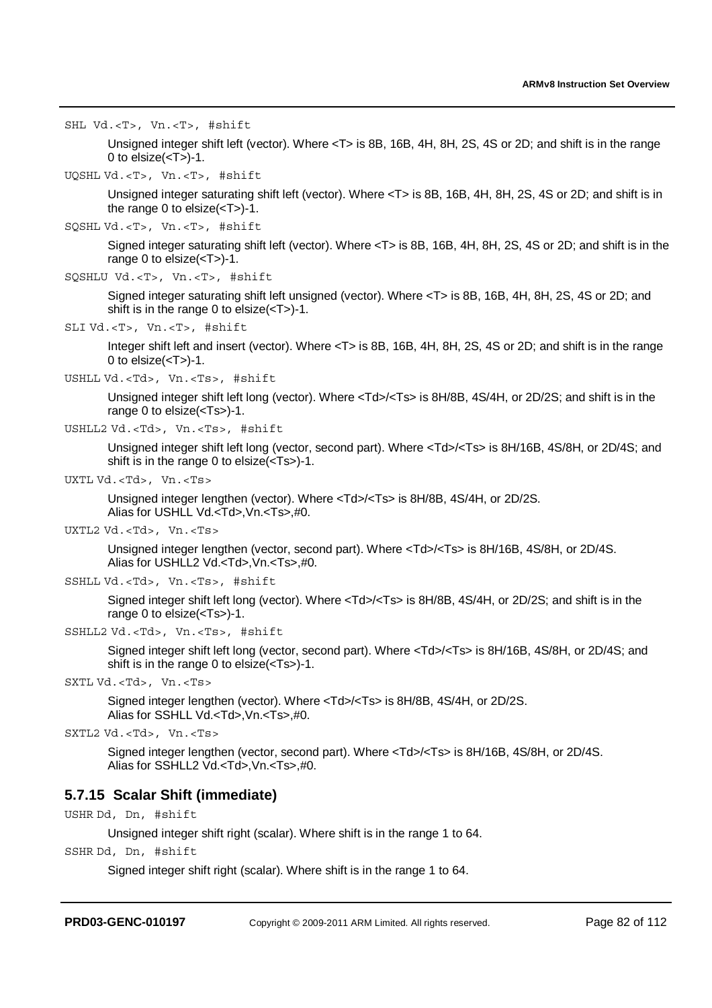SHL Vd.<T>, Vn.<T>, #shift

Unsigned integer shift left (vector). Where <T> is 8B, 16B, 4H, 8H, 2S, 4S or 2D; and shift is in the range 0 to  $else(*T*) - 1.$ 

UQSHL Vd.<T>, Vn.<T>, #shift

Unsigned integer saturating shift left (vector). Where <T> is 8B, 16B, 4H, 8H, 2S, 4S or 2D; and shift is in the range 0 to elsize(<T>)-1.

SQSHL Vd.<T>, Vn.<T>, #shift

Signed integer saturating shift left (vector). Where <T> is 8B, 16B, 4H, 8H, 2S, 4S or 2D; and shift is in the range 0 to elsize(<T>)-1.

```
SQSHLU Vd.<T>, Vn.<T>, #shift
```
Signed integer saturating shift left unsigned (vector). Where <T> is 8B, 16B, 4H, 8H, 2S, 4S or 2D; and shift is in the range 0 to elsize(<T>)-1.

SLI Vd.<T>, Vn.<T>, #shift

Integer shift left and insert (vector). Where <T> is 8B, 16B, 4H, 8H, 2S, 4S or 2D; and shift is in the range 0 to  $else(*T*) - 1.$ 

USHLL Vd.<Td>, Vn.<Ts>, #shift

Unsigned integer shift left long (vector). Where <Td>/<Ts> is 8H/8B, 4S/4H, or 2D/2S; and shift is in the range 0 to elsize(<Ts>)-1.

USHLL2 Vd.<Td>, Vn.<Ts>, #shift

Unsigned integer shift left long (vector, second part). Where <Td>/<Ts> is 8H/16B, 4S/8H, or 2D/4S; and shift is in the range 0 to elsize(<Ts>)-1.

UXTL Vd.<Td>, Vn.<Ts>

Unsigned integer lengthen (vector). Where <Td>/<Ts> is 8H/8B, 4S/4H, or 2D/2S. Alias for USHLL Vd.<Td>,Vn.<Ts>,#0.

UXTL2 Vd.<Td>, Vn.<Ts>

Unsigned integer lengthen (vector, second part). Where <Td>/<Ts> is 8H/16B, 4S/8H, or 2D/4S. Alias for USHLL2 Vd.<Td>,Vn.<Ts>,#0.

SSHLL Vd.<Td>, Vn.<Ts>, #shift

Signed integer shift left long (vector). Where <Td>/<Ts> is 8H/8B, 4S/4H, or 2D/2S; and shift is in the range 0 to elsize(<Ts>)-1.

SSHLL2 Vd.<Td>, Vn.<Ts>, #shift

Signed integer shift left long (vector, second part). Where <Td>/<Ts> is 8H/16B, 4S/8H, or 2D/4S; and shift is in the range 0 to elsize(<Ts>)-1.

SXTL Vd.<Td>, Vn.<Ts>

Signed integer lengthen (vector). Where <Td>/<Ts> is 8H/8B, 4S/4H, or 2D/2S. Alias for SSHLL Vd.<Td>,Vn.<Ts>,#0.

SXTL2 Vd.<Td>, Vn.<Ts>

Signed integer lengthen (vector, second part). Where <Td>/<Ts> is 8H/16B, 4S/8H, or 2D/4S. Alias for SSHLL2 Vd.<Td>,Vn.<Ts>,#0.

## **5.7.15 Scalar Shift (immediate)**

USHR Dd, Dn, #shift

Unsigned integer shift right (scalar). Where shift is in the range 1 to 64.

SSHR Dd, Dn, #shift

Signed integer shift right (scalar). Where shift is in the range 1 to 64.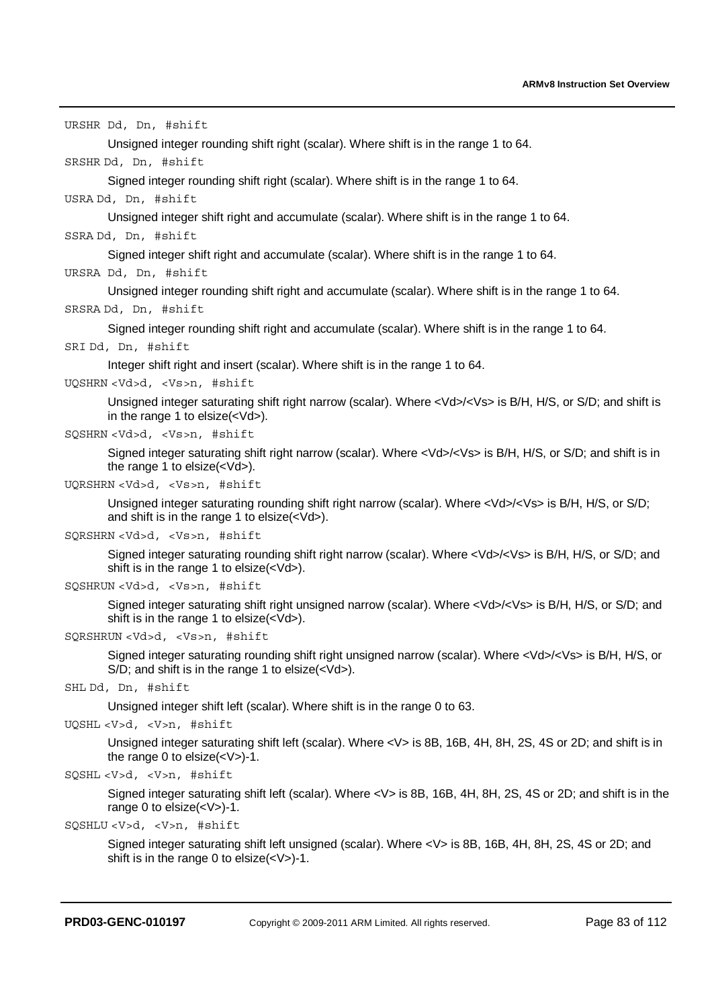URSHR Dd, Dn, #shift

Unsigned integer rounding shift right (scalar). Where shift is in the range 1 to 64.

SRSHR Dd, Dn, #shift

Signed integer rounding shift right (scalar). Where shift is in the range 1 to 64.

### USRA Dd, Dn, #shift

Unsigned integer shift right and accumulate (scalar). Where shift is in the range 1 to 64.

### SSRA Dd, Dn, #shift

Signed integer shift right and accumulate (scalar). Where shift is in the range 1 to 64.

### URSRA Dd, Dn, #shift

Unsigned integer rounding shift right and accumulate (scalar). Where shift is in the range 1 to 64.

### SRSRA Dd, Dn, #shift

Signed integer rounding shift right and accumulate (scalar). Where shift is in the range 1 to 64.

```
SRI Dd, Dn, #shift
```
Integer shift right and insert (scalar). Where shift is in the range 1 to 64.

#### UQSHRN <Vd>d, <Vs>n, #shift

Unsigned integer saturating shift right narrow (scalar). Where <Vd>/<Vs> is B/H, H/S, or S/D; and shift is in the range 1 to elsize $(<$  $\overline{ds}$ ).

```
SQSHRN <Vd>d, <Vs>n, #shift
```
Signed integer saturating shift right narrow (scalar). Where <Vd>/<Vs> is B/H, H/S, or S/D; and shift is in the range 1 to elsize(<Vd>).

#### UQRSHRN <Vd>d, <Vs>n, #shift

Unsigned integer saturating rounding shift right narrow (scalar). Where <Vd>/<Vs> is B/H, H/S, or S/D; and shift is in the range 1 to elsize(<Vd>).

#### SQRSHRN <Vd>d, <Vs>n, #shift

Signed integer saturating rounding shift right narrow (scalar). Where <Vd>/<Vs> is B/H, H/S, or S/D; and shift is in the range 1 to elsize $(<$ Vd>).

```
SQSHRUN <Vd>d, <Vs>n, #shift
```
Signed integer saturating shift right unsigned narrow (scalar). Where <Vd>/<Vs> is B/H, H/S, or S/D; and shift is in the range 1 to elsize(<Vd>).

### SQRSHRUN <Vd>d, <Vs>n, #shift

Signed integer saturating rounding shift right unsigned narrow (scalar). Where <Vd>/<Vs> is B/H, H/S, or S/D; and shift is in the range 1 to elsize(<Vd>).

SHL Dd, Dn, #shift

Unsigned integer shift left (scalar). Where shift is in the range 0 to 63.

```
UQSHL <V>d, <V>n, #shift
```
Unsigned integer saturating shift left (scalar). Where <V> is 8B, 16B, 4H, 8H, 2S, 4S or 2D; and shift is in the range 0 to elsize(<V>)-1.

```
SQSHL <V>d, <V>n, #shift
```
Signed integer saturating shift left (scalar). Where <V> is 8B, 16B, 4H, 8H, 2S, 4S or 2D; and shift is in the range 0 to elsize(<V>)-1.

```
SQSHLU <V>d, <V>n, #shift
```
Signed integer saturating shift left unsigned (scalar). Where <V> is 8B, 16B, 4H, 8H, 2S, 4S or 2D; and shift is in the range 0 to elsize(<V>)-1.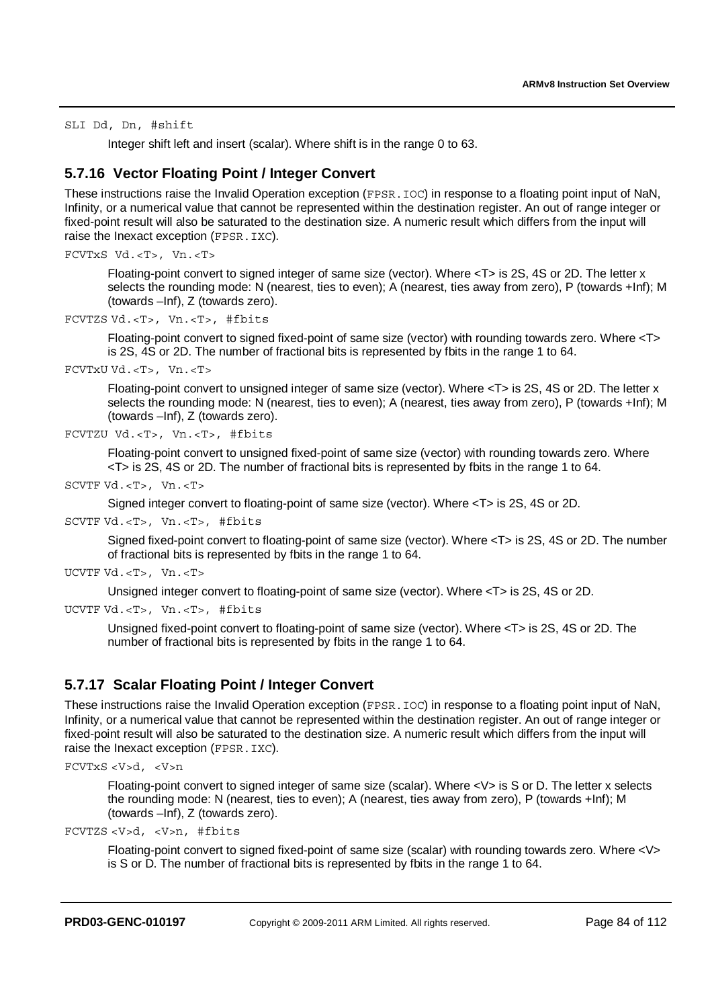SLI Dd, Dn, #shift

Integer shift left and insert (scalar). Where shift is in the range 0 to 63.

# **5.7.16 Vector Floating Point / Integer Convert**

These instructions raise the Invalid Operation exception (FPSR. IOC) in response to a floating point input of NaN, Infinity, or a numerical value that cannot be represented within the destination register. An out of range integer or fixed-point result will also be saturated to the destination size. A numeric result which differs from the input will raise the Inexact exception (FPSR.IXC).

```
FCVTxS Vd.<T>, Vn.<T>
```
Floating-point convert to signed integer of same size (vector). Where <T> is 2S, 4S or 2D. The letter x selects the rounding mode: N (nearest, ties to even); A (nearest, ties away from zero), P (towards +Inf); M (towards –Inf), Z (towards zero).

```
FCVTZS Vd.<T>, Vn.<T>, #fbits
```
Floating-point convert to signed fixed-point of same size (vector) with rounding towards zero. Where <T> is 2S, 4S or 2D. The number of fractional bits is represented by fbits in the range 1 to 64.

FCVTxU Vd.<T>, Vn.<T>

Floating-point convert to unsigned integer of same size (vector). Where <T> is 2S, 4S or 2D. The letter x selects the rounding mode: N (nearest, ties to even); A (nearest, ties away from zero), P (towards +Inf); M (towards –Inf), Z (towards zero).

```
FCVTZU Vd.<T>, Vn.<T>, #fbits
```
Floating-point convert to unsigned fixed-point of same size (vector) with rounding towards zero. Where <T> is 2S, 4S or 2D. The number of fractional bits is represented by fbits in the range 1 to 64.

SCVTF Vd.<T>, Vn.<T>

Signed integer convert to floating-point of same size (vector). Where <T> is 2S, 4S or 2D.

SCVTF Vd.<T>, Vn.<T>, #fbits

Signed fixed-point convert to floating-point of same size (vector). Where <T> is 2S, 4S or 2D. The number of fractional bits is represented by fbits in the range 1 to 64.

UCVTF Vd.<T>, Vn.<T>

```
Unsigned integer convert to floating-point of same size (vector). Where <T> is 2S, 4S or 2D.
```

```
UCVTF Vd.<T>, Vn.<T>, #fbits
```
Unsigned fixed-point convert to floating-point of same size (vector). Where <T> is 2S, 4S or 2D. The number of fractional bits is represented by fbits in the range 1 to 64.

# **5.7.17 Scalar Floating Point / Integer Convert**

These instructions raise the Invalid Operation exception (FPSR. IOC) in response to a floating point input of NaN, Infinity, or a numerical value that cannot be represented within the destination register. An out of range integer or fixed-point result will also be saturated to the destination size. A numeric result which differs from the input will raise the Inexact exception (FPSR.IXC).

```
FCVTxS <V>d, <V>n
```
Floating-point convert to signed integer of same size (scalar). Where <V> is S or D. The letter x selects the rounding mode: N (nearest, ties to even); A (nearest, ties away from zero), P (towards +Inf); M (towards –Inf), Z (towards zero).

```
FCVTZS <V>d, <V>n, #fbits
```
Floating-point convert to signed fixed-point of same size (scalar) with rounding towards zero. Where <V> is S or D. The number of fractional bits is represented by fbits in the range 1 to 64.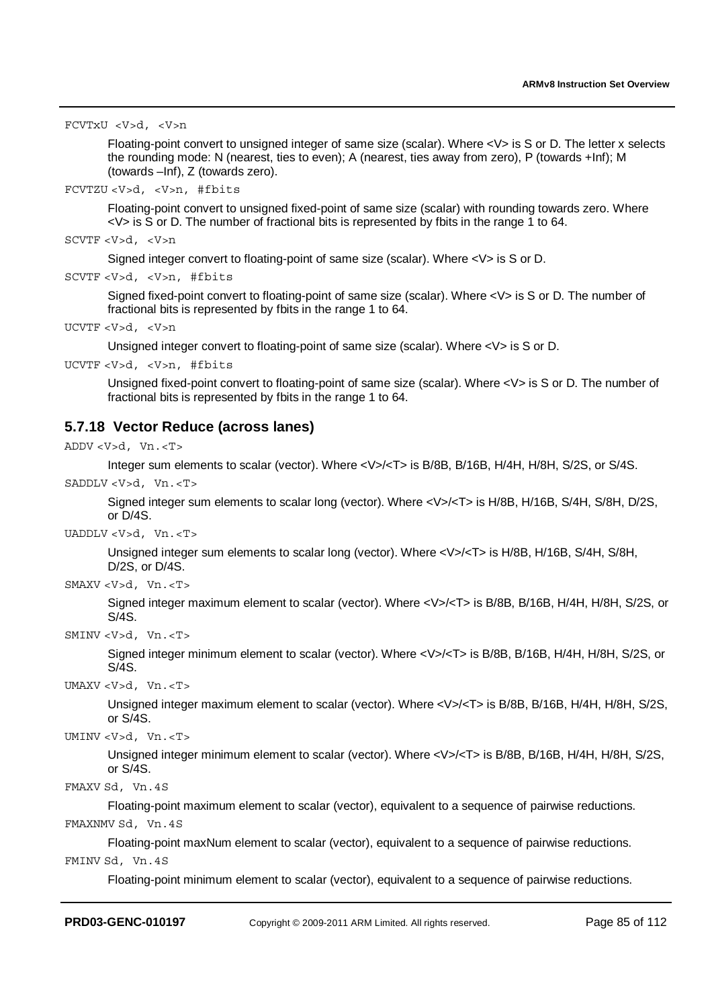```
FCVTxU <V>d, <V>n
```
Floating-point convert to unsigned integer of same size (scalar). Where <V> is S or D. The letter x selects the rounding mode: N (nearest, ties to even); A (nearest, ties away from zero), P (towards +Inf); M (towards –Inf), Z (towards zero).

```
FCVTZU <V>d, <V>n, #fbits
```
Floating-point convert to unsigned fixed-point of same size (scalar) with rounding towards zero. Where  $<$ V $>$  is S or D. The number of fractional bits is represented by fbits in the range 1 to 64.

```
SCVTF <V>d, <V>n
```
Signed integer convert to floating-point of same size (scalar). Where <V> is S or D.

```
SCVTF <V>d, <V>n, #fbits
```
Signed fixed-point convert to floating-point of same size (scalar). Where <V> is S or D. The number of fractional bits is represented by fbits in the range 1 to 64.

UCVTF <V>d, <V>n

Unsigned integer convert to floating-point of same size (scalar). Where <V> is S or D.

UCVTF <V>d, <V>n, #fbits

Unsigned fixed-point convert to floating-point of same size (scalar). Where <V> is S or D. The number of fractional bits is represented by fbits in the range 1 to 64.

# **5.7.18 Vector Reduce (across lanes)**

```
ADDV <V>d, Vn.<T>
```
Integer sum elements to scalar (vector). Where <V>/<T> is B/8B, B/16B, H/4H, H/8H, S/2S, or S/4S.

SADDLV<V>d, Vn.<T>

Signed integer sum elements to scalar long (vector). Where <V>/<T> is H/8B, H/16B, S/4H, S/8H, D/2S, or D/4S.

UADDLV <V>d, Vn.<T>

Unsigned integer sum elements to scalar long (vector). Where <V>/<T> is H/8B, H/16B, S/4H, S/8H, D/2S, or D/4S.

SMAXV <V>d, Vn.<T>

Signed integer maximum element to scalar (vector). Where <V>/<T> is B/8B, B/16B, H/4H, H/8H, S/2S, or S/4S.

SMINV <V>d, Vn.<T>

Signed integer minimum element to scalar (vector). Where <V>/<T> is B/8B, B/16B, H/4H, H/8H, S/2S, or S/4S.

UMAXV <V>d, Vn.<T>

Unsigned integer maximum element to scalar (vector). Where <V>/<T> is B/8B, B/16B, H/4H, H/8H, S/2S, or S/4S.

UMINV <V>d, Vn.<T>

Unsigned integer minimum element to scalar (vector). Where <V>/<T> is B/8B, B/16B, H/4H, H/8H, S/2S, or S/4S.

FMAXV Sd, Vn.4S

Floating-point maximum element to scalar (vector), equivalent to a sequence of pairwise reductions.

FMAXNMV Sd, Vn.4S

Floating-point maxNum element to scalar (vector), equivalent to a sequence of pairwise reductions. FMINV Sd, Vn.4S

Floating-point minimum element to scalar (vector), equivalent to a sequence of pairwise reductions.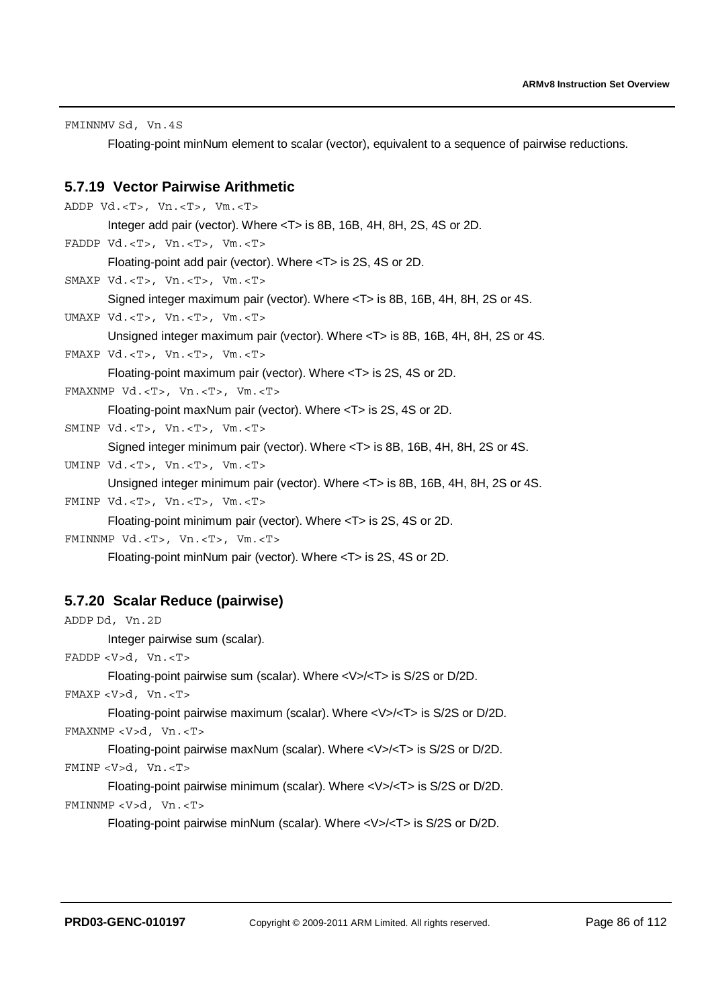FMINNMV Sd, Vn.4S

Floating-point minNum element to scalar (vector), equivalent to a sequence of pairwise reductions.

## **5.7.19 Vector Pairwise Arithmetic**

```
ADDP Vd.<T>, Vn.<T>, Vm.<T>
       Integer add pair (vector). Where <T> is 8B, 16B, 4H, 8H, 2S, 4S or 2D. 
FADDP Vd.<T>, Vn.<T>, Vm.<T>
       Floating-point add pair (vector). Where <T> is 2S, 4S or 2D. 
SMAXP Vd.<T>, Vn.<T>, Vm.<T>
       Signed integer maximum pair (vector). Where <T> is 8B, 16B, 4H, 8H, 2S or 4S. 
UMAXP Vd.<T>, Vn.<T>, Vm.<T>
       Unsigned integer maximum pair (vector). Where <T> is 8B, 16B, 4H, 8H, 2S or 4S. 
FMAXP Vd.<T>, Vn.<T>, Vm.<T>
       Floating-point maximum pair (vector). Where <T> is 2S, 4S or 2D. 
FMAXNMP Vd.<T>, Vn.<T>, Vm.<T>
       Floating-point maxNum pair (vector). Where <T> is 2S, 4S or 2D. 
SMINP Vd.<T>, Vn.<T>, Vm.<T>
       Signed integer minimum pair (vector). Where <T> is 8B, 16B, 4H, 8H, 2S or 4S. 
UMINP Vd.<T>, Vn.<T>, Vm.<T>
       Unsigned integer minimum pair (vector). Where <T> is 8B, 16B, 4H, 8H, 2S or 4S. 
FMINP Vd.<T>, Vn.<T>, Vm.<T>
       Floating-point minimum pair (vector). Where <T> is 2S, 4S or 2D. 
FMINNMP Vd.<T>, Vn.<T>, Vm.<T>
```
Floating-point minNum pair (vector). Where <T> is 2S, 4S or 2D.

## **5.7.20 Scalar Reduce (pairwise)**

```
ADDP Dd, Vn.2D
       Integer pairwise sum (scalar). 
FADDP <V>d, Vn.<T>
       Floating-point pairwise sum (scalar). Where <V>/<T> is S/2S or D/2D. 
FMAXP <V>d, Vn.<T>
       Floating-point pairwise maximum (scalar). Where <V>/<T> is S/2S or D/2D. 
FMAXNMP <V>d, Vn.<T>
       Floating-point pairwise maxNum (scalar). Where <V>/<T> is S/2S or D/2D. 
FMINP <V>d, Vn.<T>
       Floating-point pairwise minimum (scalar). Where <V>/<T> is S/2S or D/2D.
```

```
FMINNMP <V>d, Vn.<T>
```
Floating-point pairwise minNum (scalar). Where <V>/<T> is S/2S or D/2D.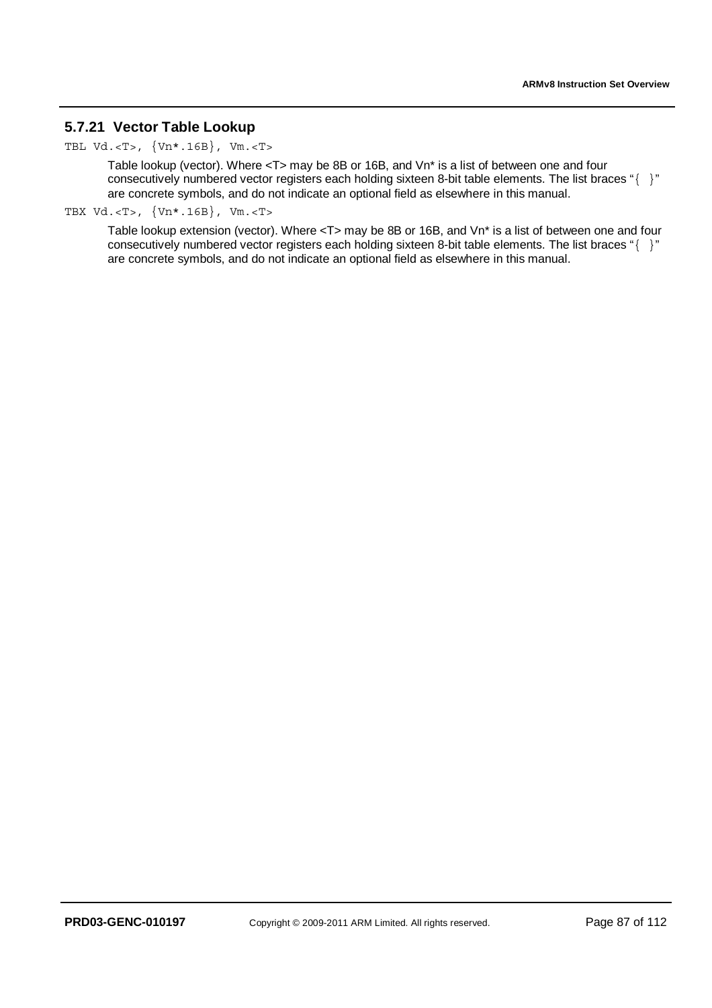# **5.7.21 Vector Table Lookup**

TBL Vd.<T>, {Vn\*.16B}, Vm.<T>

Table lookup (vector). Where <T> may be 8B or 16B, and Vn\* is a list of between one and four consecutively numbered vector registers each holding sixteen 8-bit table elements. The list braces "{ }" are concrete symbols, and do not indicate an optional field as elsewhere in this manual.

TBX Vd.<T>, {Vn\*.16B}, Vm.<T>

Table lookup extension (vector). Where <T> may be 8B or 16B, and Vn\* is a list of between one and four consecutively numbered vector registers each holding sixteen 8-bit table elements. The list braces "{ }" are concrete symbols, and do not indicate an optional field as elsewhere in this manual.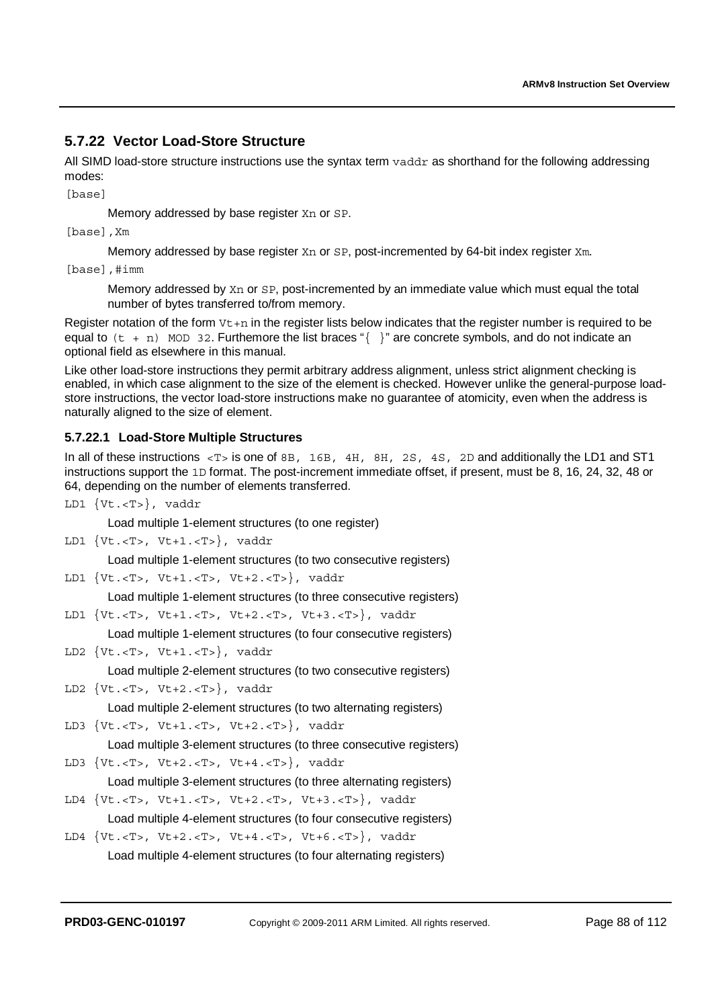# **5.7.22 Vector Load-Store Structure**

All SIMD load-store structure instructions use the syntax term  $v$ addr as shorthand for the following addressing modes:

[base]

Memory addressed by base register Xn or SP.

[base], Xm

Memory addressed by base register Xn or SP, post-incremented by 64-bit index register Xm.

[base],#imm

Memory addressed by Xn or SP, post-incremented by an immediate value which must equal the total number of bytes transferred to/from memory.

Register notation of the form  $Vt+n$  in the register lists below indicates that the register number is required to be equal to  $(t + n)$  MOD 32. Furthemore the list braces " $\{\}$ " are concrete symbols, and do not indicate an optional field as elsewhere in this manual.

Like other load-store instructions they permit arbitrary address alignment, unless strict alignment checking is enabled, in which case alignment to the size of the element is checked. However unlike the general-purpose loadstore instructions, the vector load-store instructions make no guarantee of atomicity, even when the address is naturally aligned to the size of element.

## **5.7.22.1 Load-Store Multiple Structures**

In all of these instructions <T> is one of 8B, 16B, 4H, 8H, 2S, 4S, 2D and additionally the LD1 and ST1 instructions support the 1D format. The post-increment immediate offset, if present, must be 8, 16, 24, 32, 48 or 64, depending on the number of elements transferred.

LD1 {Vt.<T>}, vaddr

Load multiple 1-element structures (to one register)

LD1 {Vt.<T>, Vt+1.<T>}, vaddr

Load multiple 1-element structures (to two consecutive registers)

LD1 {Vt.<T>, Vt+1.<T>, Vt+2.<T>}, vaddr

Load multiple 1-element structures (to three consecutive registers)

LD1 {Vt.<T>, Vt+1.<T>, Vt+2.<T>, Vt+3.<T>}, vaddr

Load multiple 1-element structures (to four consecutive registers)

LD2 {Vt.<T>, Vt+1.<T>}, vaddr

Load multiple 2-element structures (to two consecutive registers)

LD2  $\{Vt.-T>$ ,  $Vt+2.-T>\}$ ,  $vaddr$ 

Load multiple 2-element structures (to two alternating registers)

LD3 {Vt.<T>, Vt+1.<T>, Vt+2.<T>}, vaddr

Load multiple 3-element structures (to three consecutive registers)

LD3 {Vt.<T>, Vt+2.<T>, Vt+4.<T>}, vaddr

Load multiple 3-element structures (to three alternating registers)

- LD4 {Vt.<T>, Vt+1.<T>, Vt+2.<T>, Vt+3.<T>}, vaddr Load multiple 4-element structures (to four consecutive registers)
- LD4 {Vt.<T>, Vt+2.<T>, Vt+4.<T>, Vt+6.<T>}, vaddr Load multiple 4-element structures (to four alternating registers)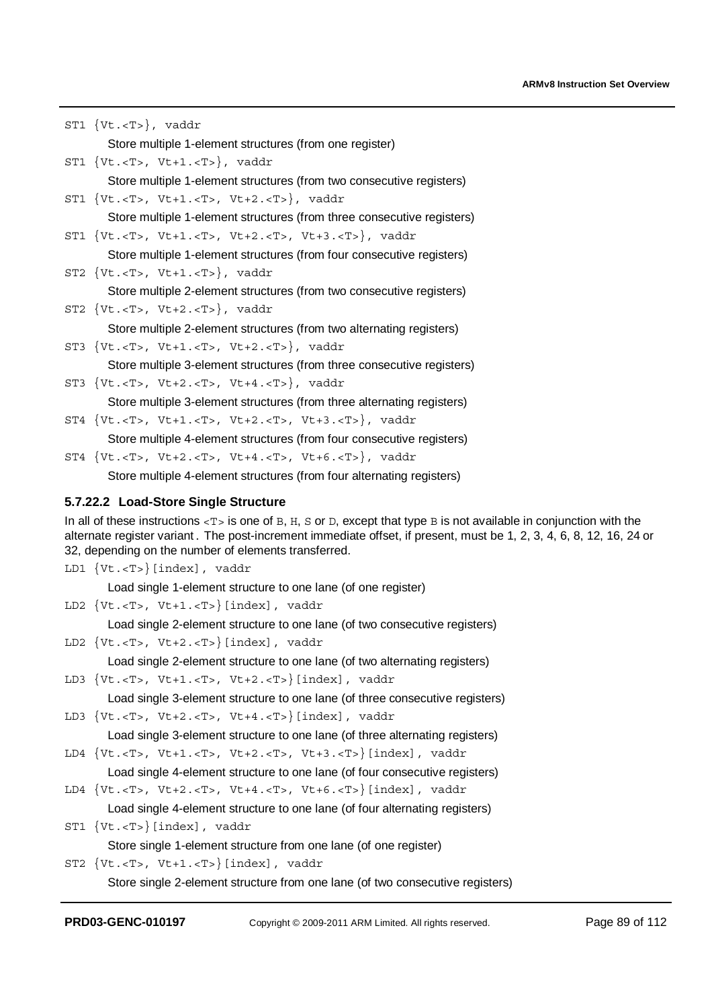ST1 {Vt.<T>}, vaddr Store multiple 1-element structures (from one register) ST1 {Vt.<T>, Vt+1.<T>}, vaddr Store multiple 1-element structures (from two consecutive registers) ST1 {Vt.<T>, Vt+1.<T>, Vt+2.<T>}, vaddr Store multiple 1-element structures (from three consecutive registers) ST1 {Vt.<T>, Vt+1.<T>, Vt+2.<T>, Vt+3.<T>}, vaddr Store multiple 1-element structures (from four consecutive registers) ST2  $\{Vt.$ ,  $Vt+1.$ ,  $valdr$ Store multiple 2-element structures (from two consecutive registers)  $ST2$  {Vt. <T>, Vt+2. <T>}, vaddr Store multiple 2-element structures (from two alternating registers) ST3 {Vt.<T>, Vt+1.<T>, Vt+2.<T>}, vaddr Store multiple 3-element structures (from three consecutive registers) ST3 {Vt.<T>, Vt+2.<T>, Vt+4.<T>}, vaddr Store multiple 3-element structures (from three alternating registers) ST4 {Vt.<T>, Vt+1.<T>, Vt+2.<T>, Vt+3.<T>}, vaddr Store multiple 4-element structures (from four consecutive registers) ST4 {Vt.<T>, Vt+2.<T>, Vt+4.<T>, Vt+6.<T>}, vaddr Store multiple 4-element structures (from four alternating registers)

# **5.7.22.2 Load-Store Single Structure**

In all of these instructions  $\langle T \rangle$  is one of B, H, S or D, except that type B is not available in conjunction with the alternate register variant. The post-increment immediate offset, if present, must be 1, 2, 3, 4, 6, 8, 12, 16, 24 or 32, depending on the number of elements transferred.

```
LD1 {Vt.<T>}[index], vaddr
```
Load single 1-element structure to one lane (of one register)

LD2 {Vt.<T>, Vt+1.<T>}[index], vaddr

Load single 2-element structure to one lane (of two consecutive registers)

LD2 {Vt.<T>, Vt+2.<T>}[index], vaddr

Load single 2-element structure to one lane (of two alternating registers)

LD3 {Vt.<T>, Vt+1.<T>, Vt+2.<T>}[index], vaddr

Load single 3-element structure to one lane (of three consecutive registers)

LD3 {Vt.<T>, Vt+2.<T>, Vt+4.<T>}[index], vaddr

Load single 3-element structure to one lane (of three alternating registers)

LD4 {Vt.<T>, Vt+1.<T>, Vt+2.<T>, Vt+3.<T>}[index], vaddr

Load single 4-element structure to one lane (of four consecutive registers) LD4 {Vt.<T>, Vt+2.<T>, Vt+4.<T>, Vt+6.<T>}[index], vaddr

Load single 4-element structure to one lane (of four alternating registers)

ST1 {Vt.<T>}[index], vaddr

Store single 1-element structure from one lane (of one register)

ST2 {Vt.<T>, Vt+1.<T>}[index], vaddr

Store single 2-element structure from one lane (of two consecutive registers)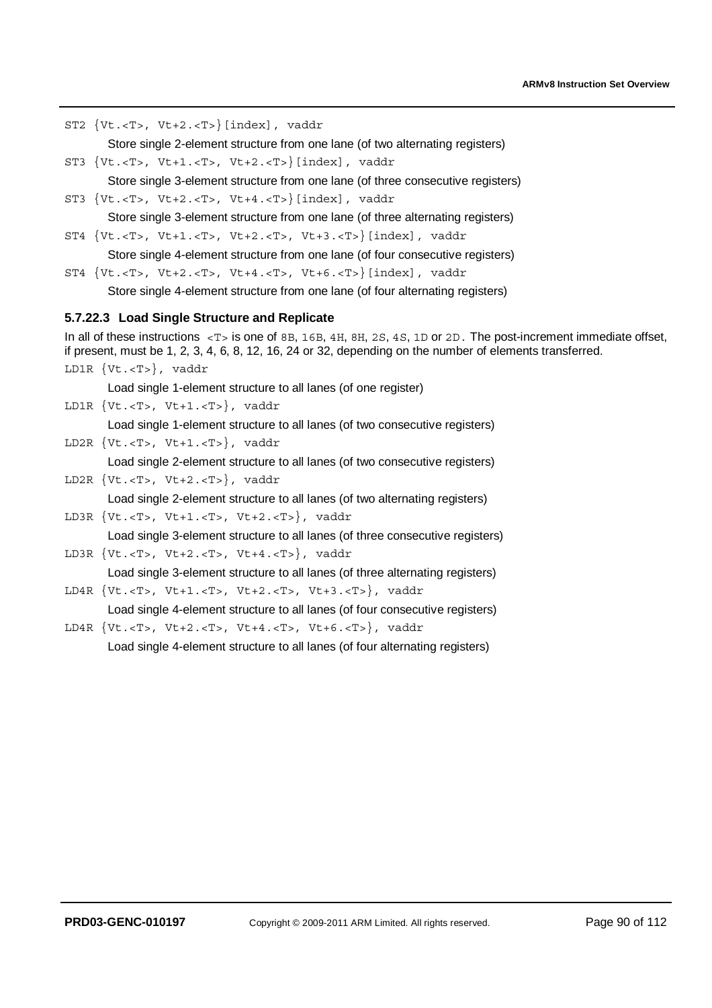ST2 {Vt.<T>, Vt+2.<T>}[index], vaddr

Store single 2-element structure from one lane (of two alternating registers)

ST3 {Vt.<T>, Vt+1.<T>, Vt+2.<T>}[index], vaddr

Store single 3-element structure from one lane (of three consecutive registers)

ST3 {Vt.<T>, Vt+2.<T>, Vt+4.<T>}[index], vaddr

Store single 3-element structure from one lane (of three alternating registers)

ST4 {Vt.<T>, Vt+1.<T>, Vt+2.<T>, Vt+3.<T>}[index], vaddr

Store single 4-element structure from one lane (of four consecutive registers)

ST4 {Vt.<T>, Vt+2.<T>, Vt+4.<T>, Vt+6.<T>}[index], vaddr Store single 4-element structure from one lane (of four alternating registers)

### **5.7.22.3 Load Single Structure and Replicate**

In all of these instructions  $\langle T \rangle$  is one of 8B, 16B, 4H, 8H, 2S, 4S, 1D or 2D. The post-increment immediate offset, if present, must be 1, 2, 3, 4, 6, 8, 12, 16, 24 or 32, depending on the number of elements transferred. LD1R {Vt.<T>}, vaddr

Load single 1-element structure to all lanes (of one register)

LD1R {Vt.<T>, Vt+1.<T>}, vaddr

Load single 1-element structure to all lanes (of two consecutive registers)

LD2R {Vt.<T>, Vt+1.<T>}, vaddr

Load single 2-element structure to all lanes (of two consecutive registers)

LD2R {Vt.<T>, Vt+2.<T>}, vaddr

Load single 2-element structure to all lanes (of two alternating registers)

LD3R {Vt.<T>, Vt+1.<T>, Vt+2.<T>}, vaddr

Load single 3-element structure to all lanes (of three consecutive registers)

LD3R {Vt.<T>, Vt+2.<T>, Vt+4.<T>}, vaddr

Load single 3-element structure to all lanes (of three alternating registers) LD4R {Vt.<T>, Vt+1.<T>, Vt+2.<T>, Vt+3.<T>}, vaddr

Load single 4-element structure to all lanes (of four consecutive registers)

LD4R {Vt.<T>, Vt+2.<T>, Vt+4.<T>, Vt+6.<T>}, vaddr Load single 4-element structure to all lanes (of four alternating registers)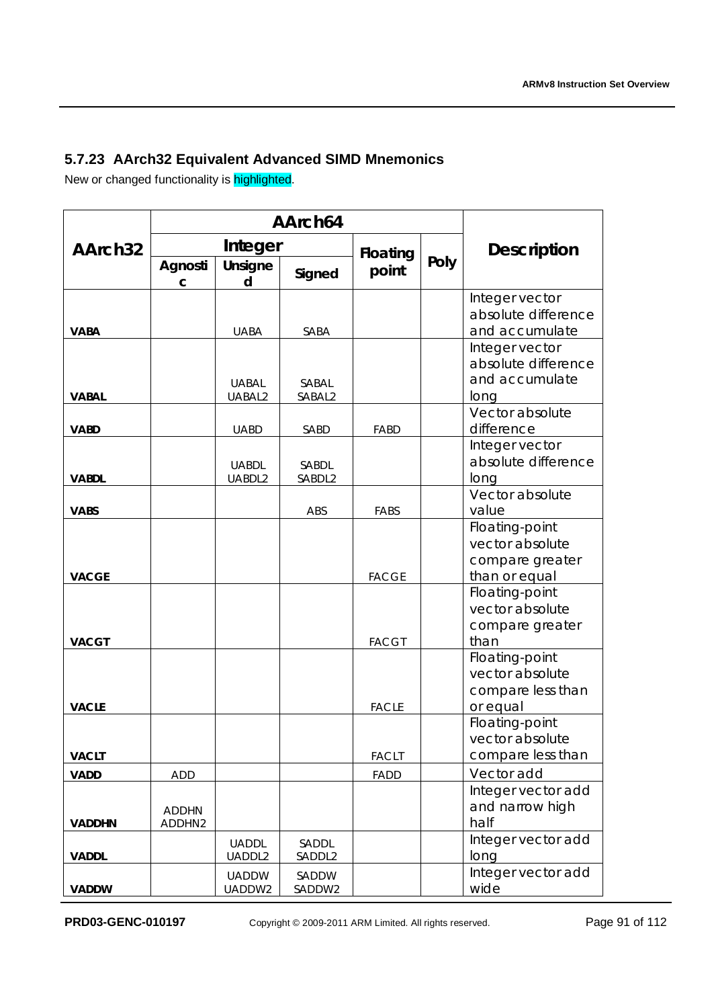# **5.7.23 AArch32 Equivalent Advanced SIMD Mnemonics**

New or changed functionality is **highlighted**.

|                     | AArch64                |                        |                 |              |      |                                                                           |  |
|---------------------|------------------------|------------------------|-----------------|--------------|------|---------------------------------------------------------------------------|--|
| AArch <sub>32</sub> |                        | Integer                |                 | Floating     |      | <b>Description</b>                                                        |  |
|                     | Agnosti<br>с           | Unsigne<br>d           | Signed          | point        | Poly |                                                                           |  |
| <b>VABA</b>         |                        | <b>UABA</b>            | SABA            |              |      | Integer vector<br>absolute difference<br>and accumulate<br>Integer vector |  |
| <b>VABAL</b>        |                        | <b>UABAL</b><br>UABAL2 | SABAL<br>SABAL2 |              |      | absolute difference<br>and accumulate<br>long                             |  |
| <b>VABD</b>         |                        | <b>UABD</b>            | SABD            | FABD         |      | Vector absolute<br>difference                                             |  |
| <b>VABDL</b>        |                        | <b>UABDL</b><br>UABDL2 | SABDL<br>SABDL2 |              |      | Integer vector<br>absolute difference<br>long                             |  |
| <b>VABS</b>         |                        |                        | ABS             | FABS         |      | Vector absolute<br>value                                                  |  |
| <b>VACGE</b>        |                        |                        |                 | <b>FACGE</b> |      | Floating-point<br>vector absolute<br>compare greater<br>than or equal     |  |
| <b>VACGT</b>        |                        |                        |                 | <b>FACGT</b> |      | Floating-point<br>vector absolute<br>compare greater<br>than              |  |
| <b>VACLE</b>        |                        |                        |                 | <b>FACLE</b> |      | Floating-point<br>vector absolute<br>compare less than<br>or equal        |  |
| <b>VACLT</b>        |                        |                        |                 | <b>FACLT</b> |      | Floating-point<br>vector absolute<br>compare less than                    |  |
| <b>VADD</b>         | <b>ADD</b>             |                        |                 | FADD         |      | Vector add                                                                |  |
| <b>VADDHN</b>       | <b>ADDHN</b><br>ADDHN2 |                        |                 |              |      | Integer vector add<br>and narrow high<br>half                             |  |
| <b>VADDL</b>        |                        | <b>UADDL</b><br>UADDL2 | SADDL<br>SADDL2 |              |      | Integer vector add<br>long                                                |  |
| <b>VADDW</b>        |                        | <b>UADDW</b><br>UADDW2 | SADDW<br>SADDW2 |              |      | Integer vector add<br>wide                                                |  |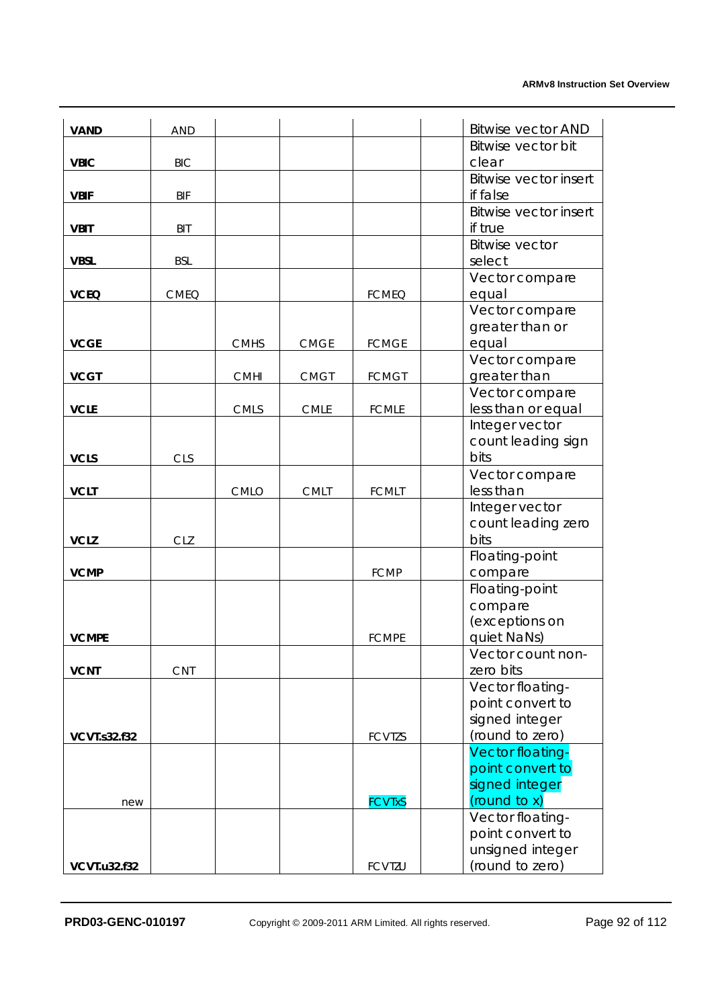| <b>VAND</b>         | <b>AND</b>  |             |             |               | <b>Bitwise vector AND</b>            |
|---------------------|-------------|-------------|-------------|---------------|--------------------------------------|
|                     |             |             |             |               | Bitwise vector bit                   |
| <b>VBIC</b>         | <b>BIC</b>  |             |             |               | clear                                |
|                     |             |             |             |               | <b>Bitwise vector insert</b>         |
| <b>VBIF</b>         | <b>BIF</b>  |             |             |               | if false                             |
|                     |             |             |             |               | <b>Bitwise vector insert</b>         |
| <b>VBIT</b>         | <b>BIT</b>  |             |             |               | if true                              |
|                     |             |             |             |               | <b>Bitwise vector</b>                |
| <b>VBSL</b>         | <b>BSL</b>  |             |             |               | select                               |
|                     |             |             |             |               | Vector compare                       |
| <b>VCEQ</b>         | <b>CMEQ</b> |             |             | <b>FCMEQ</b>  | equal                                |
|                     |             |             |             |               | Vector compare<br>greater than or    |
| <b>VCGE</b>         |             | <b>CMHS</b> | <b>CMGE</b> | <b>FCMGE</b>  | equal                                |
|                     |             |             |             |               | Vector compare                       |
| <b>VCGT</b>         |             | <b>CMHI</b> | <b>CMGT</b> | <b>FCMGT</b>  | greater than                         |
|                     |             |             |             |               | Vector compare                       |
| <b>VCLE</b>         |             | CMLS        | <b>CMLE</b> | <b>FCMLE</b>  | less than or equal                   |
|                     |             |             |             |               | Integer vector                       |
|                     |             |             |             |               | count leading sign                   |
| <b>VCLS</b>         | <b>CLS</b>  |             |             |               | bits                                 |
|                     |             |             |             |               | Vector compare                       |
| <b>VCLT</b>         |             | <b>CMLO</b> | <b>CMLT</b> | <b>FCMLT</b>  | less than                            |
|                     |             |             |             |               | Integer vector                       |
|                     |             |             |             |               | count leading zero                   |
| <b>VCLZ</b>         | <b>CLZ</b>  |             |             |               | bits                                 |
| <b>VCMP</b>         |             |             |             | <b>FCMP</b>   | Floating-point<br>compare            |
|                     |             |             |             |               | Floating-point                       |
|                     |             |             |             |               | compare                              |
|                     |             |             |             |               | (exceptions on                       |
| <b>VCMPE</b>        |             |             |             | <b>FCMPE</b>  | quiet NaNs)                          |
|                     |             |             |             |               | Vector count non-                    |
| <b>VCNT</b>         | <b>CNT</b>  |             |             |               | zero bits                            |
|                     |             |             |             |               | Vector floating-                     |
|                     |             |             |             |               | point convert to                     |
|                     |             |             |             |               | signed integer                       |
| <b>VCVT.s32.f32</b> |             |             |             | <b>FCVTZS</b> | (round to zero)                      |
|                     |             |             |             |               | Vector floating-<br>point convert to |
|                     |             |             |             |               | signed integer                       |
| new                 |             |             |             | <b>FCVTxS</b> | (round to x)                         |
|                     |             |             |             |               | Vector floating-                     |
|                     |             |             |             |               | point convert to                     |
|                     |             |             |             |               | unsigned integer                     |
| <b>VCVT.u32.f32</b> |             |             |             | <b>FCVTZU</b> | (round to zero)                      |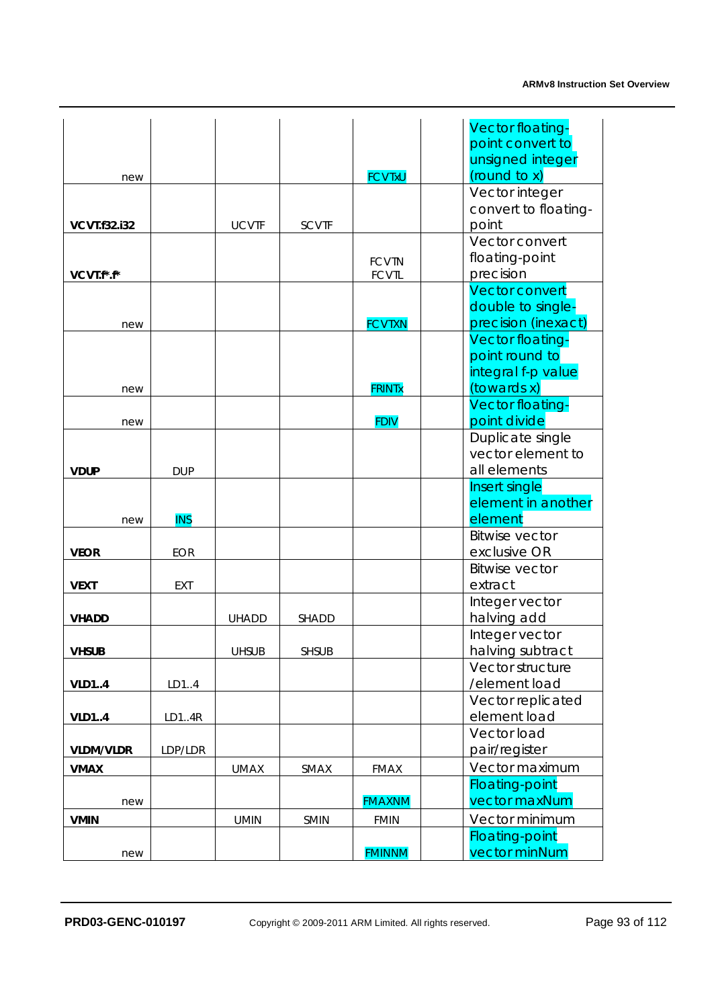|                     |            |              |              |               | Vector floating-                         |
|---------------------|------------|--------------|--------------|---------------|------------------------------------------|
|                     |            |              |              |               | point convert to<br>unsigned integer     |
| new                 |            |              |              | <b>FCVTxU</b> | (round to x)                             |
|                     |            |              |              |               | Vector integer                           |
|                     |            |              |              |               | convert to floating-                     |
| <b>VCVT.f32.i32</b> |            | <b>UCVTF</b> | <b>SCVTF</b> |               | point                                    |
|                     |            |              |              |               | Vector convert                           |
|                     |            |              |              | <b>FCVTN</b>  | floating-point                           |
| VCVT.f*.f*          |            |              |              | <b>FCVTL</b>  | precision                                |
|                     |            |              |              |               | <b>Vector convert</b>                    |
|                     |            |              |              | <b>FCVTXN</b> | double to single-<br>precision (inexact) |
| new                 |            |              |              |               | Vector floating-                         |
|                     |            |              |              |               | point round to                           |
|                     |            |              |              |               | integral f-p value                       |
| new                 |            |              |              | <b>FRINTx</b> | (towards x)                              |
|                     |            |              |              |               | Vector floating-                         |
| new                 |            |              |              | <b>FDIV</b>   | point divide                             |
|                     |            |              |              |               | Duplicate single                         |
|                     |            |              |              |               | vector element to                        |
| <b>VDUP</b>         | <b>DUP</b> |              |              |               | all elements                             |
|                     |            |              |              |               | Insert single                            |
| new                 | <b>INS</b> |              |              |               | element in another<br>element            |
|                     |            |              |              |               | <b>Bitwise vector</b>                    |
| <b>VEOR</b>         | <b>EOR</b> |              |              |               | exclusive OR                             |
|                     |            |              |              |               | <b>Bitwise vector</b>                    |
| <b>VEXT</b>         | <b>EXT</b> |              |              |               | extract                                  |
|                     |            |              |              |               | Integer vector                           |
| <b>VHADD</b>        |            | <b>UHADD</b> | <b>SHADD</b> |               | halving add                              |
|                     |            |              |              |               | Integer vector                           |
| Vhsub               |            | <b>UHSUB</b> | <b>SHSUB</b> |               | halving subtract                         |
|                     |            |              |              |               | Vector structure                         |
| <b>VLD14</b>        | LD14       |              |              |               | /element load<br>Vector replicated       |
| <b>VLD14</b>        | LD14R      |              |              |               | element load                             |
|                     |            |              |              |               | Vector load                              |
| <b>VLDM/VLDR</b>    | LDP/LDR    |              |              |               | pair/register                            |
| <b>VMAX</b>         |            | <b>UMAX</b>  | SMAX         | <b>FMAX</b>   | Vector maximum                           |
|                     |            |              |              |               | <b>Floating-point</b>                    |
| new                 |            |              |              | <b>FMAXNM</b> | vector maxNum                            |
| <b>VMIN</b>         |            | <b>UMIN</b>  | <b>SMIN</b>  | <b>FMIN</b>   | Vector minimum                           |
|                     |            |              |              |               | <b>Floating-point</b>                    |
| new                 |            |              |              | <b>FMINNM</b> | vector minNum                            |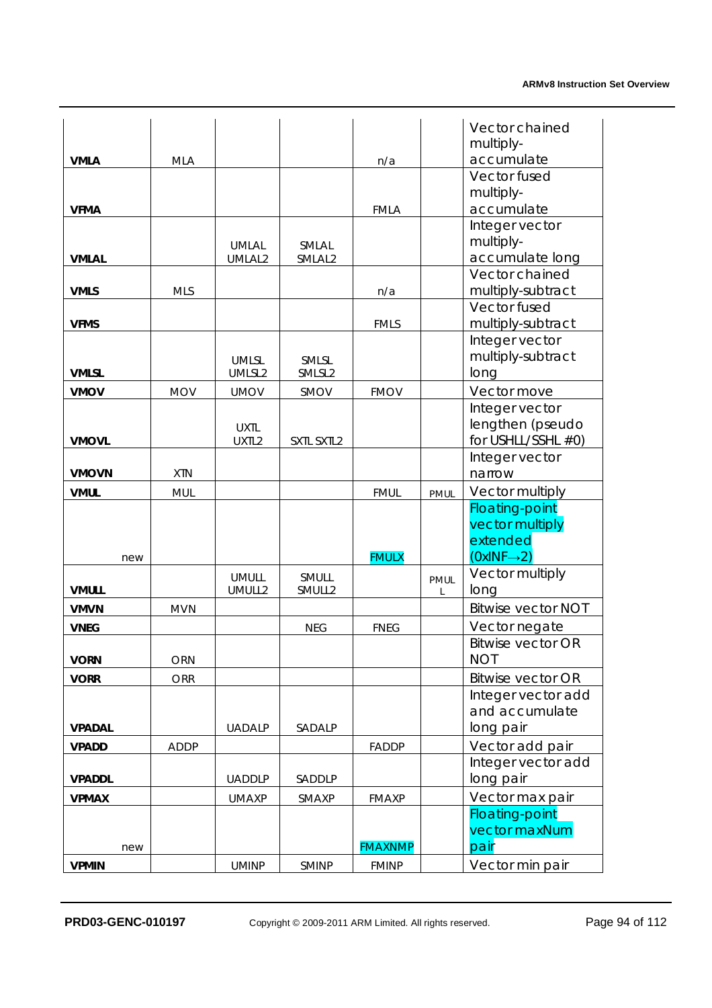|               |             |                        |                    |                |             | Vector chained                         |
|---------------|-------------|------------------------|--------------------|----------------|-------------|----------------------------------------|
|               |             |                        |                    |                |             | multiply-                              |
| <b>VMLA</b>   | <b>MLA</b>  |                        |                    | n/a            |             | accumulate                             |
|               |             |                        |                    |                |             | Vector fused                           |
|               |             |                        |                    |                |             | multiply-                              |
| <b>VFMA</b>   |             |                        |                    | <b>FMLA</b>    |             | accumulate                             |
|               |             |                        |                    |                |             | Integer vector                         |
|               |             | <b>UMLAL</b>           | SMLAL              |                |             | multiply-                              |
| <b>VMLAL</b>  |             | UMLAL2                 | SMLAL <sub>2</sub> |                |             | accumulate long                        |
|               |             |                        |                    |                |             | Vector chained                         |
| <b>VMLS</b>   | <b>MLS</b>  |                        |                    | n/a            |             | multiply-subtract                      |
|               |             |                        |                    |                |             | Vector fused                           |
| <b>VFMS</b>   |             |                        |                    | <b>FMLS</b>    |             | multiply-subtract                      |
|               |             |                        |                    |                |             | Integer vector<br>multiply-subtract    |
| <b>VMLSL</b>  |             | <b>UMLSL</b><br>UMLSL2 | SMLSL<br>SMLSL2    |                |             | long                                   |
| <b>VMOV</b>   | <b>MOV</b>  | <b>UMOV</b>            | SMOV               | <b>FMOV</b>    |             | Vector move                            |
|               |             |                        |                    |                |             | Integer vector                         |
|               |             | <b>UXTL</b>            |                    |                |             | lengthen (pseudo                       |
| <b>VMOVL</b>  |             | UXTL2                  | SXTL SXTL2         |                |             | for USHLL/SSHL #0)                     |
|               |             |                        |                    |                |             | Integer vector                         |
| <b>VMOVN</b>  | <b>XTN</b>  |                        |                    |                |             | narrow                                 |
| <b>VMUL</b>   | <b>MUL</b>  |                        |                    | <b>FMUL</b>    | PMUL        | Vector multiply                        |
|               |             |                        |                    |                |             | <b>Floating-point</b>                  |
|               |             |                        |                    |                |             | vector multiply                        |
|               |             |                        |                    |                |             | extended                               |
| new           |             |                        |                    | <b>FMULX</b>   |             | $(0xINF \rightarrow 2)$                |
|               |             | <b>UMULL</b>           | SMULL              |                | <b>PMUL</b> | Vector multiply                        |
| <b>VMULL</b>  |             | UMULL2                 | SMULL2             |                | L           | long                                   |
| <b>VMVN</b>   | <b>MVN</b>  |                        |                    |                |             | <b>Bitwise vector NOT</b>              |
| <b>VNEG</b>   |             |                        | <b>NEG</b>         | <b>FNEG</b>    |             | Vector negate                          |
| <b>VORN</b>   | ORN         |                        |                    |                |             | <b>Bitwise vector OR</b><br><b>NOT</b> |
|               | <b>ORR</b>  |                        |                    |                |             | <b>Bitwise vector OR</b>               |
| <b>VORR</b>   |             |                        |                    |                |             | Integer vector add                     |
|               |             |                        |                    |                |             | and accumulate                         |
| <b>VPADAL</b> |             | <b>UADALP</b>          | SADALP             |                |             | long pair                              |
| <b>VPADD</b>  | <b>ADDP</b> |                        |                    | <b>FADDP</b>   |             | Vector add pair                        |
|               |             |                        |                    |                |             | Integer vector add                     |
| <b>VPADDL</b> |             | <b>UADDLP</b>          | SADDLP             |                |             | long pair                              |
| <b>VPMAX</b>  |             | <b>UMAXP</b>           | SMAXP              | <b>FMAXP</b>   |             | Vector max pair                        |
|               |             |                        |                    |                |             | <b>Floating-point</b>                  |
|               |             |                        |                    |                |             | vector maxNum                          |
| new           |             |                        |                    | <b>FMAXNMP</b> |             | pair                                   |
| <b>VPMIN</b>  |             | <b>UMINP</b>           | SMINP              | <b>FMINP</b>   |             | Vector min pair                        |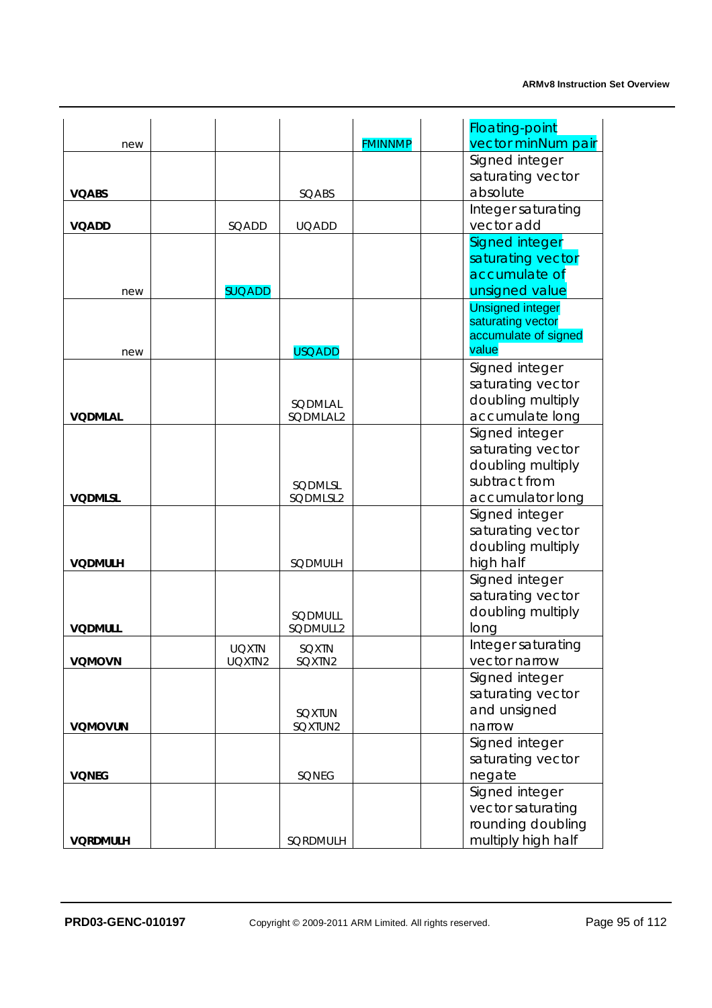|                 |               |                |                | <b>Floating-point</b>   |
|-----------------|---------------|----------------|----------------|-------------------------|
| new             |               |                | <b>FMINNMP</b> | vector minNum pair      |
|                 |               |                |                | Signed integer          |
|                 |               |                |                | saturating vector       |
| <b>VOABS</b>    |               | SQABS          |                | absolute                |
|                 |               |                |                | Integer saturating      |
| <b>VOADD</b>    | SQADD         | <b>UQADD</b>   |                | vector add              |
|                 |               |                |                | Signed integer          |
|                 |               |                |                | saturating vector       |
|                 |               |                |                | accumulate of           |
| new             | <b>SUQADD</b> |                |                | unsigned value          |
|                 |               |                |                | <b>Unsigned integer</b> |
|                 |               |                |                | saturating vector       |
|                 |               |                |                | accumulate of signed    |
| new             |               | <b>USQADD</b>  |                | value                   |
|                 |               |                |                | Signed integer          |
|                 |               |                |                | saturating vector       |
|                 |               | SQDMLAL        |                | doubling multiply       |
| <b>VODMLAL</b>  |               | SQDMLAL2       |                | accumulate long         |
|                 |               |                |                | Signed integer          |
|                 |               |                |                | saturating vector       |
|                 |               |                |                | doubling multiply       |
|                 |               | SQDMLSL        |                | subtract from           |
| <b>VQDMLSL</b>  |               | SQDMLSL2       |                | accumulator long        |
|                 |               |                |                | Signed integer          |
|                 |               |                |                | saturating vector       |
|                 |               |                |                | doubling multiply       |
| <b>VQDMULH</b>  |               | SQDMULH        |                | high half               |
|                 |               |                |                | Signed integer          |
|                 |               |                |                | saturating vector       |
|                 |               | <b>SODMULL</b> |                | doubling multiply       |
| <b>VQDMULL</b>  |               | SQDMULL2       |                | long                    |
|                 | <b>UQXTN</b>  | SQXTN          |                | Integer saturating      |
| <b>VQMOVN</b>   | UQXTN2        | SQXTN2         |                | vector narrow           |
|                 |               |                |                | Signed integer          |
|                 |               |                |                | saturating vector       |
|                 |               | <b>SQXTUN</b>  |                | and unsigned            |
| VQMOVUN         |               | SQXTUN2        |                | narrow                  |
|                 |               |                |                | Signed integer          |
|                 |               |                |                | saturating vector       |
| <b>VQNEG</b>    |               | SQNEG          |                | negate                  |
|                 |               |                |                | Signed integer          |
|                 |               |                |                | vector saturating       |
|                 |               |                |                | rounding doubling       |
| <b>VORDMULH</b> |               | SQRDMULH       |                | multiply high half      |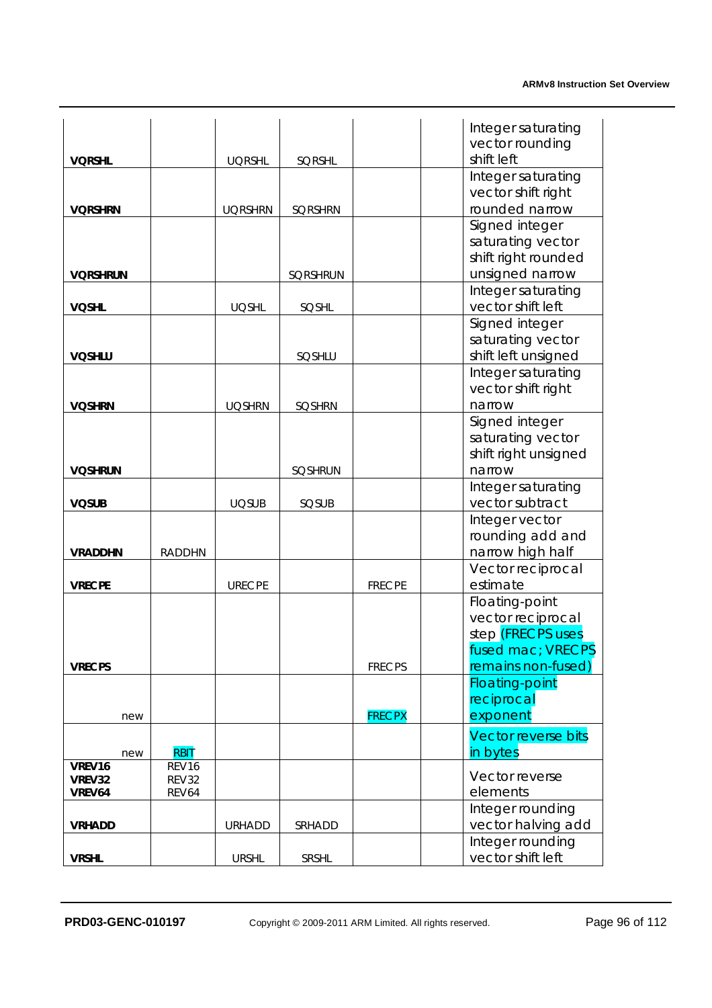|                  |                |                |                |               | Integer saturating         |
|------------------|----------------|----------------|----------------|---------------|----------------------------|
|                  |                |                |                |               | vector rounding            |
| <b>VORSHL</b>    |                | <b>UQRSHL</b>  | SQRSHL         |               | shift left                 |
|                  |                |                |                |               | Integer saturating         |
|                  |                |                |                |               | vector shift right         |
| <b>VORSHRN</b>   |                | <b>UQRSHRN</b> | <b>SQRSHRN</b> |               | rounded narrow             |
|                  |                |                |                |               | Signed integer             |
|                  |                |                |                |               | saturating vector          |
|                  |                |                |                |               | shift right rounded        |
| <b>VORSHRUN</b>  |                |                | SQRSHRUN       |               | unsigned narrow            |
|                  |                |                |                |               | Integer saturating         |
| <b>VQSHL</b>     |                | <b>UQSHL</b>   | SQSHL          |               | vector shift left          |
|                  |                |                |                |               | Signed integer             |
|                  |                |                |                |               | saturating vector          |
| <b>VOSHLU</b>    |                |                | SQSHLU         |               | shift left unsigned        |
|                  |                |                |                |               | Integer saturating         |
|                  |                |                |                |               | vector shift right         |
| <b>VOSHRN</b>    |                | <b>UQSHRN</b>  | <b>SQSHRN</b>  |               | narrow<br>Signed integer   |
|                  |                |                |                |               | saturating vector          |
|                  |                |                |                |               | shift right unsigned       |
| <b>VOSHRUN</b>   |                |                | <b>SQSHRUN</b> |               | narrow                     |
|                  |                |                |                |               | Integer saturating         |
| <b>VQSUB</b>     |                | <b>UQSUB</b>   | SQSUB          |               | vector subtract            |
|                  |                |                |                |               | Integer vector             |
|                  |                |                |                |               | rounding add and           |
| <b>VRADDHN</b>   | <b>RADDHN</b>  |                |                |               | narrow high half           |
|                  |                |                |                |               | Vector reciprocal          |
| <b>VRECPE</b>    |                | <b>URECPE</b>  |                | <b>FRECPE</b> | estimate                   |
|                  |                |                |                |               | Floating-point             |
|                  |                |                |                |               | vector reciprocal          |
|                  |                |                |                |               | step (FRECPS uses          |
|                  |                |                |                |               | fused mac; VRECPS          |
| <b>VRECPS</b>    |                |                |                | <b>FRECPS</b> | remains non-fused)         |
|                  |                |                |                |               | <b>Floating-point</b>      |
|                  |                |                |                |               | reciprocal                 |
| new              |                |                |                | <b>FRECPX</b> | exponent                   |
|                  |                |                |                |               | <b>Vector reverse bits</b> |
| new              | <b>RBIT</b>    |                |                |               | in bytes                   |
| VREV16<br>VREV32 | REV16<br>REV32 |                |                |               | Vector reverse             |
| VREV64           | REV64          |                |                |               | elements                   |
|                  |                |                |                |               | Integer rounding           |
| <b>VRHADD</b>    |                | <b>URHADD</b>  | SRHADD         |               | vector halving add         |
|                  |                |                |                |               | Integer rounding           |
| <b>VRSHL</b>     |                | <b>URSHL</b>   | SRSHL          |               | vector shift left          |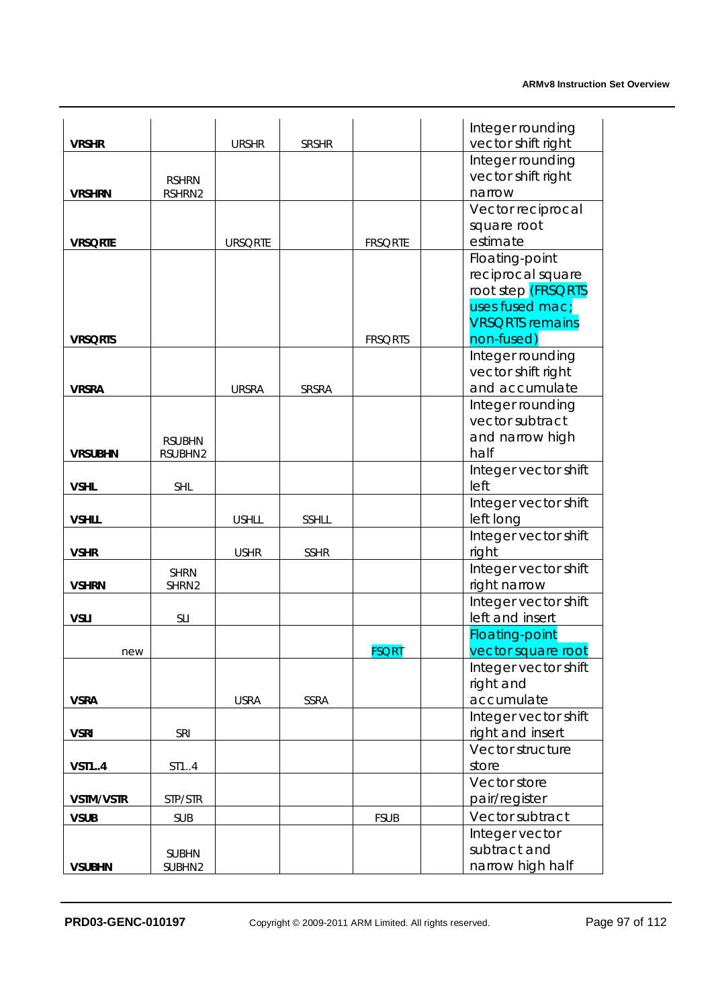|                  |                      |                |              |                | Integer rounding                          |
|------------------|----------------------|----------------|--------------|----------------|-------------------------------------------|
| <b>VRSHR</b>     |                      | <b>URSHR</b>   | <b>SRSHR</b> |                | vector shift right                        |
|                  |                      |                |              |                | Integer rounding                          |
|                  | <b>RSHRN</b>         |                |              |                | vector shift right                        |
| <b>VRSHRN</b>    | RSHRN2               |                |              |                | narrow                                    |
|                  |                      |                |              |                | Vector reciprocal                         |
|                  |                      |                |              |                | square root                               |
| <b>VRSQRTE</b>   |                      | <b>URSQRTE</b> |              | <b>FRSQRTE</b> | estimate                                  |
|                  |                      |                |              |                | Floating-point                            |
|                  |                      |                |              |                | reciprocal square                         |
|                  |                      |                |              |                | root step (FRSQRTS                        |
|                  |                      |                |              |                | uses fused mac;<br><b>VRSQRTS</b> remains |
| <b>VRSQRTS</b>   |                      |                |              | <b>FRSQRTS</b> | non-fused)                                |
|                  |                      |                |              |                | Integer rounding                          |
|                  |                      |                |              |                | vector shift right                        |
| <b>VRSRA</b>     |                      | <b>URSRA</b>   | SRSRA        |                | and accumulate                            |
|                  |                      |                |              |                | Integer rounding                          |
|                  |                      |                |              |                | vector subtract                           |
|                  | <b>RSUBHN</b>        |                |              |                | and narrow high                           |
| <b>VRSUBHN</b>   | RSUBHN2              |                |              |                | half                                      |
|                  |                      |                |              |                | Integer vector shift                      |
| <b>VSHL</b>      | <b>SHL</b>           |                |              |                | left                                      |
|                  |                      |                |              |                | Integer vector shift                      |
| <b>VSHLL</b>     |                      | <b>USHLL</b>   | SSHLL        |                | left long                                 |
|                  |                      |                |              |                | Integer vector shift                      |
| <b>VSHR</b>      |                      | <b>USHR</b>    | <b>SSHR</b>  |                | right                                     |
| <b>VSHRN</b>     | <b>SHRN</b><br>SHRN2 |                |              |                | Integer vector shift<br>right narrow      |
|                  |                      |                |              |                | Integer vector shift                      |
| <b>VSLI</b>      | <b>SLI</b>           |                |              |                | left and insert                           |
|                  |                      |                |              |                | <b>Floating-point</b>                     |
| new              |                      |                |              | <u>FSQRT</u>   | vector square root                        |
|                  |                      |                |              |                | Integer vector shift                      |
|                  |                      |                |              |                | right and                                 |
| <b>VSRA</b>      |                      | <b>USRA</b>    | SSRA         |                | accumulate                                |
|                  |                      |                |              |                | Integer vector shift                      |
| <b>VSRI</b>      | SRI                  |                |              |                | right and insert                          |
|                  |                      |                |              |                | Vector structure                          |
| <b>VST14</b>     | ST14                 |                |              |                | store                                     |
|                  |                      |                |              |                | Vector store                              |
| <b>VSTM/VSTR</b> | STP/STR              |                |              |                | pair/register                             |
| <b>VSUB</b>      | <b>SUB</b>           |                |              | <b>FSUB</b>    | Vector subtract                           |
|                  |                      |                |              |                | Integer vector                            |
|                  | <b>SUBHN</b>         |                |              |                | subtract and                              |
| <b>VSUBHN</b>    | SUBHN2               |                |              |                | narrow high half                          |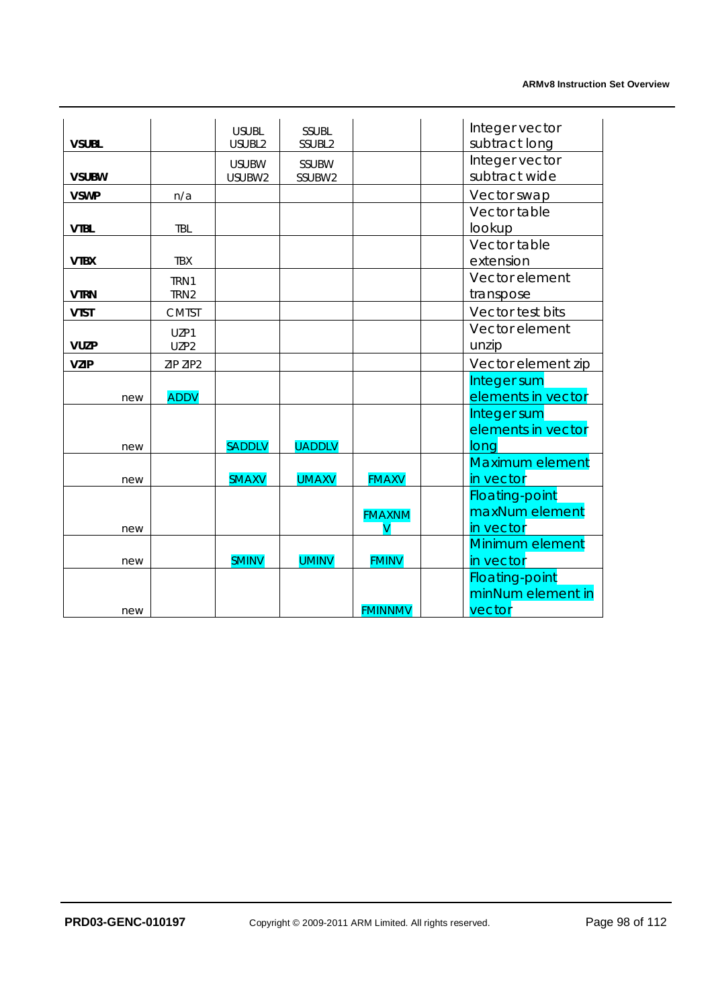|              |     |              | <b>USUBL</b>  | <b>SSUBL</b>  |                | Integer vector        |
|--------------|-----|--------------|---------------|---------------|----------------|-----------------------|
| <b>VSUBL</b> |     |              | USUBL2        | SSUBL2        |                | subtract long         |
|              |     |              | <b>USUBW</b>  | SSUBW         |                | Integer vector        |
| <b>VSUBW</b> |     |              | USUBW2        | SSUBW2        |                | subtract wide         |
| <b>VSWP</b>  |     | n/a          |               |               |                | Vector swap           |
|              |     |              |               |               |                | Vector table          |
| <b>VTBL</b>  |     | <b>TBL</b>   |               |               |                | lookup                |
|              |     |              |               |               |                | Vector table          |
| <b>VTBX</b>  |     | <b>TBX</b>   |               |               |                | extension             |
|              |     | TRN1         |               |               |                | Vector element        |
| <b>VTRN</b>  |     | TRN2         |               |               |                | transpose             |
| <b>VTST</b>  |     | <b>CMTST</b> |               |               |                | Vector test bits      |
|              |     | UZP1         |               |               |                | Vector element        |
| <b>VUZP</b>  |     | UZP2         |               |               |                | unzip                 |
| <b>VZIP</b>  |     | ZIP ZIP2     |               |               |                | Vector element zip    |
|              |     |              |               |               |                | Integer sum           |
|              | new | <b>ADDV</b>  |               |               |                | elements in vector    |
|              |     |              |               |               |                | Integer sum           |
|              |     |              |               |               |                | elements in vector    |
|              | new |              | <b>SADDLV</b> | <b>UADDLV</b> |                | long                  |
|              |     |              |               |               |                | Maximum element       |
|              | new |              | <b>SMAXV</b>  | <b>UMAXV</b>  | <b>FMAXV</b>   | in vector             |
|              |     |              |               |               |                | <b>Floating-point</b> |
|              |     |              |               |               | <b>FMAXNM</b>  | maxNum element        |
|              | new |              |               |               |                | in vector             |
|              |     |              |               |               |                | Minimum element       |
|              | new |              | <b>SMINV</b>  | <b>UMINV</b>  | <b>FMINV</b>   | in vector             |
|              |     |              |               |               |                | <b>Floating-point</b> |
|              |     |              |               |               |                | minNum element in     |
|              | new |              |               |               | <b>FMINNMV</b> | vector                |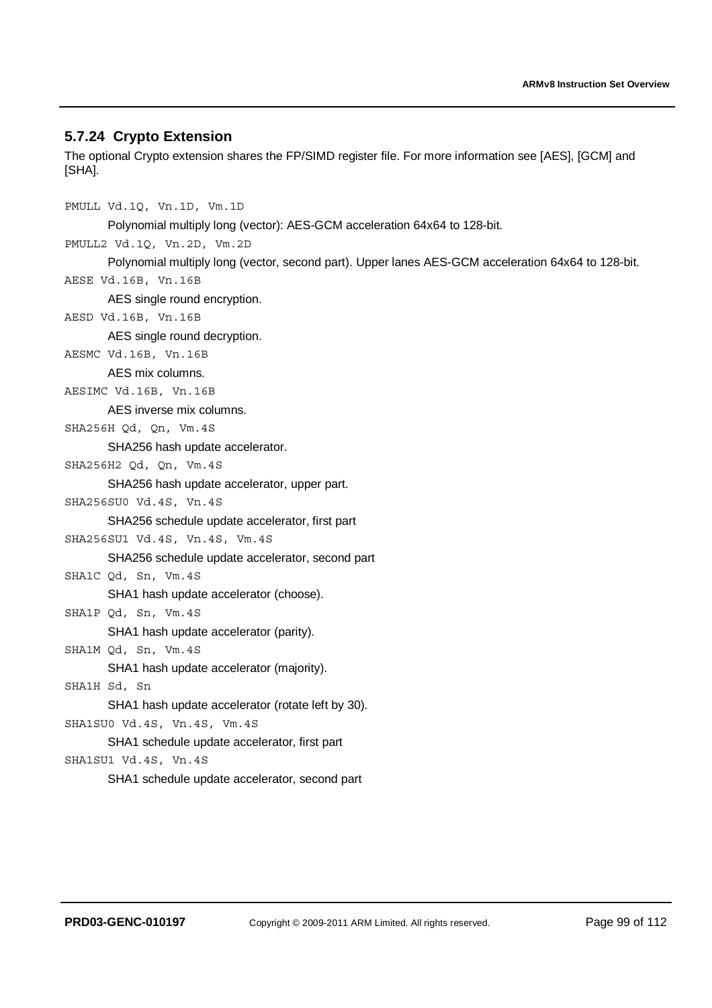# **5.7.24 Crypto Extension**

The optional Crypto extension shares the FP/SIMD register file. For more information see [AES], [GCM] and [SHA].

PMULL Vd.1Q, Vn.1D, Vm.1D Polynomial multiply long (vector): AES-GCM acceleration 64x64 to 128-bit. PMULL2 Vd.1Q, Vn.2D, Vm.2D Polynomial multiply long (vector, second part). Upper lanes AES-GCM acceleration 64x64 to 128-bit. AESE Vd.16B, Vn.16B AES single round encryption. AESD Vd.16B, Vn.16B AES single round decryption. AESMC Vd.16B, Vn.16B AES mix columns. AESIMC Vd.16B, Vn.16B AES inverse mix columns. SHA256H Qd, Qn, Vm.4S SHA256 hash update accelerator. SHA256H2 Qd, Qn, Vm.4S SHA256 hash update accelerator, upper part. SHA256SU0 Vd.4S, Vn.4S SHA256 schedule update accelerator, first part SHA256SU1 Vd.4S, Vn.4S, Vm.4S SHA256 schedule update accelerator, second part SHA1C Qd, Sn, Vm.4S SHA1 hash update accelerator (choose). SHA1P Qd, Sn, Vm.4S SHA1 hash update accelerator (parity). SHA1M Qd, Sn, Vm.4S SHA1 hash update accelerator (majority). SHA1H Sd, Sn SHA1 hash update accelerator (rotate left by 30).

SHA1SU0 Vd.4S, Vn.4S, Vm.4S

SHA1 schedule update accelerator, first part SHA1SU1 Vd.4S, Vn.4S SHA1 schedule update accelerator, second part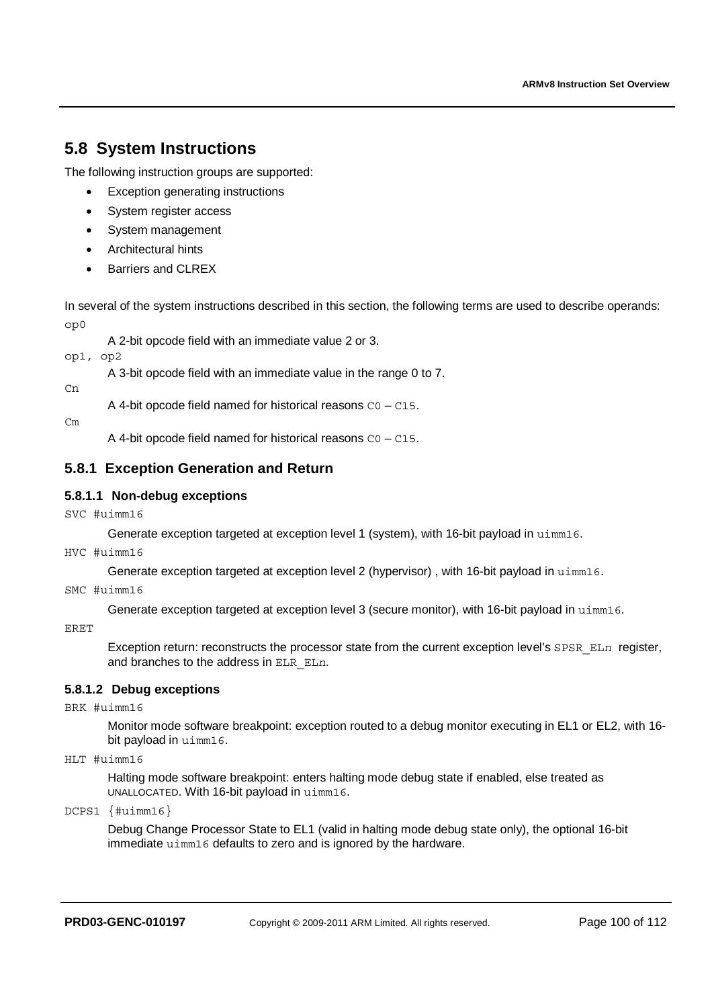# **5.8 System Instructions**

The following instruction groups are supported:

- **Exception generating instructions**
- System register access
- System management
- Architectural hints
- Barriers and CLREX

In several of the system instructions described in this section, the following terms are used to describe operands: op0

A 2-bit opcode field with an immediate value 2 or 3.

op1, op2

A 3-bit opcode field with an immediate value in the range 0 to 7.

 $Cn$ 

A 4-bit opcode field named for historical reasons  $CO - C15$ .

 $Cm$ 

A 4-bit opcode field named for historical reasons C0 – C15.

# **5.8.1 Exception Generation and Return**

# **5.8.1.1 Non-debug exceptions**

SVC #uimm16

Generate exception targeted at exception level 1 (system), with 16-bit payload in uimm16.

HVC #uimm16

Generate exception targeted at exception level 2 (hypervisor) , with 16-bit payload in uimm16.

SMC #uimm16

Generate exception targeted at exception level 3 (secure monitor), with 16-bit payload in uimm16.

ERET

Exception return: reconstructs the processor state from the current exception level's SPSR\_ELn register, and branches to the address in ELR\_EL*n*.

## **5.8.1.2 Debug exceptions**

BRK #uimm16

Monitor mode software breakpoint: exception routed to a debug monitor executing in EL1 or EL2, with 16 bit payload in uimm16.

HLT #uimm16

Halting mode software breakpoint: enters halting mode debug state if enabled, else treated as UNALLOCATED. With 16-bit payload in uimm16.

DCPS1 {#uimm16}

Debug Change Processor State to EL1 (valid in halting mode debug state only), the optional 16-bit immediate uimm16 defaults to zero and is ignored by the hardware.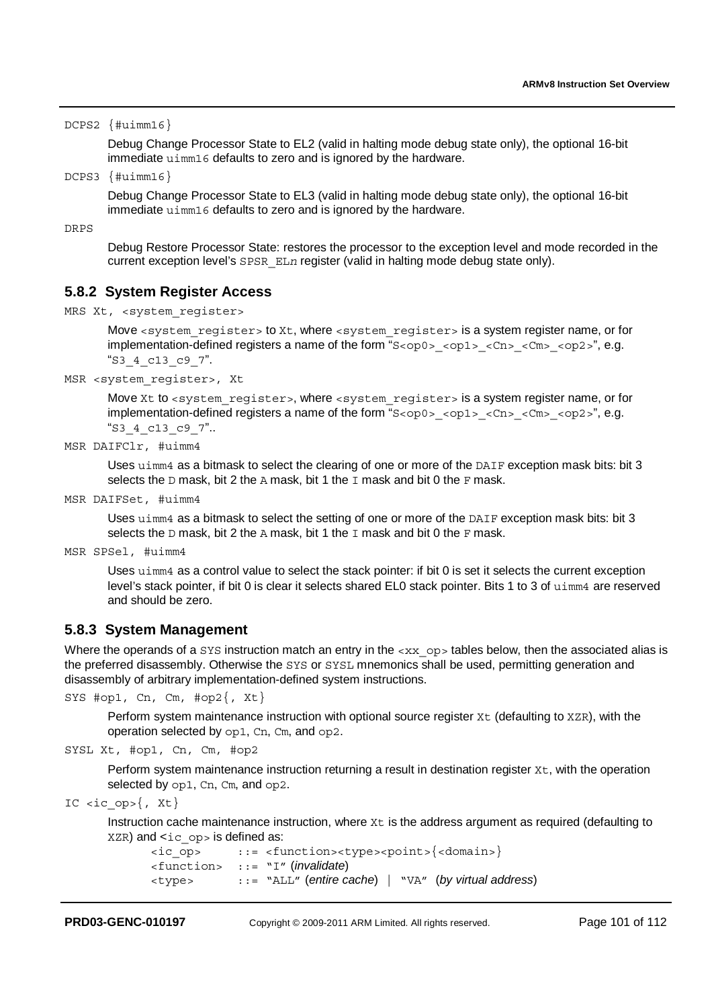DCPS2 {#uimm16}

Debug Change Processor State to EL2 (valid in halting mode debug state only), the optional 16-bit immediate uimm16 defaults to zero and is ignored by the hardware.

DCPS3 {#uimm16}

Debug Change Processor State to EL3 (valid in halting mode debug state only), the optional 16-bit immediate uimm16 defaults to zero and is ignored by the hardware.

DRPS

Debug Restore Processor State: restores the processor to the exception level and mode recorded in the current exception level's SPSR\_EL*n* register (valid in halting mode debug state only).

# **5.8.2 System Register Access**

```
MRS Xt, <system reqister>
```
Move <system\_register> to Xt, where <system\_register> is a system register name, or for implementation-defined registers a name of the form "S<op0> <op1> <Cn> <Cn> <cn> <op2>", e.g. "S3\_4\_c13\_c9\_7".

```
MSR <system_register>, Xt
```
Move Xt to <system\_register>, where <system\_register> is a system register name, or for implementation-defined registers a name of the form "S<op0> <op1> <Cn> <Cn> <op2>", e.g. "S3\_4\_c13\_c9\_7"..

```
MSR DAIFClr, #uimm4
```
Uses uimm4 as a bitmask to select the clearing of one or more of the DAIF exception mask bits: bit 3 selects the D mask, bit 2 the A mask, bit 1 the I mask and bit 0 the F mask.

MSR DAIFSet, #uimm4

Uses uimm4 as a bitmask to select the setting of one or more of the DAIF exception mask bits: bit 3 selects the  $D$  mask, bit 2 the A mask, bit 1 the  $I$  mask and bit 0 the  $F$  mask.

```
MSR SPSel, #uimm4
```
Uses uimm4 as a control value to select the stack pointer: if bit 0 is set it selects the current exception level's stack pointer, if bit 0 is clear it selects shared EL0 stack pointer. Bits 1 to 3 of uimm4 are reserved and should be zero.

## **5.8.3 System Management**

Where the operands of a SYS instruction match an entry in the  $\langle x \rangle$  op tables below, then the associated alias is the preferred disassembly. Otherwise the SYS or SYSL mnemonics shall be used, permitting generation and disassembly of arbitrary implementation-defined system instructions.

```
SYS #op1, Cn, Cm, #op2\{, Xt\}
```
Perform system maintenance instruction with optional source register Xt (defaulting to XZR), with the operation selected by op1, Cn, Cm, and op2.

SYSL Xt, #op1, Cn, Cm, #op2

Perform system maintenance instruction returning a result in destination register  $Xt$ , with the operation selected by op1, Cn, Cm, and op2.

IC <ic\_op>{, Xt}

Instruction cache maintenance instruction, where  $Xt$  is the address argument as required (defaulting to  $XZR)$  and  $<$ ic op > is defined as:

```
<ic_op> ::= <function><type><point>{<domain>}
<function> ::= "I" (invalidate) 
<type> ::= "ALL" (entire cache) | "VA" (by virtual address)
```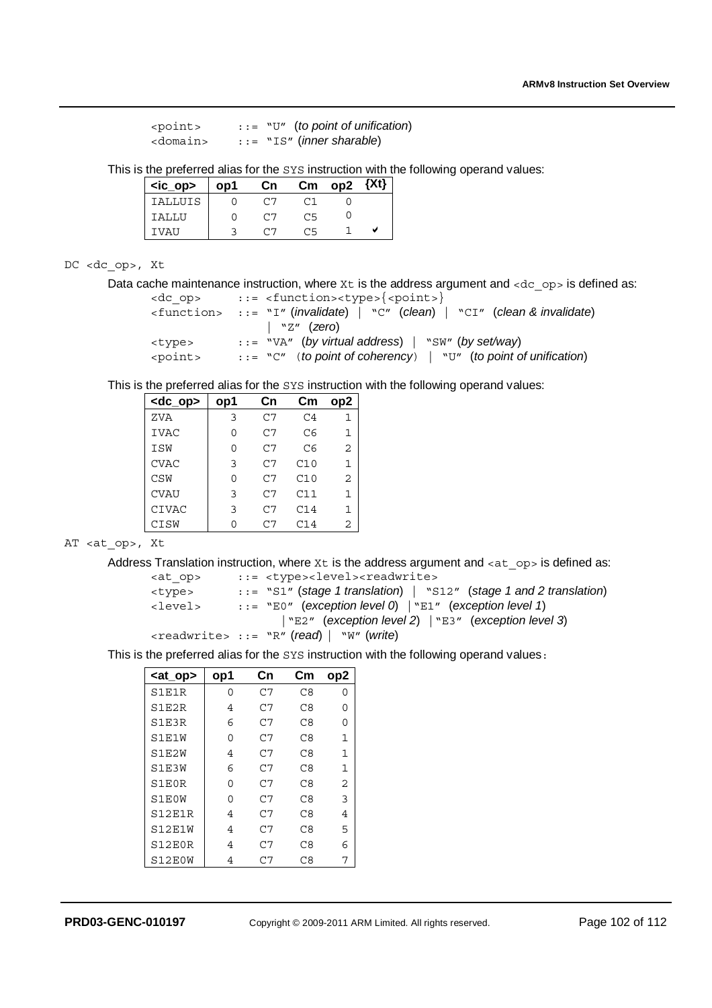```
<point> ::= "U" (to point of unification) 
<domain> ::= "IS" (inner sharable)
```
This is the preferred alias for the SYS instruction with the following operand values:

| <ic_op></ic_op> | op1 | Cn. |    | $\rm cm$ op $\rm 2$ | 3 X T X |
|-----------------|-----|-----|----|---------------------|---------|
| IALLUIS         |     | ٣7  |    |                     |         |
| <b>TALLU</b>    |     | 07  | C5 |                     |         |
| TVAU            |     | ں ہ | どう |                     |         |
|                 |     |     |    |                     |         |

#### DC <dc\_op>, Xt

Data cache maintenance instruction, where  $x_t$  is the address argument and  $\langle dx \rangle$  op> is defined as:

```
<dc_op> ::= <function><type>{<point>}
<function> ::= "I" (invalidate) | "C" (clean) | "CI" (clean & invalidate) 
                  | "Z" (zero) 
<type> ::= "VA" (by virtual address) | "SW" (by set/way) 
<point> ::= "C" (to point of coherency) | "U" (to point of unification)
```
This is the preferred alias for the SYS instruction with the following operand values:

| <dc_op></dc_op> | op1 | Cn  | Cm             | op <sub>2</sub> |
|-----------------|-----|-----|----------------|-----------------|
| ZVA             | 3   | C.7 | C <sub>4</sub> | 1               |
| <b>IVAC</b>     | 0   | C7  | C6             | $\mathbf{1}$    |
| ISW             | 0   | C.7 | C6             | 2               |
| <b>CVAC</b>     | 3   | C.7 | C10            | 1               |
| <b>CSW</b>      | 0   | ٣7  | C10            | $\overline{2}$  |
| <b>CVAU</b>     | 3   | ٣7  | C11            | 1               |
| <b>CIVAC</b>    | 3   | C.7 | C14            | 1               |
| CISW            |     | ٣7  | C14            | 2               |

AT <at\_op>, Xt

Address Translation instruction, where  $x_t$  is the address argument and  $\langle$  at  $\rangle$  op> is defined as:

```
<at_op> ::= <type><level><readwrite>
<type> ::= "S1" (stage 1 translation) | "S12" (stage 1 and 2 translation) 
<level> ::= "E0" (exception level 0) |"E1" (exception level 1) 
                     |"E2" (exception level 2) |"E3" (exception level 3) 
<readwrite> ::= "R" (read) | "W" (write)
```
This is the preferred alias for the SYS instruction with the following operand values:

| <at_op></at_op> | op1 | Cn  | Cm  | op2 |
|-----------------|-----|-----|-----|-----|
| S1E1R           | U   | C.7 | C.8 | ი   |
| S1E2R           | 4   | C7  | C8  | ∩   |
| S1E3R           | 6   | C7  | C8  | ∩   |
| S1E1W           | ∩   | C7  | C8  | 1   |
| S1E2W           | 4   | C7  | C8  | 1   |
| S1E3W           | 6   | C.7 | C.8 | 1   |
| S1E0R           | U   | C7  | C8  | 2   |
| S1E0W           | U   | C.7 | C8  | 3   |
| S12E1R          | 4   | C7  | C8  | 4   |
| S12E1W          | 4   | C.7 | C.8 | 5   |
| S12E0R          | 4   | C7  | C8  | 6   |
| S12E0W          | 4   | C.7 | C8  |     |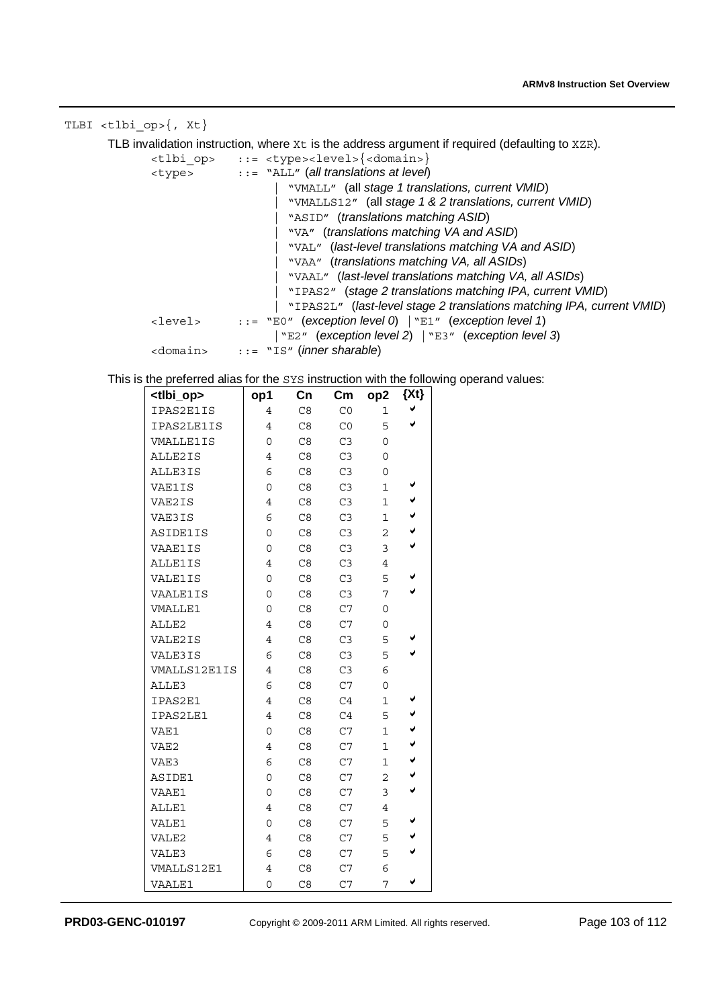TLBI <tlbi op>{, Xt} TLB invalidation instruction, where  $Xt$  is the address argument if required (defaulting to  $XZR$ ). <tlbi\_op> ::= <type><level>{<domain>} <type> ::= "ALL" (*all translations at level*) | "VMALL" (all *stage 1 translations, current VMID*) | "VMALLS12" (all *stage 1 & 2 translations, current VMID*) | "ASID" (*translations matching ASID*) | "VA" (*translations matching VA and ASID*) | "VAL" (*last-level translations matching VA and ASID*) | "VAA" (*translations matching VA, all ASIDs*) | "VAAL" (*last-level translations matching VA, all ASIDs*) | "IPAS2" (*stage 2 translations matching IPA, current VMID*) | "IPAS2L" (*last-level stage 2 translations matching IPA, current VMID*) <level> ::= "E0" (*exception level 0*) |"E1" (*exception level 1*) |"E2" (*exception level 2*) |"E3" (*exception level 3*) <domain> ::= "IS" (*inner sharable*) This is the preferred alias for the SYS instruction with the following operand values: **<tlbi\_op> op1 Cn Cm op2 {Xt}**  IPAS2E1IS 4 C8 C0 1 V<br>IPAS2LE1IS 4 C8 C0 5 V IPAS2LE1IS 4 C8 C0 5<br>
VMALLE1IS 0 C8 C3 0 VMALLE1IS ALLE2IS | 4 C8 C3 0 ALLE3IS | 6 C8 C3 0 VAE1IS 0 C8 C3 1 V<br>VAE2IS 4 C8 C3 1 V VAE2IS | 4 C8 C3 1  $\checkmark$ VAE3IS 6 C8 C3 1  $\checkmark$ ASIDE1IS 0 C8 C3 2 V<br>VAAE1IS 0 C8 C3 3 V VAAE1IS 0 C8 C3 3<br>ALLE1IS 4 C8 C3 4 ALLE1IS VALE1IS 0 C8 C3 5 V<br>VAALE1IS 0 C8 C3 7 V VAALE1IS 0 C8 C3 7<br>VMALLE1 0 C8 C7 0  $0$  C8 ALLE2 4 C8 C7 0 VALE2IS 4 C8 C3 5 VALE3IS 6  $C8$   $C3$  5  $\checkmark$ <br>VMALLS12E1IS 4  $C8$   $C3$  6 VMALLS12E1IS ALLE3 6 C8 C7 0  $IPAS2E1$  4 C8 C4 1  $\checkmark$ <br>
IPAS2LE1 4 C8 C4 5  $\checkmark$ IPAS2LE1 4 C8 C4 5<br>VAE1 0 C8 C7 1 VAE1 0 C8 C7 1  $\checkmark$ VAE2 4 C8 C7 1  $\checkmark$ VAE3 6 C8 C7 1  $\checkmark$ ASIDE1 0 C8 C7 2  $\checkmark$ VAAE1 0 C8 C7 3

ALLE1 4 C8 C7 4

VALE1 0 C8 C7 5  $\checkmark$ VALE2  $\begin{array}{cccc} 4 & C8 & C7 & 5 & \bullet \\ 1 & 4 & C8 & C7 & \bullet \\ \end{array}$ VALE3 6 C8 C7 5  $\checkmark$ VMALLS12E1 4 C8 C7 6

VAALE1 0 C8 C7 7  $\checkmark$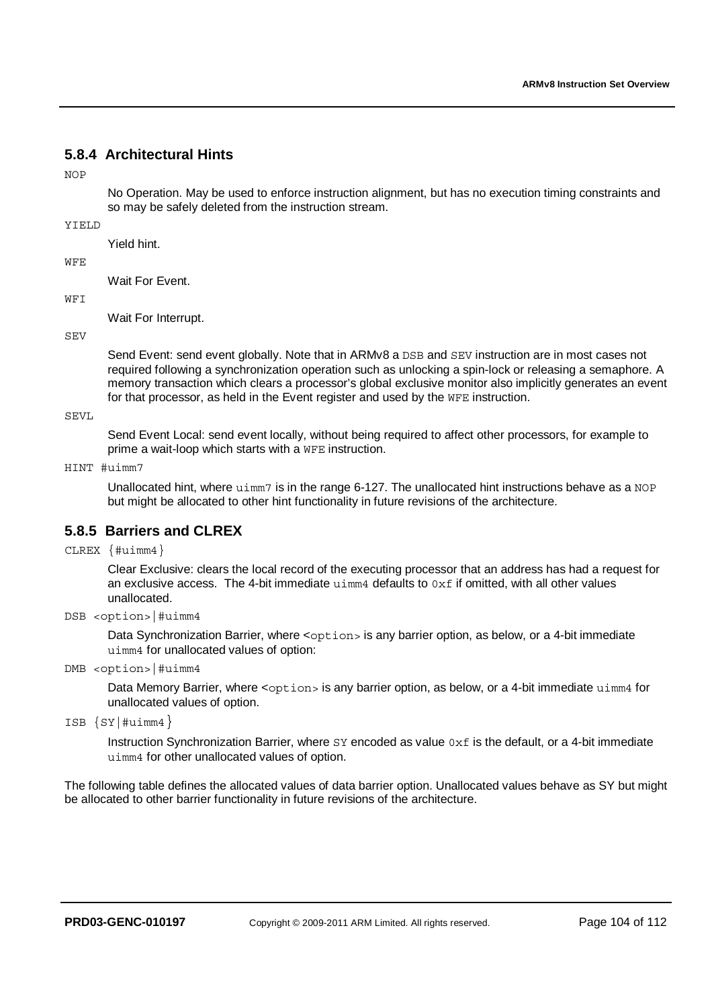# **5.8.4 Architectural Hints**

 $NOP$ 

No Operation. May be used to enforce instruction alignment, but has no execution timing constraints and so may be safely deleted from the instruction stream.

### YIELD

Yield hint.

### WFE

Wait For Event.

### WFI

Wait For Interrupt.

### **SEV**

Send Event: send event globally. Note that in ARMv8 a DSB and SEV instruction are in most cases not required following a synchronization operation such as unlocking a spin-lock or releasing a semaphore. A memory transaction which clears a processor's global exclusive monitor also implicitly generates an event for that processor, as held in the Event register and used by the WFE instruction.

SEVL

Send Event Local: send event locally, without being required to affect other processors, for example to prime a wait-loop which starts with a WFE instruction.

### HINT #uimm7

Unallocated hint, where  $\text{uimm}$  is in the range 6-127. The unallocated hint instructions behave as a NOP but might be allocated to other hint functionality in future revisions of the architecture.

# **5.8.5 Barriers and CLREX**

CLREX {#uimm4}

Clear Exclusive: clears the local record of the executing processor that an address has had a request for an exclusive access. The 4-bit immediate  $u_{\text{imm4}}$  defaults to  $0 \times f$  if omitted, with all other values unallocated.

### DSB <option>|#uimm4

Data Synchronization Barrier, where <option> is any barrier option, as below, or a 4-bit immediate uimm4 for unallocated values of option:

DMB <option>|#uimm4

Data Memory Barrier, where <option> is any barrier option, as below, or a 4-bit immediate uimm4 for unallocated values of option.

```
ISB {SY|#uimm4}
```
Instruction Synchronization Barrier, where  $SY$  encoded as value  $0 \times f$  is the default, or a 4-bit immediate uimm4 for other unallocated values of option.

The following table defines the allocated values of data barrier option. Unallocated values behave as SY but might be allocated to other barrier functionality in future revisions of the architecture.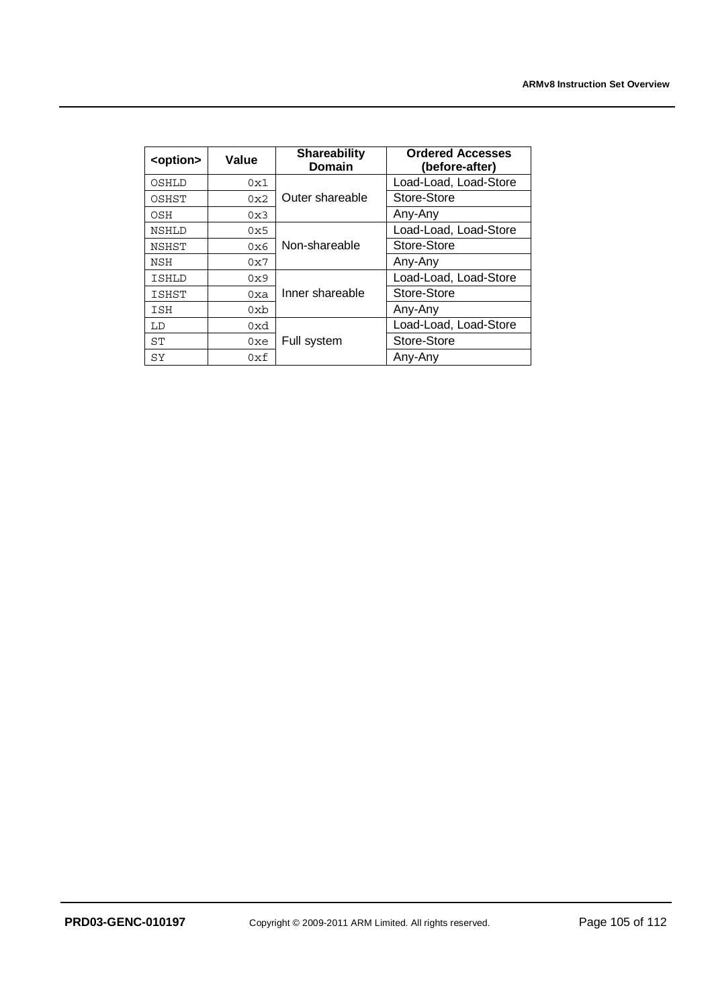| <option></option> | Value           | <b>Shareability</b><br><b>Domain</b> | <b>Ordered Accesses</b><br>(before-after) |
|-------------------|-----------------|--------------------------------------|-------------------------------------------|
| OSHLD             | 0x1             |                                      | Load-Load, Load-Store                     |
| OSHST             | 0x2             | Outer shareable                      | Store-Store                               |
| OSH               | 0x3             |                                      | Any-Any                                   |
| <b>NSHLD</b>      | 0x5             |                                      | Load-Load, Load-Store                     |
| <b>NSHST</b>      | 0x6             | Non-shareable                        | Store-Store                               |
| NSH               | 0x7             |                                      | Any-Any                                   |
| <b>ISHLD</b>      | 0x9             |                                      | Load-Load, Load-Store                     |
| <b>ISHST</b>      | 0xa             | Inner shareable                      | Store-Store                               |
| ISH               | 0x <sub>b</sub> |                                      | Any-Any                                   |
| LD                | 0xd             |                                      | Load-Load, Load-Store                     |
| ST                | 0xe             | Full system                          | Store-Store                               |
| SY                | 0xf             |                                      | Any-Any                                   |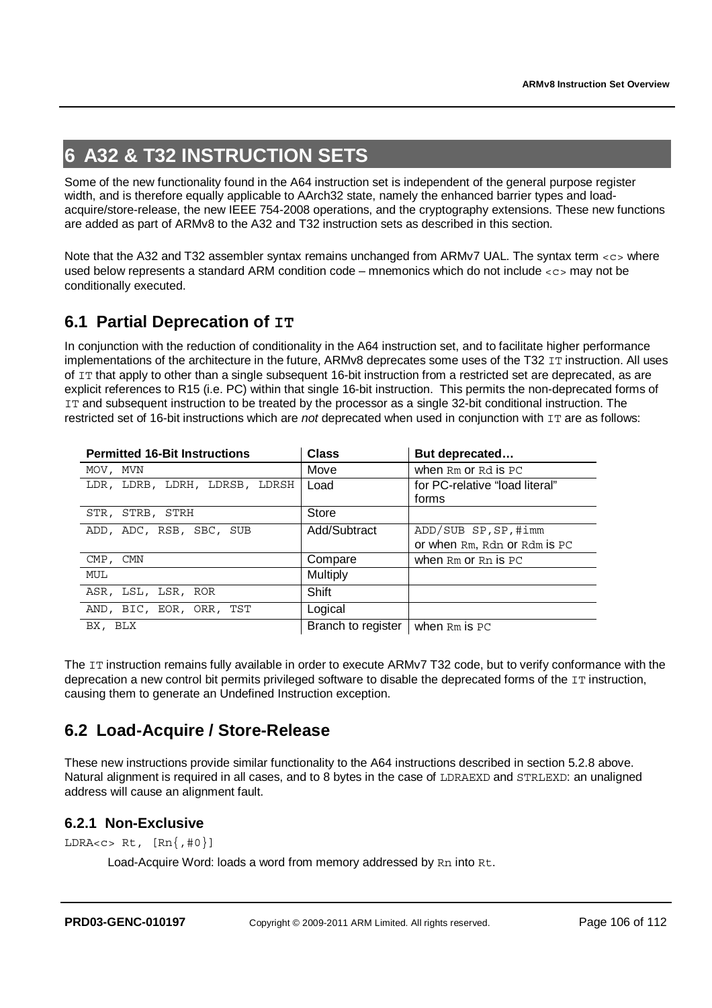# **6 A32 & T32 INSTRUCTION SETS**

Some of the new functionality found in the A64 instruction set is independent of the general purpose register width, and is therefore equally applicable to AArch32 state, namely the enhanced barrier types and loadacquire/store-release, the new IEEE 754-2008 operations, and the cryptography extensions. These new functions are added as part of ARMv8 to the A32 and T32 instruction sets as described in this section.

Note that the A32 and T32 assembler syntax remains unchanged from ARMv7 UAL. The syntax term <c> where used below represents a standard ARM condition code – mnemonics which do not include  $\langle \cos m \rangle$  may not be conditionally executed.

# **6.1 Partial Deprecation of IT**

In conjunction with the reduction of conditionality in the A64 instruction set, and to facilitate higher performance implementations of the architecture in the future, ARMv8 deprecates some uses of the T32 IT instruction. All uses of IT that apply to other than a single subsequent 16-bit instruction from a restricted set are deprecated, as are explicit references to R15 (i.e. PC) within that single 16-bit instruction. This permits the non-deprecated forms of IT and subsequent instruction to be treated by the processor as a single 32-bit conditional instruction. The restricted set of 16-bit instructions which are *not* deprecated when used in conjunction with IT are as follows:

| <b>Permitted 16-Bit Instructions</b> | <b>Class</b>       | But deprecated                 |
|--------------------------------------|--------------------|--------------------------------|
| MOV, MVN                             | Move               | when $Rm$ or $Rd$ is $PC$      |
| LDR, LDRB, LDRH, LDRSB, LDRSH        | Load               | for PC-relative "load literal" |
|                                      |                    | forms                          |
| STR, STRB, STRH                      | Store              |                                |
| ADD, ADC, RSB, SBC, SUB              | Add/Subtract       | ADD/SUB SP, SP, #imm           |
|                                      |                    | or when Rm, Rdn or Rdm is PC   |
| CMP, CMN                             | Compare            | when $Rm$ or $Rn$ is $PC$      |
| MUL                                  | Multiply           |                                |
| ASR, LSL, LSR, ROR                   | Shift              |                                |
| AND, BIC, EOR, ORR, TST              | Logical            |                                |
| BX, BLX                              | Branch to register | when Rm is PC                  |

The IT instruction remains fully available in order to execute ARMv7 T32 code, but to verify conformance with the deprecation a new control bit permits privileged software to disable the deprecated forms of the IT instruction, causing them to generate an Undefined Instruction exception.

# **6.2 Load-Acquire / Store-Release**

These new instructions provide similar functionality to the A64 instructions described in section 5.2.8 above. Natural alignment is required in all cases, and to 8 bytes in the case of LDRAEXD and STRLEXD: an unaligned address will cause an alignment fault.

# **6.2.1 Non-Exclusive**

```
LDRA<c> Rt, [\text{Rn}, \#\{0\}]
```
Load-Acquire Word: loads a word from memory addressed by Rn into Rt.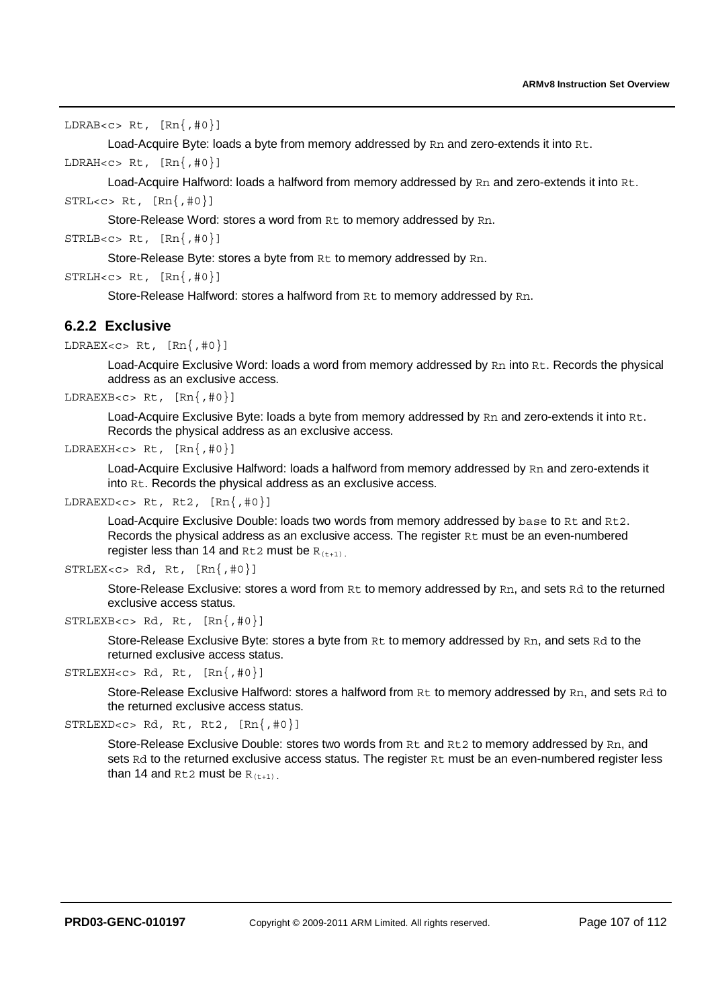```
LDRAB<c> Rt, [Rn{, #0}]
```
Load-Acquire Byte: loads a byte from memory addressed by Rn and zero-extends it into Rt.

LDRAH<c> Rt,  $[\text{Rn}, \#0]$ 

Load-Acquire Halfword: loads a halfword from memory addressed by Rn and zero-extends it into Rt.  $STRL < c > Rt, [Rn{, #0}]$ 

Store-Release Word: stores a word from Rt to memory addressed by Rn.

```
STRLB < c > Rt, [Rn{, #0}]
```
Store-Release Byte: stores a byte from Rt to memory addressed by Rn.

```
STRLH < c > RL, [Rn{, #0}]
```
Store-Release Halfword: stores a halfword from Rt to memory addressed by Rn.

# **6.2.2 Exclusive**

```
LDRAEX<c> Rt, [\text{Rn}, \#\text{0}]
```
Load-Acquire Exclusive Word: loads a word from memory addressed by Rn into Rt. Records the physical address as an exclusive access.

```
LDRAEXB<c> Rt, [\text{Rn}, \#\text{0}]
```
Load-Acquire Exclusive Byte: loads a byte from memory addressed by Rn and zero-extends it into Rt. Records the physical address as an exclusive access.

```
LDRAEXH<c> Rt, [Rn{,#0}]
```
Load-Acquire Exclusive Halfword: loads a halfword from memory addressed by Rn and zero-extends it into Rt. Records the physical address as an exclusive access.

```
LDRAEXD<c> Rt, Rt2, [Rn{, #0}]
```
Load-Acquire Exclusive Double: loads two words from memory addressed by base to Rt and Rt2. Records the physical address as an exclusive access. The register Rt must be an even-numbered register less than 14 and  $Rt2$  must be  $R(t+1)$ .

```
STRLEX < c > Rd, Rt, [Rn{, #0}]
```
Store-Release Exclusive: stores a word from Rt to memory addressed by Rn, and sets Rd to the returned exclusive access status.

```
STRLEXB < c > Rd, Rt, [Rn{, #0}]
```
Store-Release Exclusive Byte: stores a byte from Rt to memory addressed by Rn, and sets Rd to the returned exclusive access status.

```
STRLEXH<c> Rd, Rt, [Rn{,#0}]
```
Store-Release Exclusive Halfword: stores a halfword from Rt to memory addressed by Rn, and sets Rd to the returned exclusive access status.

```
STRLEXP < c > Rd, Rt, RL2, [Rn{, #0}]
```
Store-Release Exclusive Double: stores two words from Rt and Rt2 to memory addressed by Rn, and sets Rd to the returned exclusive access status. The register Rt must be an even-numbered register less than 14 and Rt2 must be  $R_{(t+1)}$ .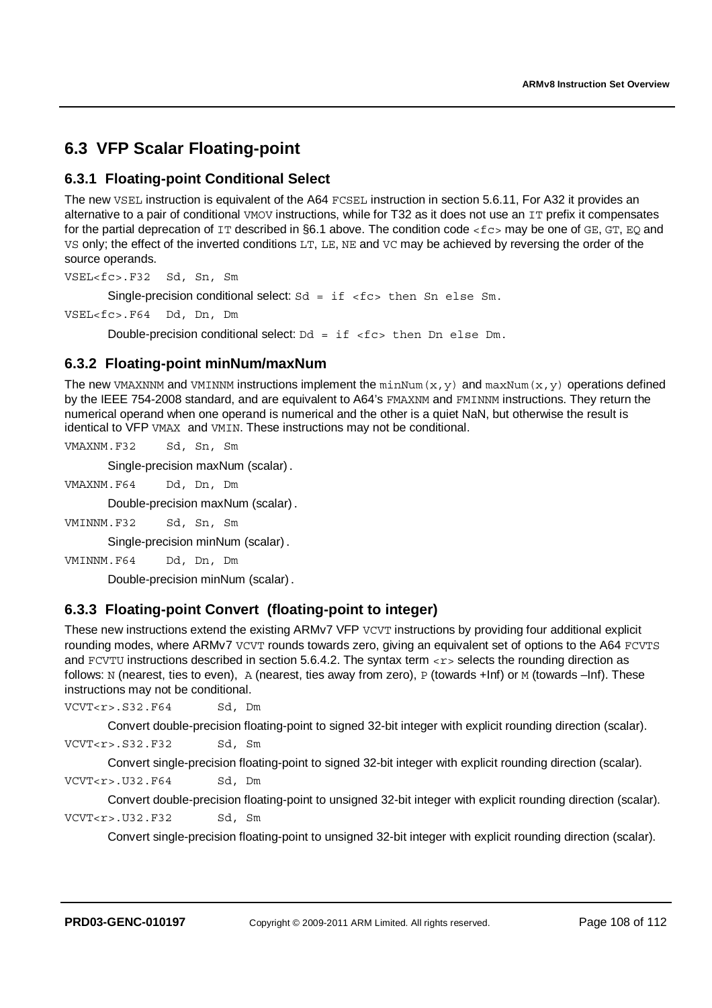# **6.3 VFP Scalar Floating-point**

# **6.3.1 Floating-point Conditional Select**

The new VSEL instruction is equivalent of the A64 FCSEL instruction in section 5.6.11, For A32 it provides an alternative to a pair of conditional VMOV instructions, while for T32 as it does not use an IT prefix it compensates for the partial deprecation of  $IT$  described in §6.1 above. The condition code <fc> may be one of GE, GT, EQ and VS only; the effect of the inverted conditions LT, LE, NE and VC may be achieved by reversing the order of the source operands.

VSEL<fc>.F32 Sd, Sn, Sm

Single-precision conditional select:  $Sd = if < f c$  then Sn else Sm.

VSEL<fc>.F64 Dd, Dn, Dm

Double-precision conditional select:  $Dd = if <$ fc> then Dn else Dm.

## **6.3.2 Floating-point minNum/maxNum**

The new VMAXNNM and VMINNM instructions implement the  $minNum(x, y)$  and  $maxNum(x, y)$  operations defined by the IEEE 754-2008 standard, and are equivalent to A64's FMAXNM and FMINNM instructions. They return the numerical operand when one operand is numerical and the other is a quiet NaN, but otherwise the result is identical to VFP VMAX and VMIN. These instructions may not be conditional.

VMAXNM.F32 Sd, Sn, Sm

Single-precision maxNum (scalar).

VMAXNM.F64 Dd, Dn, Dm

Double-precision maxNum (scalar).

VMINNM.F32 Sd, Sn, Sm

Single-precision minNum (scalar).

VMINNM.F64 Dd, Dn, Dm

Double-precision minNum (scalar).

# **6.3.3 Floating-point Convert (floating-point to integer)**

These new instructions extend the existing ARMv7 VFP VCVT instructions by providing four additional explicit rounding modes, where ARMv7 VCVT rounds towards zero, giving an equivalent set of options to the A64 FCVTS and FCVTU instructions described in section 5.6.4.2. The syntax term <r>selects the rounding direction as follows: N (nearest, ties to even), A (nearest, ties away from zero), P (towards +Inf) or M (towards –Inf). These instructions may not be conditional.

VCVT<r>.S32.F64 Sd, Dm

Convert double-precision floating-point to signed 32-bit integer with explicit rounding direction (scalar).

VCVT<r>.S32.F32 Sd, Sm

Convert single-precision floating-point to signed 32-bit integer with explicit rounding direction (scalar).

VCVT<r>.U32.F64 Sd, Dm

Convert double-precision floating-point to unsigned 32-bit integer with explicit rounding direction (scalar). VCVT<r>.U32.F32 Sd, Sm

Convert single-precision floating-point to unsigned 32-bit integer with explicit rounding direction (scalar).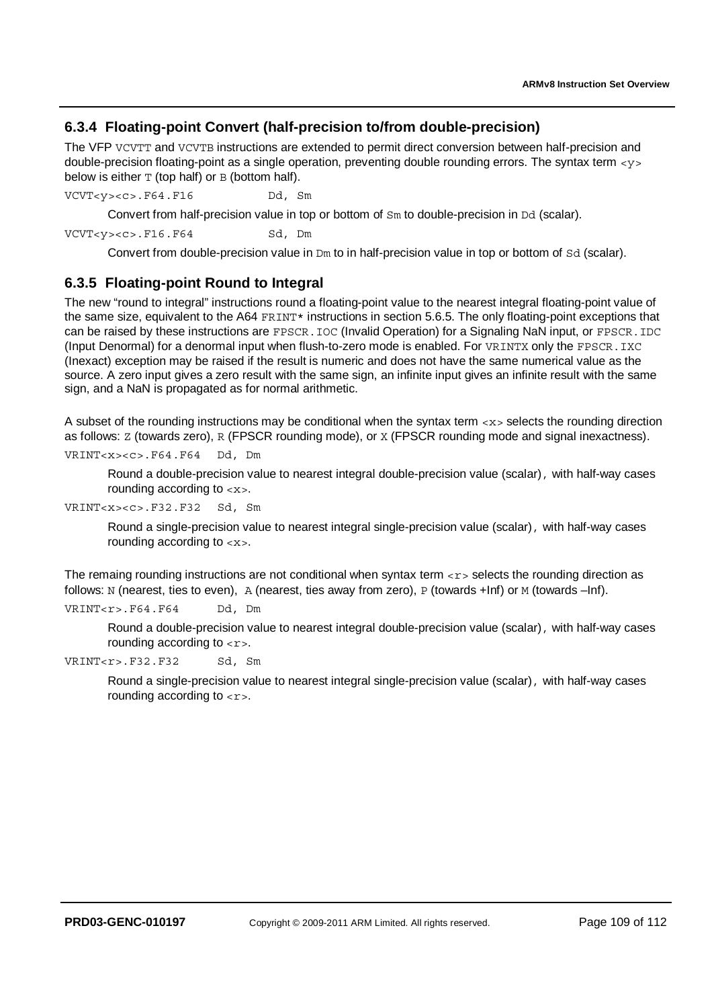#### **6.3.4 Floating-point Convert (half-precision to/from double-precision)**

The VFP VCVTT and VCVTB instructions are extended to permit direct conversion between half-precision and double-precision floating-point as a single operation, preventing double rounding errors. The syntax term <y> below is either  $T$  (top half) or  $B$  (bottom half).

VCVT<y><c>.F64.F16 Dd, Sm

Convert from half-precision value in top or bottom of Sm to double-precision in Dd (scalar).

VCVT<y><c>.F16.F64 Sd, Dm

Convert from double-precision value in Dm to in half-precision value in top or bottom of Sd (scalar).

#### **6.3.5 Floating-point Round to Integral**

The new "round to integral" instructions round a floating-point value to the nearest integral floating-point value of the same size, equivalent to the A64 FRINT\* instructions in section 5.6.5. The only floating-point exceptions that can be raised by these instructions are FPSCR. IOC (Invalid Operation) for a Signaling NaN input, or FPSCR. IDC (Input Denormal) for a denormal input when flush-to-zero mode is enabled. For VRINTX only the FPSCR.IXC (Inexact) exception may be raised if the result is numeric and does not have the same numerical value as the source. A zero input gives a zero result with the same sign, an infinite input gives an infinite result with the same sign, and a NaN is propagated as for normal arithmetic.

A subset of the rounding instructions may be conditional when the syntax term <x> selects the rounding direction as follows:  $Z$  (towards zero), R (FPSCR rounding mode), or  $X$  (FPSCR rounding mode and signal inexactness).

VRINT<x><c>.F64.F64 Dd, Dm

Round a double-precision value to nearest integral double-precision value (scalar), with half-way cases rounding according to <x>.

VRINT<x><c>.F32.F32 Sd, Sm

Round a single-precision value to nearest integral single-precision value (scalar), with half-way cases rounding according to <x>.

The remaing rounding instructions are not conditional when syntax term  $\langle x \rangle$  selects the rounding direction as follows: N (nearest, ties to even), A (nearest, ties away from zero), P (towards +Inf) or M (towards -Inf).

VRINT<r>.F64.F64 Dd, Dm

Round a double-precision value to nearest integral double-precision value (scalar), with half-way cases rounding according to  $\langle r \rangle$ .

VRINT<r>.F32.F32 Sd, Sm

Round a single-precision value to nearest integral single-precision value (scalar), with half-way cases rounding according to  $\langle r \rangle$ .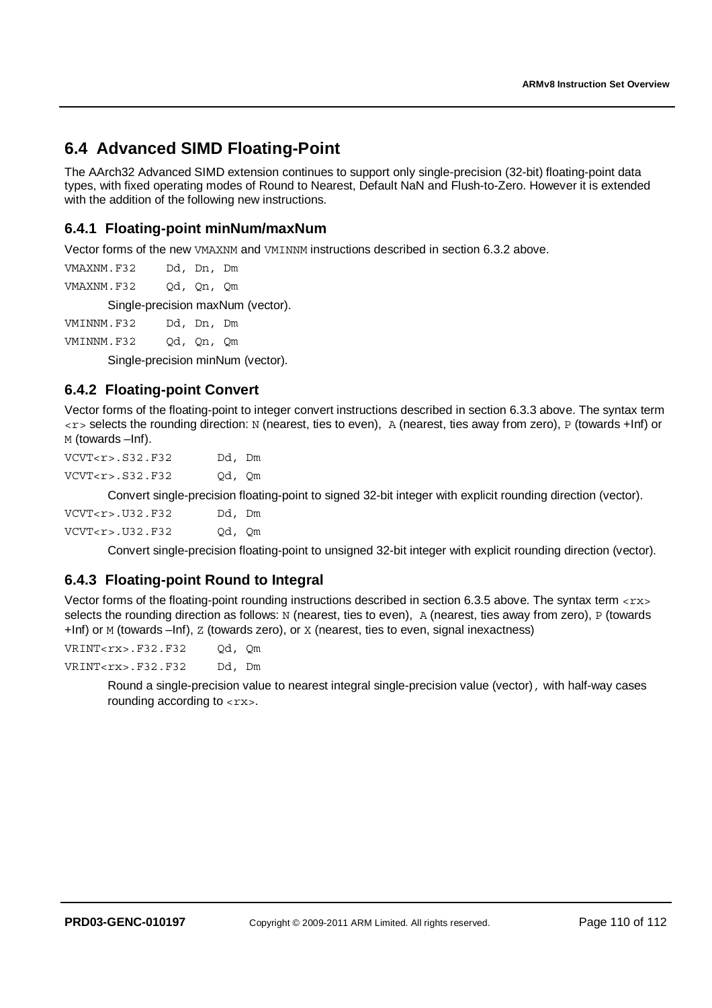# **6.4 Advanced SIMD Floating-Point**

The AArch32 Advanced SIMD extension continues to support only single-precision (32-bit) floating-point data types, with fixed operating modes of Round to Nearest, Default NaN and Flush-to-Zero. However it is extended with the addition of the following new instructions.

#### **6.4.1 Floating-point minNum/maxNum**

Vector forms of the new VMAXNM and VMINNM instructions described in section 6.3.2 above.

VMAXNM.F32 Dd, Dn, Dm

VMAXNM.F32 Qd, Qn, Qm

Single-precision maxNum (vector).

VMINNM.F32 Dd, Dn, Dm

VMINNM.F32 Qd, Qn, Qm

Single-precision minNum (vector).

#### **6.4.2 Floating-point Convert**

Vector forms of the floating-point to integer convert instructions described in section 6.3.3 above. The syntax term <r> selects the rounding direction: N (nearest, ties to even), A (nearest, ties away from zero), P (towards +Inf) or M (towards –Inf).

VCVT<r>.S32.F32 Dd, Dm VCVT<r>.S32.F32 Qd, Qm

Convert single-precision floating-point to signed 32-bit integer with explicit rounding direction (vector).

| VCVT < r > 0.032 F32 | Dd, Dm |  |
|----------------------|--------|--|
| VCVT < r > .U32.F32  | Od, Om |  |

Convert single-precision floating-point to unsigned 32-bit integer with explicit rounding direction (vector).

#### **6.4.3 Floating-point Round to Integral**

Vector forms of the floating-point rounding instructions described in section 6.3.5 above. The syntax term <rx> selects the rounding direction as follows: N (nearest, ties to even), A (nearest, ties away from zero), P (towards +Inf) or M (towards –Inf), Z (towards zero), or X (nearest, ties to even, signal inexactness)

VRINT<rx>.F32.F32 Qd, Qm VRINT<rx>.F32.F32 Dd, Dm

> Round a single-precision value to nearest integral single-precision value (vector), with half-way cases rounding according to  $\langle$  rx>.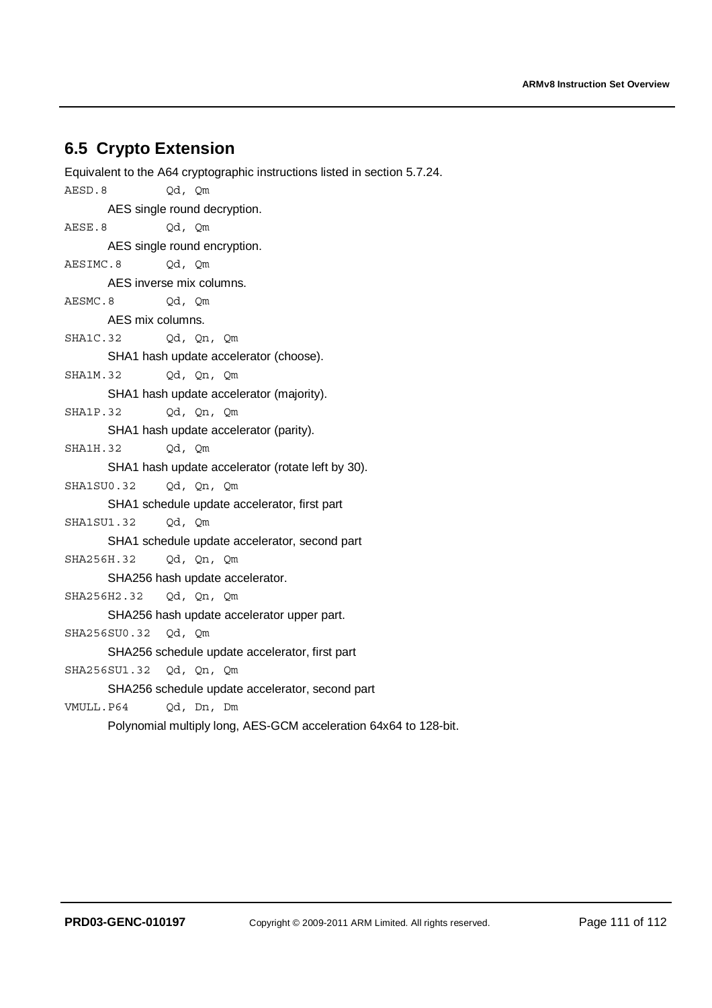## **6.5 Crypto Extension**

Equivalent to the A64 cryptographic instructions listed in section 5.7.24. AESD.8 Qd, Qm AES single round decryption. AESE.8 Qd, Qm AES single round encryption. AESIMC.8 Qd, Qm AES inverse mix columns. AESMC.8 Od, Om AES mix columns. SHA1C.32 Qd, Qn, Qm SHA1 hash update accelerator (choose). SHA1M.32 Qd, Qn, Qm SHA1 hash update accelerator (majority). SHA1P.32 Qd, Qn, Qm SHA1 hash update accelerator (parity). SHA1H.32 Qd, Qm SHA1 hash update accelerator (rotate left by 30). SHA1SU0.32 Qd, Qn, Qm SHA1 schedule update accelerator, first part SHA1SU1.32 Qd, Qm SHA1 schedule update accelerator, second part SHA256H.32 Qd, Qn, Qm SHA256 hash update accelerator. SHA256H2.32 Qd, Qn, Qm SHA256 hash update accelerator upper part. SHA256SU0.32 Qd, Qm SHA256 schedule update accelerator, first part SHA256SU1.32 Qd, Qn, Qm SHA256 schedule update accelerator, second part VMULL.P64 Qd, Dn, Dm Polynomial multiply long, AES-GCM acceleration 64x64 to 128-bit.